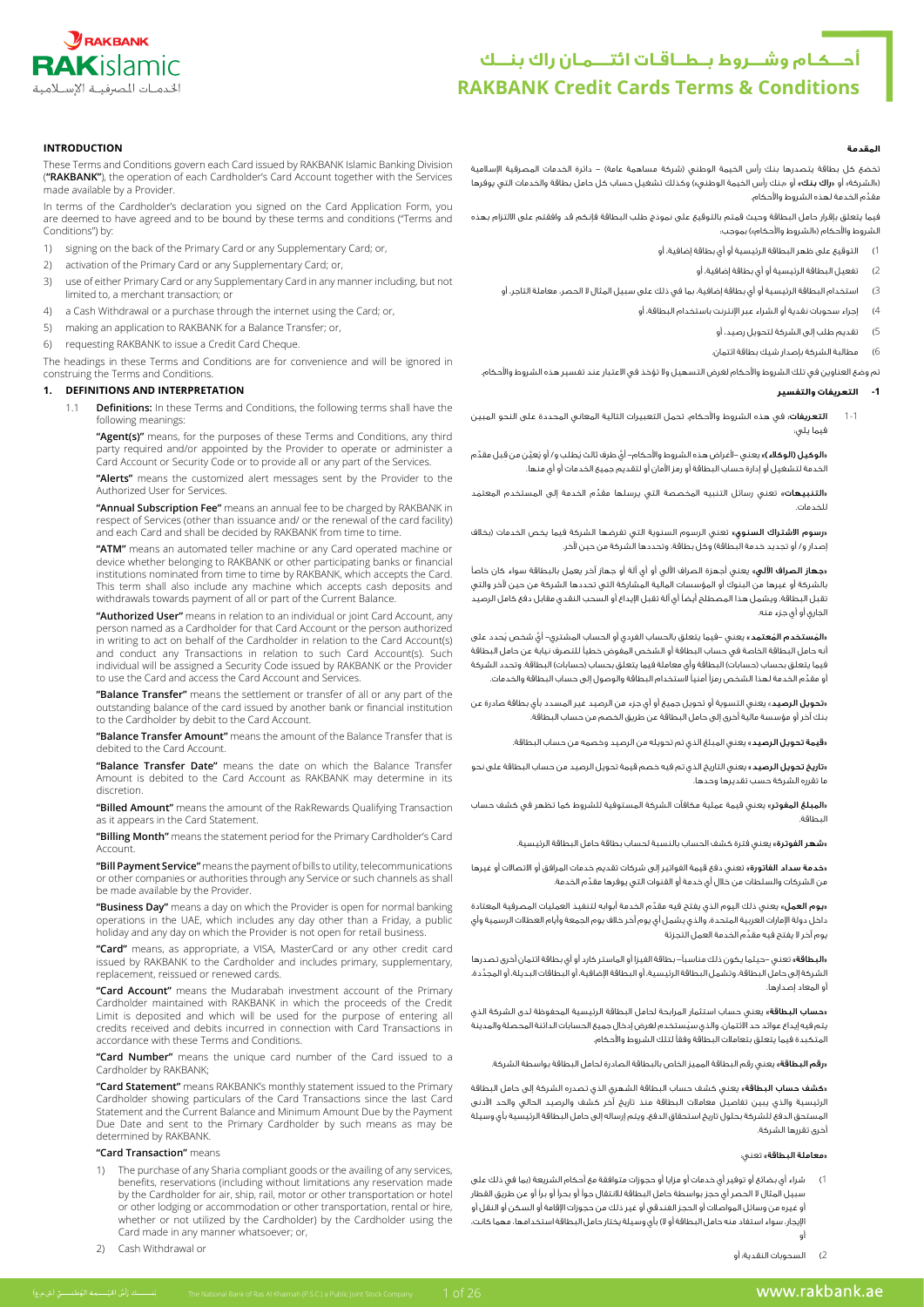

# **أحـــكـام وشـــروط بــطــاقـات ائتــــمـان راك بنـــك RAKBANK Credit Cards Terms & Conditions**

#### **المقدمة**

تخضع كل بطاقة يتصدرها بنك رأس الخيمة الوطني (شركة مساهمة عامة) – دائرة الخدمات المصرفية الإسلامية («الشركة» أو «**راك بنك»** أو «بنك رأس الخيمة الوطني») وكذلك تشغيل حساب كل حامل بطاقة والخدمات التي يوفرها ِّ مقدم الخدمة لهذه الشروط واألحكام.

فيما يتعلق بإقرار حامل البطاقة وحيث قمتم بالتوقيع على نموذج طلب البطاقة فإنكم قد وافقتم على االلتزام بهذه الشروط والأحكام («الشروط والأحكام») بموجب:

1( التوقيع على ظهر البطاقة الرئيسية أو أي بطاقة إضافية، أو

- 2( تفعيل البطاقة الرئيسية أو أي بطاقة إضافية، أو
- 3) استخدام البطاقة الرئيسية أو أي بطاقة إضافية، بما في ذلك على سبيل المثال لا الحصر، معاملة التاجر، أو

4( إجراء سحوبات نقدية أو الشراء عبر اإلنترنت باستخدام البطاقة، أو

- 5( تقديم طلب إلى الشركة لتحويل رصيد، أو
- 6( مطالبة الشركة بإصدار شيك بطاقة ائتمان.

تم وضع العناوين في تلك الشروط واألحكام لغرض التسهيل وال تؤخذ في االعتبار عند تفسير هذه الشروط واألحكام.

#### **-1 التعريفات والتفسير**

1-1 **التعريفات**: في هذه الشروط والأحكام، تحمل التعبيرات التالية المعاني المحددة على النحو المبين فيما يلي:

«**الوكيل (الوكالء**)» يعني –لأغراض هذه الشروط والأحكام– أيَّ طرف ثالث يُطلب و/ أو يُعيِّن من قِبل مقدِّم، الخدمة لتشغيل أو إدارة حساب البطاقة أو رمز األمان أو لتقديم جميع الخدمات أو أي منها.

«التنبيهات» تعني رسائل التنبيه المخصصة التي يرسلها مقدَّم الخدمة إلى المستخدم المعتمَد للخدمات.

«**رسوم الاشتراك السنوي»** تعني الرسوم السنوية التي تفرضها الشركة فيما يخص الخدمات (بخلاف إصدار و/ أو تجديد خدمة البطاقة) وكل بطاقة، وتحددها الشركة من حين لآخر.

«**جهاز الصراف الآلي»** يعني أجهزة الصراف الآلي أو أي آلة أو جهاز آخر يعمل بالبطاقة سواء كان خاصاً .<br>بالشركة أو غيرها من البنوك أو المؤسسات المالية المشاركة التي تحددها الشركة من حين لآخر والتي تقبل البطاقة. ويشمل هذا المصطلح أيضًا أي آلة تقبل اإليداع أو السحب النقدي مقابل دفع كامل الرصيد الجاري أو أي جزء منه.

«**المُستخدم المُعتمد**» يعني –فيما يتعلق بالحساب الفردي أو الحساب المشتري– أيَّ شخص يُحدد على أنه حامل البطاقة الخاصة في حساب البطاقة أو الشخص المفوض خطيًا للتصرف نيابة عن حامل البطاقة فيما يتعلق بحساب (حسابات) البطاقة وأي معاملة فيما يتعلق بحساب (حسابات) البطاقة. وتحدد الشركة ِّ أو مقدم الخدمة لهذا الشخص رمزًا أمنيًا الستخدام البطاقة والوصول إلى حساب البطاقة والخدمات.

«**تحويل الرصيد**» يعني التسوية أو تحويل جميع أو أي جزء من الرصيد غير المسدد بأي بطاقة صادرة عن بنك آخر أو مؤسسة مالية أخرى إلى حامل البطاقة عن طريق الخصم من حساب البطاقة.

«**قيمة تحويل الرصيد**» بعني المبلغ الذي تم تحويله من الرصيد وخصمه من حساب البطاقة.

«<mark>تاريخ تحويل الرصيد</mark>» يعني التاريخ الذي تم فيه خصم قيمة تحويل الرصيد من حساب البطاقة على نحو ما تقرره الشركة حسب تقديرها وحدها.

«**المبلغ المفوتر**» يعني قيمة عملية مكافآت الشركة المستوفية للشروط كما تظهر في كشف حساب البطاقة.

.<br>**شهر الفوترة**» يعني فترة كشف الحساب بالنسبة لحساب بطاقة حامل البطاقة الرئيسية.

«خدمة سداد الفاتورة» تعني دفع قيمة الفواتير إلى شركات تقديم خدمات المرافق أو الاتصالات أو غيرها ِّ من الشركات والسلطات من خالل أي خدمة أو القنوات التي يوفرها مقدم الخدمة.

«**يوم العمل**» يعني ذلك اليوم الذي يفتح فيه مقدّم الخدمة أبوابه لتنفيذ العمليات المصرفية المعتادة داخل دولة اإلمارات العربية المتحدة، والذي يشمل أي يوم آخر خالف يوم الجمعة وأيام العطالت الرسمية وأي ِّ يوم آخر ال يفتح فيه مقدم الخدمة العمل التجزئة

 »البطاقة« تعني -حيثما يكون ذلك مناسبًا- بطاقة الفيزا أو الماستر كارد أو أي بطاقة ائتمان أخرى تصدرها َّ الشركة إلى حامل البطاقة، وتشمل البطاقة الرئيسية، أو البطاقة اإلضافية، أو البطاقات البديلة، أو المجددة، أو المعاد إصدارها.

«**حساب البطاقة**» يعني حساب استثمار المرابحة لحامل البطاقة الرئيسية المحفوظة لدى الشركة الذي ُ يتم فيه إيداع عوائد حد االئتمان، والذي سيستخدم لغرض إدخال جميع الحسابات الدائنة المحصلة والمدينة المتكبدة فيما يتعلق بتعامالت البطاقة وفقًا لتلك الشروط واألحكام.

«**رقم البطاقة**» يعني رقم البطاقة المميز الخاص بالبطاقة الصادرة لحامل البطاقة بواسطة الشركة.

«كشف حساب البطاقة» يعني كشف حساب البطاقة الشهري الذي تصدره الشركة إلى حامل البطاقة الرئيسية والذي يبين تفاصيل معامالت البطاقة منذ تاريخ آخر كشف والرصيد الحالي والحد األدنى المستحق الدفع للشركة بحلول تاريخ استحقاق الدفع، ويتم إرساله إلى حامل البطاقة الرئيسية بأي وسيلة أخرى تقررها الشركة.

#### »معاملة البطاقة« تعني:

شراء أي بضائع أو توفير أي خدمات أو مزايا أو حجوزات متوافقة مع أحكام الشريعة (بما في ذلك على سبيل المثال ال الحصر أي حجز بواسطة حامل البطاقة لالنتقال جوًا أو بحرًا أو برًا أو عن طريق القطار أو غيره من وسائل المواصالت أو الحجز الفندقي أو غير ذلك من حجوزات اإلقامة أو السكن أو النقل أو الإيجار، سواء استفاد منه حامل البطاقة أو لا) بأي وسيلة يختار حامل البطاقة استخدامها، مهما كانت، أو

2( السحوبات النقدية: أو

# **INTRODUCTION**

These Terms and Conditions govern each Card issued by RAKBANK Islamic Banking Division ("RAKBANK"), the operation of each Cardholder's Card Account together with the Services made available by a Provider.

In terms of the Cardholder's declaration you signed on the Card Application Form, you are deemed to have agreed and to be bound by these terms and conditions ("Terms and conditions") by:

- 1) signing on the back of the Primary Card or any Supplementary Card; or,
- 2) activation of the Primary Card or any Supplementary Card; or,
- 3) use of either Primary Card or any Supplementary Card in any manner including, but not limited to, a merchant transaction; or
- 4) a Cash Withdrawal or a purchase through the internet using the Card; or,
- 5) making an application to RAKBANK for a Balance Transfer: or.
- 6) requesting RAKBANK to issue a Credit Card Cheque.

The headings in these Terms and Conditions are for convenience and will be ignored in construing the Terms and Conditions.

#### **IDEFINITIONS AND INTERPRETATION**

Definitions: In these Terms and Conditions, the following terms shall have the following meanings:

**"Agent(s)"** means, for the purposes of these Terms and Conditions, any third<br>party required and/or appointed by the Provider to operate or administer a Card Account or Security Code or to provide all or any part of the Services.

> "Alerts" means the customized alert messages sent by the Provider to the Authorized User for Services.

> "Annual Subscription Fee" means an annual fee to be charged by RAKBANK in respect of Services (other than issuance and/ or the renewal of the card facility) and each Card and shall be decided by RAKBANK from time to time.

> "ATM" means an automated teller machine or any Card operated machine or device whether belonging to RAKBANK or other participating banks or financial institutions nominated from time to time by RAKBANK, which accepts the Card. This term shall also include any machine which accepts cash deposits and withdrawals towards payment of all or part of the Current Balance

> **"Authorized User"** means in relation to an individual or ioint Card Account, any person named as a Cardholder for that Card Account or the person authorized in writing to act on behalf of the Cardholder in relation to the Card Account(s) and conduct any Transactions in relation to such Card Account(s). Such individual will be assigned a Security Code issued by RAKBANK or the Provider to use the Card and access the Card Account and Services.

> **"Balance Transfer"** means the settlement or transfer of all or any part of the outstanding balance of the card issued by another bank or financial institution to the Cardholder by debit to the Card Account.

> "Balance Transfer Amount" means the amount of the Balance Transfer that is debited to the Card Account.

> "Balance Transfer Date" means the date on which the Balance Transfer Amount is debited to the Card Account as RAKBANK may determine in its discretion.

> "Billed Amount" means the amount of the RakRewards Qualifying Transaction as it appears in the Card Statement.

> "Billing Month" means the statement period for the Primary Cardholder's Card .Account

> "Bill Payment Service" means the payment of bills to utility, telecommunications or other companies or authorities through any Service or such channels as shall be made available by the Provider.

> **"Business Day"** means a day on which the Provider is open for normal banking operations in the UAE, which includes any day other than a Friday, a public holiday and any day on which the Provider is not open for retail business.

> "Card" means, as appropriate, a VISA, MasterCard or any other credit card issued by RAKBANK to the Cardholder and includes primary, supplementary, replacement, reissued or renewed cards.

> "Card Account" means the Mudarabah investment account of the Priman Cardholder maintained with RAKBANK in which the proceeds of the Credit Limit is deposited and which will be used for the purpose of entering all credits received and debits incurred in connection with Card Transactions in accordance with these Terms and Conditions.

> "Card Number" means the unique card number of the Card issued to a Cardholder by RAKBANK;

> "Card Statement" means RAKBANK's monthly statement issued to the Primary Cardholder showing particulars of the Card Transactions since the last Card Statement and the Current Balance and Minimum Amount Due by the Payment Due Date and sent to the Primary Cardholder by such means as may be determined by RAKBANK.

#### **"Card Transaction"** means

- 1) The purchase of any Sharia compliant goods or the availing of any services benefits, reservations (including without limitations any reservation made hy the Cardholder for air, ship, rail, motor or other transportation or hotel or other lodging or accommodation or other transportation, rental or hire. whether or not utilized by the Cardholder) by the Cardholder using the Card made in any manner whatsoever; or,
- 2) Cash Withdrawal or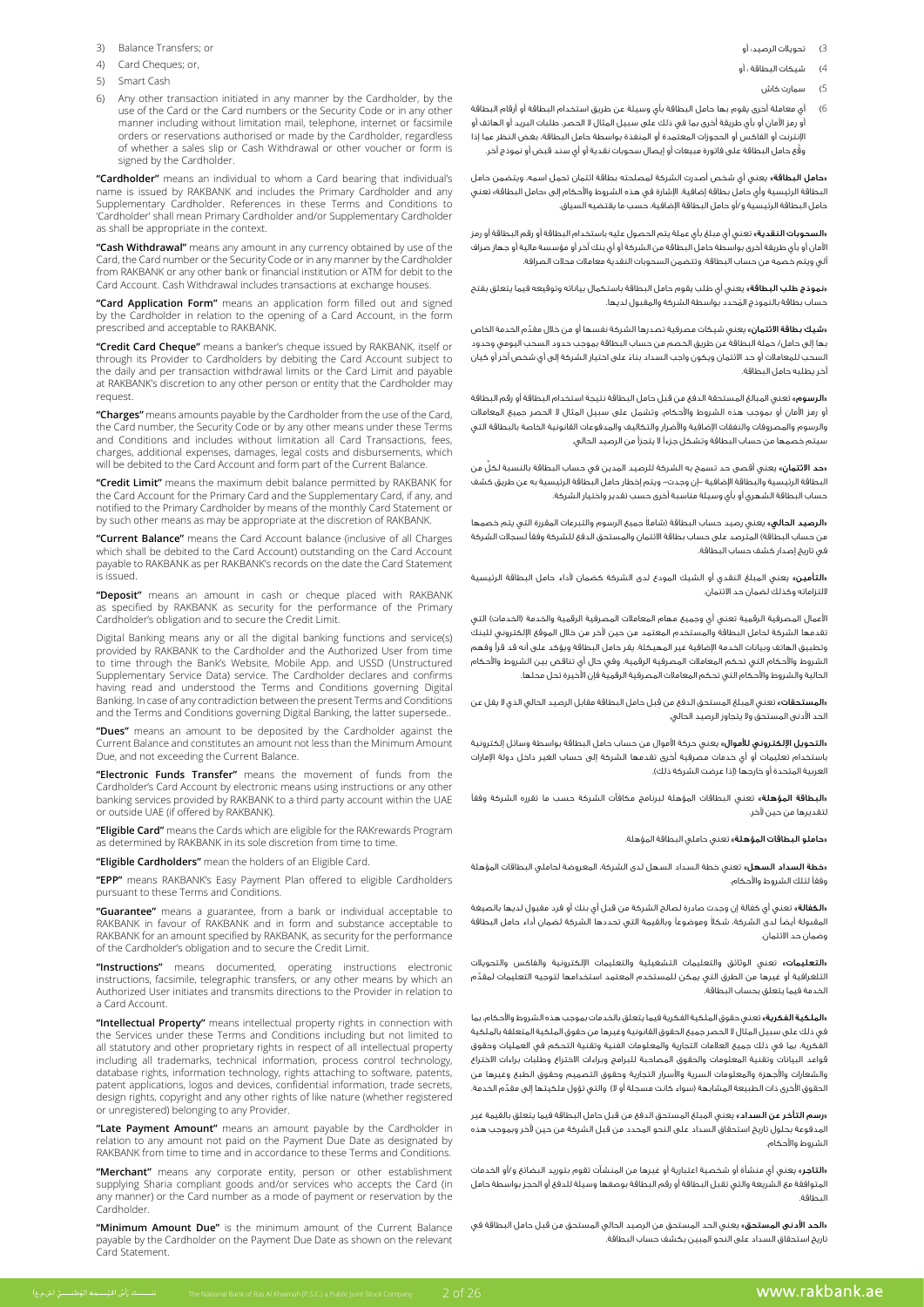- 3) Balance Transfers: or
- 4) Card Cheques: or.
- 5) Smart Cash
- 6) Any other transaction initiated in any manner by the Cardholder, by the use of the Card or the Card numbers or the Security Code or in any other manner including without limitation mail, telephone, internet or facsimile orders or reservations authorised or made by the Cardholder, regardless of whether a sales slip or Cash Withdrawal or other voucher or form is signed by the Cardholder.

"Cardholder" means an individual to whom a Card bearing that individual's name is issued by RAKBANK and includes the Primary Cardholder and any Supplementary Cardholder. References in these Terms and Conditions to 'Cardholder' shall mean Primary Cardholder and/or Supplementary Cardholder as shall be appropriate in the context.

"Cash Withdrawal" means any amount in any currency obtained by use of the Card, the Card number or the Security Code or in any manner by the Cardholder from RAKBANK or any other bank or financial institution or ATM for debit to the Card Account. Cash Withdrawal includes transactions at exchange houses.

"Card Application Form" means an application form filled out and signed by the Cardholder in relation to the opening of a Card Account, in the form prescribed and acceptable to RAKBANK.

"Credit Card Cheque" means a banker's cheque issued by RAKBANK, itself or through its Provider to Cardholders by debiting the Card Account subject to the daily and per transaction withdrawal limits or the Card Limit and payable at RAKBANK's discretion to any other person or entity that the Cardholder may .request

"Charges" means amounts payable by the Cardholder from the use of the Card, the Card number, the Security Code or by any other means under these Terms and Conditions and includes without limitation all Card Transactions, fees, charges, additional expenses, damages, legal costs and disbursements, which will be debited to the Card Account and form part of the Current Balance.

"Credit Limit" means the maximum debit balance permitted by RAKBANK for the Card Account for the Primary Card and the Supplementary Card, if any, and notified to the Primary Cardholder by means of the monthly Card Statement or by such other means as may be appropriate at the discretion of RAKBANK.

"Current Balance" means the Card Account balance (inclusive of all Charges which shall be debited to the Card Account) outstanding on the Card Account payable to RAKBANK as per RAKBANK's records on the date the Card Statement .issued is

**"Deposit"** means an amount in cash or cheque placed with RAKBANK<br>as specified by RAKBANK as security for the performance of the Primary Cardholder's obligation and to secure the Credit Limit.

Digital Banking means any or all the digital banking functions and service(s) provided by RAKBANK to the Cardholder and the Authorized User from time to time through the Bank's Website, Mobile App. and USSD (Unstructured Supplementary Service Data) service. The Cardholder declares and confirms having read and understood the Terms and Conditions governing Digital Banking. In case of any contradiction between the present Terms and Conditions and the Terms and Conditions governing Digital Banking, the latter supersede..

> "Dues" means an amount to be deposited by the Cardholder against the Current Balance and constitutes an amount not less than the Minimum Amount Due, and not exceeding the Current Balance.

> "Electronic Funds Transfer" means the movement of funds from the Cardholder's Card Account by electronic means using instructions or any other banking services provided by RAKBANK to a third party account within the UAE or outside UAE (if offered by RAKBANK).

> "Eligible Card" means the Cards which are eligible for the RAKrewards Program as determined by RAKBANK in its sole discretion from time to time.

"Eligible Cardholders" mean the holders of an Eligible Card.

"EPP" means RAKBANK's Easy Payment Plan offered to eligible Cardholders pursuant to these Terms and Conditions.

"Guarantee" means a guarantee, from a bank or individual acceptable to TO ACCEPT ACCEPT SUBSTANCE SUBSTANCE AND FORM IN AN ANNUAL ACCEPTABLE TO RAKBANK and in form and substance acceptable to RAKBANK for an amount specified by RAKBANK, as security for the performance of the Cardholder's obligation and to secure the Credit Limit

"Instructions" means documented, operating instructions electronic instructions, facsimile, telegraphic transfers, or any other means by which an Authorized User initiates and transmits directions to the Provider in relation to a Card Account.

"Intellectual Property" means intellectual property rights in connection with the Services under these Terms and Conditions including but not limited to all statutory and other proprietary rights in respect of all intellectual property including all trademarks, technical information, process control technology, database rights, information technology, rights attaching to software, patents, patent applications, logos and devices, confidential information, trade secrets, design rights, copyright and any other rights of like nature (whether registered or unregistered) belonging to any Provider.

"Late Payment Amount" means an amount payable by the Cardholder in relation to any amount not paid on the Payment Due Date as designated by RAKBANK from time to time and in accordance to these Terms and Conditions

"Merchant" means any corporate entity, person or other establishment supplying Sharia compliant goods and/or services who accepts the Card (in any manner) or the Card number as a mode of payment or reservation by the .Cardholder

"Minimum Amount Due" is the minimum amount of the Current Balance payable by the Cardholder on the Payment Due Date as shown on the relevant .<br>Card Statement

- 3( تحويالت الرصيد: أو
- 4( شيكات البطاقة : أو
	- 5( سمارت كاش
- 6( أي معاملة أخرى يقوم بها حامل البطاقة بأي وسيلة عن طريق استخدام البطاقة أو أرقام البطاقة .<br>أو رمز الأمان أو بأي طريقة أخرى بما في ذلك على سبيل المثال لا الحصر، طلبات البريد أو الهاتف أو اإلنترنت أو الفاكس أو الحجوزات المعتمدة أو المنفذة بواسطة حامل البطاقة، بغض النظر عما إذا َّوقع حامل البطاقة على فاتورة مبيعات أو إيصال سحوبات نقدية أو أي سند قبض أو نموذج آخر.

«**حامل البطاقة»** يعني أي شخص أصدرت الشركة لمصلحته بطاقة ائتمان تحمل اسمه، ويتضمن حامل البطاقة الرئيسية وأي حامل بطاقة إضافية. الإشارة في هذه الشروط والأحكام إلى «حامل البطاقة» تعني حامل البطاقة الرئيسية و/أو حامل البطاقة اإلضافية، حسب ما يقتضيه السياق.

«**السحوبات النقدية**» تعني أي مبلغ بأي عملة يتم الحصول عليه باستخدام البطاقة أو رقم البطاقة أو رمز األمان أو بأي طريقة أخرى بواسطة حامل البطاقة من الشركة أو أي بنك آخر أو مؤسسة مالية أو جهاز صراف آلي ويتم خصمه من حساب البطاقة. وتتضمن السحوبات النقدية معامالت محالت الصرافة.

«نموذج طلب البطاقة» يعني أي طلب يقوم حامل البطاقة باستكمال بياناته وتوقيعه فيما يتعلق بفتح ُ حساب بطاقة بالنموذج المحدد بواسطة الشركة والمقبول لديها.

«**شيك بطاقة الائتمان**» يعني شيكات مصرفية تصدرها الشركة نفسها أو من خلال مقدّم الخدمة الخاص بها إلى حامل/ حملة البطاقة عن طريق الخصم من حساب البطاقة بموجب حدود السحب اليومي وحدود ً السحب للمعامالت أو حد االئتمان ويكون واجب السداد بناء على اختيار الشركة إلى أي شخص آخر أو كيان آخر يطلبه حامل البطاقة.

«**الرسوم»** تعني المبالغ المستحقة الدفع من قبل حامل البطاقة نتيجة استخدام البطاقة أو رقم البطاقة أو رمز األمان أو بموجب هذه الشروط واألحكام، وتشمل على سبيل المثال ال الحصر جميع المعامالت والرسوم والمصروفات والنفقات اإلضافية واألضرار والتكاليف والمدفوعات القانونية الخاصة بالبطاقة التي سيتم خصمها من حساب البطاقة وتشكل جزءًا ال يتجزأ من الرصيد الحالي.

«**حد الائتمان**» يعني أقصى حد تسمح به الشركة للرصيد المدين فى حساب البطاقة بالنسبة لكلّ من البطاقة الرئيسية والبطاقة اإلضافية -إن وجدت- ويتم إخطار حامل البطاقة الرئيسية به عن طريق كشف حساب البطاقة الشهري أو بأي وسيلة مناسبة أخرى حسب تقدير واختيار الشركة.

«**الرصيد الحالي**» يعنى رصيد حساب البطاقة (شاملاً جميع الرسوم والتبرعات المقررة التي يتم خصمها من حساب البطاقة) المترصد على حساب بطاقة الائتمان والمستحق الدفع للشركة وفقاً لسجلات الشركة في تاريخ إصدار كشف حساب البطاقة.

«**التأمين**» يعني المبلغ النقدي أو الشيك المودع لدى الشركة كضمان لأداء حامل البطاقة الرئيسية اللتزاماته وكذلك لضمان حد االئتمان.

الأعمال المصرفية الرقمية تعني أي وجميع مهام المعاملات المصرفية الرقمية والخدمة (الخدمات) التي تقدمها الشركة لحامل البطاقة والمستخدم المعتمد من حين آلخر من خالل الموقع اإللكتروني للبنك وتطبيق الهاتف وبيانات الخدمة اإلضافية غير المهيكلة. يقر حامل البطاقة ويؤكد على أنه قد قرأ وفهم الشروط واألحكام التي تحكم المعامالت المصرفية الرقمية، وفي حال أي تناقض بين الشروط واألحكام الحالية والشروط واألحكام التي تحكم المعامالت المصرفية الرقمية فإن األخيرة تحل محلها.

«المستحقات» تعني المبلغ المستحق الدفع من قبل حامل البطاقة مقابل الرصيد الحالي الذي لا يقل عن الحد الأدنى المستحق ولا يتجاوز الرصيد الحالي.

«**التحويل الإلكتروني للأموال**» يعني حركة الأموال من حساب حامل البطاقة بواسطة وسائل إلكترونية باستخدام تعليمات أو أي خدمات مصرفية أخرى تقدمها الشركة إلى حساب الغير داخل دولة اإلمارات .<br>العربية المتحدة أو خارجها (إذا عرضت الشركة ذلك).

«**البطاقة المؤهلة**» تعني البطاقات المؤهلة لبرنامج مكافآت الشركة حسب ما تقرره الشركة وفقاً لتقديرها من حين آلخر.

«**حاملو البطاقات المؤهلة»** تعني حاملي البطاقة المؤهلة.

«خطة السداد السهل» تعني خطة السداد السهل لدى الشركة، المعروضة لحاملي البطاقات المؤهلة وفقًا لتلك الشروط واألحكام.

«**الكفالة**» تعني أي كفالة إن وجدت صادرة لصالح الشركة من قبل أي بنك أو فرد مقبول لديها بالصيغة ً المقبولة أيضًا لدى الشركة، شكال وموضوعًا وبالقيمة التي تحددها الشركة لضمان أداء حامل البطاقة وضمان حد االئتمان.

.<br>«**التعليمات**» تعني الوثائق والتعليمات التشغيلية والتعليمات الإلكترونية والفاكس والتحويلات ِّ التلغرافية أو غيرها من الطرق التي يمكن للمستخدم المعتمد استخدامها لتوجيه التعليمات لمقدم الخدمة فيما يتعلق بحساب البطاقة.

«**الملكية الفكرية**» تعني حقوق الملكية الفكرية فيما يتعلق بالخدمات بموجب هذه الشروط والأحكام، بما في ذلك على سبيل المثال ال الحصر جميع الحقوق القانونية وغيرها من حقوق الملكية المتعلقة بالملكية .<br>الفكرية، بما في ذلك جميع العلامات التجارية والمعلومات الفنية وتقنية التحكم في العمليات وحقوق قواعد البيانات وتقنية المعلومات والحقوق المصاحبة للبرامج وبراءات االختراع وطلبات براءات االختراع والشعارات واألجهزة والمعلومات السرية واألسرار التجارية وحقوق التصميم وحقوق الطبع وغيرها من الحقوق الأخرى ذات الطبيعة المشابهة (سواء كانت مسجلة أو لا) والتي تؤول ملكيتها إلى مقدّم الخدمة.

«**رسم التأخر عن السداد**» يعني المبلغ المستحق الدفع من قبل حامل البطاقة فيما يتعلق بالقيمة غير المدفوعة بحلول تاريخ استحقاق السداد على النحو المحدد من قبل الشركة من حين آلخر وبموجب هذه الشروط واألحكام.

«**التاجر**» يعني أي منشأة أو شخصية اعتبارية أو غيرها من المنشآت تقوم بتوريد البضائع و/أو الخدمات المتوافقة مع الشريعة والتي تقبل البطاقة أو رقم البطاقة بوصفها وسيلة للدفع أو الحجز بواسطة حامل البطاقة.

«**الحد الأدنى المستحق**» يعنى الحد المستحق من الرصيد الحالي المستحق من قبل حامل البطاقة في تاريخ استحقاق السداد على النحو المبين بكشف حساب البطاقة.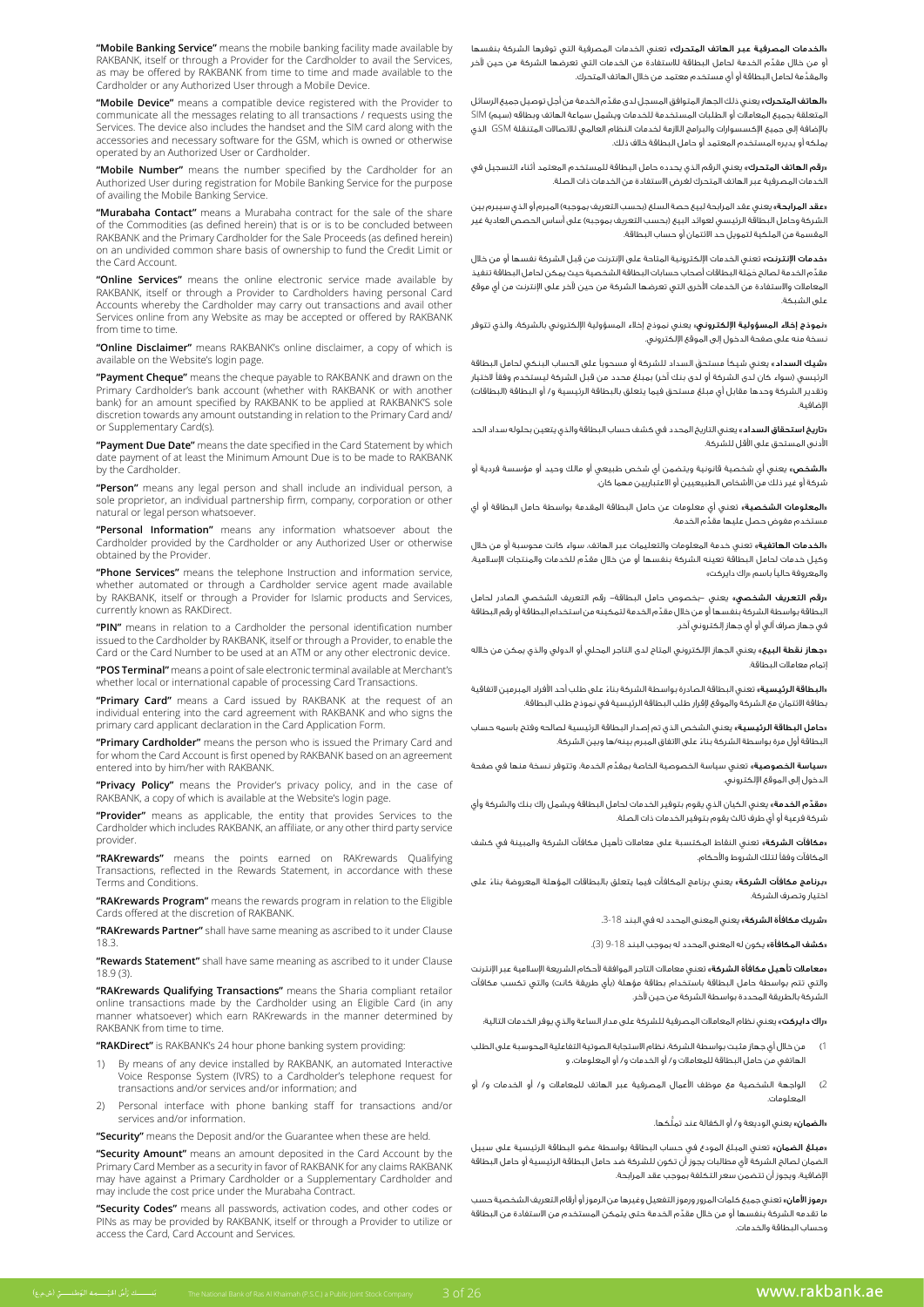"Mobile Banking Service" means the mobile banking facility made available by RAKBANK, itself or through a Provider for the Cardholder to avail the Services, as may be offered by RAKBANK from time to time and made available to the Cardholder or any Authorized User through a Mobile Device.

"Mobile Device" means a compatible device registered with the Provider to communicate all the messages relating to all transactions / requests using the Services. The device also includes the handset and the SIM card along with the accessories and necessary software for the GSM, which is owned or otherwise operated by an Authorized User or Cardholder.

"Mobile Number" means the number specified by the Cardholder for an Authorized User during registration for Mobile Banking Service for the purpose of availing the Mobile Banking Service.

"Murabaha Contact" means a Murabaha contract for the sale of the share of the Commodities (as defined herein) that is or is to be concluded between RAKBANK and the Primary Cardholder for the Sale Proceeds (as defined herein) on an undivided common share basis of ownership to fund the Credit Limit or the Card Account.

"Online Services" means the online electronic service made available by RAKBANK, itself or through a Provider to Cardholders having personal Card Accounts whereby the Cardholder may carry out transactions and avail other Services online from any Website as may be accepted or offered by RAKBANK from time to time.

"Online Disclaimer" means RAKBANK's online disclaimer, a copy of which is available on the Website's login page.

"Payment Cheque" means the cheque payable to RAKBANK and drawn on the Primary Cardholder's bank account (whether with RAKBANK or with another bank) for an amount specified by RAKBANK to be applied at RAKBANK'S sole discretion towards any amount outstanding in relation to the Primary Card and/ or Supplementary Card(s)

"Payment Due Date" means the date specified in the Card Statement by which date payment of at least the Minimum Amount Due is to be made to RAKBANK by the Cardholder

**"Person"** means any legal person and shall include an individual person, a sole proprietor, an individual partnership firm, company, corporation or other natural or legal person whatsoever

**"Personal Information"** means any information whatsoever about the<br>Cardholder provided by the Cardholder or any Authorized User or otherwise obtained by the Provider.

> "Phone Services" means the telephone Instruction and information service, whether automated or through a Cardholder service agent made available by RAKBANK, itself or through a Provider for Islamic products and Services, currently known as RAKDirect.

> "PIN" means in relation to a Cardholder the personal identification number issued to the Cardholder by RAKBANK, itself or through a Provider, to enable the Card or the Card Number to be used at an ATM or any other electronic device.

> "POS Terminal" means a point of sale electronic terminal available at Merchant's whether local or international capable of processing Card Transactions.

> "Primary Card" means a Card issued by RAKBANK at the request of an individual entering into the card agreement with RAKBANK and who signs the primary card applicant declaration in the Card Application Form.

> "Primary Cardholder" means the person who is issued the Primary Card and for whom the Card Account is first opened by RAKBANK based on an agreement entered into by him/her with RAKBANK.

> "Privacy Policy" means the Provider's privacy policy, and in the case of RAKBANK, a copy of which is available at the Website's login page.

> **"Provider"** means as applicable, the entity that provides Services to the Cardholder which includes RAKBANK, an affiliate, or any other third party service .provider

> "RAKrewards" means the points earned on RAKrewards Qualifying Transactions, reflected in the Rewards Statement, in accordance with these Terms and Conditions.

> "RAKrewards Program" means the rewards program in relation to the Eligible Cards offered at the discretion of RAKBANK.

> "RAKrewards Partner" shall have same meaning as ascribed to it under Clause 18.3.

> "Rewards Statement" shall have same meaning as ascribed to it under Clause  $18.9(3)$

> "RAKrewards Qualifying Transactions" means the Sharia compliant retailor online transactions made by the Cardholder using an Eligible Card (in any manner whatsoever) which earn RAKrewards in the manner determined by RAKBANK from time to time.

"RAKDirect" is RAKBANK's 24 hour phone banking system providing:

- 1) By means of any device installed by RAKBANK, an automated Interactive Voice Response System (IVRS) to a Cardholder's telephone request for transactions and/or services and/or information; and
- 2) Personal interface with phone banking staff for transactions and/or services and/or information.

"Security" means the Deposit and/or the Guarantee when these are held.

"Security Amount" means an amount deposited in the Card Account by the Primary Card Member as a security in favor of RAKBANK for any claims RAKBANK may have against a Primary Cardholder or a Supplementary Cardholder and may include the cost price under the Murabaha Contract.

"Security Codes" means all passwords, activation codes, and other codes or PINs as may be provided by RAKBANK, itself or through a Provider to utilize or access the Card, Card Account and Services.

.<br>«الخدمات المصرفية عبر الهاتف المتحرك» تعني الخدمات المصرفية التي توفرها الشركة بنفسها ِّ أو من خالل مقدم الخدمة لحامل البطاقة لالستفادة من الخدمات التي تعرضها الشركة من حين آلخر َّ والمقدمة لحامل البطاقة أو أي مستخدم معتمد من خالل الهاتف المتحرك.

«**الهاتف المتحرك**» يعنى ذلك الجهاز المتوافق المسجل لدى مقدّم الخدمة من أجل توصيل جميع الرسائل المتعلقة بجميع المعامالت أو الطلبات المستخدمة للخدمات ويشمل سماعة الهاتف وبطاقه )سيم( SIM باإلضافة إلى جميع اإلكسسوارات والبرامج الالزمة لخدمات النظام العالمي لالتصاالت المتنقلة GSM الذي يملكه أو يديره المستخدم المعتمد أو حامل البطاقة خالف ذلك.

«**رقم الهاتف المتحرك**» يعني الرقم الذي يحدده حامل البطاقة للمستخدم المعتمد أثناء التسجيل في الخدمات المصرفية عبر الهاتف المتحرك لغرض االستفادة من الخدمات ذات الصلة.

«**عقد المرابحة**» يعني عقد المرابحة لبيع حصة السلع (بحسب التعريف بموجبه) المبرم أو الذي سيبرم بير الشركة وحامل البطاقة الرئيسي لعوائد البيع (بحسب التعريف بموجبه) على أساس الحصص العادية غير المقسمة من الملكية لتمويل حد االئتمان أو حساب البطاقة.

«**خدمات الإنترنت»** تعني الخدمات الإلكترونية المتاحة على الإنترنت من قِبل الشركة نفسها أو من خلال مقدّم الخدمة لصالح حَمَلة البطاقات أصحاب حسابات البطاقة الشخصية حيث يمكن لحامل البطاقة تنفيذ المعامالت واالستفادة من الخدمات األخرى التي تعرضها الشركة من حين آلخر على اإلنترنت من أي موقع على الشبكة.

«**نموذج إخالء المسؤولية الإلكتروني**» يعني نموذج إخالء المسؤولية الإلكتروني بالشركة، والذي تتوفر نسخة منه على صفحة الدخول إلى الموقع اإللكتروني.

«**شيك السداد**» يعنى شيكاً مستحق السداد للشركة أو مسحوباً على الحساب البنكى لحامل البطاقة الرئيسي (سواء كان لدى الشركة أو لدى بنك آخر) بمبلغ محدد من قبل الشركة ليستخدم وفقاً لاختيار وتقدير الشركة وحدها مقابل أي مبلغ مستحق فيما يتعلق بالبطاقة الرئيسية و/ أو البطاقة (البطاقات) اإلضافية.

«<mark>تاريخ استحقاق السداد</mark> » يعني التاريخ المحدد في كشف حساب البطاقة والذي يتعين بحلوله سداد الحد الأدنى المستحق على الأقل للشركة.

«**الشخص»** يعني أي شخصية قانونية ويتضمن أي شخص طبيعي أو مالك وحيد أو مؤسسة فردية أو شركة أو غير ذلك من األشخاص الطبيعيين أو االعتباريين مهما كان.

«**المعلومات الشخصية»** تعني أي معلومات عن حامل البطاقة المقدمة بواسطة حامل البطاقة أو أي ِّ مستخدم مفوض حصل عليها مقدم الخدمة.

«الخ**دمات الهاتفية**» تعني خدمة المعلومات والتعليمات عبر الهاتف، سواء كانت محوسبة أو من خلال ِّ وكيل خدمات لحامل البطاقة تعينه الشركة بنفسها أو من خالل مقدم للخدمات والمنتجات اإلسالمية، والمعروفة حاليًا باسم »راك دايركت«

«**رقم التعريف الشخصي**» يعني –بخصوص حامل البطاقة– رقم التعريف الشخصي الصادر لحامل ِّ البطاقة بواسطة الشركة بنفسها أو من خالل مقدم الخدمة لتمكينه من استخدام البطاقة أو رقم البطاقة في جهاز صراف آلي أو أي جهاز إلكتروني آخر.

«**جهاز نقطة البيع»** يعني الجهاز الإلكتروني المتاح لدى التاجر المحلي أو الدولي والذي يمكن من خلاله إتمام معامالت البطاقة.

«**البطاقة الرئيسية**» تعني البطاقة الصادرة بواسطة الشركة بناءً على طلب أحد الأفراد المبرمين لاتفاقية بطاقة االئتمان مع الشركة والموقع إلقرار طلب البطاقة الرئيسية في نموذج طلب البطاقة.

«**حامل البطاقة الرئيسية**» يعني الشخص الذي تم إصدار البطاقة الرئيسية لصالحه وفتح باسمه حساب ً البطاقة أول مرة بواسطة الشركة بناء على االتفاق المبرم بينه/ها وبين الشركة.

«**سياسة الخصوصية**» تعني سياسة الخصوصية الخاصة بمقدّم الخدمة، وتتوفر نسخة منها في صفحة الدخول إلى الموقع اإللكتروني.

«**مقدّم الخدمة»** يعني الكيان الذي يقوم بتوفير الخدمات لحامل البطاقة ويشمل راك بنك والشركة وأي شركة فرعية أو أي طرف ثالث يقوم بتوفير الخدمات ذات الصلة.

«**مكافآت الشركة**» تعني النقاط المكتسبة على معاملات تأهيل مكافآت الشركة والمبينة في كشف المكافآت وفقًا لتلك الشروط واألحكام.

«**برنامج مكافآت الشركة**» يعني برنامج المكافآت فيما يتعلق بالبطاقات المؤهلة المعروضة بناءً على اختيار وتصرف الشركة.

»شريك مكافأة الشركة« يعني المعنى المحدد له في البند .3-18

«**كشف المكافأة**» يكون له المعنى المحدد له بموجب البند 18-9 (3).

«**معاملات تأهيل مكافأة الشركة**» تعني معاملات التاجر الموافقة لأحكام الشريعة الإسلامية عبر الإنترنت والتي تتم بواسطة حامل البطاقة باستخدام بطاقة مؤهلة (بأي طريقة كانت) والتي تكسب مكافآت الشركة بالطريقة المحددة بواسطة الشركة من حين آلخر.

«راك دايركت» يعني نظام المعاملات المصرفية للشركة على مدار الساعة والذي يوفر الخدمات التالية؛

- 1( من خالل أي جهاز مثبت بواسطة الشركة، نظام االستجابة الصوتية التفاعلية المحوسبة على الطلب الهاتفي من حامل البطاقة للمعامالت و/ أو الخدمات و/ أو المعلومات، و
- 2( الواجهة الشخصية مع موظف األعمال المصرفية عبر الهاتف للمعامالت و/ أو الخدمات و/ أو المعلومات.

«**الضمان**» يعني الوديعة و/ أو الكفالة عند تملّكها.

«**مبلغ الضمان**» تعني المبلغ المودع في حساب البطاقة بواسطة عضو البطاقة الرئيسية على سبيل الضمان لصالح الشركة ألي مطالبات يجوز أن تكون للشركة ضد حامل البطاقة الرئيسية أو حامل البطاقة اإلضافية، ويجوز أن تتضمن سعر التكلفة بموجب عقد المرابحة.

«**رموز الأمان**» تعني جميع كلمات المرور ورموز التفعيل وغيرها من الرموز أو أرقام التعريف الشخصية حسب ِّ ما تقدمه الشركة بنفسها أو من خالل مقدم الخدمة حتى يتمكن المستخدم من االستفادة من البطاقة وحساب البطاقة والخدمات.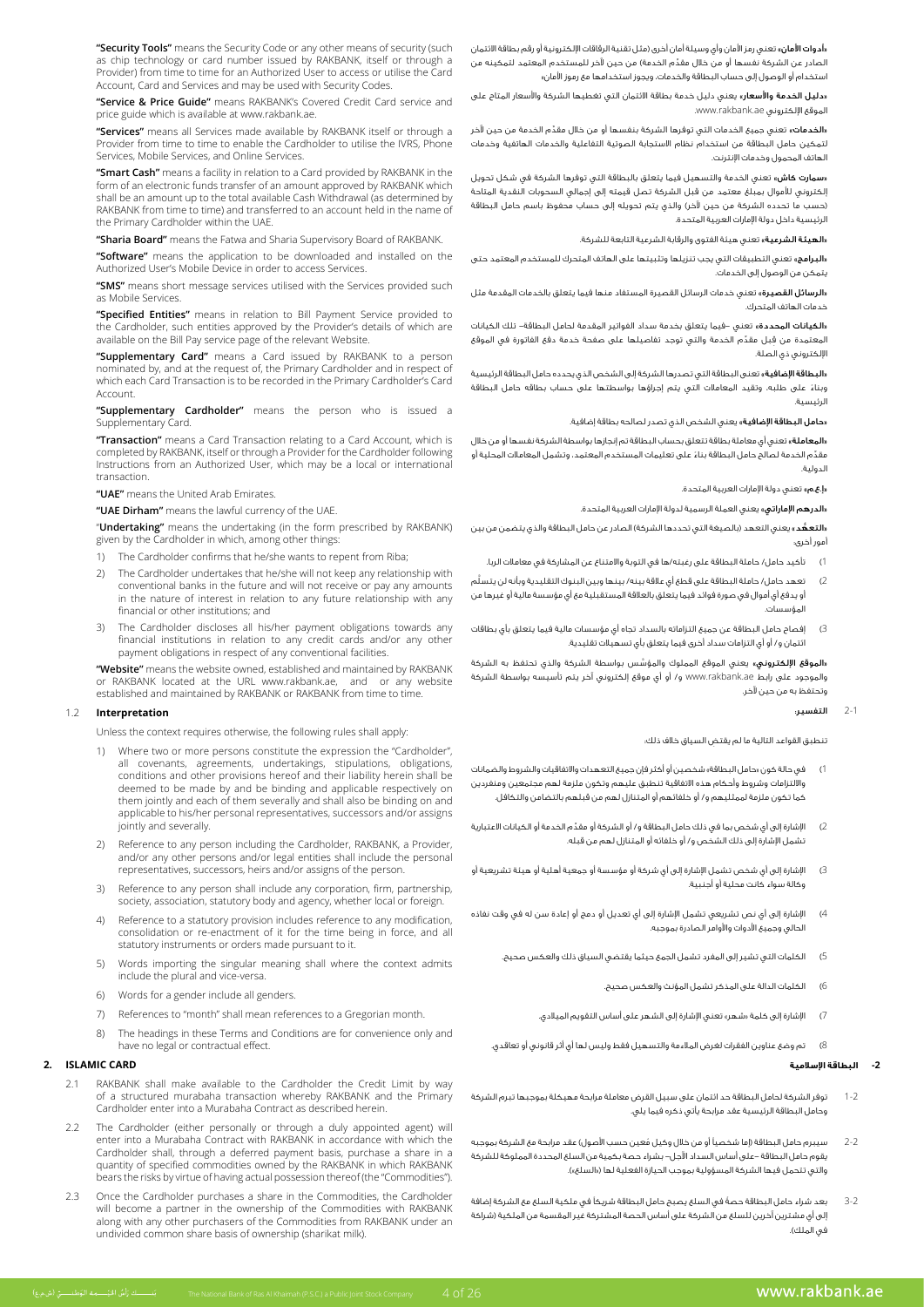"Security Tools" means the Security Code or any other means of security (such as chip technology or card number issued by RAKBANK, itself or through a Provider) from time to time for an Authorized User to access or utilise the Card Account, Card and Services and may be used with Security Codes.

"Service & Price Guide" means RAKBANK's Covered Credit Card service and price guide which is available at www.rakbank.ae.

"Services" means all Services made available by RAKBANK itself or through a Provider from time to time to enable the Cardholder to utilise the IVRS, Phone Services, Mobile Services, and Online Services.

"Smart Cash" means a facility in relation to a Card provided by RAKBANK in the form of an electronic funds transfer of an amount approved by RAKBANK which shall be an amount up to the total available Cash Withdrawal (as determined by RAKBANK from time to time) and transferred to an account held in the name of the Primary Cardholder within the UAE.

"Sharia Board" means the Fatwa and Sharia Supervisory Board of RAKBANK.

"Software" means the application to be downloaded and installed on the Authorized User's Mobile Device in order to access Services.

"SMS" means short message services utilised with the Services provided such as Mobile Services.

"Specified Entities" means in relation to Bill Payment Service provided to the Cardholder, such entities approved by the Provider's details of which are available on the Bill Pay service page of the relevant Website.

"Supplementary Card" means a Card issued by RAKBANK to a person nominated by, and at the request of, the Primary Cardholder and in respect of which each Card Transaction is to be recorded in the Primary Cardholder's Card Account.

"Supplementary Cardholder" means the person who is issued a Supplementary Card.

"Transaction" means a Card Transaction relating to a Card Account, which is completed by RAKBANK, itself or through a Provider for the Cardholder following Instructions from an Authorized User, which may be a local or international .transaction

**"UAE"** means the United Arab Emirates

"UAE Dirham" means the lawful currency of the UAE.

"Undertaking" means the undertaking (in the form prescribed by RAKBANK) given by the Cardholder in which, among other things:

- 1) The Cardholder confirms that he/she wants to repent from Riba;
- 2) The Cardholder undertakes that he/she will not keep any relationship with conventional banks in the future and will not receive or pay any amounts in the nature of interest in relation to any future relationship with any financial or other institutions: and
- 3) The Cardholder discloses all his/her payment obligations towards any financial institutions in relation to any credit cards and/or any other payment obligations in respect of any conventional facilities.

"Website" means the website owned, established and maintained by RAKBANK or RAKBANK located at the URL www.rakbank.ae, and or any website established and maintained by RAKBANK or RAKBANK from time to time

#### **Interpretation** 1.2

Unless the context requires otherwise, the following rules shall apply:

- 1) Where two or more persons constitute the expression the "Cardholder", all covenants agreements undertakings stipulations obligations be shall herein and other provisions hereof and their liability herein shall be deemed to be made by and be binding and applicable respectively on them jointly and each of them severally and shall also be binding on and applicable to his/her personal representatives, successors and/or assigns jointly and severally
- Reference to any person including the Cardholder, RAKBANK, a Provider, and/or any other persons and/or legal entities shall include the personal representatives, successors, heirs and/or assigns of the person.
- 3) Reference to any person shall include any corporation, firm, partnership, society, association, statutory body and agency, whether local or foreign.
- 4) Reference to a statutory provision includes reference to any modification, consolidation or re-enactment of it for the time being in force, and all statutory instruments or orders made pursuant to it.
- 5) Words importing the singular meaning shall where the context admits include the plural and vice-versa.
- 6) Words for a gender include all genders.
- 7). References to "month" shall mean references to a Gregorian month.
- 8) The headings in these Terms and Conditions are for convenience only and have no legal or contractual effect.

### **CARD ISLAMIC 2.**

- 2.1 RAKBANK shall make available to the Cardholder the Credit Limit by way of a structured murabaha transaction whereby RAKBANK and the Primary Cardholder enter into a Murabaha Contract as described herein.
- 2.2 The Cardholder (either personally or through a duly appointed agent) will enter into a Murabaha Contract with RAKBANK in accordance with which the Cardholder shall, through a deferred payment basis, purchase a share in a quantity of specified commodities owned by the RAKBANK in which RAKBANK bears the risks by virtue of having actual possession thereof (the "Commodities").
- 2.3 Once the Cardholder purchases a share in the Commodities, the Cardholder will become a partner in the ownership of the Commodities with RAKBANK along with any other purchasers of the Commodities from RAKBANK under an undivided common share basis of ownership (sharikat milk).

«أ**دوات الأمان**» تعني رمز الأمان وأي وسيلة أمان أخرى (مثل تقنية الرقاقات الإلكترونية أو رقم بطاقة الائتمان ِّ الصادر عن الشركة نفسها أو من خلال مقدّم الخدمة) من حين لآخر للمستخدم المعتمد لتمكينه من استخدام أو الوصول إلى حساب البطاقة والخدمات، ويجوز استخدامها مع رموز األمان«

«**دليل الخدمة والأسعار**» يعنى دليل خدمة بطاقة الائتمان التى تغطيها الشركة والأسعار المتاح على .<br>الموقع الإلكتروني www.rakbank.ae

«**الخدمات»** تعني جميع الخدمات التي توفرها الشركة بنفسها أو من خلال مقدّم الخدمة من حين لآخر لتمكين حامل البطاقة من استخدام نظام االستجابة الصوتية التفاعلية والخدمات الهاتفية وخدمات الهاتف المحمول وخدمات اإلنترنت.

**سمارت كاش»** تعني الخدمة والتسهيل فيما يتعلق بالبطاقة التي توفرها الشركة في شكل تحويل إلكتروني لألموال بمبلغ معتمد من قبل الشركة تصل قيمته إلى إجمالي السحوبات النقدية المتاحة .<br>(حسب ما تحدده الشركة من حين لآخر) والذي يتم تحويله إلى حساب محفوظ باسم حامل البطاقة الرئيسية داخل دولة اإلمارات العربية المتحدة.

«**الهيئة الشرعية**» تعني هيئة الفتوى والرقابة الشرعية التابعة للشركة.

«البرامج» تعني التطبيقات التي يجب تنزيلها وتثبيتها على الهاتف المتحرك للمستخدم المعتمد حتى يتمكن من الوصول إلى الخدمات.

«**الرسائل القصيرة**» تعني خدمات الرسائل القصيرة المستفاد منها فيما يتعلق بالخدمات المقدمة مثل خدمات الهاتف المتحرك.

«**الكيانات المحددة»** تعني -فيما يتعلق بخدمة سداد الفواتير المقدمة لحامل البطاقة- تلك الكيانات المعتمدة من قِبل مقدِّم الخدمة والتي توجد تفاصيلها على صفحة خدمة دفع الفاتورة في الموقع اإللكتروني ذي الصلة.

«**البطاقة الإضافية**» تعنى البطاقة التي تصدرها الشركة إلى الشخص الذي يحدده حامل البطاقة الرئيسية ً وبناء على طلبه، وتقيد المعامالت التي يتم إجراؤها بواسطتها على حساب بطاقه حامل البطاقة الرئيسية.

«**حامل البطاقة الإضافية**» يعني الشخص الذي تصدر لصالحه بطاقة إضافية.

«**المعاملة**» تعني أي معاملة بطاقة تتعلق بحساب البطاقة تم إنجازها بواسطة الشركة نفسها أو من خلال ِّ مقد ً م الخدمة لصالح حامل البطاقة بناء على تعليمات المستخدم المعتمد، وتشمل المعامالت المحلية أو الدولية.

«إ.ع.م» تعني دولة الإمارات العربية المتحدة.

«**الدرهم الإماراتي**» يعني العملة الرسمية لدولة الإمارات العربية المتحدة.

«التعهُّد» بعني التعهد (بالصيغة التي تحددها الشركة) الصادر عن حامل البطاقة والذي يتضمن من بين أمور أخرى:

1( تأكيد حامل/ حاملة البطاقة على رغبته/ها في التوبة واالمتناع عن المشاركة في معامالت الربا.

- 2( َّ تعهد حامل/ حاملة البطاقة على قطع أي عالقة بينه/ بينها وبين البنوك التقليدية وبأنه لن يتسلم أو يدفع أي أموال في صورة فوائد فيما يتعلق بالعالقة المستقبلية مع أي مؤسسة مالية أو غيرها من المؤسسات.
- 3( إفصاح حامل البطاقة عن جميع التزاماته بالسداد تجاه أي مؤسسات مالية فيما يتعلق بأي بطاقات ائتمان و/ أو أي التزامات سداد أخرى فيما يتعلق بأي تسهيالت تقليدية.

،<br>«**الموقع الإلكتروني**» يعني الموقع المملوك والمؤسّس بواسطة الشركة والذي تحتفظ به الشركة والموجود على رابط ae.rakbank.www و/ أو أي موقع إلكتروني آخر يتم تأسيسه بواسطة الشركة وتحتفظ به من حين آلخر.

#### 2-1 التفسير:

ِ تنطبق القواعد التالية ما لم يقتض السياق خالف ذلك:

- 1( في حالة كون »حامل البطاقة« شخصين أو أكثر فإن جميع التعهدات واالتفاقيات والشروط والضمانات وااللتزامات وشروط وأحكام هذه االتفاقية تنطبق عليهم وتكون ملزمة لهم مجتمعين ومنفردين كما تكون ملزمة لممثليهم و/ أو خلفائهم أو المتنازل لهم من قبلهم بالتضامن والتكافل.
- 2( ِّ اإلشارة إلى أي شخص بما في ذلك حامل البطاقة و/ أو الشركة أو مقدم الخدمة أو الكيانات االعتبارية تشمل اإلشارة إلى ذلك الشخص و/ أو خلفائه أو المتنازل لهم من قبله.
- 3( اإلشارة إلى أي شخص تشمل اإلشارة إلى أي شركة أو مؤسسة أو جمعية أهلية أو هيئة تشريعية أو وكالة سواء كانت محلية أو أجنبية.
- 4) الإشارة إلى أي نص تشريعي تشمل الإشارة إلى أي تعديل أو دمج أو إعادة سن له في وقت نفاذه الحالي وجميع األدوات واألوامر الصادرة بموجبه.
	- 5( الكلمات التي تشير إلى المفرد تشمل الجمع حيثما يقتضي السياق ذلك والعكس صحيح.
		- 6( الكلمات الدالة على المذكر تشمل المؤنث والعكس صحيح.
		- 7( اإلشارة إلى كلمة »شهر« تعني اإلشارة إلى الشهر على أساس التقويم الميالدي.
	- 8( تم وضع عناوين الفقرات لغرض المالءمة والتسهيل فقط وليس لها أي أثر قانوني أو تعاقدي.

#### **-2 البطاقة اإلسالمية**

- 1-2 توفر الشركة لحامل البطاقة حد ائتمان على سبيل القرض معاملة مرابحة مهيكلة بموجبها تبرم الشركة وحامل البطاقة الرئيسية عقد مرابحة يأتي ذكره فيما يلي.
- 2-2 ٪ سيبرم حامل البطاقة (إما شخصياً أو من خالل وكيل مُعين حسب الأصول) عقد مرابحة مع الشركة بموجبه يقوم حامل البطاقة -على أساس السداد اآلجل- بشراء حصة بكمية من السلع المحددة المملوكة للشركة والتي تتحمل فيها الشركة المسؤولية بموجب الحيازة الفعلية لها («السلع»).
- 3-2 ً بعد شراء حامل البطاقة حصة في السلع يصبح حامل البطاقة شريكًا في ملكية السلع مع الشركة إضافة إلى أي مشترين آخرين للسلع من الشركة على أساس الحصة المشتركة غير المقسمة من الملكية )شراكة في الملك).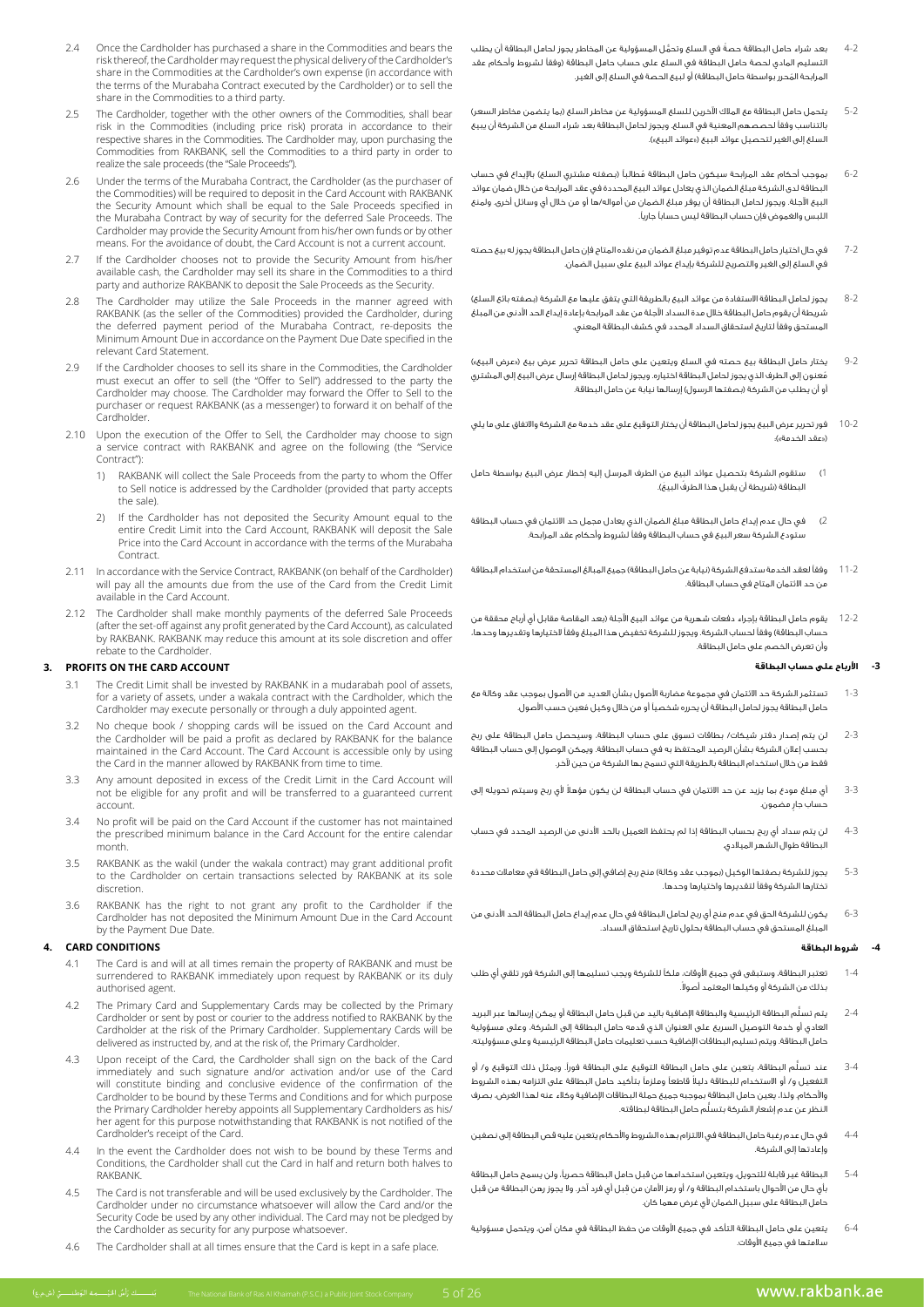- Once the Cardholder has purchased a share in the Commodities and bears the risk thereof, the Cardholder may request the physical delivery of the Cardholder's share in the Commodities at the Cardholder's own expense (in accordance with the terms of the Murabaha Contract executed by the Cardholder) or to sell the share in the Commodities to a third party.
- 2.5 The Cardholder, together with the other owners of the Commodities, shall bear the caranoider, tagenter that the other entired or the commodities, shall been respective shares in the Commodities. The Cardholder may, upon purchasing the Commodities from RAKBANK, sell the Commodities to a third party in order to realize the sale proceeds (the "Sale Proceeds").
- 2.6 Under the terms of the Murabaha Contract, the Cardholder (as the purchaser of the Commodities) will be required to deposit in the Card Account with RAKBANK the Security Amount which shall be equal to the Sale Proceeds specified in The security numeric military shall be equilible to the sale in security specifies in of the best contracted by one of the provide the security Amount from his/her own funds or by other means. For the avoidance of doubt, the Card Account is not a current account.
- 2.7 If the Cardholder chooses not to provide the Security Amount from his/her available cash, the Cardholder may sell its share in the Commodities to a third party and authorize RAKBANK to deposit the Sale Proceeds as the Security.
- 2.8 The Cardholder may utilize the Sale Proceeds in the manner agreed with RAKBANK (as the seller of the Commodities) provided the Cardholder, during the deferred payment period of the Murabaha Contract, re-deposits the Minimum Amount Due in accordance on the Payment Due Date specified in the relevant Card Statement.
- 2.9 If the Cardholder chooses to sell its share in the Commodities, the Cardholder must execut an offer to sell (the "Offer to Sell") addressed to the party the Cardholder may choose. The Cardholder may forward the Offer to Sell to the purchaser or request RAKBANK (as a messenger) to forward it on behalf of the .Cardholder
- 2.10 Upon the execution of the Offer to Sell, the Cardholder may choose to sign a service contract with RAKBANK and agree on the following (the "Service Contract")
	- 1) RAKBANK will collect the Sale Proceeds from the party to whom the Offer to Sell notice is addressed by the Cardholder (provided that party accepts the sale).
	- If the Cardholder has not deposited the Security Amount equal to the entire Credit Limit into the Card Account, RAKBANK will deposit the Sale Price into the Card Account in accordance with the terms of the Murabaha .Contract
- 2.11 In accordance with the Service Contract. RAKBANK (on behalf of the Cardholder) will pay all the amounts due from the use of the Card from the Credit Limit available in the Card Account.
- 2.12 The Cardholder shall make monthly payments of the deferred Sale Proceeds (after the set-off against any profit generated by the Card Account), as calculated by RAKBANK. RAKBANK may reduce this amount at its sole discretion and offer rebate to the Cardholder.

### **ACCOUNT BY ACCOUNT CARD ACCOUNT**

- 3.1 The Credit Limit shall be invested by RAKBANK in a mudarabah pool of assets, for a variety of assets, under a wakala contract with the Cardholder, which the Cardholder may execute personally or through a duly appointed agent.
- 3.2 No cheque book / shopping cards will be issued on the Card Account and the Cardholder will be paid a profit as declared by RAKBANK for the balance maintained in the Card Account. The Card Account is accessible only by using the Card in the manner allowed by RAKBANK from time to time.
- 3.3 Any amount deposited in excess of the Credit Limit in the Card Account will not be eligible for any profit and will be transferred to a guaranteed current .account
- 3.4 No profit will be paid on the Card Account if the customer has not maintained the prescribed minimum balance in the Card Account for the entire calendar .month
- 3.5 RAKBANK as the wakil (under the wakala contract) may grant additional profit to the Cardholder on certain transactions selected by RAKBANK at its sole discretion.
- 3.6 RAKBANK has the right to not grant any profit to the Cardholder if the Cardholder has not deposited the Minimum Amount Due in the Card Account by the Payment Due Date.

#### **CONDITIONS CARD 4.**

- 4.1 The Card is and will at all times remain the property of RAKBANK and must be surrendered to RAKBANK immediately upon request by RAKBANK or its duly authorised agent.
- 4.2 The Primary Card and Supplementary Cards may be collected by the Primary Cardholder or sent by post or courier to the address notified to RAKBANK by the Cardholder at the risk of the Primary Cardholder. Supplementary Cards will be delivered as instructed by, and at the risk of, the Primary Cardholder.
- 4.3 Upon receipt of the Card, the Cardholder shall sign on the back of the Card immediately and such signature and/or activation and/or use of the Card will constitute binding and conclusive evidence of the confirmation of the Cardholder to be bound by these Terms and Conditions and for which purpose the Primary Cardholder hereby appoints all Supplementary Cardholders as his/ her agent for this purpose notwithstanding that RAKBANK is not notified of the Cardholder's receipt of the Card.
- 4.4 In the event the Cardholder does not wish to be bound by these Terms and Conditions, the Cardholder shall cut the Card in half and return both halves to .RAKBANK
- 4.5 The Card is not transferable and will be used exclusively by the Cardholder. The Cardholder under no circumstance whatsoever will allow the Card and/or the Security Code be used by any other individual. The Card may not be pledged by the Cardholder as security for any purpose whatsoever.
- 4.6 The Cardholder shall at all times ensure that the Card is kept in a safe place.
- 4-2 ً بعد شراء حامل البطاقة حصة ُّ في السلع وتحمل المسؤولية عن المخاطر يجوز لحامل البطاقة أن يطلب التسليم المادي لحصة حامل البطاقة في السلع على حساب حامل البطاقة )وفقًا لشروط وأحكام عقد ُ المرابحة المحرر بواسطة حامل البطاقة( أو لبيع الحصة في السلع إلى الغير.
- 5-2 يتحمل حامل البطاقة مع الملاك الآخرين للسلع المسؤولية عن مخاطر السلع (بما يتضمن مخاطر السعر) بالتناسب وفقًا لحصصهم المعنية في السلع. ويجوز لحامل البطاقة بعد شراء السلع من الشركة أن يبيع السلع إلى الغير لتحصيل عوائد البيع («عوائد البيع»).
- 6-2 ٪ بموجب أحكام عقد المرابحة سيكون حامل البطاقة مُطالباً (بصفته مشتري السلع) بالإيداع في حساب البطاقة لدى الشركة مبلغ الضمان الذي يعادل عوائد البيع المحددة في عقد المرابحة من خالل ضمان عوائد البيع اآلجلة. ويجوز لحامل البطاقة أن يوفر مبلغ الضمان من أمواله/ها أو من خالل أي وسائل أخرى. ولمنع اللبس والغموض فإن حساب البطاقة ليس حسابًا جاريًا.
- 7-2 في حال اختيار حامل البطاقة عدم توفير مبلغ الضمان من نقده المتاح فإن حامل البطاقة يجوز له بيع حصته في السلع إلى الغير والتصريح للشركة بإيداع عوائد البيع على سبيل الضمان.
- 8-2 يجوز لحامل البطاقة الاستفادة من عوائد البيع بالطريقة التي يتفق عليها مع الشركة (بصفته بائع السلع) شريطة أن يقوم حامل البطاقة خالل مدة السداد اآلجلة من عقد المرابحة بإعادة إيداع الحد األدنى من المبلغ المستحق وفقًا لتاريخ استحقاق السداد المحدد في كشف البطاقة المعني.
- 9-2 يختار حامل البطاقة بيع حصته في السلع ويتعين على حامل البطاقة تحرير عرض بيع («عرض البيع») ُمعنون إلى الطرف الذي يجوز لحامل البطاقة اختياره. ويجوز لحامل البطاقة إرسال عرض البيع إلى المشتري أو أن يطلب من الشركة (بصفتها الرسول) إرسالها نيابة عن حامل البطاقة.
- 10-2 فور تحرير عرض البيع يجوز لحامل البطاقة أن يختار التوقيع على عقد خدمة مع الشركة واالتفاق على ما يلي )»عقد الخدمة«(:
- 1( ستقوم الشركة بتحصيل عوائد البيع من الطرف المرسل إليه إخطار عرض البيع بواسطة حامل البطاقة (شريطة أن يقبل هذا الطرفَ البيعَ).
- 2( في حال عدم إيداع حامل البطاقة مبلغ الضمان الذي يعادل مجمل حد االئتمان في حساب البطاقة ستودع الشركة سعر البيع في حساب البطاقة وفقًا لشروط وأحكام عقد المرابحة.
- 11-2 وفقاً لعقد الخدمة ستدفع الشركة (نيابة عن حامل البطاقة) جميع المبالغ المستحقة من استخدام البطاقة من حد االئتمان المتاح في حساب البطاقة.
- 12-2 يقوم حامل البطاقة بإجراء دفعات شهرية من عوائد البيع اآلجلة )بعد المقاصة مقابل أي أرباح محققة من حساب البطاقة) وفقاً لحساب الشركة. ويجوز للشركة تخفيض هذا المبلغ وفقاً لاختيارها وتقديرها وحدها، وأن تعرض الخصم على حامل البطاقة.

### **-3 األرباح على حساب البطاقة**

- 1-3 تستثمر الشركة حد االئتمان في مجموعة مضاربة األصول بشأن العديد من األصول بموجب عقد وكالة مع ُ حامل البطاقة يجوز لحامل البطاقة أن يحرره شخصيًا أو من خالل وكيل معين حسب األصول.
- 2-3 لن يتم إصدار دفتر شيكات/ بطاقات تسوق على حساب البطاقة، وسيحصل حامل البطاقة على ربح بحسب إعالن الشركة بشأن الرصيد المحتفظ به في حساب البطاقة. ويمكن الوصول إلى حساب البطاقة فقط من خالل استخدام البطاقة بالطريقة التي تسمح بها الشركة من حين آلخر.
- 3-3 ً أي مبلغ مودع بما يزيد عن حد االئتمان في حساب البطاقة لن يكون مؤهال ألي ربح وسيتم تحويله إلى حساب جارٍ مضمون.
- 4-3 لن يتم سداد أي ربح بحساب البطاقة إذا لم يحتفظ العميل بالحد األدنى من الرصيد المحدد في حساب البطاقة طوال الشهر الميالدي.
- 5-3 يجوز للشركة بصفتها الوكيل (بموجب عقد وكالة) منح ربح إضافي إلى حامل البطاقة في معاملات محددة تختارها الشركة وفقًا لتقديرها واختيارها وحدها.
- 6-3 يكون للشركة الحق في عدم منح أي ربح لحامل البطاقة في حال عدم إيداع حامل البطاقة الحد األدنى من المبلغ المستحق في حساب البطاقة بحلول تاريخ استحقاق السداد.

### **-4 شروط البطاقة**

- 1-4 تعتبر البطاقة، وستبقى في جميع األوقات، ملكًا للشركة ويجب تسليمها إلى الشركة فور تلقي أي طلب .ً بذلك من الشركة أو وكيلها المعتمد أصوال
- 2-4 ُّ يتم تسلم البطاقة الرئيسية والبطاقة اإلضافية باليد من قبل حامل البطاقة أو يمكن إرسالها عبر البريد العادي أو خدمة التوصيل السريع على العنوان الذي قدمه حامل البطاقة إلى الشركة، وعلى مسؤولية حامل البطاقة. ويتم تسليم البطاقات اإلضافية حسب تعليمات حامل البطاقة الرئيسية وعلى مسؤوليته.
- 3-4 ُّ عند تسلم البطاقة، يتعين على حامل البطاقة التوقيع على البطاقة فورًا. ويمثل ذلك التوقيع و/ أو ً التفعيل و/ أو االستخدام للبطاقة دليال قاطعًا وملزمًا بتأكيد حامل البطاقة على التزامه بهذه الشروط واألحكام. ولذا، يعين حامل البطاقة بموجبه جميع حملة البطاقات اإلضافية وكالء عنه لهذا الغرض، بصرف ُّ النظر عن عدم إشعار الشركة بتسلم حامل البطاقة لبطاقته.
- 4-4 في حال عدم رغبة حامل البطاقة في االلتزام بهذه الشروط واألحكام يتعين عليه قص البطاقة إلى نصفين وإعادتها إلى الشركة.
- 5-4 البطاقة غير قابلة للتحويل، ويتعين استخدامها من قبل حامل البطاقة حصريًا، ولن يسمح حامل البطاقة ِ بأي حال من األحوال باستخدام البطاقة و/ أو رمز األمان من قبل أي فرد آخر. وال يجوز رهن البطاقة من قبل حامل البطاقة على سبيل الضمان ألي غرض مهما كان.
- 6-4 يتعين على حامل البطاقة التأكد في جميع األوقات من حفظ البطاقة في مكان آمن، ويتحمل مسؤولية سالمتها في جميع األوقات.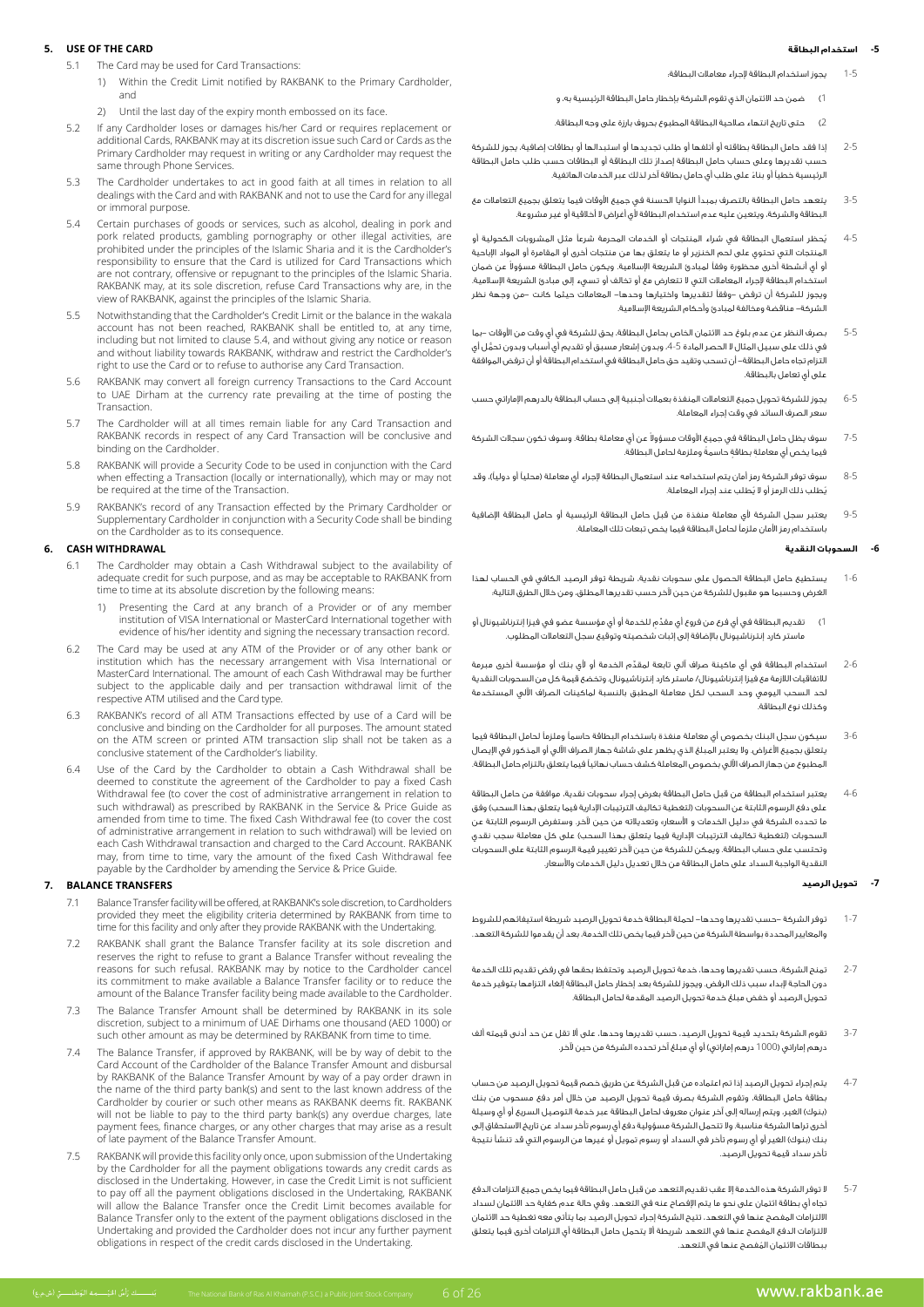### **-5 استخدام البطاقة**

### **5.** USE OF THE CARD

- 5.1 The Card may be used for Card Transactions:
	- 1) Within the Credit Limit notified by RAKBANK to the Primary Cardholder, and
	- 2) Until the last day of the expiry month embossed on its face
- 5.2 If any Cardholder loses or damages his/her Card or requires replacement or the article cards of care as Cardy and the attending the additional Cards as the Primary Cardholder may request in writing or any Cardholder may request the same through Phone Services.
- The Cardholder undertakes to act in good faith at all times in relation to all dealings with the Card and with RAKBANK and not to use the Card for any illegal or immoral purpose.
- 5.4 Certain purchases of goods or services, such as alcohol, dealing in pork and pork related products, gambling pornography or other illegal activities, are prohibited under the principles of the Islamic Sharia and it is the Cardholder's responsibility to ensure that the Card is utilized for Card Transactions which are not contrary, offensive or repugnant to the principles of the Islamic Sharia. RAKBANK may, at its sole discretion, refuse Card Transactions why are, in the view of RAKBANK, against the principles of the Islamic Sharia.
- 5.5 Notwithstanding that the Cardholder's Credit Limit or the balance in the wakala account has not been reached, RAKBANK shall be entitled to, at any time, including but not limited to clause 5.4, and without giving any notice or reason and without liability towards RAKBANK, withdraw and restrict the Cardholder's right to use the Card or to refuse to authorise any Card Transaction.
- RAKBANK may convert all foreign currency Transactions to the Card Account to UAE Dirham at the currency rate prevailing at the time of posting the .Transaction
- 5.7 The Cardholder will at all times remain liable for any Card Transaction and RAKBANK records in respect of any Card Transaction will be conclusive and binding on the Cardholder.
- 5.8 RAKBANK will provide a Security Code to be used in conjunction with the Card when effecting a Transaction (locally or internationally), which may or may not be required at the time of the Transaction.
- 5.9 RAKBANK's record of any Transaction effected by the Primary Cardholder or Supplementary Cardholder in conjunction with a Security Code shall be binding on the Cardholder as to its consequence.

# **WITHDRAWAL CASH 6.**

- The Cardholder may obtain a Cash Withdrawal subject to the availability of adequate credit for such purpose, and as may be acceptable to RAKBANK from time to time at its absolute discretion by the following means:
	- 1) Presenting the Card at any branch of a Provider or of any member institution of VISA International or MasterCard International together with evidence of his/her identity and signing the necessary transaction record.
- 6.2 The Card may be used at any ATM of the Provider or of any other bank or institution which has the necessary arrangement with Visa International or MasterCard International. The amount of each Cash Withdrawal may be further subject to the applicable daily and per transaction withdrawal limit of the respective ATM utilised and the Card type.
- 6.3 RAKBANK's record of all ATM Transactions effected by use of a Card will be conclusive and binding on the Cardholder for all purposes. The amount stated on the ATM screen or printed ATM transaction slip shall not be taken as a conclusive statement of the Cardholder's liability.
- 6.4 Use of the Card by the Cardholder to obtain a Cash Withdrawal shall be deemed to constitute the agreement of the Cardholder to pay a fixed Cash Withdrawal fee (to cover the cost of administrative arrangement in relation to such withdrawal) as prescribed by RAKBANK in the Service & Price Guide as amended from time to time. The fixed Cash Withdrawal fee (to cover the cost of administrative arrangement in relation to such withdrawal) will be levied on each Cash Withdrawal transaction and charged to the Card Account. RAKBANK may, from time to time, vary the amount of the fixed Cash Withdrawal fee payable by the Cardholder by amending the Service & Price Guide.

### **7.** BALANCE TRANSFERS

- 7.1 Balance Transfer facility will be offered, at RAKBANK's sole discretion, to Cardholders provided they meet the eligibility criteria determined by RAKBANK from time to time for this facility and only after they provide RAKBANK with the Undertaking.
- 7.2 RAKBANK shall grant the Balance Transfer facility at its sole discretion and reserves the right to refuse to grant a Balance Transfer without revealing the reasons for such refusal. RAKBANK may by notice to the Cardholder cancel its commitment to make available a Balance Transfer facility or to reduce the amount of the Balance Transfer facility being made available to the Cardholder.
- 7.3 The Balance Transfer Amount shall be determined by RAKBANK in its sole discretion, subject to a minimum of UAE Dirhams one thousand (AED 1000) or such other amount as may be determined by RAKBANK from time to time.
- 7.4 The Balance Transfer, if approved by RAKBANK, will be by way of debit to the Card Account of the Cardholder of the Balance Transfer Amount and disbursal by RAKBANK of the Balance Transfer Amount by way of a pay order drawn in the name of the third party bank(s) and sent to the last known address of the Cardholder by courier or such other means as RAKBANK deems fit. RAKBANK will not be liable to pay to the third party bank(s) any overdue charges, late payment fees, finance charges, or any other charges that may arise as a result of late payment of the Balance Transfer Amount.
- 7.5 RAKBANK will provide this facility only once, upon submission of the Undertaking by the Cardholder for all the payment obligations towards any credit cards as disclosed in the Undertaking. However, in case the Credit Limit is not sufficient to pay off all the payment obligations disclosed in the Undertaking, RAKBANK will allow the Balance Transfer once the Credit Limit becomes available for Balance Transfer only to the extent of the payment obligations disclosed in the Undertaking and provided the Cardholder does not incur any further payment obligations in respect of the credit cards disclosed in the Undertaking.
- 1-5 يجوز استخدام البطاقة إلجراء معامالت البطاقة:
- 1( ضمن حد االئتمان الذي تقوم الشركة بإخطار حامل البطاقة الرئيسية به، و
- 2( حتى تاريخ انتهاء صالحية البطاقة المطبوع بحروف بارزة على وجه البطاقة.
- 2-5 إذا فقد حامل البطاقة بطاقته أو أتلفها أو طلب تجديدها أو استبدالها أو بطاقات إضافية، يجوز للشركة ُ حسب تقديرها وعلى حساب حامل البطاقة إصدار تلك البطاقة أو البطاقات حسب طلب حامل البطاقة ً الرئيسية خطيًا أو بناء على طلب أي حامل بطاقة آخر لذلك عبر الخدمات الهاتفية.
- 3-5 يتعهد حامل البطاقة بالتصرف بمبدأ النوايا الحسنة في جميع األوقات فيما يتعلق بجميع التعامالت مع البطاقة والشركة، ويتعين عليه عدم استخدام البطاقة ألي أغراض ال أخالقية أو غير مشروعة.
- 4-5 ُيحظر استعمال البطاقة في شراء المنتجات أو الخدمات المحرمة شرعًا مثل المشروبات الكحولية أو المنتجات التي تحتوي على لحم الخنزير أو ما يتعلق بها من منتجات أخرى أو المقامرة أو المواد اإلباحية ُو أي أنشطة أخرى محظورة وفقاً لمبادئ الشريعة الإسلامية. ويكون حامل البطاقة مسؤولاً عن ضمان استخدام البطاقة لإجراء المعاملات التي لا تتعارض مع أو تخالف أو تسيء إلى مبادئ الشريعة الإسلامية. ويجوز للشركة أن ترفض -وفقًا لتقديرها واختيارها وحدها- المعامالت حيثما كانت -من وجهة نظر الشركة- مناقضة ومخالفة لمبادئ وأحكام الشريعة اإلسالمية.
- 5-5 بصرف النظر عن عدم بلوغ حد االئتمان الخاص بحامل البطاقة، يحق للشركة في أي وقت من األوقات -بما في ذلك على سبيل المثال ال الحصر المادة 4-5 ُّ ، وبدون إشعار مسبق أو تقديم أي أسباب وبدون تحمل أي التزام تجاه حامل البطاقة- أن تسحب وتقيد حق حامل البطاقة في استخدام البطاقة أو أن ترفض الموافقة على أي تعامل بالبطاقة.
- 6-5 يجوز للشركة تحويل جميع التعامالت المنفذة بعمالت أجنبية إلى حساب البطاقة بالدرهم اإلماراتي حسب سعر الصرف السائد في وقت إجراء المعاملة.
- 7-5 سوف يظل حامل البطاقة في جميع الأوقات مسؤولا عن أي معاملة بطاقة. وسوف تكون سجلات الشركة ِ فيما يخص أي معاملة ٍ بطاقة ً حاسمة وملزمة لحامل البطاقة.
- 8-5 سوف توفر الشركة رمز أمان يتم استخدامه عند استعمال البطاقة لإجراء أي معاملة (محلياً أو دولياً)، وقد ُي ُ طلب ذلك الرمز أو ال يطلب عند إجراء المعاملة.
- 9-5 يعتبر سجل الشركة ألي معاملة منفذة من قبل حامل البطاقة الرئيسية أو حامل البطاقة اإلضافية باستخدام رمز األمان ملزمًا لحامل البطاقة فيما يخص تبعات تلك المعاملة.

# **-6 السحوبات النقدية**

- 1-6 يستطيع حامل البطاقة الحصول على سحوبات نقدية، شريطة توفر الرصيد الكافي في الحساب لهذا الغرض وحسبما هو مقبول للشركة من حين آلخر حسب تقديرها المطلق، ومن خالل الطرق التالية:
- 1( ِّ تقديم البطاقة في أي فرع من فروع أي مقد ٍم للخدمة أو أي مؤسسة عضو في فيزا إنترناشيونال أو ماستر كارد إنترناشيونال باإلضافة إلى إثبات شخصيته وتوقيع سجل التعامالت المطلوب.
- 2-6 ِّ استخدام البطاقة في أي ماكينة صراف آلي تابعة لمقدم الخدمة أو ألي بنك أو مؤسسة أخرى مبرمة لالتفاقيات الالزمة مع فيزا إنترناشيونال/ ماستر كارد إنترناشيونال. وتخضع قيمة كل من السحوبات النقدية لحد السحب اليومي وحد السحب لكل معاملة المطبق بالنسبة لماكينات الصراف اآللي المستخدمة وكذلك نوع البطاقة.
- 3-6 سيكون سجل البنك بخصوص أي معاملة منفذة باستخدام البطاقة حاسمًا وملزمًا لحامل البطاقة فيما يتعلق بجميع األغراض. وال يعتبر المبلغ الذي يظهر على شاشة جهاز الصراف اآللي أو المذكور في اإليصال المطبوع من جهاز الصراف اآللي بخصوص المعاملة كشف حساب نهائيًا فيما يتعلق بالتزام حامل البطاقة.
- 4-6 يعتبر استخدام البطاقة من قبل حامل البطاقة بغرض إجراء سحوبات نقدية، موافقة من حامل البطاقة على دفع الرسوم الثابتة عن السحوبات (لتغطية تكاليف الترتيبات الإدارية فيما يتعلق بهذا السحب) وفق ما تحدده الشركة في «دليل الخدمات و الأسعار» وتعديلاته من حين لآخر. وستفرض الرسوم الثابتة عن السحوبات (لتغطية تكاليف الترتيبات الإدارية فيما يتعلق بهذا السحب) على كل معاملة سجب نقدي وتحتسب على حساب البطاقة. ويمكن للشركة من حين آلخر تغيير قيمة الرسوم الثابتة على السحوبات النقدية الواجبة السداد على حامل البطاقة من خالل تعديل دليل الخدمات واألسعار.

#### **-7 تحويل الرصيد**

- 1-7 توفر الشركة -حسب تقديرها وحدها- لحملة البطاقة خدمة تحويل الرصيد شريطة استيفائهم للشروط والمعايير المحددة بواسطة الشركة من حين آلخر فيما يخص تلك الخدمة، بعد أن يقدموا للشركة التعهد.
- 2-7 تمنح الشركة، حسب تقديرها وحدها، خدمة تحويل الرصيد وتحتفظ بحقها في رفض تقديم تلك الخدمة دون الحاجة إلبداء سبب ذلك الرفض. ويجوز للشركة بعد إخطار حامل البطاقة إلغاء التزامها بتوفير خدمة تحويل الرصيد أو خفض مبلغ خدمة تحويل الرصيد المقدمة لحامل البطاقة.
- 3-7 تقوم الشركة بتحديد قيمة تحويل الرصيد، حسب تقديرها وحدها، على أال تقل عن حد أدنى قيمته ألف درهم إماراتي (1000 درهم إماراتي) أو أي مبلغ آخر تحدده الشركة من حين لآخر.
- 4-7 يتم إجراء تحويل الرصيد إذا تم اعتماده من قبل الشركة عن طريق خصم قيمة تحويل الرصيد من حساب بطاقة حامل البطاقة، وتقوم الشركة بصرف قيمة تحويل الرصيد من خالل أمر دفع مسحوب من بنك (بنوك) الغير، ويتم إرساله إلى آخر عنوان معروف لحامل البطاقة عبر خدمة التوصيل السريع أو أي وسيلة أخرى تراها الشركة مناسبة. وال تتحمل الشركة مسؤولية دفع أي رسوم تأخر سداد عن تاريخ االستحقاق إلى بنك (بنوك) الغير أو أي رسوم تأخر في السداد أو رسوم تمويل أو غيرها من الرسوم التي قد تنشأ نتيجة تأخر سداد قيمة تحويل الرصيد.
- 5-7 ال توفر الشركة هذه الخدمة إال عقب تقديم التعهد من قبل حامل البطاقة فيما يخص جميع التزامات الدفع تجاه أي بطاقة ائتمان على نحو ما يتم اإلفصاح عنه في التعهد. وفي حالة عدم كفاية حد االئتمان لسداد االلتزامات المفصح عنها في التعهد، تتيح الشركة إجراء تحويل الرصيد بما يتأتى معه تغطية حد االئتمان اللتزامات الدفع المفصح عنها في التعهد شريطة أال يتحمل حامل البطاقة أي التزامات أخرى فيما يتعلق ُ ببطاقات االئتمان المفصح عنها في التعهد.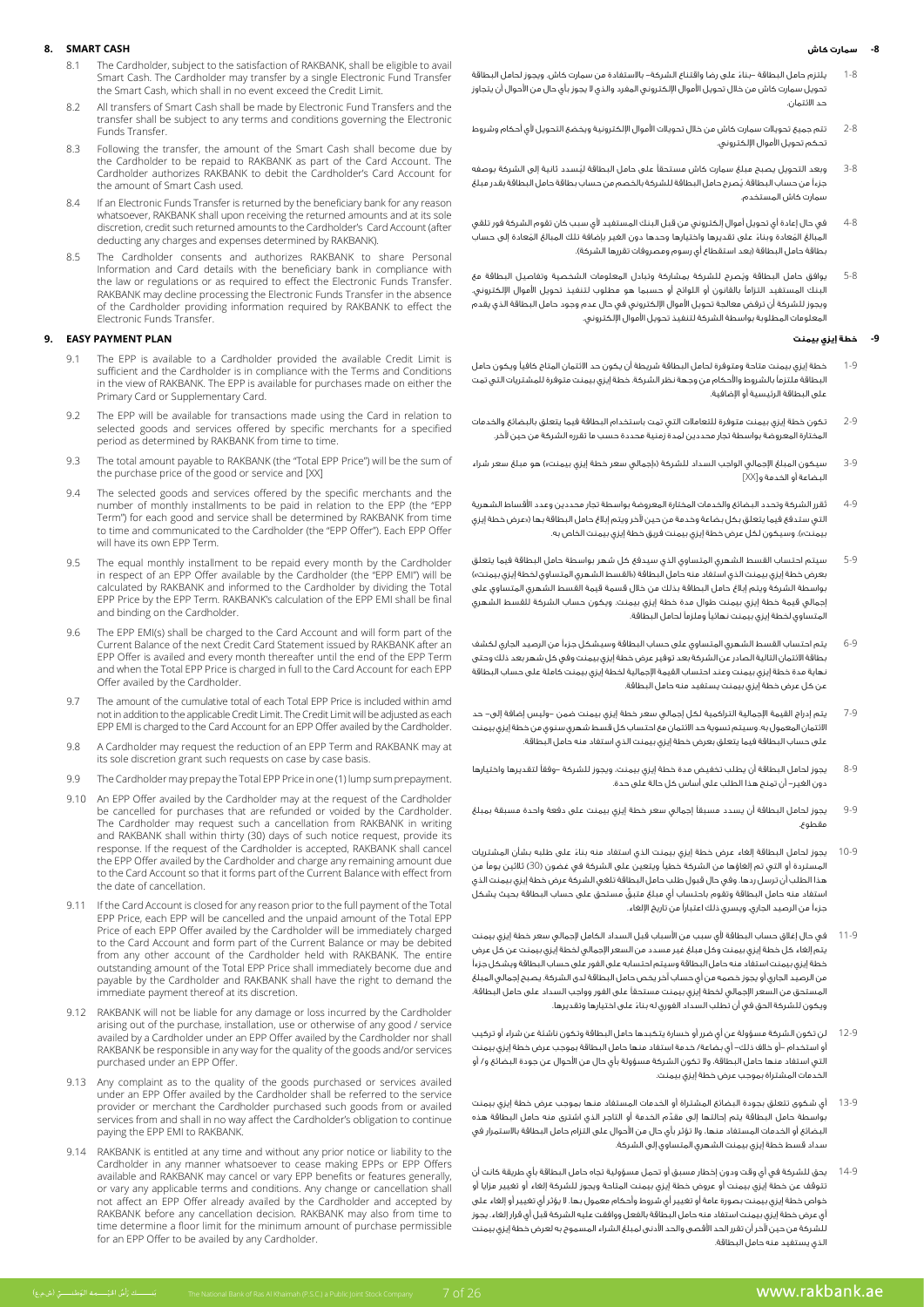#### **-8 سمارت كاش**

#### **CASH SMART 8.**

- 8.1 The Cardholder, subject to the satisfaction of RAKBANK, shall be eligible to avail Smart Cash. The Cardholder may transfer by a single Electronic Fund Transfer the Smart Cash, which shall in no event exceed the Credit Limit.
- 8.2 All transfers of Smart Cash shall be made by Electronic Fund Transfers and the transfer shall be subject to any terms and conditions governing the Electronic **Funds Transfer**
- 8.3 Following the transfer, the amount of the Smart Cash shall become due by the Cardholder to be repaid to RAKBANK as part of the Card Account. The Cardholder authorizes RAKBANK to debit the Cardholder's Card Account for the amount of Smart Cash used.
- 8.4 If an Electronic Funds Transfer is returned by the beneficiary bank for any reason sole is an area in and amount is a stream in the returned amounts and at its sole discretion, credit such returned amounts to the Cardholder's Card Account (after deducting any charges and expenses determined by RAKBANK).
- The Cardholder consents and authorizes RAKBANK to share Personal Information and Card details with the beneficiary bank in compliance with the law or regulations or as required to effect the Electronic Funds Transfer. RAKBANK may decline processing the Electronic Funds Transfer in the absence of the Cardholder providing information required by RAKBANK to effect the **Electronic Funds Transfer.**

#### **9. EASY PAYMENT PLAN**

- 9.1 The EPP is available to a Cardholder provided the available Credit Limit is sufficient and the Cardholder is in compliance with the Terms and Conditions in the view of RAKBANK. The EPP is available for purchases made on either the Primary Card or Supplementary Card.
- 9.2 The EPP will be available for transactions made using the Card in relation to selected goods and services offered by specific merchants for a specified period as determined by RAKBANK from time to time.
- 9.3 The total amount payable to RAKBANK (the "Total EPP Price") will be the sum of the purchase price of the good or service and [XX]
- 9.4 The selected goods and services offered by the specific merchants and the number of monthly installments to be paid in relation to the EPP (the "EPP Term") for each good and service shall be determined by RAKBANK from time to time and communicated to the Cardholder (the "EPP Offer"). Each EPP Offer will have its own EPP Term.
- 9.5 The equal monthly installment to be repaid every month by the Cardholder in the equal monthly maximized to be repeat only monthly the cardholder the "EPP EMI") will be calculated by RAKBANK and informed to the Cardholder by dividing the Total EPP Price by the EPP Term. RAKBANK's calculation of the EPP EMI shall be final and binding on the Cardholder.
- 9.6 The EPP EMI(s) shall be charged to the Card Account and will form part of the Current Balance of the next Credit Card Statement issued by RAKBANK after an EPP Offer is availed and every month thereafter until the end of the EPP Term and when the Total EPP Price is charged in full to the Card Account for each EPP Offer availed by the Cardholder.
- 9.7 The amount of the cumulative total of each Total EPP Price is included within amd not in addition to the applicable Credit Limit. The Credit Limit will be adjusted as each EPP EMI is charged to the Card Account for an EPP Offer availed by the Cardholder.
- 9.8 A Cardholder may request the reduction of an EPP Term and RAKBANK may at its sole discretion grant such requests on case by case basis.
- 9.9 The Cardholder may prepay the Total EPP Price in one (1) lump sum prepayment.
- 9.10 An EPP Offer availed by the Cardholder may at the request of the Cardholder be cancelled for purchases that are refunded or voided by the Cardholder. The Cardholder may request such a cancellation from RAKBANK in writing and RAKBANK shall within thirty (30) days of such notice request, provide its response. If the request of the Cardholder is accepted, RAKBANK shall cancel the EPP Offer availed by the Cardholder and charge any remaining amount due to the Card Account so that it forms part of the Current Balance with effect from the date of cancellation
- 9.11 If the Card Account is closed for any reason prior to the full payment of the Total EPP Price, each EPP will be cancelled and the unpaid amount of the Total EPP Price of each EPP Offer availed by the Cardholder will be immediately charged to the Card Account and form part of the Current Balance or may be debited from any other account of the Cardholder held with RAKBANK. The entire outstanding amount of the Total EPP Price shall immediately become due and payable by the Cardholder and RAKBANK shall have the right to demand the immediate payment thereof at its discretion.
- 9.12 RAKBANK will not be liable for any damage or loss incurred by the Cardholder arising out of the purchase, installation, use or otherwise of any good / service availed by a Cardholder under an EPP Offer availed by the Cardholder nor shall RAKBANK be responsible in any way for the quality of the goods and/or services purchased under an EPP Offer.
- 9.13 Any complaint as to the quality of the goods purchased or services availed service the total card cardholder shall be referred to the service and the cardholder purchased such goods from or availed services from and shall in no way affect the Cardholder's obligation to continue paying the EPP EMI to RAKBANK.
- 9.14 RAKBANK is entitled at any time and without any prior notice or liability to the Cardholder in any manner whatsoever to cease making EPPs or EPP Offers available and RAKBANK may cancel or vary EPP benefits or features generally, or vary any applicable terms and conditions. Any change or cancellation shall not affect an EPP Offer already availed by the Cardholder and accepted by RAKBANK before any cancellation decision. RAKBANK may also from time to time determine a floor limit for the minimum amount of purchase permissible for an EPP Offer to be availed by any Cardholder.

.<br>- بَنـــــــك رَأْسُ الجَبْـــــمة الوَطنــــــق (ش.م.ع)

- 1-8 ً يلتزم حامل البطاقة -بناء على رضا واقتناع الشركة- باالستفادة من سمارت كاش. ويجوز لحامل البطاقة تحويل سمارت كاش من خلال تحويل الأموال الإلكتروني المفرد والذي لا يجوز بأي حال من الأحوال أن يتجاوز حد االئتمان.
- 2-8 تتم جميع تحويالت سمارت كاش من خالل تحويالت األموال اإللكترونية ويخضع التحويل ألي أحكام وشروط تحكم تحويل األموال اإللكتروني.
- 3-8 ُ وبعد التحويل يصبح مبلغ سمارت كاش مستحقًا على حامل البطاقة ليسدد ثانية إلى الشركة بوصفه ُ جزءًا من حساب البطاقة. يصرح حامل البطاقة للشركة بالخصم من حساب بطاقة حامل البطاقة بقدر مبلغ .<br>سمارت كاش المستخدم.
- 4-8 في حال إعادة أي تحويل أموال إلكتروني من قبل البنك المستفيد ألي سبب كان تقوم الشركة فور تلقي .<br>المبالغ المُعادة وبناءً على تقديرها واختيارها وحدها دون الغير بإضافة تلك المبالغ المُعادة إلى حساب بطاقة حامل البطاقة (بعد استقطاع أي رسوم ومصروفات تقررها الشركة).
- 5-8 ُ يوافق حامل البطاقة ويصرح للشركة بمشاركة وتبادل المعلومات الشخصية وتفاصيل البطاقة مع البنك المستفيد التزامًا بالقانون أو اللوائح أو حسبما هو مطلوب لتنفيذ تحويل األموال اإللكتروني. ويجوز للشركة أن ترفض معالجة تحويل األموال اإللكتروني في حال عدم وجود حامل البطاقة الذي يقدم المعلومات المطلوبة بواسطة الشركة لتنفيذ تحويل األموال اإللكتروني.

### **-9 خطة إيزي بيمنت**

- 1-9 خطة إيزي بيمنت متاحة ومتوفرة لحامل البطاقة شريطة أن يكون حد االئتمان المتاح كافيًا ويكون حامل .<br>البطاقة ملتزماً بالشروط والأحكام من وجهة نظر الشركة. خطة إيزي بيمنت متوفرة للمشتريات التي تمت على البطاقة الرئيسية أو اإلضافية.
- 2-9 تكون خطة إيزي بيمنت متوفرة للتعامالت التي تمت باستخدام البطاقة فيما يتعلق بالبضائع والخدمات المختارة المعروضة بواسطة تجار محددين لمدة زمنية محددة حسب ما تقرره الشركة من حين آلخر.
- 3-9 سيكون المبلغ الإجمالي الواجب السداد للشركة («إجمالي سعر خطة إيزي بيمنت») هو مبلغ سعر شراء البضاعة أو الخدمة و]XX]
- 4-9 ُتقرر الشركة وتحدد البضائع والخدمات المختارة المعروضة بواسطة تجار محددين وعدد األقساط الشهرية التي ستدفع فيما يتعلق بكل بضاعة وخدمة من حين آلخر ويتم إبالغ حامل البطاقة بها )»عرض خطة إيزي .<br>بيمنت»). وسيكون لكل عرض خطة إيزي بيمنت فريق خطة إيزي بيمنت الخاص به.
- 5-9 سيتم احتساب القسط الشهري المتساوي الذي سيدفع كل شهر بواسطة حامل البطاقة فيما يتعلق بعرض خطة إيزي بيمنت الذي استفاد منه حامل البطاقة )»القسط الشهري المتساوي لخطة إيزي بيمنت«( بواسطة الشركة ويتم إبالغ حامل البطاقة بذلك من خالل قسمة قيمة القسط الشهري المتساوي على إجمالي قيمة خطة إيزي بيمنت طوال مدة خطة إيزي بيمنت. ويكون حساب الشركة للقسط الشهري المتساوي لخطة إيزي بيمنت نهائيًا وملزمًا لحامل البطاقة.
- 6-9 يتم احتساب القسط الشهري المتساوي على حساب البطاقة وسيشكل جزءًا من الرصيد الجاري لكشف بطاقة االئتمان التالية الصادر عن الشركة بعد توفير عرض خطة إيزي بيمنت وفي كل شهر بعد ذلك وحتى نهاية مدة خطة إيزي بيمنت وعند احتساب القيمة اإلجمالية لخطة إيزي بيمنت كاملة على حساب البطاقة عن كل عرض خطة إيزي بيمنت يستفيد منه حامل البطاقة.
- 7-9 يتم إدراج القيمة اإلجمالية التراكمية لكل إجمالي سعر خطة إيزي بيمنت ضمن -وليس إضافة إلى- حد االئتمان المعمول به. وسيتم تسوية حد االئتمان مع احتساب كل قسط شهري سنوي من خطة إيزي بيمنت على حساب البطاقة فيما يتعلق بعرض خطة إيزي بيمنت الذي استفاد منه حامل البطاقة.
- 8-9 يجوز لحامل البطاقة أن يطلب تخفيض مدة خطة إيزي بيمنت، ويجوز للشركة -وفقًا لتقديرها واختيارها دون الغير- أن تمنح هذا الطلب على أساس كل حالة على حدة.
- 9-9 يجوز لحامل البطاقة أن يسدد مسبقًا إجمالي سعر خطة إيزي بيمنت على دفعة واحدة مسبقة بمبلغ مقطوع.
- 10-9 ً يجوز لحامل البطاقة إلغاء عرض خطة إيزي بيمنت الذي استفاد منه بناء على طلبه بشأن المشتريات المستردة أو التي تم إلغاؤها من الشركة خطيًا ويتعين على الشركة في غضون )30( ثالثين يومًا من هذا الطلب أن ترسل ردها. وفي حال قبول طلب حامل البطاقة تلغي الشركة عرض خطة إيزي بيمنت الذي ٍّ استفاد منه حامل البطاقة وتقوم باحتساب أي مبلغ متبق مستحق على حساب البطاقة بحيث يشكل جزءًا من الرصيد الجاري، ويسري ذلك اعتبارًا من تاريخ اإللغاء.
- 11-9 في حال إغالق حساب البطاقة ألي سبب من األسباب قبل السداد الكامل إلجمالي سعر خطة إيزي بيمنت يتم إلغاء كل خطة إيزي بيمنت وكل مبلغ غير مسدد من السعر اإلجمالي لخطة إيزي بيمنت عن كل عرض خطة إيزي بيمنت استفاد منه حامل البطاقة وسيتم احتسابه على الفور على حساب البطاقة ويشكل جزءًا من الرصيد الجاري أو يجوز خصمه من أي حساب آخر يخص حامل البطاقة لدى الشركة. يصبح إجمالي المبلغ المستحق من السعر اإلجمالي لخطة إيزي بيمنت مستحقًا على الفور وواجب السداد على حامل البطاقة، ً ويكون للشركة الحق في أن تطلب السداد الفوري له بناء على اختيارها وتقديرها.
- 12-9 لن تكون الشركة مسؤولة عن أي ضرر أو خسارة يتكبدها حامل البطاقة وتكون ناشئة عن شراء أو تركيب أو استخدام -أو خالف ذلك- أي بضاعة/ خدمة استفاد منها حامل البطاقة بموجب عرض خطة إيزي بيمنت التي استفاد منها حامل البطاقة، وال تكون الشركة مسؤولة بأي حال من األحوال عن جودة البضائع و/ أو الخدمات المشتراة بموجب عرض خطة إيزي بيمنت.
- 13-9 أي شكوى تتعلق بجودة البضائع المشتراة أو الخدمات المستفاد منها بموجب عرض خطة إيزي بيمنت ِّ بواسطة حامل البطاقة يتم إحالتها إلى مقدم الخدمة أو التاجر الذي اشترى منه حامل البطاقة هذه البضائع أو الخدمات المستفاد منها، وال تؤثر بأي حال من األحوال على التزام حامل البطاقة باالستمرار في سداد قسط خطة إيزي بيمنت الشهري المتساوي إلى الشركة.
- 14-9 يحق للشركة في أي وقت ودون إخطار مسبق أو تحمل مسؤولية تجاه حامل البطاقة بأي طريقة كانت أن تتوقف عن خطة إيزي بيمنت أو عروض خطة إيزي بيمنت المتاحة ويجوز للشركة إلغاء أو تغيير مزايا أو خواص خطة إيزي بيمنت بصورة عامة أو تغيير أي شروط وأحكام معمول بها. ال يؤثر أي تغيير أو إلغاء على أي عرض خطة إيزي بيمنت استفاد منه حامل البطاقة بالفعل ووافقت عليه الشركة قبل أي قرار إلغاء. يجوز للشركة من حين آلخر أن تقرر الحد األقصى والحد األدنى لمبلغ الشراء المسموح به لعرض خطة إيزي بيمنت الذي يستفيد منه حامل البطاقة.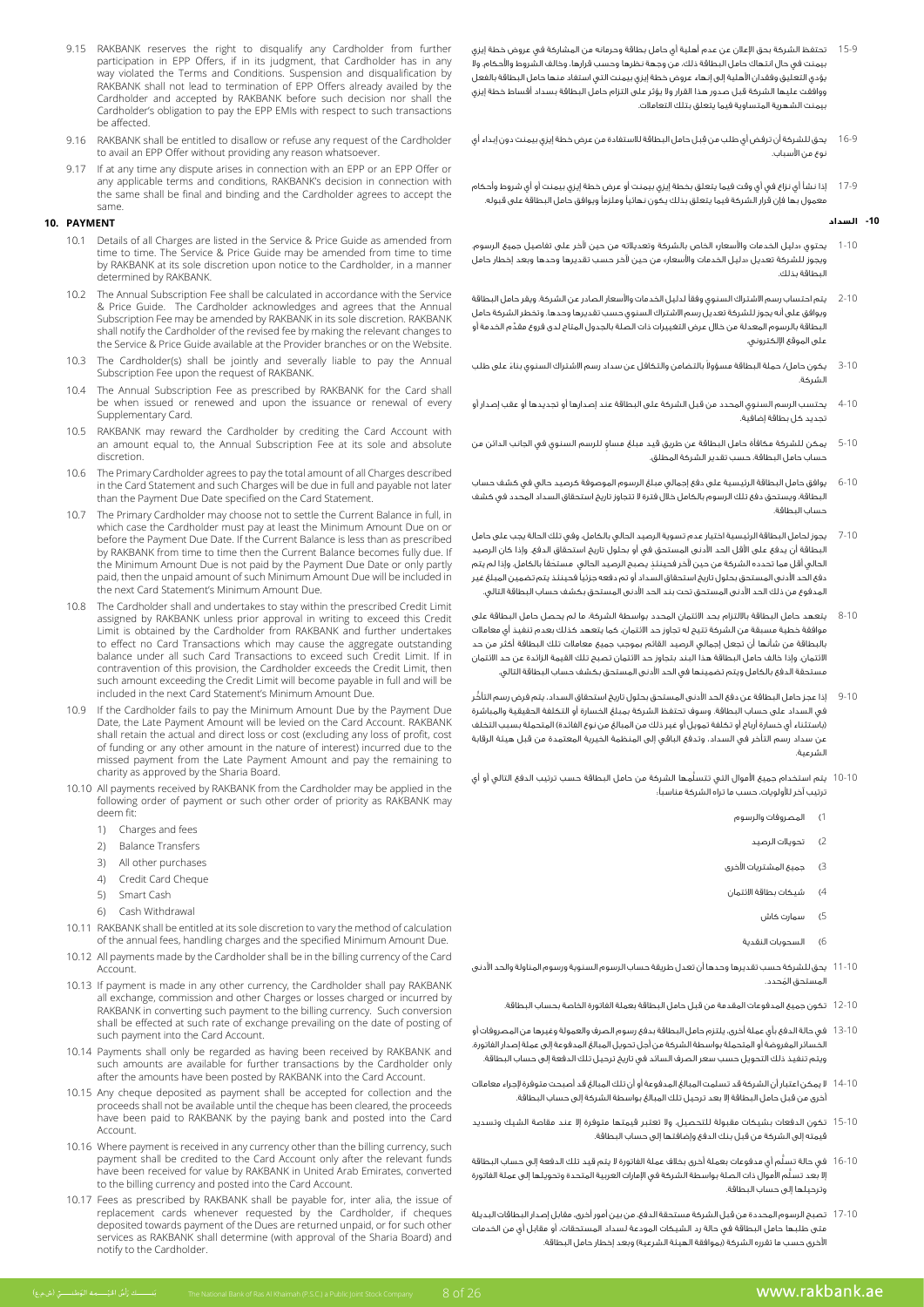- 15-9 تحتفظ الشركة بحق اإلعالن عن عدم أهلية أي حامل بطاقة وحرمانه من المشاركة في عروض خطة إيزي بيمنت في حال انتهاك حامل البطاقة ذلك، من وجهة نظرها وحسب قرارها، وخالف الشروط واألحكام. وال يؤدي التعليق وفقدان األهلية إلى إنهاء عروض خطة إيزي بيمنت التي استفاد منها حامل البطاقة بالفعل ووافقت عليها الشركة قبل صدور هذا القرار وال يؤثر على التزام حامل البطاقة بسداد أقساط خطة إيزي بيمنت الشهرية المتساوية فيما يتعلق بتلك التعامالت.
	- 16-9 ِ يحق للشركة أن ترفض أي طلب من قبل حامل البطاقة لالستفادة من عرض خطة إيزي بيمنت دون إبداء أي نوع من األسباب.
	- 17-9 إذا نشأ أي نزاع في أي وقت فيما يتعلق بخطة إيزي بيمنت أو عرض خطة إيزي بيمنت أو أي شروط وأحكام معمول بها فإن قرار الشركة فيما يتعلق بذلك يكون نهائيًا وملزمًا ويوافق حامل البطاقة على قبوله.

# **-10 السداد**

- 1-10 يحتوي »دليل الخدمات واألسعار« الخاص بالشركة وتعديالته من حين آلخر على تفاصيل جميع الرسوم. ويجوز للشركة تعديل »دليل الخدمات واألسعار« من حين آلخر حسب تقديرها وحدها وبعد إخطار حامل البطاقة بذلك.
- 2-10 يتم احتساب رسم االشتراك السنوي وفقًا لدليل الخدمات واألسعار الصادر عن الشركة. ويقر حامل البطاقة ويوافق على أنه يجوز للشركة تعديل رسم االشتراك السنوي حسب تقديرها وحدها. وتخطر الشركة حامل ِّ البطاقة بالرسوم المعدلة من خالل عرض التغييرات ذات الصلة بالجدول المتاح لدى فروع مقدم الخدمة أو على الموقع اإللكتروني.
- 3-10 ٪ يكون حامل/ حملة البطاقة مسؤولا بالتضامن والتكافل عن سداد رسم الاشتراك السنوي بناءً على طلب الشركة.
- 4-10 يحتسب الرسم السنوي المحدد من قبل الشركة على البطاقة عند إصدارها أو تجديدها أو عقب إصدار أو تجديد كل بطاقة إضافية.
- 5-10 ٍ يمكن للشركة مكافأة حامل البطاقة عن طريق قيد مبلغ مساو للرسم السنوي في الجانب الدائن من حساب حامل البطاقة، حسب تقدير الشركة المطلق.
- 6-10 يوافق حامل البطاقة الرئيسية على دفع إجمالي مبلغ الرسوم الموصوفة كرصيد حالي في كشف حساب البطاقة، ويستحق دفع تلك الرسوم بالكامل خالل فترة ال تتجاوز تاريخ استحقاق السداد المحدد في كشف حساب البطاقة.
- 7-10 يجوز لحامل البطاقة الرئيسية اختيار عدم تسوية الرصيد الحالي بالكامل، وفي تلك الحالة يجب على حامل البطاقة أن يدفع على األقل الحد األدنى المستحق في أو بحلول تاريخ استحقاق الدفع. وإذا كان الرصيد الحالي أقل مما تحدده الشركة من حين لآخر فحينئذِ يصبح الرصيد الحالي مستحَقاً بالكامل. وإذا لم يتم دفع الحد األدنى المستحق بحلول تاريخ استحقاق السداد أو تم دفعه جزئيًا فحينئذ يتم تضمين المبلغ غير المدفوع من ذلك الحد األدنى المستحق تحت بند الحد األدنى المستحق بكشف حساب البطاقة التالي.
- 8-10 يتعهد حامل البطاقة بااللتزام بحد االئتمان المحدد بواسطة الشركة، ما لم يحصل حامل البطاقة على موافقة خطية مسبقة من الشركة تتيح له تجاوز حد االئتمان، كما يتعهد كذلك بعدم تنفيذ أي معامالت بالبطاقة من شأنها أن تجعل إجمالي الرصيد القائم بموجب جميع معامالت تلك البطاقة أكثر من حد االئتمان. وإذا خالف حامل البطاقة هذا البند بتجاوز حد االئتمان تصبح تلك القيمة الزائدة عن حد االئتمان مستحقة الدفع بالكامل ويتم تضمينها في الحد األدنى المستحق بكشف حساب البطاقة التالي.
- 9-10 ُّ إذا عجز حامل البطاقة عن دفع الحد األدنى المستحق بحلول تاريخ استحقاق السداد، يتم فرض رسم التأخر في السداد على حساب البطاقة. وسوف تحتفظ الشركة بمبلغ الخسارة أو التكلفة الحقيقية والمباشرة (باستثناء أي خسارة أرباح أو تكلفة تمويل أو غير ذلك من المبالغ من نوع الفائدة) المتحملة بسبب التخلف عن سداد رسم التأخر في السداد، وتدفع الباقي إلى المنظمة الخيرية المعتمدة من قبل هيئة الرقابة الشرعية.
- 10-10 َّ يتم استخدام جميع األموال التي تتسلمها الشركة من حامل البطاقة حسب ترتيب الدفع التالي أو أي ترتيب آخر لألولويات، حسب ما تراه الشركة مناسبًا:
	- 1( المصروفات والرسوم
		- 2( تحويالت الرصيد
	- 3( جميع المشتريات األخرى
	- 4( شيكات بطاقة االئتمان
		- 5( سمارت كاش
		- 6( السحوبات النقدية
- 11-10 يحق للشركة حسب تقديرها وحدها أن تعدل طريقة حساب الرسوم السنوية ورسوم المناولة والحد األدنى ُ المستحق المحدد.
	- 12-10 تكون جميع المدفوعات المقدمة من قبل حامل البطاقة بعملة الفاتورة الخاصة بحساب البطاقة.
- 13-10 في حالة الدفع بأي عملة أخرى، يلتزم حامل البطاقة بدفع رسوم الصرف والعمولة وغيرها من المصروفات أو .<br>الخسائر المفروضة أو المتحملة بواسطة الشركة من أجل تحويل المبالغ المدفوعة إلى عملة إصدار الفاتورة. ويتم تنفيذ ذلك التحويل حسب سعر الصرف السائد في تاريخ ترحيل تلك الدفعة إلى حساب البطاقة.
- 14-10 ال يمكن اعتبار أن الشركة قد تسلمت المبالغ المدفوعة أو أن تلك المبالغ قد أصبحت متوفرة إلجراء معامالت أخرى من قبل حامل البطاقة إال بعد ترحيل تلك المبالغ بواسطة الشركة إلى حساب البطاقة.
- 15-10 تكون الدفعات بشيكات مقبولة للتحصيل، وال تعتبر قيمتها متوفرة إال عند مقاصة الشيك وتسديد قيمته إلى الشركة من قبل بنك الدفع وإضافتها إلى حساب البطاقة.
- 16-10 ُّ في حالة تسلم أي مدفوعات بعملة أخرى بخالف عملة الفاتورة ال يتم قيد تلك الدفعة إلى حساب البطاقة ُّ إال بعد تسلم األموال ذات الصلة بواسطة الشركة في اإلمارات العربية المتحدة وتحويلها إلى عملة الفاتورة وترحيلها إلى حساب البطاقة.
- 17-10 تصبح الرسوم المحددة من قبل الشركة مستحقة الدفع، من بين أمور أخرى، مقابل إصدار البطاقات البديلة متى طلبها حامل البطاقة في حالة رد الشيكات المودعة لسداد المستحقات، أو مقابل أي من الخدمات الأخرى حسب ما تقرره الشركة (بموافقة الهيئة الشرعية) وبعد إخطار حامل البطاقة.
- 9.15 RAKBANK reserves the right to disqualify any Cardholder from further participation in EPP Offers, if in its judgment, that Cardholder has in any way violated the Terms and Conditions. Suspension and disqualification by RAKBANK shall not lead to termination of EPP Offers already availed by the Cardholder and accepted by RAKBANK before such decision nor shall the Cardholder's obligation to pay the EPP EMIs with respect to such transactions be affected.
- 9.16 RAKBANK shall be entitled to disallow or refuse any request of the Cardholder to avail an EPP Offer without providing any reason whatsoever.
- 9.17 If at any time any dispute arises in connection with an EPP or an EPP Offer or any applicable terms and conditions, RAKBANK's decision in connection with the same shall be final and binding and the Cardholder agrees to accept the .same

# **PAYMENT 10.**

- 10.1 Details of all Charges are listed in the Service & Price Guide as amended from time to time. The Service & Price Guide may be amended from time to time by RAKBANK at its sole discretion upon notice to the Cardholder, in a manner determined by RAKBANK.
- 10.2 The Annual Subscription Fee shall be calculated in accordance with the Service & Price Guide. The Cardholder acknowledges and agrees that the Annual Subscription Fee may be amended by RAKBANK in its sole discretion. RAKBANK shall notify the Cardholder of the revised fee by making the relevant changes to the Service & Price Guide available at the Provider branches or on the Website.
- 10.3 The Cardholder(s) shall be jointly and severally liable to pay the Annual Subscription Fee upon the request of RAKBANK.
- 10.4 The Annual Subscription Fee as prescribed by RAKBANK for the Card shall be when issued or renewed and upon the issuance or renewal of every Supplementary Card.
- 10.5 RAKBANK may reward the Cardholder by crediting the Card Account with an amount equal to, the Annual Subscription Fee at its sole and absolute discretion.
- 10.6 The Primary Cardholder agrees to pay the total amount of all Charges described in the Card Statement and such Charges will be due in full and payable not later than the Payment Due Date specified on the Card Statement
- 10.7 The Primary Cardholder may choose not to settle the Current Balance in full, in or or one card minimum the least the card minimum amount Due on or before the Payment Due Date. If the Current Balance is less than as prescribed by RAKBANK from time to time then the Current Balance becomes fully due. If the Minimum Amount Due is not paid by the Payment Due Date or only partly paid, then the unpaid amount of such Minimum Amount Due will be included in the next Card Statement's Minimum Amount Due.
- 10.8 The Cardholder shall and undertakes to stay within the prescribed Credit Limit assigned by RAKBANK unless prior approval in writing to exceed this Credit Limit is obtained by the Cardholder from RAKBANK and further undertakes to effect no Card Transactions which may cause the aggregate outstanding balance under all such Card Transactions to exceed such Credit Limit. If in contravention of this provision, the Cardholder exceeds the Credit Limit, then such amount exceeding the Credit Limit will become payable in full and will be included in the next Card Statement's Minimum Amount Due.
- 10.9 If the Cardholder fails to pay the Minimum Amount Due by the Payment Due Date, the Late Payment Amount will be levied on the Card Account. RAKBANK shall retain the actual and direct loss or cost (excluding any loss of profit, cost of funding or any other amount in the nature of interest) incurred due to the missed payment from the Late Payment Amount and pay the remaining to charity as approved by the Sharia Board.
- 10.10 All payments received by RAKBANK from the Cardholder may be applied in the following order of payment or such other order of priority as RAKBANK may deem fit:
	- 1) Charges and fees
	- 2) Balance Transfers
	- 3) All other nurchases
	- 4) Credit Card Cheque
	- 5) Smart Cash
	- 6) Cash Withdrawal
- 10.11 RAKBANK shall be entitled at its sole discretion to vary the method of calculation of the annual fees, handling charges and the specified Minimum Amount Due.
- 10.12 All payments made by the Cardholder shall be in the billing currency of the Card .Account
- 10.13 If payment is made in any other currency, the Cardholder shall pay RAKBANK all exchange, commission and other Charges or losses charged or incurred by RAKBANK in converting such payment to the billing currency. Such conversion shall be effected at such rate of exchange prevailing on the date of posting of such payment into the Card Account.
- 10.14 Payments shall only be regarded as having been received by RAKBANK and such amounts are available for further transactions by the Cardholder only after the amounts have been posted by RAKBANK into the Card Account.
- 10.15 Any cheque deposited as payment shall be accepted for collection and the proceeds shall not be available until the cheque has been cleared, the proceeds have been paid to RAKBANK by the paying bank and posted into the Card .Account
- 10.16 Where payment is received in any currency other than the billing currency, such payment shall be credited to the Card Account only after the relevant funds have been received for value by RAKBANK in United Arab Emirates, converted to the billing currency and posted into the Card Account.
- 10.17 Fees as prescribed by RAKBANK shall be payable for, inter alia, the issue of replacement cards whenever requested by the Cardholder, if cheques of the business of the Dues are returned unpaid, or for such other deposited towards payment of the Dues are returned unpaid, or for such other services as RAKBANK shall determine (with approval of the Sharia Board) and notify to the Cardholder.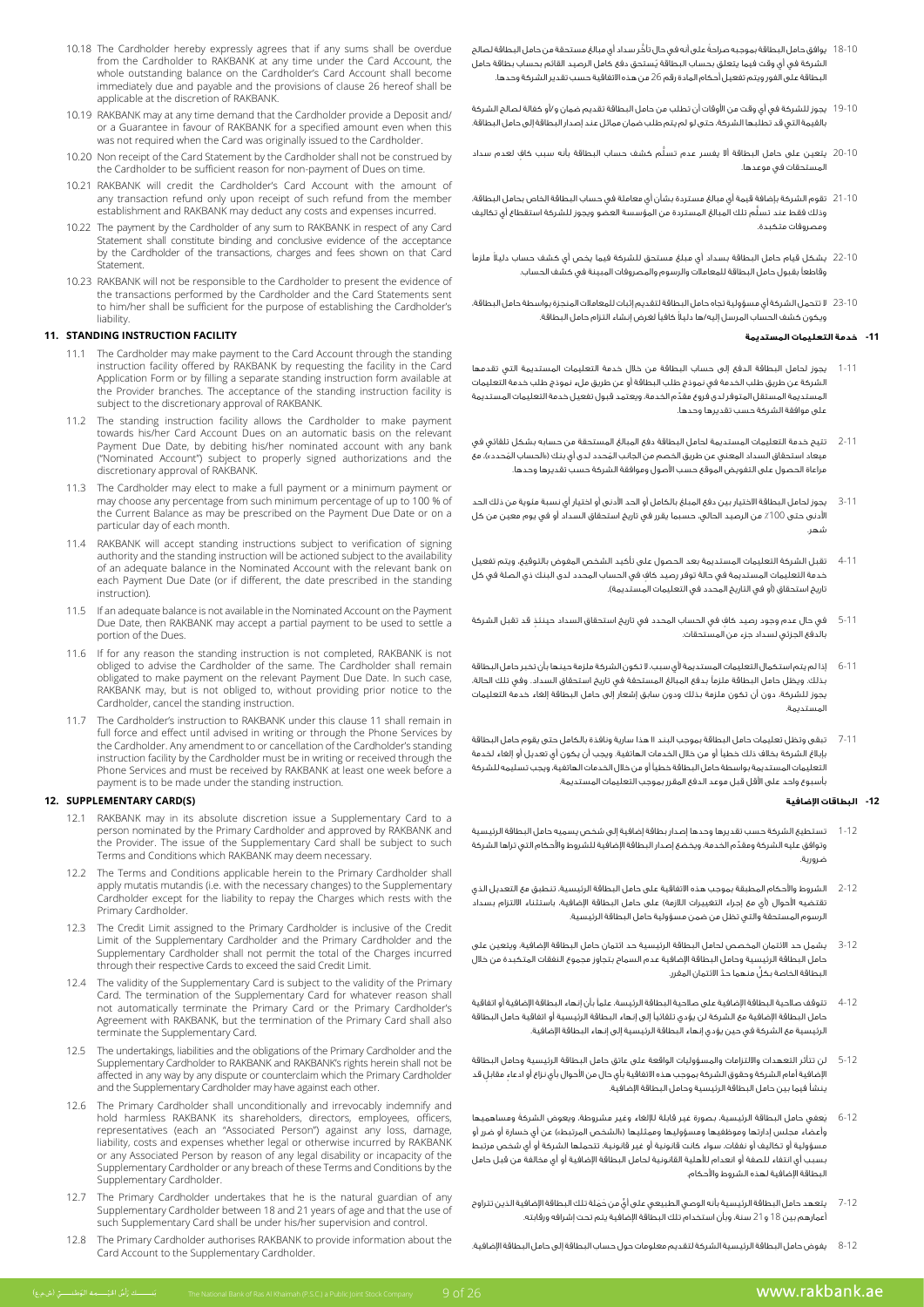- 10.18 The Cardholder hereby expressly agrees that if any sums shall be overdue from the Cardholder to RAKBANK at any time under the Card Account, the whole outstanding balance on the Cardholder's Card Account shall become immediately due and payable and the provisions of clause 26 hereof shall be applicable at the discretion of RAKBANK.
- 10.19 RAKBANK may at any time demand that the Cardholder provide a Deposit and/ the when when even a Guarantee in favour of RAKBANK for a specified amount even when this was not required when the Card was originally issued to the Cardholder.
- 10.20 Non receipt of the Card Statement by the Cardholder shall not be construed by the Cardholder to be sufficient reason for non-payment of Dues on time.
- 10.21 RAKBANK will credit the Cardholder's Card Account with the amount of any transaction refund only upon receipt of such refund from the member establishment and RAKBANK may deduct any costs and expenses incurred.
- 10.22 The payment by the Cardholder of any sum to RAKBANK in respect of any Card Statement shall constitute binding and conclusive evidence of the acceptance by the Cardholder of the transactions, charges and fees shown on that Card Statement.
- 10.23 RAKBANK will not be responsible to the Cardholder to present the evidence of the transactions performed by the Cardholder and the Card Statements sent to him/her shall be sufficient for the purpose of establishing the Cardholder's liability.

### **11. STANDING INSTRUCTION FACILITY**

- 11.1 The Cardholder may make payment to the Card Account through the standing instruction facility offered by RAKBANK by requesting the facility in the Card Application Form or by filling a separate standing instruction form available at the Provider branches. The acceptance of the standing instruction facility is subject to the discretionary approval of RAKBANK.
- 11.2 The standing instruction facility allows the Cardholder to make payment towards his/her Card Account Dues on an automatic basis on the relevant Payment Due Date, by debiting his/her nominated account with any bank ("Nominated Account") subject to properly signed authorizations and the discretionary approval of RAKBANK.
- 11.3 The Cardholder may elect to make a full payment or a minimum payment or may choose any percentage from such minimum percentage of up to 100 % of the Current Balance as may be prescribed on the Payment Due Date or on a particular day of each month.
- 11.4 RAKBANK will accept standing instructions subject to verification of signing authority and the standing instruction will be actioned subject to the availability of an adequate balance in the Nominated Account with the relevant bank on each Payment Due Date (or if different, the date prescribed in the standing instruction).
- 11.5 If an adequate balance is not available in the Nominated Account on the Payment Due Date, then RAKBANK may accept a partial payment to be used to settle a portion of the Dues
- 11.6 If for any reason the standing instruction is not completed, RAKBANK is not obliged to advise the Cardholder of the same. The Cardholder shall remain obligated to make payment on the relevant Payment Due Date. In such case, RAKBANK may, but is not obliged to, without providing prior notice to the Cardholder, cancel the standing instruction.
- 11.7 The Cardholder's instruction to RAKBANK under this clause 11 shall remain in full force and effect until advised in writing or through the Phone Services by the Cardholder. Any amendment to or cancellation of the Cardholder's standing instruction facility by the Cardholder must be in writing or received through the Phone Services and must be received by RAKBANK at least one week before a payment is to be made under the standing instruction.

#### **12. SUPPLEMENTARY CARD(S)**

- 12.1 RAKBANK may in its absolute discretion issue a Supplementary Card to a person nominated by the Primary Cardholder and approved by RAKBANK and the Provider. The issue of the Supplementary Card shall be subject to such Terms and Conditions which RAKBANK may deem necessary.
- 12.2 The Terms and Conditions applicable herein to the Primary Cardholder shall apply mutatis mutandis (i.e. with the necessary changes) to the Supplementary Cardholder except for the liability to repay the Charges which rests with the Primary Cardholder.
- 12.3 The Credit Limit assigned to the Primary Cardholder is inclusive of the Credit Limit of the Supplementary Cardholder and the Primary Cardholder and the Supplementary Cardholder shall not permit the total of the Charges incurred through their respective Cards to exceed the said Credit Limit.
- 12.4 The validity of the Supplementary Card is subject to the validity of the Primary Card. The termination of the Supplementary Card for whatever reason shall not automatically terminate the Primary Card or the Primary Cardholder's Agreement with RAKBANK, but the termination of the Primary Card shall also terminate the Supplementary Card.
- 12.5 The undertakings, liabilities and the obligations of the Primary Cardholder and the be direct things, mainted and the diagonal of the mining cardinal medicine.<br>Supplementary Cardholder to RAKBANK and RAKBANK's rights herein shall not be affected in any way by any dispute or counterclaim which the Primary Cardholder and the Supplementary Cardholder may have against each other
- 12.6 The Primary Cardholder shall unconditionally and irrevocably indemnify and hold harmless RAKBANK its shareholders, directors, employees, officers, representatives (each an "Associated Person") against any loss, damage, liability, costs and expenses whether legal or otherwise incurred by RAKBANK the original and original and original and or disability or incapacity of the the by Conditions and Terms theory Conditions and Terms and Conditions by the Supplementary Cardholder or any breach of these Terms and Conditions by the Supplementary Cardholder.
- 12.7 The Primary Cardholder undertakes that he is the natural guardian of any Supplementary Cardholder between 18 and 21 years of age and that the use of such Supplementary Card shall be under his/her supervision and control.
- 12.8 The Primary Cardholder authorises RAKBANK to provide information about the Card Account to the Supplementary Cardholder
- 18-10 ً يوافق حامل البطاقة بموجبه صراحة ُّ على أنه في حال تأخر سداد أي مبالغ مستحقة من حامل البطاقة لصالح ُ الشركة في أي وقت فيما يتعلق بحساب البطاقة يستحق دفع كامل الرصيد القائم بحساب بطاقة حامل البطاقة على الفور ويتم تفعيل أحكام المادة رقم 26 من هذه االتفاقية حسب تقدير الشركة وحدها.
- 19-10 يجوز للشركة في أي وقت من األوقات أن تطلب من حامل البطاقة تقديم ضمان و/أو كفالة لصالح الشركة بالقيمة التي قد تطلبها الشركة، حتى لو لم يتم طلب ضمان مماثل عند إصدار البطاقة إلى حامل البطاقة.
- 20-10 ُ يتعين على حامل البطاقة ألا يفسر عدم تسلَّم كشف حساب البطاقة بأنه سبب كافٍ لعدم سداد المستحقات في موعدها.
- 21-10 تقوم الشركة بإضافة قيمة أي مبالغ مستردة بشأن أي معاملة في حساب البطاقة الخاص بحامل البطاقة، ُّ وذلك فقط عند تسلم تلك المبالغ المستردة من المؤسسة العضو ويجوز للشركة استقطاع أي تكاليف ومصروفات متكبدة.
- 22-10 ً يشكل قيام حامل البطاقة بسداد أي مبلغ مستحق للشركة فيما يخص أي كشف حساب دليال ملزمًا وقاطعًا بقبول حامل البطاقة للمعامالت والرسوم والمصروفات المبينة في كشف الحساب.
- 23-10 ال تتحمل الشركة أي مسؤولية تجاه حامل البطاقة لتقديم إثبات للمعامالت المنجزة بواسطة حامل البطاقة، ً ويكون كشف الحساب المرسل إليه/ها دليال كافيًا لغرض إنشاء التزام حامل البطاقة.

#### **-11 خدمة التعليمات المستديمة**

- 1-11 يجوز لحامل البطاقة الدفع إلى حساب البطاقة من خالل خدمة التعليمات المستديمة التي تقدمها الشركة عن طريق طلب الخدمة في نموذج طلب البطاقة أو عن طريق ملء نموذج طلب خدمة التعليمات ِّ المستديمة المستقل المتوفر لدى فروع مقدم الخدمة، ويعتمد قبول تفعيل خدمة التعليمات المستديمة على موافقة الشركة حسب تقديرها وحدها.
- 2-11 تتيح خدمة التعليمات المستديمة لحامل البطاقة دفع المبالغ المستحقة من حسابه بشكل تلقائي في ميعاد استحقاق السداد المعني عن طريق الخصم من الجانب المُحدد لدى أي بنك («الحساب المُحدد»)، معَ مراعاة الحصول على التفويض الموقع حسب األصول وموافقة الشركة حسب تقديرها وحدها.
- 3-11 يجوز لحامل البطاقة االختيار بين دفع المبلغ بالكامل أو الحد األدنى أو اختيار أي نسبة مئوية من ذلك الحد الأدنى حتى 100٪ من الرصيد الحالي، حسبما يقرر في تاريخ استحقاق السداد أو في يوم معين من كل شهر.
- 4-11 تقبل الشركة التعليمات المستديمة بعد الحصول على تأكيد الشخص المفوض بالتوقيع، ويتم تفعيل ٍ خدمة التعليمات المستديمة في حالة توفر رصيد كاف في الحساب المحدد لدى البنك ذي الصلة في كل .<br>تاريخ استحقاق (أو في التاريخ المحدد في التعليمات المستديمة).
- 5-11 ٍ في حال عدم وجود رصيد كافٍ في الحساب المحدد في تاريخ استحقاق السداد حينئذٍ قد تقبل الشركة بالدفع الجزئي لسداد جزء من المستحقات.
- 6-11 إذا لم يتم استكمال التعليمات المستديمة ألي سبب، ال تكون الشركة ملزمة حينها بأن تخبر حامل البطاقة بذلك. ويظل حامل البطاقة ملزمًا بدفع المبالغ المستحقة في تاريخ استحقاق السداد. وفي تلك الحالة، يجوز للشركة، دون أن تكون ملزمة بذلك ودون سابق إشعار إلى حامل البطاقة إلغاء خدمة التعليمات المستديمة.
- 7-11 تبقى وتظل تعليمات حامل البطاقة بموجب البند 11 هذا سارية ونافذة بالكامل حتى يقوم حامل البطاقة بإبالغ الشركة بخالف ذلك خطيًا أو من خالل الخدمات الهاتفية. ويجب أن يكون أي تعديل أو إلغاء لخدمة التعليمات المستديمة بواسطة حامل البطاقة خطيًا أو من خالل الخدمات الهاتفية، ويجب تسليمه للشركة بأسبوع واحد على األقل قبل موعد الدفع المقرر بموجب التعليمات المستديمة.

#### **-12 البطاقات اإلضافية**

- 1-12 تستطيع الشركة حسب تقديرها وحدها إصدار بطاقة إضافية إلى شخص يسميه حامل البطاقة الرئيسية ِّ وتوافق عليه الشركة ومقدم الخدمة، ويخضع إصدار البطاقة اإلضافية للشروط واألحكام التي تراها الشركة ضرورية.
- 2-12 الشروط واألحكام المطبقة بموجب هذه االتفاقية على حامل البطاقة الرئيسية، تنطبق مع التعديل الذي .<br>تقتضيه الأحوال (أي مع إجراء التغييرات اللازمة) على حامل البطاقة الإضافية، باستثناء الالتزام بسداد الرسوم المستحقة والتي تظل من ضمن مسؤولية حامل البطاقة الرئيسية.
- 3-12 يشمل حد االئتمان المخصص لحامل البطاقة الرئيسية حد ائتمان حامل البطاقة اإلضافية، ويتعين على حامل البطاقة الرئيسية وحامل البطاقة اإلضافية عدم السماح بتجاوز مجموع النفقات المتكبدة من خالل ٍّ البطاقة الخاصة بكل َّ منهما حد االئتمان المقرر.
- 4-12 تتوقف صالحية البطاقة اإلضافية على صالحية البطاقة الرئيسة، علمًا بأن إنهاء البطاقة اإلضافية أو اتفاقية حامل البطاقة اإلضافية مع الشركة لن يؤدي تلقائيًا إلى إنهاء البطاقة الرئيسية أو اتفاقية حامل البطاقة الرئيسية مع الشركة في حين يؤدي إنهاء البطاقة الرئيسية إلى إنهاء البطاقة اإلضافية.
- 5-12 لن تتأثر التعهدات وااللتزامات والمسؤوليات الواقعة على عاتق حامل البطاقة الرئيسية وحامل البطاقة ٍ اإلضافية أمام الشركة وحقوق الشركة بموجب هذه االتفاقية بأي حال من األحوال بأي نزاع أو ادعاء ٍ مقابل قد ينشأ فيما بين حامل البطاقة الرئيسية وحامل البطاقة اإلضافية.
- ِ<br>يَعفي حامل البطاقة الرئيسية، بصورة غير قابلة للإلغاء وغير مشروطة، ويعوض الشركةَ ومساه 6-12 ي وأعضاء مجلس إدارتها وموظفيها ومسؤوليها وممثليها («الشخص المرتبط») عن أي خسارة أو ضرر أو مسؤولية أو تكاليف أو نفقات، سواء كانت قانونية أو غير قانونية، تتحملها الشركة أو أي شخص مرتبط بسبب أي انتفاء للصفة أو انعدام لألهلية القانونية لحامل البطاقة اإلضافية أو أي مخالفة من قبل حامل البطاقة اإلضافية لهذه الشروط واألحكام.
- 7-12 ٍ يتعهد حامل البطاقة الرئيسية بأنه الوصي الطبيعي على أيّ من حَمَلة تلك البطاقة الإضافية الذين تتراوح أعمارهم بين 18 و21 سنة، وبأن استخدام تلك البطاقة اإلضافية يتم تحت إشرافه ورقابته.
- 8-12 يفوض حامل البطاقة الرئيسية الشركة لتقديم معلومات حول حساب البطاقة إلى حامل البطاقة اإلضافية.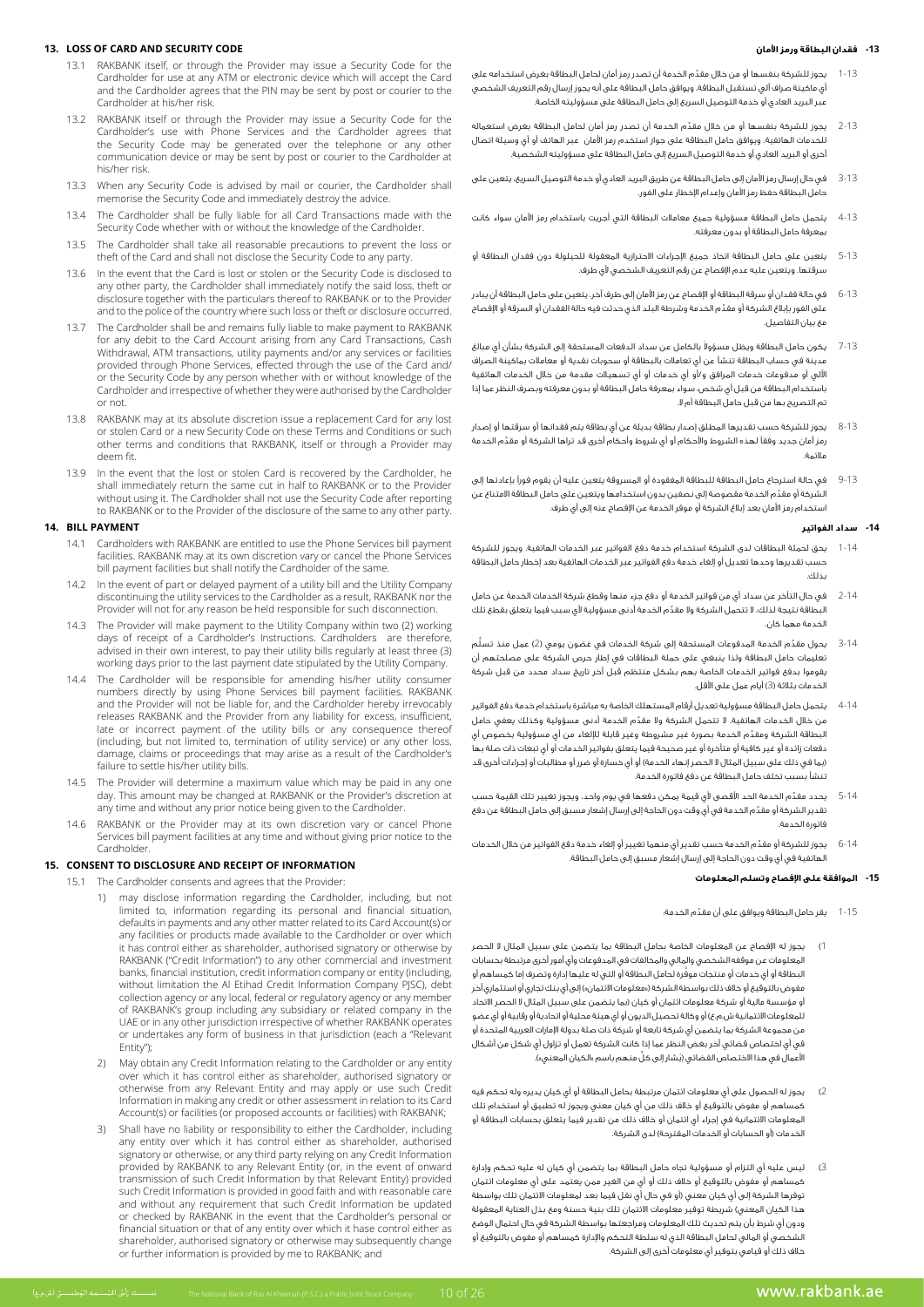### **13. LOSS OF CARD AND SECURITY CODE**

- 13.1 RAKBANK itself, or through the Provider may issue a Security Code for the Cardholder for use at any ATM or electronic device which will accept the Card and the Cardholder agrees that the PIN may be sent by post or courier to the Cardholder at his/her risk.
- 13.2 RAKBANK itself or through the Provider may issue a Security Code for the Cardholder's use with Phone Services and the Cardholder agrees that the Security Code may be generated over the telephone or any other communication device or may be sent by post or courier to the Cardholder at his/her risk.
- 13.3 When any Security Code is advised by mail or courier, the Cardholder shall memorise the Security Code and immediately destroy the advice.
- 13.4 The Cardholder shall be fully liable for all Card Transactions made with the Security Code whether with or without the knowledge of the Cardholder.
- 13.5 The Cardholder shall take all reasonable precautions to prevent the loss or theft of the Card and shall not disclose the Security Code to any party.
- 13.6 In the event that the Card is lost or stolen or the Security Code is disclosed to any other party, the Cardholder shall immediately notify the said loss, theft or disclosure together with the particulars thereof to RAKBANK or to the Provider and to the police of the country where such loss or theft or disclosure occurred.
- 13.7 The Cardholder shall be and remains fully liable to make payment to RAKBANK for any debit to the Card Account arising from any Card Transactions, Cash Withdrawal, ATM transactions, utility payments and/or any services or facilities provided through Phone Services, effected through the use of the Card and/ or the Security Code by any person whether with or without knowledge of the Cardholder and irrespective of whether they were authorised by the Cardholder or not.
- 13.8 RAKBANK may at its absolute discretion issue a replacement Card for any lost such an intervention and Terms and Terms and Conditions or such or stolen Card or a new Security Code on these Terms and Conditions or such other terms and conditions that RAKBANK, itself or through a Provider may deem fit.
- 13.9 In the event that the lost or stolen Card is recovered by the Cardholder, he shall immediately return the same cut in half to RAKBANK or to the Provider without using it. The Cardholder shall not use the Security Code after reporting to RAKBANK or to the Provider of the disclosure of the same to any other party.

#### **14. BILL PAYMENT**

- 14.1 Cardholders with RAKBANK are entitled to use the Phone Services bill payment facilities. RAKBANK may at its own discretion vary or cancel the Phone Services bill payment facilities but shall notify the Cardholder of the same
- 14.2 In the event of part or delayed payment of a utility bill and the Utility Company discontinuing the utility services to the Cardholder as a result, RAKBANK nor the Provider will not for any reason be held responsible for such disconnection.
- 14.3 The Provider will make payment to the Utility Company within two (2) working days of receipt of a Cardholder's Instructions. Cardholders are therefore, advised in their own interest, to pay their utility bills regularly at least three (3) working days prior to the last payment date stipulated by the Utility Company.
- 14.4 The Cardholder will be responsible for amending his/her utility consumer numbers directly by using Phone Services bill payment facilities. RAKBANK and the Provider will not be liable for, and the Cardholder hereby irrevocably releases RAKBANK and the Provider from any liability for excess, insufficient, late or incorrect payment of the utility bills or any consequence thereof (including, but not limited to, termination of utility service) or any other loss, damage, claims or proceedings that may arise as a result of the Cardholder's failure to settle his/her utility bills.
- 14.5 The Provider will determine a maximum value which may be paid in any one day. This amount may be changed at RAKBANK or the Provider's discretion at any time and without any prior notice being given to the Cardholder.
- 14.6 RAKBANK or the Provider may at its own discretion vary or cancel Phone Services bill payment facilities at any time and without giving prior notice to the .Cardholder

#### 15. CONSENT TO DISCLOSURE AND RECEIPT OF INFORMATION

- 15.1 The Cardholder consents and agrees that the Provider
	- 1) may disclose information regarding the Cardholder, including, but not limited to, information regarding its personal and financial situation, defaults in payments and any other matter related to its Card Account(s) or any facilities or products made available to the Cardholder or over which it has control either as shareholder, authorised signatory or otherwise by RAKBANK ("Credit Information") to any other commercial and investment , banks, financial institution, credit information company or entity (including, without limitation the Al Etihad Credit Information Company PJSC), debt collection agency or any local, federal or regulatory agency or any member of RAKBANK's group including any subsidiary or related company in the UAE or in any other jurisdiction irrespective of whether RAKBANK operates or undertakes any form of business in that jurisdiction (each a "Relevant Entity");
	- 2) May obtain any Credit Information relating to the Cardholder or any entity over which it has control either as shareholder, authorised signatory or otherwise from any Relevant Entity and may apply or use such Credit Information in making any credit or other assessment in relation to its Card Account(s) or facilities (or proposed accounts or facilities) with RAKBANK;
	- Shall have no liability or responsibility to either the Cardholder, including any entity over which it has control either as shareholder, authorised signatory or otherwise, or any third party relying on any Credit Information provided by RAKBANK to any Relevant Entity (or, in the event of onward transmission of such Credit Information by that Relevant Entity) provided such Credit Information is provided in good faith and with reasonable care and without any requirement that such Credit Information be updated or checked by RAKBANK in the event that the Cardholder's personal or financial situation or that of any entity over which it hase control either as shareholder, authorised signatory or otherwise may subsequently change or further information is provided by me to RAKBANK; and

#### **-13 فقدان البطاقة ورمز األمان**

- 1-13 ِّ يجوز للشركة بنفسها أو من خالل مقدم الخدمة أن تصدر رمز أمان لحامل البطاقة بغرض استخدامه على أي ماكينة صراف آلي تستقبل البطاقة، ويوافق حامل البطاقة على أنه يجوز إرسال رقم التعريف الشخصي عبر البريد العادي أو خدمة التوصيل السريع إلى حامل البطاقة على مسؤوليته الخاصة.
- 2-13 ِّ يجوز للشركة بنفسها أو من خالل مقدم الخدمة أن تصدر رمز أمان لحامل البطاقة بغرض استعماله للخدمات الهاتفية. ويوافق حامل البطاقة على جواز استخدم رمز األمان عبر الهاتف أو أي وسيلة اتصال أخرى أو البريد العادي أو خدمة التوصيل السريع إلى حامل البطاقة على مسؤوليته الشخصية.
- 3-13 في حال إرسال رمز األمان إلى حامل البطاقة عن طريق البريد العادي أو خدمة التوصيل السريع، يتعين على .<br>حامل البطاقة حفظ رمز الأمان وإعدام الإخطار على الغور.
- 4-13 يتحمل حامل البطاقة مسؤولية جميع معامالت البطاقة التي أجريت باستخدام رمز األمان سواء كانت بمعرفة حامل البطاقة أو بدون معرفته.
- 5-13 يتعين على حامل البطاقة اتخاذ جميع اإلجراءات االحترازية المعقولة للحيلولة دون فقدان البطاقة أو سرقتها. ويتعين عليه عدم اإلفصاح عن رقم التعريف الشخصي ألي طرف.
- 6-13 في حالة فقدان أو سرقة البطاقة أو اإلفصاح عن رمز األمان إلى طرف آخر، يتعين على حامل البطاقة أن يبادر ِّ على الفور بإبالغ الشركة أو مقدم الخدمة وشرطة البلد الذي حدثت فيه حالة الفقدان أو السرقة أو اإلفصاح مع بيان التفاصيل.
- 7-13 ٪ يكون حامل البطاقة ويظل مسؤولاً بالكامل عن سداد الدفعات المستحقة إلى الشركة بشأن أي مبالغ مدينة في حساب البطاقة تنشأ عن أي تعامالت بالبطاقة أو سحوبات نقدية أو معامالت بماكينة الصراف اآللي أو مدفوعات خدمات المرافق و/أو أي خدمات أو أي تسهيالت مقدمة من خالل الخدمات الهاتفية باستخدام البطاقة من قبل أي شخص، سواء بمعرفة حامل البطاقة أو بدون معرفته وبصرف النظر عما إذا تم التصريح بها من قبل حامل البطاقة أم ال.
- 8-13 يجوز للشركة حسب تقديرها المطلق إصدار بطاقة بديلة عن أي بطاقة يتم فقدانها أو سرقتها أو إصدار ِّ رمز أمان جديد وفقًا لهذه الشروط واألحكام أو أي شروط وأحكام أخرى قد تراها الشركة أو مقدم الخدمة مالئمة.
- 9-13 في حالة استرجاع حامل البطاقة للبطاقة المفقودة أو المسروقة يتعين عليه أن يقوم فورًا بإعادتها إلى ِّ الشركة أو مقدم الخدمة مقصوصة إلى نصفين بدون استخدامها ويتعين على حامل البطاقة االمتناع عن استخدام رمز األمان بعد إبالغ الشركة أو موفر الخدمة عن اإلفصاح عنه إلى أي طرف.

#### **-14 سداد الفواتير**

- 1-14 يحق لحملة البطاقات لدى الشركة استخدام خدمة دفع الفواتير عبر الخدمات الهاتفية. ويجوز للشركة حسب تقديرها وحدها تعديل أو إلغاء خدمة دفع الفواتير عبر الخدمات الهاتفية بعد إخطار حامل البطاقة بذلك.
- 2-14 َ في حال التأخر عن سداد أي من فواتير الخدمة أو دفع جزء منها وقطع شركة الخدمات الخدمة عن حامل ِّ البطاقة نتيجة لذلك، ال تتحمل الشركة وال مقدم الخدمة أدنى مسؤولية ألي سبب فيما يتعلق بقطع تلك الخدمة مهما كان.
- 3-14  $\,$  يحول مقدّم الخدمة المدفوعات المستحقة إلى شركة الخدمات في غضون يومي (2) عمل منذ تسلّم تعليمات حامل البطاقة ولذا ينبغي على حملة البطاقات في إطار حرص الشركة على مصلحتهم أن يقوموا بدفع فواتير الخدمات الخاصة بهم بشكل منتظم قبل آخر تاريخ سداد محدد من قبل شركة لخدمات بثلاثة (3) أيام عمل على الأقل.
- 4-14 يتحمل حامل البطاقة مسؤولية تعديل أرقام المستهلك الخاصة به مباشرة باستخدام خدمة دفع الفواتير ِّ من خالل الخدمات الهاتفية، لا تتحمل الشركة ولا مقدِّم الخدمة أدنى مسؤولية وكذلك يعفي حامل المستخدمات الهاتفية، ِّ البطاقة الشركة ومقدم الخدمة بصورة غير مشروطة وغير قابلة لإللغاء من أي مسؤولية بخصوص أي دفعات زائدة أو غير كافية أو متأخرة أو غير صحيحة فيما يتعلق بفواتير الخدمات أو أي تبعات ذات صلة بها )بما في ذلك على سبيل المثال ال الحصر إنهاء الخدمة( أو أي خسارة أو ضرر أو مطالبات أو إجراءات أخرى قد تنشأ بسبب تخلف حامل البطاقة عن دفع فاتورة الخدمة.
- 5-14 ِّ يحدد مقدم الخدمة الحد األقصى ألي قيمة يمكن دفعها في يوم واحد، ويجوز تغيير تلك القيمة حسب ِّ تقدير الشركة أو مقدم الخدمة في أي وقت دون الحاجة إلى إرسال إشعار مسبق إلى حامل البطاقة عن دفع فاتورة الخدمة.
- 6-14 ِّ يجوز للشركة أو مقدم الخدمة حسب تقدير أي منهما تغيير أو إلغاء خدمة دفع الفواتير من خالل الخدمات الهاتفية في أي وقت دون الحاجة إلى إرسال إشعار مسبق إلى حامل البطاقة.

### **-15 الموافقة على اإلفصاح وتسلم المعلومات**

- 1-15 ِّ يقر حامل البطاقة ويوافق على أن مقدم الخدمة:
- 1( يجوز له اإلفصاح عن المعلومات الخاصة بحامل البطاقة بما يتضمن على سبيل المثال ال الحصر المعلومات عن موقفه الشخصي والمالي والمخالفات في المدفوعات وأي أمور أخرى مرتبطة بحسابات َّ البطاقة أو أي خدمات أو منتجات موفرة لحامل البطاقة أو التي له عليها إدارة وتصرف إما كمساهم أو مفوض بالتوقيع أو خلاف ذلك بواسطة الشركة («معلومات الائتمان») إلى أي بنك تجاري أو استثماري آخر أو مؤسسة مالية أو شركة معلومات ائتمان أو كيان (بما يتضمن على سبيل المثال لا الحصر الاتحاد للمعلومات االئتمانية ش.م.ع( أو وكالة تحصيل الديون أو أي هيئة محلية أو اتحادية أو رقابية أو أي عضو من مجموعة الشركة بما يتضمن أي شركة تابعة أو شركة ذات صلة بدولة اإلمارات العربية المتحدة أو في أي اختصاص قضائي آخر بغض النظر عما إذا كانت الشركة تعمل أو تزاول أي شكل من أشكال الأعمال في هذا الاختصاص القضائي (يَشار إلى كلِّ منهم باسم «الكيان المعني»).
- 2( يجوز له الحصول على أي معلومات ائتمان مرتبطة بحامل البطاقة أو أي كيان يديره وله تحكم فيه كمساهم أو مفوض بالتوقيع أو خالف ذلك من أي كيان معني ويجوز له تطبيق أو استخدام تلك المعلومات االئتمانية في إجراء أي ائتمان أو خالف ذلك من تقدير فيما يتعلق بحسابات البطاقة أو الخدمات )أو الحسابات أو الخدمات المقترحة( لدى الشركة.
- 3( ليس عليه أي التزام أو مسؤولية تجاه حامل البطاقة بما يتضمن أي كيان له عليه تحكم وإدارة كمساهم أو مفوض بالتوقيع أو خالف ذلك أو أي من الغير ممن يعتمد على أي معلومات ائتمان توفرها الشركة إلى أي كيان معني )أو في حال أي نقل فيما بعد لمعلومات االئتمان تلك بواسطة هذا الكيان المعني) شريطة توفير معلومات الائتمان تلك بنية حسنة ومع بذل العناية المعقولة ودون أي شرط بأن يتم تحديث تلك المعلومات ومراجعتها بواسطة الشركة في حال احتمال الوضع الشخصي أو المالي لحامل البطاقة الذي له سلطة التحكم واإلدارة كمساهم أو مفوض بالتوقيع أو خالف ذلك أو قيامي بتوفير أي معلومات أخرى إلى الشركة.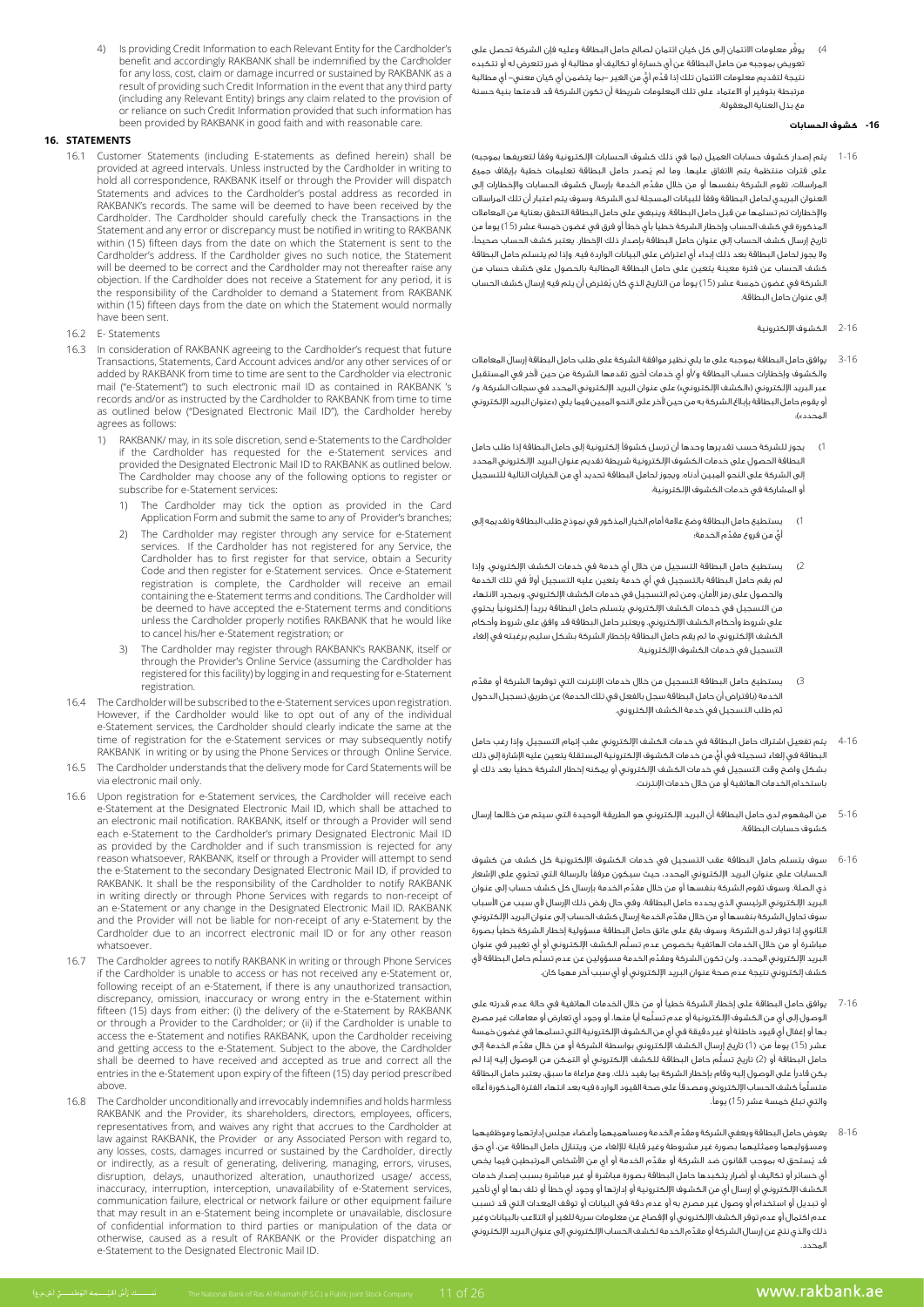4) يوفّر معلومات الائتمان إلى كل كيان ائتمان لصالح حامل البطاقة وعليه فإن الشركة تحصل على تعويض بموجبه من حامل البطاقة عن أي خسارة أو تكاليف أو مطالبة أو ضرر تتعرض له أو تتكبده نتيجة لتقديم معلومات الائتمان تلك إذا قَدَّم أيٍّ من الغير –بما يتضمن أي كيان معني– أي مطالبة مرتبطة بتوفير أو االعتماد على تلك المعلومات شريطة أن تكون الشركة قد قدمتها بنية حسنة مع بذل العناية المعقولة.

### **-16 كشوف الحسابات**

- 1-16 يتم إصدار كشوف حسابات العميل (بما في ذلك كشوف الحسابات الإلكترونية وفقاً لتعريفها بموجبه) ُ على فترات منتظمة يتم االتفاق عليها. وما لم يصدر حامل البطاقة تعليمات خطية بإيقاف جميع ِّ المراسالت، تقوم الشركة بنفسها أو من خالل مقدم الخدمة بإرسال كشوف الحسابات واإلخطارات إلى العنوان البريدي لحامل البطاقة وفقًا للبيانات المسجلة لدى الشركة. وسوف يتم اعتبار أن تلك المراسالت واإلخطارات تم تسلمها من قبل حامل البطاقة. وينبغي على حامل البطاقة التحقق بعناية من المعامالت المذكورة في كشف الحساب وإخطار الشركة خطيًا بأي خطأ أو فرق في غضون خمسة عشر )15( يومًا من تاريخ إرسال كشف الحساب إلى عنوان حامل البطاقة بإصدار ذلك اإلخطار. يعتبر كشف الحساب صحيحًا، وال يجوز لحامل البطاقة بعد ذلك إبداء أي اعتراض على البيانات الواردة فيه. وإذا لم يتسلم حامل البطاقة كشف الحساب عن فترة معينة يتعين على حامل البطاقة المطالبة بالحصول على كشف حساب من الشركة في غضون خمسة عشر (15) يوماً من التاريخ الذي كان يُفترض أن يتم فيه إرسال كشف الحساب إلى عنوان حامل البطاقة.
	- 2-16 الكشوف اإللكترونية
- 3-16 َ يوافق حامل البطاقة بموجبه على ما يلي نظير موافقة الشركة على طلب حامل البطاقة إرسال المعامالت والكشوف وإخطارات حساب البطاقة و/أو أي خدمات أخرى تقدمها الشركة من حين آلخر في المستقبل عبر البريد اإللكتروني )»الكشف اإللكتروني«( على عنوان البريد اإللكتروني المحدد في سجالت الشركة. و/ أو يقوم حامل البطاقة بإبالغ الشركة به من حين آلخر على النحو المبين فيما يلي )»عنوان البريد اإللكتروني المحدد«(:
- 1( يجوز للشركة حسب تقديرها وحدها أن ترسل كشوفًا إلكترونية إلى حامل البطاقة إذا طلب حامل البطاقة الحصول على خدمات الكشوف اإللكترونية شريطة تقديم عنوان البريد اإللكتروني المحدد إلى الشركة على النحو المبين أدناه. ويجوز لحامل البطاقة تحديد أي من الخيارات التالية للتسجيل أو المشاركة في خدمات الكشوف اإللكترونية:
- 1( يستطيع حامل البطاقة وضع عالمة أمام الخيار المذكور في نموذج طلب البطاقة وتقديمه إلى ٍّ أي ِّ من فروع مقدم الخدمة؛
- 2( يستطيع حامل البطاقة التسجيل من خالل أي خدمة في خدمات الكشف اإللكتروني. وإذا ـم يقم حامل البطاقة بالتسجيل في أي خدمة يتعين عليه التسجيل أولا في تلك الخدمة والحصول على رمز األمان، ومن ثم التسجيل في خدمات الكشف اإللكتروني، وبمجرد االنتهاء من التسجيل في خدمات الكشف اإللكتروني يتسلم حامل البطاقة بريدًا إلكترونيًا يحتوي على شروط وأحكام الكشف اإللكتروني. ويعتبر حامل البطاقة قد وافق على شروط وأحكام الكشف اإللكتروني ما لم يقم حامل البطاقة بإخطار الشركة بشكل سليم برغبته في إلغاء التسجيل في خدمات الكشوف اإللكترونية.
- 3) يستطيع حامل البطاقة التسجيل من خلال خدمات الإنترنت التي توفرها الشركة أو مقدّم الخدمة (بافتراض أن حامل البطاقة سجل بالفعل في تلك الخدمة) عن طريق تسجيل الدخول ثم طلب التسجيل في خدمة الكشف اإللكتروني.
- 4-16 يتم تفعيل اشتراك حامل البطاقة في خدمات الكشف اإللكتروني عقب إتمام التسجيل. وإذا رغب حامل ٍّ البطاقة في إلغاء تسجيله في أي من خدمات الكشوف اإللكترونية المستقلة يتعين عليه اإلشارة إلى ذلك بشكل واضح وقت التسجيل في خدمات الكشف اإللكتروني أو يمكنه إخطار الشركة خطيًا بعد ذلك أو باستخدام الخدمات الهاتفية أو من خالل خدمات اإلنترنت.
- 5-16 من المفهوم لدى حامل البطاقة أن البريد اإللكتروني هو الطريقة الوحيدة التي سيتم من خاللها إرسال كشوف حسابات البطاقة.
- 6-16 سوف يتسلم حامل البطاقة عقب التسجيل في خدمات الكشوف اإللكترونية كل كشف من كشوف الحسابات على عنوان البريد اإللكتروني المحدد، حيث سيكون مرفقًا بالرسالة التي تحتوي على اإلشعار ِّ ذي الصلة. وسوف تقوم الشركة بنفسها أو من خالل مقدم الخدمة بإرسال كل كشف حساب إلى عنوان .<br>البريد الإلكتروني الرئيسي الذي يحدده حامل البطاقة، وفي حال رفض ذلك الإرسال لأي سبب من الأسباب ِّ سوف تحاول الشركة بنفسها أو من خالل مقدم الخدمة إرسال كشف الحساب إلى عنوان البريد اإللكتروني الثانوي إذا توفر لدى الشركة. وسوف يقع على عاتق حامل البطاقة مسؤولية إخطار الشركة خطيًا بصورة ُّ مباشرة أو من خالل الخدمات الهاتفية بخصوص عدم تسلم الكشف اإللكتروني أو أي تغيير في عنوان ِّ البريد اإللكتروني المحدد، ولن تكون الشركة ومقد ُّ م الخدمة مسؤولين عن عدم تسلم حامل البطاقة ألي كشف إلكتروني نتيجة عدم صحة عنوان البريد اإللكتروني أو أي سبب آخر مهما كان.
- 7-16 يوافق حامل البطاقة على إخطار الشركة خطيًا أو من خالل الخدمات الهاتفية في حالة عدم قدرته على ُّ الوصول إلى أي من الكشوف اإللكترونية أو عدم تسلمه أيًا منها، أو وجود أي تعارض أو معامالت غير مصرح بها أو إغفال أي قيود خاطئة أو غير دقيقة في أي من الكشوف اإللكترونية التي تسلمها في غضون خمسة عشر )15( يومًا من: )1 ِّ ( تاريخ إرسال الكشف اإللكتروني بواسطة الشركة أو من خالل مقدم الخدمة إلى ر .<br>حامل البطاقة أو (2) تاريخ تسلّم حامل البطاقة للكشف الإلكتروني أو التمكن من الوصول إليه إذا لم يكن قادرًا على الوصول إليه وقام بإخطار الشركة بما يفيد ذلك. ومع مراعاة ما سبق، يعتبر حامل البطاقة ِّ متسلمًا كشف الحساب اإللكتروني ومصدقًا على صحة القيود الواردة فيه بعد انتهاء الفترة المذكورة أعاله والتي تبلغ خمسة عشر (15) يوماً.
- 8-16 ِّ يعوض حامل البطاقة ويعفي الشركة ومقدم الخدمة ومساهميهما وأعضاء مجلس إدارتهما وموظفيهما ومسؤوليهما وممثليهما بصورة غير مشروطة وغير قابلة لإللغاء من، ويتنازل حامل البطاقة عن، أي حق ُ قد ي ِّ ستحق له بموجب القانون ضد الشركة أو مقدم الخدمة أو أي من األشخاص المرتبطين فيما يخص أي خسائر أو تكاليف أو أضرار يتكبدها حامل البطاقة بصورة مباشرة أو غير مباشرة بسبب إصدار خدمات الكشف اإللكتروني أو إرسال أي من الكشوف اإللكترونية أو إدارتها أو وجود أي خطأ أو تلف بها أو أي تأخير أو تبديل أو استخدام أو وصول غير مصرح به أو عدم دقة في البيانات أو توقف المعدات التي قد تسبب عدم اكتمال أو عدم توفر الكشف اإللكتروني أو اإلفصاح عن معلومات سرية للغير أو التالعب بالبيانات وغير ِّ ذلك والذي نتج عن إرسال الشركة أو مقدم الخدمة لكشف الحساب اإللكتروني إلى عنوان البريد اإللكتروني المحدد.

4) Is providing Credit Information to each Relevant Entity for the Cardholder's benefit and accordingly RAKBANK shall be indemnified by the Cardholder for any loss, cost, claim or damage incurred or sustained by RAKBANK as a result of providing such Credit Information in the event that any third party (including any Relevant Entity) brings any claim related to the provision of or reliance on such Credit Information provided that such information has been provided by RAKBANK in good faith and with reasonable care.

### **STATEMENTS 16.**

- 16.1 Customer Statements (including E-statements as defined herein) shall be provided at agreed intervals. Unless instructed by the Cardholder in writing to hold all correspondence, RAKBANK itself or through the Provider will dispatch Statements and advices to the Cardholder's postal address as recorded in RAKBANK's records. The same will be deemed to have been received by the Cardholder. The Cardholder should carefully check the Transactions in the Statement and any error or discrepancy must be notified in writing to RAKBANK within (15) fifteen days from the date on which the Statement is sent to the Cardholder's address. If the Cardholder gives no such notice, the Statement will be deemed to be correct and the Cardholder may not thereafter raise any is it is in the Cardholder does not receive a Statement for any period, it is the responsibility of the Cardholder to demand a Statement from RAKBANK within (15) fifteen days from the date on which the Statement would normally have been sent
- 16.2 E- Statements
- 16.3 In consideration of RAKBANK agreeing to the Cardholder's request that future Transactions, Statements, Card Account advices and/or any other services of or added by RAKBANK from time to time are sent to the Cardholder via electronic mail ("e-Statement") to such electronic mail ID as contained in RAKBANK 's records and/or as instructed by the Cardholder to RAKBANK from time to time as outlined below ("Designated Electronic Mail ID"), the Cardholder hereby agrees as follows:
	- 1) RAKBANK/ may, in its sole discretion, send e-Statements to the Cardholder if the Cardholder has requested for the e-Statement services and provided the Designated Electronic Mail ID to RAKBANK as outlined below. The Cardholder may choose any of the following options to register or subscribe for e-Statement services:
		- 1) The Cardholder may tick the option as provided in the Card Application Form and submit the same to any of Provider's branches;
		- 2) The Cardholder may register through any service for e-Statement services. If the Cardholder has not registered for any Service, the Cardholder has to first register for that service, obtain a Security Code and then register for e-Statement services. Once e-Statement registration is complete, the Cardholder will receive an email containing the e-Statement terms and conditions. The Cardholder will be deemed to have accepted the e-Statement terms and conditions unless the Cardholder properly notifies RAKBANK that he would like to cancel his/her e-Statement registration; or
		- 3) The Cardholder may register through RAKBANK's RAKBANK, itself or through the Provider's Online Service (assuming the Cardholder has registered for this facility) by logging in and requesting for e-Statement .registration
- 16.4 The Cardholder will be subscribed to the e-Statement services upon registration. individual the cardholder would like to opt out of any of the individual e-Statement services, the Cardholder should clearly indicate the same at the time of registration for the e-Statement services or may subsequently notify RAKBANK in writing or by using the Phone Services or through Online Service.
- 16.5 The Cardholder understands that the delivery mode for Card Statements will be via electronic mail only.
- 16.6 Upon registration for e-Statement services, the Cardholder will receive each e-Statement at the Designated Electronic Mail ID, which shall be attached to an electronic mail notification. RAKBANK, itself or through a Provider will send each e-Statement to the Cardholder's primary Designated Electronic Mail ID as provided by the Cardholder and if such transmission is rejected for any reason whatsoever, RAKBANK, itself or through a Provider will attempt to send the e-Statement to the secondary Designated Electronic Mail ID, if provided to RAKBANK. It shall be the responsibility of the Cardholder to notify RAKBANK in writing directly or through Phone Services with regards to non-receipt of an e-Statement or any change in the Designated Electronic Mail ID. RAKBANK and the Provider will not be liable for non-receipt of any e-Statement by the Cardholder due to an incorrect electronic mail ID or for any other reason .whatsoever
- 16.7 The Cardholder agrees to notify RAKBANK in writing or through Phone Services if the Cardholder is unable to access or has not received any e-Statement or, following receipt of an e-Statement, if there is any unauthorized transaction, discrepancy, omission, inaccuracy or wrong entry in the e-Statement within fifteen (15) days from either: (i) the delivery of the e-Statement by RAKBANK or through a Provider to the Cardholder; or (ii) if the Cardholder is unable to access the e-Statement and notifies RAKBANK, upon the Cardholder receiving and getting access to the e-Statement. Subject to the above, the Cardholder shall be deemed to have received and accepted as true and correct all the entries in the e-Statement upon expiry of the fifteen (15) day period prescribed .above
- 16.8 The Cardholder unconditionally and irrevocably indemnifies and holds harmless RAKBANK and the Provider, its shareholders, directors, employees, officers, representatives from, and waives any right that accrues to the Cardholder at law against RAKBANK, the Provider or any Associated Person with regard to, any losses, costs, damages incurred or sustained by the Cardholder, directly or indirectly, as a result of generating, delivering, managing, errors, viruses, disruption, delays, unauthorized alteration, unauthorized usage/ access, inaccuracy, interruption, interception, unavailability of e-Statement services, communication failure, electrical or network failure or other equipment failure that may result in an e-Statement being incomplete or unavailable, disclosure of confidential information to third parties or manipulation of the data or otherwise, caused as a result of RAKBANK or the Provider dispatching an e-Statement to the Designated Electronic Mail ID.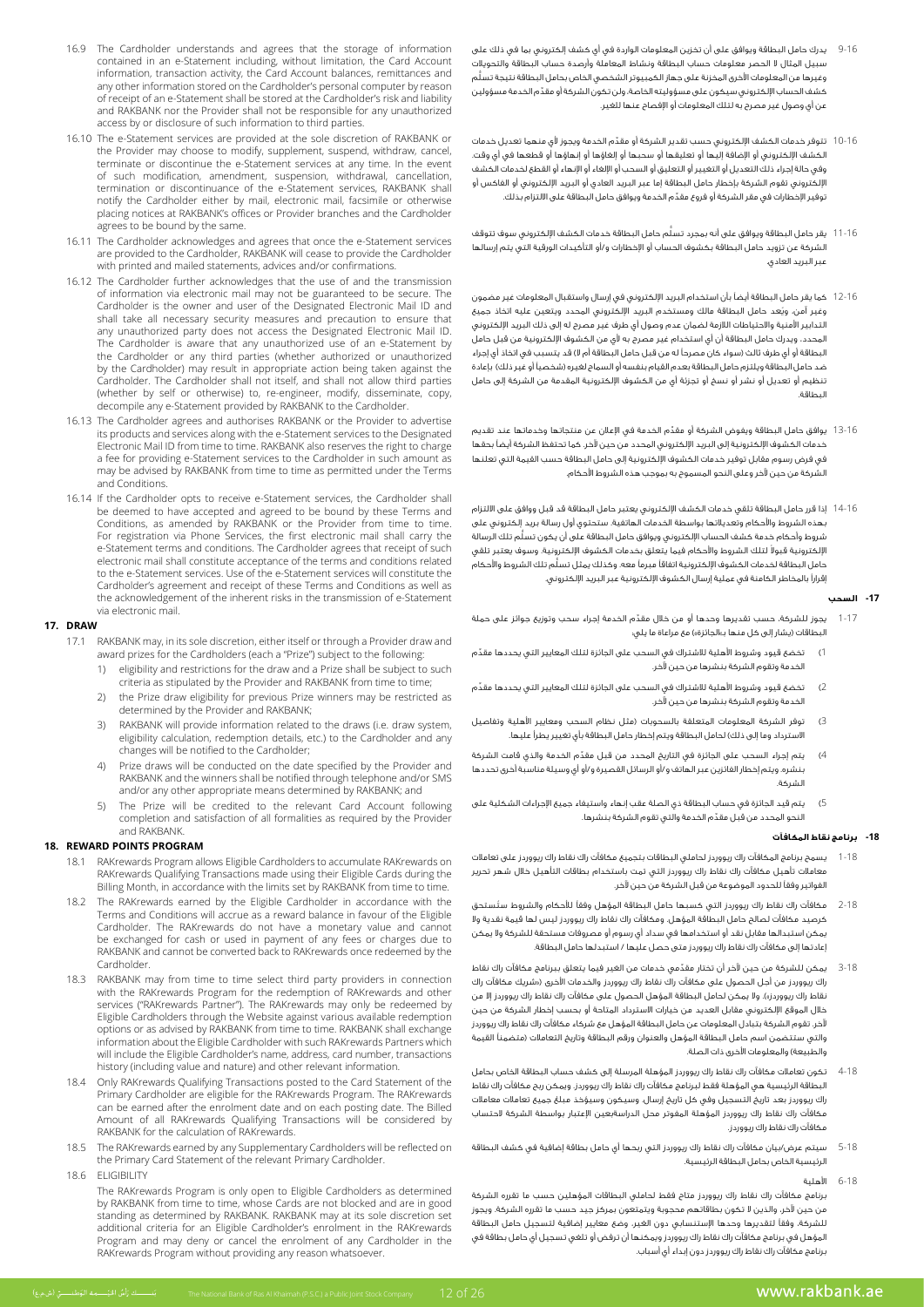- 9-16 يدرك حامل البطاقة ويوافق على أن تخزين المعلومات الواردة في أي كشف إلكتروني بما في ذلك على سبيل المثال ال الحصر معلومات حساب البطاقة ونشاط المعاملة وأرصدة حساب البطاقة والتحويالت ُّ وغيرها من المعلومات األخرى المخزنة على جهاز الكمبيوتر الشخصي الخاص بحامل البطاقة نتيجة تسلم ِّ كشف الحساب اإللكتروني سيكون على مسؤوليته الخاصة، ولن تكون الشركة أو مقدم الخدمة مسؤولين عن أي وصول غير مصرح به لتلك المعلومات أو اإلفصاح عنها للغير.
- 10-16 ِّ تتوفر خدمات الكشف اإللكتروني حسب تقدير الشركة أو مقدم الخدمة ويجوز ألي منهما تعديل خدمات الكشف اإللكتروني أو اإلضافة إليها أو تعليقها أو سحبها أو إلغاؤها أو إنهاؤها أو قطعها في أي وقت. وفي حالة إجراء ذلك التعديل أو التغيير أو التعليق أو السحب أو اإللغاء أو اإلنهاء أو القطع لخدمات الكشف اإللكتروني تقوم الشركة بإخطار حامل البطاقة إما عبر البريد العادي أو البريد اإللكتروني أو الفاكس أو ِّ توفير اإلخطارات في مقر الشركة أو فروع مقدم الخدمة ويوافق حامل البطاقة على االلتزام بذلك.
- 11-16 ُّ يقر حامل البطاقة ويوافق على أنه بمجرد تسلم حامل البطاقة خدمات الكشف اإللكتروني سوف تتوقف الشركة عن تزويد حامل البطاقة بكشوف الحساب أو اإلخطارات و/أو التأكيدات الورقية التي يتم إرسالها عبر البريد العادي.
- 12-16 كما يقر حامل البطاقة أيضًا بأن استخدام البريد اإللكتروني في إرسال واستقبال المعلومات غير مضمون ُ وغير آمن، ويعد حامل البطاقة مالك ومستخدم البريد اإللكتروني المحدد ويتعين عليه اتخاذ جميع التدابير األمنية واالحتياطات الالزمة لضمان عدم وصول أي طرف غير مصرح له إلى ذلك البريد اإللكتروني المحدد، ويدرك حامل البطاقة أن أي استخدام غير مصرح به ألي من الكشوف اإللكترونية من قبل حامل البطاقة أو أي طرف ثالث (سواء كان مصرحاً له من قبل حامل البطاقة أم لا) قد يتسبب في اتخاذ أي إجراء ضد حامل البطاقة ويلتزم حامل البطاقة بعدم القيام بنغسه أو السماح لغيره (شخصياً أو غير ذلك) بإعادة تنظيم أو تعديل أو نشر أو نسخ أو تجزئة أي من الكشوف اإللكترونية المقدمة من الشركة إلى حامل البطاقة.
- 13-16 ِّ يوافق حامل البطاقة ويفوض الشركة أو مقدم الخدمة في اإلعالن عن منتجاتها وخدماتها عند تقديم خدمات الكشوف اإللكترونية إلى البريد اإللكتروني المحدد من حين آلخر. كما تحتفظ الشركة أيضًا بحقها في فرض رسوم مقابل توفير خدمات الكشوف اإللكترونية إلى حامل البطاقة حسب القيمة التي تعلنها الشركة من حين آلخر وعلى النحو المسموح به بموجب هذه الشروط األحكام.
- 14-16 إذا قرر حامل البطاقة تلقي خدمات الكشف اإللكتروني يعتبر حامل البطاقة قد قبل ووافق على االلتزام بهذه الشروط واألحكام وتعديالتها بواسطة الخدمات الهاتفية. ستحتوي أول رسالة بريد إلكتروني على ُّ شروط وأحكام خدمة كشف الحساب اإللكتروني ويوافق حامل البطاقة على أن يكون تسلم تلك الرسالة لإلكترونية قبولا لتلك الشروط والأحكام فيما يتعلق بخدمات الكشوف الإلكترونية. وسوف يعتبر تلقي ُّ حامل البطاقة لخدمات الكشوف اإللكترونية اتفاقًا مبرمًا معه. وكذلك يمثل تسلم تلك الشروط واألحكام إقرارًا بالمخاطر الكامنة في عملية إرسال الكشوف اإللكترونية عبر البريد اإللكتروني.

# **-17 السحب**

- 1-17 ِّ يجوز للشركة، حسب تقديرها وحدها أو من خالل مقدم الخدمة إجراء سحب وتوزيع جوائز على حملة البطاقات )يشار إلى كل منها بـ«الجائزة«( مع مراعاة ما يلي:
- تخضع قيود وشروط الأهلية للاشتراك في السحب على الجائزة لتلك المعايير التي يحددها مقدّم الخدمة وتقوم الشركة بنشرها من حين آلخر.
- .<br>2) تخضع قيود وشروط الأهلية للاشتراك في السحب على الجائزة لتلك المعايير التي يحددها مقدّم الخدمة وتقوم الشركة بنشرها من حين آلخر.
- 3( توفر الشركة المعلومات المتعلقة بالسحوبات )مثل نظام السحب ومعايير األهلية وتفاصيل الاسترداد وما إلى ذلك) لحامل البطاقة ويتم إخطار حامل البطاقة بأى تغيير يطرأ عليها.
- 4) يتم إجراء السحب على الجائزة في التاريخ المحدد من قبل مقدِّم الخدمة والذي قامت الشركة بنشره. ويتم إخطار الفائزين عبر الهاتف و/أو الرسائل القصيرة و/أو أي وسيلة مناسبة أخرى تحددها الشركة.
- 5) يتم قيد الجائزة في حساب البطاقة ذي الصلة عقب إنهاء واستيفاء جميع الإجراءات الشكلية على ِّ النحو المحدد من قبل مقدم الخدمة والتي تقوم الشركة بنشرها.

# **-18 برنامج نقاط المكافآت**

- 1-18 يسمح برنامج المكافآت راك ريووردز لحاملي البطاقات بتجميع مكافآت راك نقاط راك ريووردز على تعامالت .<br>معاملات تأهيل مكافآت راك نقاط راك ريووردز التي تمت باستخدام بطاقات التأهيل خلال شهر تحرير الفواتير وفقًا للحدود الموضوعة من قبل الشركة من حين آلخر.
- 2-18 ُ مكافآت راك نقاط راك ريووردز التي كسبها حامل البطاقة المؤهل وفقًا لألحكام والشروط ستستحق كرصيد مكافآت لصالح حامل البطاقة المؤهل. ومكافآت راك نقاط راك ريووردز ليس لها قيمة نقدية وال يمكن استبدالها مقابل نقد أو استخدامها في سداد أي رسوم أو مصروفات مستحقة للشركة وال يمكن إعادتها إلى مكافآت راك نقاط راك ريووردز متى حصل عليها / استبدلها حامل البطاقة.
- 3-18 ِّ يمكن للشركة من حين آلخر أن تختار مقدمي خدمات من الغير فيما يتعلق ببرنامج مكافآت راك نقاط راك ريووردز من أجل الحصول على مكافآت راك نقاط راك ريووردز والخدمات األخرى )»شريك مكافآت راك نقاط راك ريووردز»). ولا يمكن لحامل البطاقة المؤهل الحصول على مكافآت راك نقاط راك ريووردز إلا من خالل الموقع اإللكتروني مقابل العديد من خيارات االسترداد المتاحة أو بحسب إخطار الشركة من حين آلخر. تقوم الشركة بتبادل المعلومات عن حامل البطاقة المؤهل مع شركاء مكافآت راك نقاط راك ريووردز والتي ستتضمن اسم حامل البطاقة المؤهل والعنوان ورقم البطاقة وتاريخ التعامالت )متضمنًا القيمة والطبيعة) والمعلومات الأخرى ذات الصلة.
- 4-18 تكون تعامالت مكافآت راك نقاط راك ريووردز المؤهلة المرسلة إلى كشف حساب البطاقة الخاص بحامل البطاقة الرئيسية هي المؤهلة فقط لبرنامج مكافآت راك نقاط راك ريووردز. ويمكن ربح مكافآت راك نقاط راك ريووردز بعد تاريخ التسجيل وفي كل تاريخ إرسال. وسيكون وسيؤخذ مبلغ جميع تعامالت معامالت مكافآت راك نقاط راك ريووردز المؤهلة المفوتر محل الدراسةبعين اإلعتبار بواسطة الشركة الحتساب مكافآت راك نقاط راك ريووردز.
- 5-18 سيتم عرض/بيان مكافآت راك نقاط راك ريووردز التي ربحها أي حامل بطاقة إضافية في كشف البطاقة الرئيسية الخاص بحامل البطاقة الرئيسية.
	- 6-18 األهلية

www.rakbank.ae

 برنامج مكافآت راك نقاط راك ريووردز متاح فقط لحاملي البطاقات المؤهلين حسب ما تقرره الشركة من حين آلخر، والذين ال تكون بطاقاتهم محجوبة ويتمتعون بمركز جيد حسب ما تقرره الشركة. ويجوز للشركة، وفقًا لتقديرها وحدها اإلستنسابي دون الغير، وضع معايير إضافية لتسجيل حامل البطاقة المؤهل في برنامج مكافآت راك نقاط راك ريووردز ويمكنها أن ترفض أو تلغي تسجيل أي حامل بطاقة في برنامج مكافآت راك نقاط راك ريووردز دون إبداء أي أسباب.

- 16.9 The Cardholder understands and agrees that the storage of information contained in an e-Statement including, without limitation, the Card Account information, transaction activity, the Card Account balances, remittances and any other information stored on the Cardholder's personal computer by reason of receipt of an e-Statement shall be stored at the Cardholder's risk and liability and RAKBANK nor the Provider shall not be responsible for any unauthorized access by or disclosure of such information to third parties.
- 16.10 The e-Statement services are provided at the sole discretion of RAKBANK or the Provider may choose to modify, supplement, suspend, withdraw, cancel, terminate or discontinue the e-Statement services at any time. In the event of such modification, amendment, suspension, withdrawal, cancellation, termination or discontinuance of the e-Statement services, RAKBANK shall notify the Cardholder either by mail, electronic mail, facsimile or otherwise placing notices at RAKBANK's offices or Provider branches and the Cardholder agrees to be bound by the same.
- 16.11 The Cardholder acknowledges and agrees that once the e-Statement services are provided to the Cardholder, RAKBANK will cease to provide the Cardholder with printed and mailed statements, advices and/or confirmations.
- 16.12 The Cardholder further acknowledges that the use of and the transmission of information via electronic mail may not be guaranteed to be secure. The Cardholder is the owner and user of the Designated Electronic Mail ID and shall take all necessary security measures and precaution to ensure that any unauthorized party does not access the Designated Electronic Mail ID. The Cardholder is aware that any unauthorized use of an e-Statement by the Cardholder or any third parties (whether authorized or unauthorized by the Cardholder) may result in appropriate action being taken against the Cardholder. The Cardholder shall not itself, and shall not allow third parties (whether by self or otherwise) to, re-engineer, modify, disseminate, copy, decompile any e-Statement provided by RAKBANK to the Cardholder.
- 16.13 The Cardholder agrees and authorises RAKBANK or the Provider to advertise its products and services along with the e-Statement services to the Designated Electronic Mail ID from time to time. RAKBANK also reserves the right to charge a fee for providing e-Statement services to the Cardholder in such amount as may be advised by RAKBANK from time to time as permitted under the Terms and Conditions.
- 16.14 If the Cardholder opts to receive e-Statement services, the Cardholder shall be deemed to have accepted and agreed to be bound by these Terms and Conditions, as amended by RAKBANK or the Provider from time to time. For registration via Phone Services, the first electronic mail shall carry the e-Statement terms and conditions. The Cardholder agrees that receipt of such electronic mail shall constitute acceptance of the terms and conditions related to the e-Statement services. Use of the e-Statement services will constitute the Cardholder's agreement and receipt of these Terms and Conditions as well as the acknowledgement of the inherent risks in the transmission of e-Statement via electronic mail.

## **DRAW 17.**

- 17.1 RAKBANK may, in its sole discretion, either itself or through a Provider draw and is the the the substitution of the total card the total and the following:
	- eligibility and restrictions for the draw and a Prize shall be subject to such criteria as stipulated by the Provider and RAKBANK from time to time;
	- 2) the Prize draw eligibility for previous Prize winners may be restricted as determined by the Provider and RAKBANK;
	- 3) RAKBANK will provide information related to the draws (i.e. draw system, eligibility calculation, redemption details, etc.) to the Cardholder and any changes will be notified to the Cardholder;
	- Prize draws will be conducted on the date specified by the Provider and RAKBANK and the winners shall be notified through telephone and/or SMS and/or any other appropriate means determined by RAKBANK; and
	- 5) The Prize will be credited to the relevant Card Account following completion and satisfaction of all formalities as required by the Provider and RAKBANK.

### **18. REWARD POINTS PROGRAM**

- RAKrewards Program allows Eligible Cardholders to accumulate RAKrewards on RAKrewards Qualifying Transactions made using their Eligible Cards during the Billing Month, in accordance with the limits set by RAKBANK from time to time.
- 18.2 The RAKrewards earned by the Eligible Cardholder in accordance with the Terms and Conditions will accrue as a reward balance in favour of the Eligible Cardholder. The RAKrewards do not have a monetary value and cannot be exchanged for cash or used in payment of any fees or charges due to RAKBANK and cannot be converted back to RAKrewards once redeemed by the .Cardholder
- 18.3 RAKBANK may from time to time select third party providers in connection with the RAKrewards Program for the redemption of RAKrewards and other services ("RAKrewards Partner"). The RAKrewards may only be redeemed by Eligible Cardholders through the Website against various available redemption options or as advised by RAKBANK from time to time. RAKBANK shall exchange information about the Eligible Cardholder with such RAKrewards Partners which will include the Eligible Cardholder's name, address, card number, transactions history (including value and nature) and other relevant information.
- 18.4 Only RAKrewards Qualifying Transactions posted to the Card Statement of the Primary Cardholder are eligible for the RAKrewards Program. The RAKrewards can be earned after the enrolment date and on each posting date. The Billed Amount of all RAKrewards Qualifying Transactions will be considered by RAKBANK for the calculation of RAKrewards.
- 18.5 The RAKrewards earned by any Supplementary Cardholders will be reflected on the Primary Card Statement of the relevant Primary Cardholder.
- 18.6 FLIGIBILITY

The RAKrewards Program is only open to Eligible Cardholders as determined by RAKBANK from time to time, whose Cards are not blocked and are in good set discretion sole is at may also the discretion sole discretion set standing as determined by RAKBANK. RAKBANK may at its sole discretion set additional criteria for an Eligible Cardholder's enrolment in the RAKrewards Program and may deny or cancel the enrolment of any Cardholder in the RAKrewards Program without providing any reason whatsoever.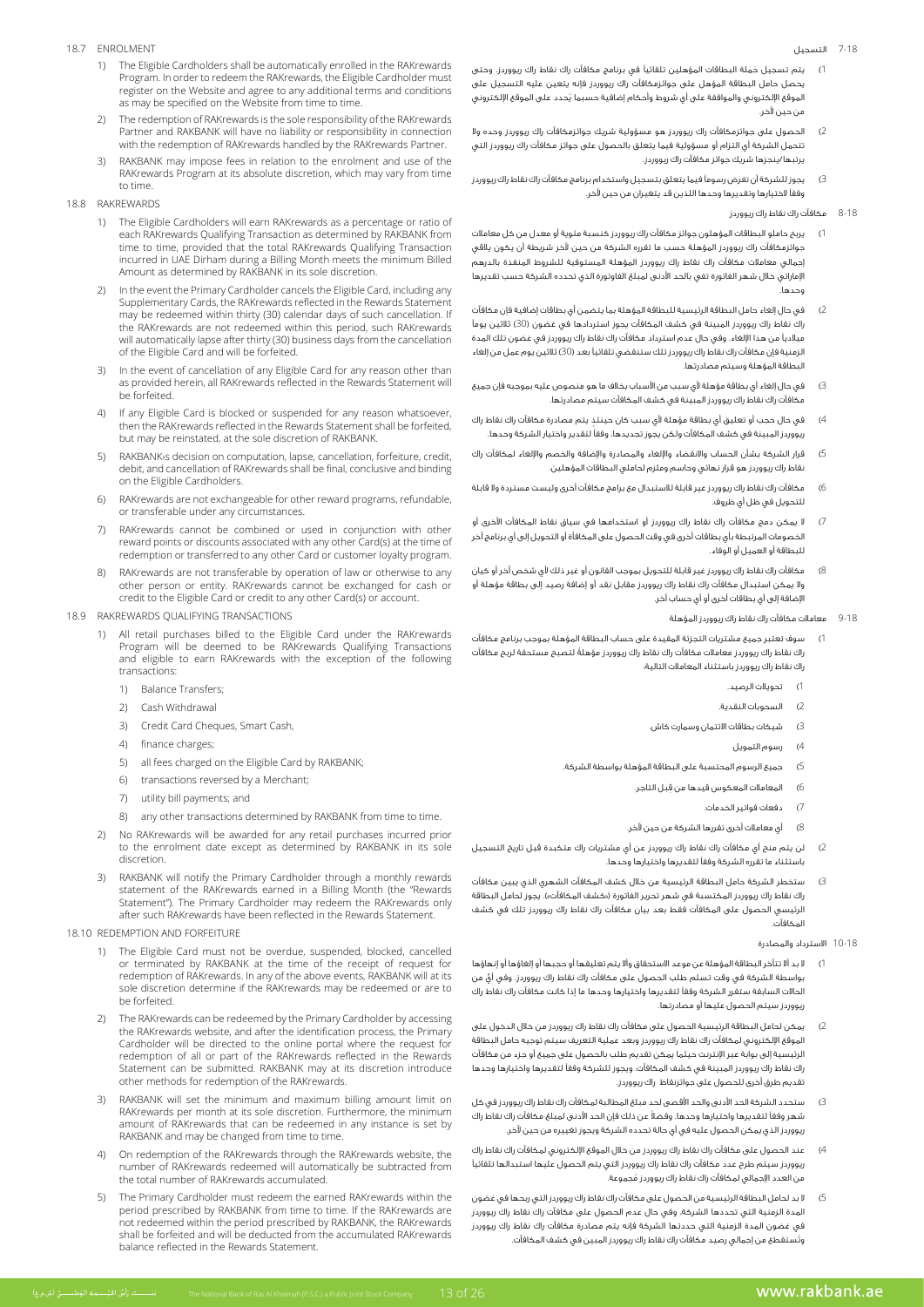#### .<br>7-18 التسجيل

- 18.7 ENROLMENT
	- 1) The Eligible Cardholders shall be automatically enrolled in the RAKrewards Program. In order to redeem the RAKrewards, the Eligible Cardholder must register on the Website and agree to any additional terms and conditions as may be specified on the Website from time to time.
	- The redemption of RAKrewards is the sole responsibility of the RAKrewards Partner and RAKBANK will have no liability or responsibility in connection with the redemption of RAKrewards handled by the RAKrewards Partner.
	- 3) RAKBANK may impose fees in relation to the enrolment and use of the RAKrewards Program at its absolute discretion, which may vary from time to time

#### 18.8 RAKREWARDS

- 1) The Eligible Cardholders will earn RAKrewards as a percentage or ratio of each RAKrewards Qualifying Transaction as determined by RAKBANK from time to time, provided that the total RAKrewards Qualifying Transaction incurred in UAE Dirham during a Billing Month meets the minimum Billed Amount as determined by RAKBANK in its sole discretion.
- In the event the Primary Cardholder cancels the Eligible Card, including any Supplementary Cards, the RAKrewards reflected in the Rewards Statement may be redeemed within thirty (30) calendar days of such cancellation. If the RAKrewards are not redeemed within this period, such RAKrewards will automatically lapse after thirty (30) business days from the cancellation of the Fligible Card and will be forfeited.
- 3) In the event of cancellation of any Eligible Card for any reason other than as provided herein, all RAKrewards reflected in the Rewards Statement will be forfeited.
- If any Eligible Card is blocked or suspended for any reason whatsoever, then the RAKrewards reflected in the Rewards Statement shall be forfeited, but may be reinstated, at the sole discretion of RAKBANK.
- 5) RAKBANK<sub>'s</sub> decision on computation, lapse, cancellation, forfeiture, credit, debit, and cancellation of RAKrewards shall be final, conclusive and binding on the Eligible Cardholders.
- RAKrewards are not exchangeable for other reward programs, refundable, or transferable under any circumstances.
- RAKrewards cannot be combined or used in conjunction with other reward points or discounts associated with any other Card(s) at the time of redemption or transferred to any other Card or customer loyalty program.
- RAKrewards are not transferable by operation of law or otherwise to any other person or entity. RAKrewards cannot be exchanged for cash or credit to the Eligible Card or credit to any other Card(s) or account.
- 18.9 RAKREWARDS OUALIFYING TRANSACTIONS
	- 1) All retail purchases billed to the Eligible Card under the RAKrewards Program will be deemed to be RAKrewards Qualifying Transactions and eligible to earn RAKrewards with the exception of the following transactions
		- 1) Balance Transfers:
		- 2) Cash Withdrawal
		- 3) Credit Card Cheques, Smart Cash,
		- 4) finance charges;
		- 5) all fees charged on the Eligible Card by RAKBANK
		- 6) transactions reversed by a Merchant;
		- 7) utility bill nayments: and
		- 8) any other transactions determined by RAKBANK from time to time.
	- 2) No RAKrewards will be awarded for any retail purchases incurred prior to the enrolment date except as determined by RAKBANK in its sole .discretion
	- 3) RAKBANK will notify the Primary Cardholder through a monthly rewards statement of the RAKrewards earned in a Billing Month (the "Rewards Statement"). The Primary Cardholder may redeem the RAKrewards only after such RAKrewards have been reflected in the Rewards Statement.

# 18.10 REDEMPTION AND FORFEITURE

- 1) The Eligible Card must not be overdue, suspended, blocked, cancelled or terminated by RAKBANK at the time of the receipt of request for redemption of RAKrewards. In any of the above events, RAKBANK will at its sole discretion determine if the RAKrewards may be redeemed or are to he forfeited
	- 2) The RAKrewards can be redeemed by the Primary Cardholder by accessing the RAKrewards website, and after the identification process, the Primary Cardholder will be directed to the online portal where the request for redemption of all or part of the RAKrewards reflected in the Rewards Statement can be submitted. RAKBANK may at its discretion introduce other methods for redemption of the RAKrewards.
	- 3) RAKBANK will set the minimum and maximum billing amount limit on RAKrewards per month at its sole discretion. Furthermore, the minimum amount of RAKrewards that can be redeemed in any instance is set by RAKBANK and may be changed from time to time.
	- On redemption of the RAKrewards through the RAKrewards website, the number of RAKrewards redeemed will automatically be subtracted from the total number of RAKrewards accumulated.
	- The Primary Cardholder must redeem the earned RAKrewards within the period prescribed by RAKBANK from time to time. If the RAKrewards are not redeemed within the period prescribed by RAKBANK, the RAKrewards shall be forfeited and will be deducted from the accumulated RAKrewards balance reflected in the Rewards Statement.
- يتم تسجيل حَمَلة البطاقات المؤهلين تلقائياً في برنامج مكافآت راك نقاط راك ريووردز. وحتى يحصل حامل البطاقة المؤهل على جوائزمكافآت راك ريووردز فإنه يتعين عليه التسجيل على ُ الموقع اإللكتروني والموافقة على أي شروط وأحكام إضافية حسبما يحدد على الموقع اإللكتروني من حين آلخر.
- 2( الحصول على جوائزمكافآت راك ريووردز هو مسؤولية شريك جوائزمكافآت راك ريووردز وحده وال تتحمل الشركة أي التزام أو مسؤولية فيما يتعلق بالحصول على جوائز مكافآت راك ريووردز التي يرتبها/ينجزها شريك جوائز مكافآت راك ريووردز.
- 3( يجوز للشركة أن تفرض رسومًا فيما يتعلق بتسجيل واستخدام برنامج مكافآت راك نقاط راك ريووردز وفقًا الختيارها وتقديرها وحدها اللذين قد يتغيران من حين آلخر.

#### 8-18 مكافآت راك نقاط راك ريووردز

- 1( يربح حاملو البطاقات المؤهلون جوائز مكافآت راك ريووردز كنسبة مئوية أو معدل من كل معامالت جوائزمكافآت راك ريووردز المؤهلة حسب ما تقرره الشركة من حين آلخر شريطة أن يكون يالقي إجمالي معامالت مكافآت راك نقاط راك ريووردز المؤهلة المستوفية للشروط المنفذة بالدرهم اإلماراتي خالل شهر الفاتورة تفي بالحد األدنى لمبلغ الفاوتورة الذي تحدده الشركة حسب تقديرها وحدها.
- 2( في حال إلغاء حامل البطاقة الرئيسية للبطاقة المؤهلة بما يتضمن أي بطاقات إضافية فإن مكافآت راك نقاط راك ريووردز المبينة في كشف المكافآت يجوز استردادها في غضون )30( ثالثين يومًا ميالديًا من هذا اإللغاء. وفي حال عدم استرداد مكافآت راك نقاط راك ريووردز في غضون تلك المدة الزمنية فإن مكافآت راك نقاط راك ريووردز تلك ستنقضي تلقائيًا بعد )30( ثالثين يوم عمل من إلغاء البطاقة المؤهلة وسيتم مصادرتها.
- 3( في حال إلغاء أي بطاقة مؤهلة ألي سبب من األسباب بخالف ما هو منصوص عليه بموجبه فإن جميع مكافآت راك نقاط راك ريووردز المبينة في كشف المكافآت سيتم مصادرتها.
- 4) في حال حجب أو تعليق أي بطاقة مؤهلة لأي سبب كان حينئذٍ يتم مصادرة مكافآت راك نقاط راك ريووردز المبينة في كشف المكافآت ولكن يجوز تجديدها، وفقًا لتقدير واختيار الشركة وحدها.
- 5( قرار الشركة بشأن الحساب واالنقضاء واإللغاء والمصادرة واإلضافة والخصم واإللغاء لمكافآت راك نقاط راك ريووردز هو قرار نهائي وحاسم وملزم لحاملي البطاقات المؤهلين.
- 6( مكافآت راك نقاط راك ريووردز غير قابلة لالستبدال مع برامج مكافآت أخرى وليست مستردة وال قابلة للتحويل في ظل أي ظروف.
- .<br>7) لا يمكن دمج مكافآت راك نقاط راك ريووردز أو استخدامها في سياق نقاط المكافآت الأخرى أو الخصومات المرتبطة بأي بطاقات أخرى في وقت الحصول على المكافأة أو التحويل إلى أي برنامج آخر للبطاقة أو العميل أو الوفاء.
- مكافآت راك نقاط راك ريووردز غير قابلة للتحويل بموجب القانون أو غير ذلك لأى شخص آخر أو كيان وال يمكن استبدال مكافآت راك نقاط راك ريووردز مقابل نقد أو إضافة رصيد إلى بطاقة مؤهلة أو اإلضافة إلى أي بطاقات أخرى أو أي حساب آخر.
	- 9-18 معامالت مكافآت راك نقاط راك ريووردز المؤهلة
- 1( سوف تعتبر جميع مشتريات التجزئة المقيدة على حساب البطاقة المؤهلة بموجب برنامج مكافآت ً راك نقاط راك ريووردز معامالت مكافآت راك نقاط راك ريووردز مؤهلة لتصبح مستحقة لربح مكافآت راك نقاط راك ريووردز باستثناء المعامالت التالية:
	- 1) تحويلا<mark>ت الر</mark>صيد.
	- 2) السحوبات النقدية.
	- 3( شيكات بطاقات االئتمان وسمارت كاش.
		- 4( رسوم التمويل
	- 5( جميع الرسوم المحتسبة على البطاقة المؤهلة بواسطة الشركة.
		- 6) المعاملات المعكوس قيدها من قبل التاجر.
			- 7( دفعات فواتير الخدمات.
			- 8( أي معامالت أخرى تقررها الشركة من حين آلخر.
- 2( لن يتم منح أي مكافآت راك نقاط راك ريووردز عن أي مشتريات راك متكبدة قبل تاريخ التسجيل باستثناء ما تقرره الشركة وفقًا لتقديرها واختيارها وحدها.
- 3( ستخطر الشركة حامل البطاقة الرئيسية من خالل كشف المكافآت الشهري الذي يبين مكافآت راك نقاط راك ريووردز المكتسبة في شهر تحرير الفاتورة («كشف المكافآت»). يجوز لحامل البطاقة الرئيسي الحصول على المكافآت فقط بعد بيان مكافآت راك نقاط راك ريووردز تلك في كشف المكافآت.
	- 10-18 االسترداد والمصادرة
- 1( ال بد أال تتأخر البطاقة المؤهلة عن موعد االستحقاق وأال يتم تعليقها أو حجبها أو إلغاؤها أو إنهاؤها ٍّ بواسطة الشركة في وقت تسلم طلب الحصول على مكافآت راك نقاط راك ريووردز. وفي أي من الحاالت السابقة ستقرر الشركة وفقًا لتقديرها واختيارها وحدها ما إذا كانت مكافآت راك نقاط راك ريووردز سيتم الحصول عليها أو مصادرتها.
- 2( يمكن لحامل البطاقة الرئيسية الحصول على مكافآت راك نقاط راك ريووردز من خالل الدخول على الموقع اإللكتروني لمكافآت راك نقاط راك ريووردز وبعد عملية التعريف سيتم توجيه حامل البطاقة الرئيسية إلى بوابة عبر اإلنترنت حيثما يمكن تقديم طلب بالحصول على جميع أو جزء من مكافآت راك نقاط راك ريووردز المبينة في كشف المكافآت. ويجوز للشركة وفقًا لتقديرها واختيارها وحدها تقديم طرق أخرى للحصول على جوائزنقاظ راك ريووردز.
- 3( ستحدد الشركة الحد األدنى والحد األقصى لحد مبلغ المطالبة لمكافآت راك نقاط راك ريووردز في كل ً شهر وفقًا لتقديرها واختيارها وحدها. وفضال عن ذلك فإن الحد األدنى لمبلغ مكافآت راك نقاط راك ريووردز الذي يمكن الحصول عليه في أي حالة تحدده الشركة ويجوز تغييره من حين آلخر.
- 4( عند الحصول على مكافآت راك نقاط راك ريووردز من خالل الموقع اإللكتروني لمكافآت راك نقاط راك ريووردز سيتم طرح عدد مكافآت راك نقاط راك ريووردز التي يتم الحصول عليها استبدالها تلقائيًا ُ من العدد اإلجمالي لمكافآت راك نقاط راك ريووردز مجموعة.
- 5( ال بد لحامل البطاقة الرئيسية من الحصول على مكافآت راك نقاط راك ريووردز التي ربحها في غضون المدة الزمنية التي تحددها الشركة، وفي حال عدم الحصول على مكافآت راك نقاط راك ريووردز في غضون المدة الزمنية التي حددتها الشركة فإنه يتم مصادرة مكافآت راك نقاط راك ريووردز ُوتستقطع من إجمالي رصيد مكافآت راك نقاط راك ريووردز المبين في كشف المكافآت.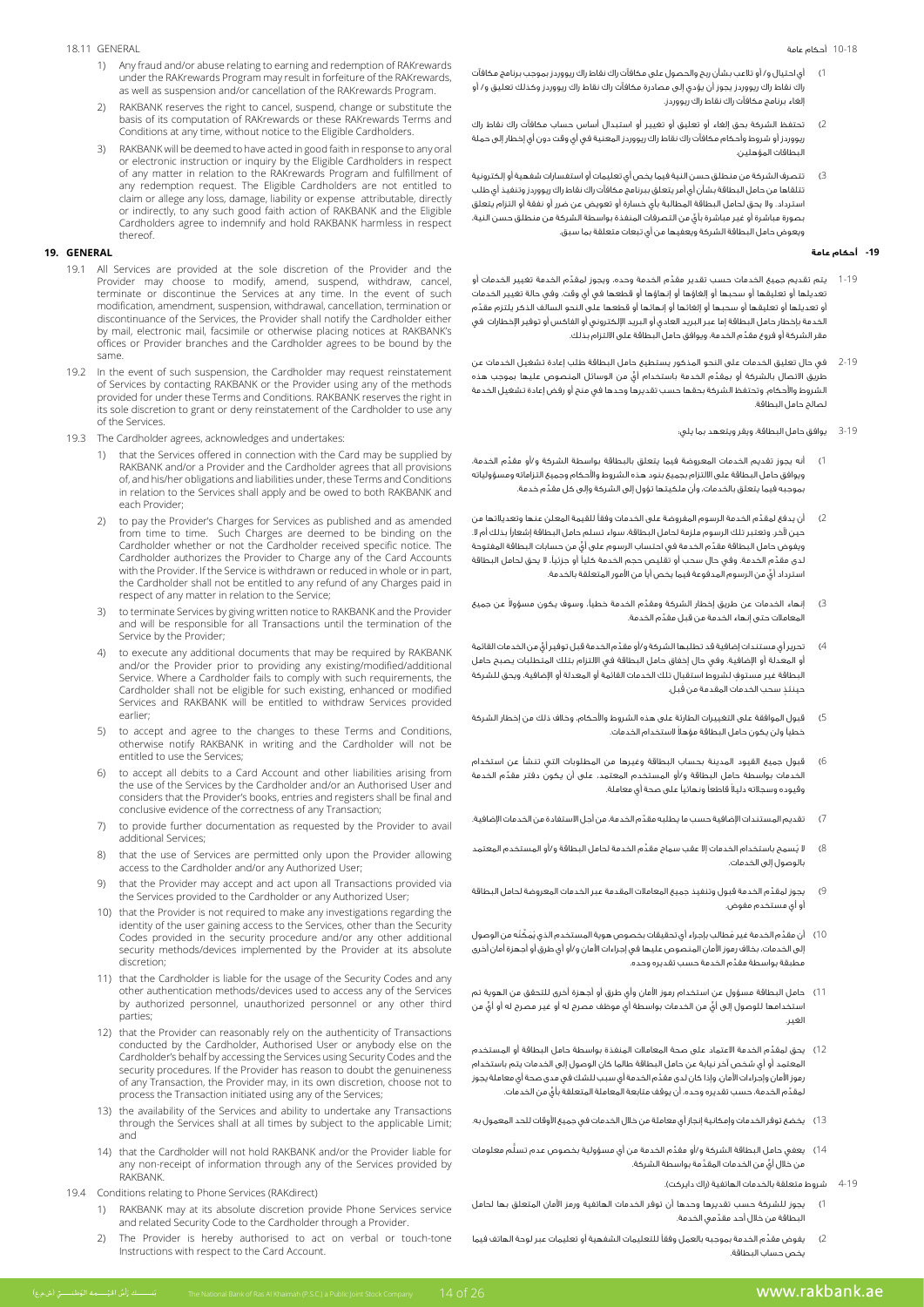#### 10-18 أحكام عامة

#### 18.11 GENERAL

- 1) Any fraud and/or abuse relating to earning and redemption of RAKrewards under the RAKrewards Program may result in forfeiture of the RAKrewards, as well as suspension and/or cancellation of the RAKrewards Program.
- RAKBANK reserves the right to cancel, suspend, change or substitute the basis of its computation of RAKrewards or these RAKrewards Terms and Conditions at any time, without notice to the Eligible Cardholders.
- RAKBANK will be deemed to have acted in good faith in response to any oral or electronic instruction or inquiry by the Eligible Cardholders in respect of any matter in relation to the RAKrewards Program and fulfillment of any redemption request. The Eligible Cardholders are not entitled to claim or allege any loss, damage, liability or expense attributable, directly or indirectly, to any such good faith action of RAKBANK and the Eligible Cardholders agree to indemnify and hold RAKBANK harmless in respect .thereof

# **GENERAL 19.**

- 19.1 All Services are provided at the sole discretion of the Provider and the Provider may choose to modify, amend, suspend, withdraw, cancel, terminate or discontinue the Services at any time. In the event of such modification, amendment, suspension, withdrawal, cancellation, termination or discontinuance of the Services, the Provider shall notify the Cardholder either by mail, electronic mail, facsimile or otherwise placing notices at RAKBANK's offices or Provider branches and the Cardholder agrees to be bound by the .same
- 19.2 In the event of such suspension, the Cardholder may request reinstatement of Services by contacting RAKBANK or the Provider using any of the methods provided for under these Terms and Conditions. RAKBANK reserves the right in its sole discretion to grant or deny reinstatement of the Cardholder to use any of the Services.
- 19.3 The Cardholder agrees, acknowledges and undertakes:
	- 1) that the Services offered in connection with the Card may be supplied by RAKBANK and/or a Provider and the Cardholder agrees that all provisions of, and his/her obligations and liabilities under, these Terms and Conditions in relation to the Services shall apply and be owed to both RAKBANK and each Provider:
	- 2) to pay the Provider's Charges for Services as published and as amended from time to time. Such Charges are deemed to be binding on the Cardholder whether or not the Cardholder received specific notice. The Cardholder authorizes the Provider to Charge any of the Card Accounts with the Provider. If the Service is withdrawn or reduced in whole or in part, the Cardholder shall not be entitled to any refund of any Charges paid in respect of any matter in relation to the Service;
	- 3) to terminate Services by giving written notice to RAKBANK and the Provider and will be responsible for all Transactions until the termination of the Service by the Provider;
	- to execute any additional documents that may be required by RAKBANK and/or the Provider prior to providing any existing/modified/additional Service. Where a Cardholder fails to comply with such requirements, the Cardholder shall not be eligible for such existing, enhanced or modified Services and RAKBANK will be entitled to withdraw Services provided earlier;
	- to accept and agree to the changes to these Terms and Conditions, otherwise notify RAKBANK in writing and the Cardholder will not be entitled to use the Services;
	- $6$  to accept all debits to a Card Account and other liabilities arising from the use of the Services by the Cardholder and/or an Authorised User and considers that the Provider's books, entries and registers shall be final and conclusive evidence of the correctness of any Transaction;
	- to provide further documentation as requested by the Provider to avail additional Services:
	- 8) that the use of Services are permitted only upon the Provider allowing access to the Cardholder and/or any Authorized User;
	- that the Provider may accept and act upon all Transactions provided via the Services provided to the Cardholder or any Authorized User;
	- 10) that the Provider is not required to make any investigations regarding the identity of the user gaining access to the Services, other than the Security Codes provided in the security procedure and/or any other additional security methods/devices implemented by the Provider at its absolute discretion;
	- 11) that the Cardholder is liable for the usage of the Security Codes and any other authentication methods/devices used to access any of the Services by authorized personnel, unauthorized personnel or any other third ;parties
	- 12) that the Provider can reasonably rely on the authenticity of Transactions conducted by the Cardholder, Authorised User or anybody else on the Cardholder's behalf by accessing the Services using Security Codes and the security procedures. If the Provider has reason to doubt the genuineness of any Transaction, the Provider may, in its own discretion, choose not to process the Transaction initiated using any of the Services;
	- 13) the availability of the Services and ability to undertake any Transactions through the Services shall at all times by subject to the applicable Limit; and
	- for that the Cardholder will not hold RAKBANK and/or the Provider liable for any non-receipt of information through any of the Services provided by .RAKBANK
- 19.4 Conditions relating to Phone Services (RAKdirect)
	- 1) RAKBANK may at its absolute discretion provide Phone Services service and related Security Code to the Cardholder through a Provider.
	- 2) The Provider is hereby authorised to act on verbal or touch-tone Instructions with respect to the Card Account.
- 1( أي احتيال و/ أو تالعب بشأن ربح والحصول على مكافآت راك نقاط راك ريووردز بموجب برنامج مكافآت راك نقاط راك ريووردز يجوز أن يؤدي إلى مصادرة مكافآت راك نقاط راك ريووردز وكذلك تعليق و/ أو .<br>الغاء برنامج مكافآت راك نقاط راك ريووردز.
- 2( تحتفظ الشركة بحق إلغاء أو تعليق أو تغيير أو استبدال أساس حساب مكافآت راك نقاط راك ريووردز أو شروط وأحكام مكافآت راك نقاط راك ريووردز المعنية في أي وقت دون أي إخطار إلى حملة البطاقات المؤهلين.
- 3( تتصرف الشركة من منطلق حسن النية فيما يخص أي تعليمات أو استفسارات شفهية أو إلكترونية تتلقاها من حامل البطاقة بشأن أي أمر يتعلق ببرنامج مكافآت راك نقاط راك ريووردز وتنفيذ أي طلب استرداد. وال يحق لحامل البطاقة المطالبة بأي خسارة أو تعويض عن ضرر أو نفقة أو التزام يتعلق ٍّ بصورة مباشرة أو غير مباشرة بأي من التصرفات المنفذة بواسطة الشركة من منطلق حسن النية، ويعوض حامل البطاقة الشركة ويعفيها من أي تبعات متعلقة بما سبق.

### **-19 أحكام عامة**

- 1-19  $\,$  يتم تقديم جميع الخدمات حسب تقدير مقدّم الخدمة وحده، ويجوز لمقدّم الخدمة تغيير الخدمات أو تعديلها أو تعليقها أو سحبها أو إلغاؤها أو إنهاؤها أو قطعها في أي وقت. وفي حالة تغيير الخدمات ِّ أو تعديلها أو تعليقها أو سحبها أو إلغائها أو إنهائها أو قطعها على النحو السالف الذكر يلتزم مقدم الخدمة بإخطار حامل البطاقة إما عبر البريد العادي أو البريد اإللكتروني أو الفاكس أو توفير اإلخطارات في ِّ مقر الشركة أو فروع مقدم الخدمة، ويوافق حامل البطاقة على االلتزام بذلك.
- 2-19 في حال تعليق الخدمات على النحو المذكور يستطيع حامل البطاقة طلب إعادة تشغيل الخدمات عن ـ<br>طريق الاتصال بالشركة أو بمقدّم الخدمة باستخدام أيٍّ من الوسائل المنصوص عليها بموجب هذه الشروط واألحكام. وتحتفظ الشركة بحقها حسب تقديرها وحدها في منح أو رفض إعادة تشغيل الخدمة لصالح حامل البطاقة.
	- 3-19 يوافق حامل البطاقة، ويقر ويتعهد بما يلي:
- 1( ِّ أنه يجوز تقديم الخدمات المعروضة فيما يتعلق بالبطاقة بواسطة الشركة و/أو مقدم الخدمة، ويوافق حامل البطاقة على االلتزام بجميع بنود هذه الشروط واألحكام وجميع التزاماته ومسؤولياته ِّ بموجبه فيما يتعلق بالخدمات، وأن ملكيتها تؤول إلى الشركة وإلى كل مقدم خدمة.
- 2( ِّ أن يدفع لمقدم الخدمة الرسوم المفروضة على الخدمات وفقًا للقيمة المعلن عنها وتعديالتها من حين آلخر. وتعتبر تلك الرسوم ملزمة لحامل البطاقة، سواء تسلم حامل البطاقة إشعارًا بذلك أم ال. ويغوض حامل البطاقة مقدّم الخدمة في احتساب الرسوم على أيٍّ من حسابات البطاقة المفتوحة ِّ لدى مقدم الخدمة. وفي حال سحب أو تقليص حجم الخدمة كليًا أو جزئيًا، ال يحق لحامل البطاقة استرداد أيٍّ من الرسوم المدفوعة فيما يخص أياً من الأمور المتعلقة بالخدمة.
- 3) إنهاء الخدمات عن طريق إخطار الشركة ومقدَّم الخدمة خطياً، وسوف يكون مسؤولاً عن جميع ِّ المعامالت حتى إنهاء الخدمة من قبل مقدم الخدمة.
- 4) تحرير أي مستندات إضافية قد تطلبها الشركة و/أو مقدّم الخدمة قبل توفير أيٍّ من الخدمات القائمة أو المعدلة أو اإلضافية. وفي حال إخفاق حامل البطاقة في االلتزام بتلك المتطلبات يصبح حامل ٍ البطاقة غير مستوف لشروط استقبال تلك الخدمات القائمة أو المعدلة أو اإلضافية، ويحق للشركة حينئذٍ سحب الخدمات المقدمة من قُبل.
- 5( قبول الموافقة على التغييرات الطارئة على هذه الشروط واألحكام، وخالف ذلك من إخطار الشركة ً خطيًا ولن يكون حامل البطاقة مؤهال الستخدام الخدمات.
- 6( قبول جميع القيود المدينة بحساب البطاقة وغيرها من المطلوبات التي تنشأ عن استخدام ِّ الخدمات بواسطة حامل البطاقة و/أو المستخدم المعتمد، على أن يكون دفتر مقدم الخدمة ً وقيوده وسجالته دليال قاطعًا ونهائيًا على صحة أي معاملة.
- تقديم المستندات الإضافية حسب ما يطلبه مقدّم الخدمة، من أجل الاستفادة من الخدمات الإضافية.
- 8) لا يُسمح باستخدام الخدمات إلا عقب سماح مقدَّم الخدمة لحامل البطاقة و/أو المستخدم المعتمد بالوصول إلى الخدمات.
- 9)  $\,$  يجوز لمقدِّم الخدمة قبول وتنفيذ جميع المعاملات المقدمة عبر الخدمات المعروضة لحامل البطاقة أو أي مستخدم مفوض.
- 10) أن مقدّم الخدمة غير مُطالب بإجراء أي تحقيقات بخصوص هوية المستخدم الذي يُمَكِّنَه من الوصول إلى الخدمات، بخالف رموز األمان المنصوص عليها في إجراءات األمان و/أو أي طرق أو أجهزة أمان أخرى ِّ مطبقة بواسطة مقدَّم الخدمة حسب تقديره وحده.<br>\*
- 11( حامل البطاقة مسؤول عن استخدام رموز األمان وأي طرق أو أجهزة أخرى للتحقق من الهوية تم ٍّ استخدامها للوصول إلى أي ٍّ من الخدمات بواسطة أي موظف مصرح له أو غير مصرح له أو أي من الغير.
- 12( ِّ يحق لمقدم الخدمة االعتماد على صحة المعامالت المنفذة بواسطة حامل البطاقة أو المستخدم المعتمد أو أي شخص آخر نيابة عن حامل البطاقة طالما كان الوصول إلى الخدمات يتم باستخدام ِّ رموز األمان وإجراءات األمان. وإذا كان لدى مقدم الخدمة أي سبب للشك في مدى صحة أي معاملة يجوز ِّ لمقد ٍّ م الخدمة، حسب تقديره وحده، أن يوقف متابعة المعاملة المتعلقة بأي من الخدمات.
- 13( يخضع توفر الخدمات وإمكانية إنجاز أي معاملة من خالل الخدمات في جميع األوقات للحد المعمول به.
- 14( ِّ يعفي حامل البطاقة الشركة و/أو مقد ُّ م الخدمة من أي مسؤولية بخصوص عدم تسلم معلومات ٍّ من خالل أي َّ من الخدمات المقدمة بواسطة الشركة.
	- 4-19 شروط متعلقة بالخدمات الهاتفية )راك دايركت(.
- 1( يجوز للشركة حسب تقديرها وحدها أن توفر الخدمات الهاتفية ورمز األمان المتعلق بها لحامل ِّ البطاقة من خالل أحد مقدمي الخدمة.
- 2( ِّ يفوض مقدم الخدمة بموجبه بالعمل وفقًا للتعليمات الشفهية أو تعليمات عبر لوحة الهاتف فيما يخص حساب البطاقة.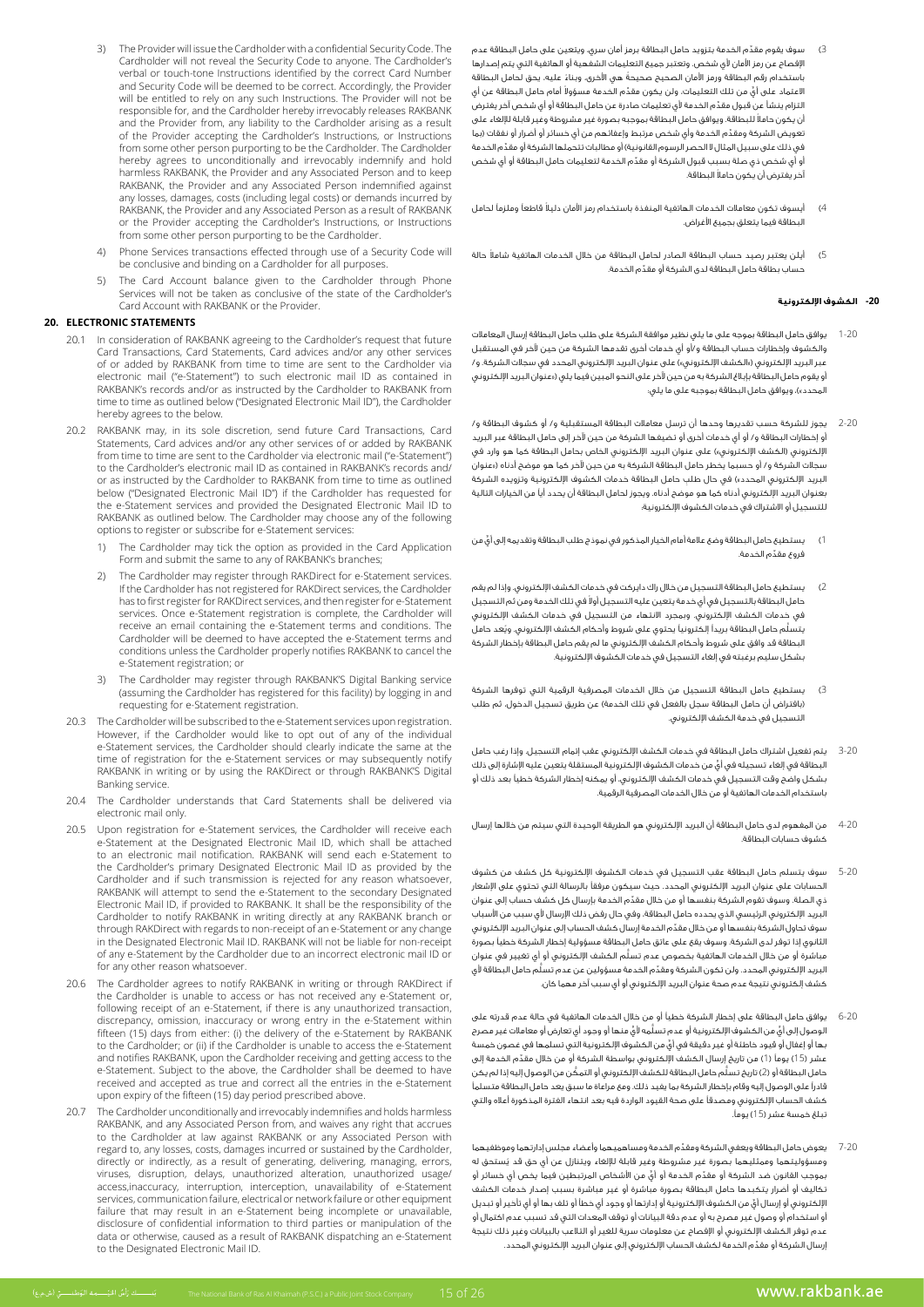- 3( ِّ سوف يقوم مقدم الخدمة بتزويد حامل البطاقة برمز أمان سري، ويتعين على حامل البطاقة عدم اإلفصاح عن رمز األمان ألي شخص. وتعتبر جميع التعليمات الشفهية أو الهاتفية التي يتم إصدارها ً باستخدام رقم البطاقة ورمز األمان الصحيح صحيحة ً هي األخرى، وبناء عليه، يحق لحامل البطاقة لاعتماد على أيٍّ من تلك التعليمات، ولن يكون مقدِّم الخدمة مسؤولا أمام حامل البطاقة عن أي ِّ التزام ينشأ عن قبول مقدم الخدمة ألي تعليمات صادرة عن حامل البطاقة أو أي شخص آخر يفترض ً أن يكون حامال للبطاقة. ويوافق حامل البطاقة بموجبه بصورة غير مشروطة وغير قابلة لإللغاء على ِّ تعويض الشركة ومقدم الخدمة وأي شخص مرتبط وإعفائهم من أي خسائر أو أضرار أو نفقات )بما ِّ في ذلك على سبيل المثال ال الحصر الرسوم القانونية( أو مطالبات تتحملها الشركة أو مقدم الخدمة ِّ أو أي شخص ذي صلة بسبب قبول الشركة أو مقدم الخدمة لتعليمات حامل البطاقة أو أي شخص ً آخر يفترض أن يكون حامال البطاقة.
- 4) أيسوف تكون معاملات الخدمات الهاتفية المنفذة باستخدام رمز الأمان دليلاً قاطعاً وملزماً لحامل البطاقة فيما يتعلق بجميع األغراض.
- 5) أيلن يعتبر رصيد حساب البطاقة الصادر لحامل البطاقة من خلال الخدمات الهاتفية شاملاً حالة ِّ حساب بطاقة حامل البطاقة لدى الشركة أو مقدم الخدمة.

### **-20 الكشوف اإللكترونية**

- 1-20 يوافق حامل البطاقة بموجه على ما يلي نظير موافقة الشركة على طلب حامل البطاقة إرسال المعامالت والكشوف وإخطارات حساب البطاقة و/أو أي خدمات أخرى تقدمها الشركة من حين آلخر في المستقبل عبر البريد الإلكتروني («الكشف الإلكتروني») على عنوان البريد الإلكتروني المحدد في سجلات الشركة. و/ أو يقوم حامل البطاقة بإبلاغ الشركة به من حين لآخر على النحو المبين فيما يلي («عنوان البريد الإلكتروني المحدد»)، ويوافق حامل البطاقة بموجبه على ما يلي:
- 2-20 يجوز للشركة حسب تقديرها وحدها أن ترسل معامالت البطاقة المستقبلية و/ أو كشوف البطاقة و/ أو إخطارات البطاقة و/ أو أي خدمات أخرى أو تضيفها الشركة من حين آلخر إلى حامل البطاقة عبر البريد الإلكتروني (الكشف الإلكتروني») على عنوان البريد الإلكتروني الخاص بحامل البطاقة كما هو وارد في سجالت الشركة و/ أو حسبما يخطر حامل البطاقة الشركة به من حين آلخر كما هو موضح أدناه )»عنوان البريد الإلكتروني المحدد») في حال طلب حامل البطاقة خدمات الكشوف الإلكترونية وتزويده الشركة بعنوان البريد اإللكتروني أدناه كما هو موضح أدناه. ويجوز لحامل البطاقة أن يحدد أيًا من الخيارات التالية للتسجيل أو االشتراك في خدمات الكشوف اإللكترونية:
- .<br>1) يستطيع حامل البطاقة وضع علامة أمام الخيار المذكور في نموذج طلب البطاقة وتقديمه إلى أيٍّ من ِّ فروع مقدم الخدمة.
- 2( يستطيع حامل البطاقة التسجيل من خالل راك دايركت في خدمات الكشف اإللكتروني. وإذا لم يقم حامل البطاقة بالتسجيل في أي خدمة يتعين عليه التسجيل أولاً في تلك الخدمة ومن ثم التسجيل في خدمات الكشف اإللكتروني. وبمجرد االنتهاء من التسجيل في خدمات الكشف اإللكتروني يتسلَّم حامل البطاقة بريداً إلكترونياً يحتوي على شروط وأحكام الكشف الإلكتروني. ويُعد حامل البطاقة قد وافق على شروط وأحكام الكشف اإللكتروني ما لم يقم حامل البطاقة بإخطار الشركة بشكل سليم برغبته في إلغاء التسجيل في خدمات الكشوف اإللكترونية.
- 3( يستطيع حامل البطاقة التسجيل من خالل الخدمات المصرفية الرقمية التي توفرها الشركة (بافتراض أن حامل البطاقة سجل بالفعل في تلك الخدمة) عن طريق تسجيل الدخول، ثم طلب التسجيل في خدمة الكشف اإللكتروني.
- 3-20 يتم تفعيل اشتراك حامل البطاقة في خدمات الكشف اإللكتروني عقب إتمام التسجيل. وإذا رغب حامل ٍّ البطاقة في إلغاء تسجيله في أي من خدمات الكشوف اإللكترونية المستقلة يتعين عليه اإلشارة إلى ذلك بشكل واضح وقت التسجيل في خدمات الكشف اإللكتروني، أو يمكنه إخطار الشركة خطيًا بعد ذلك أو باستخدام الخدمات الهاتفية أو من خالل الخدمات المصرفية الرقمية.
- 4-20 من المفهوم لدى حامل البطاقة أن البريد اإللكتروني هو الطريقة الوحيدة التي سيتم من خاللها إرسال كشوف حسابات البطاقة.
- 5-20 سوف يتسلم حامل البطاقة عقب التسجيل في خدمات الكشوف اإللكترونية كل كشف من كشوف الحسابات على عنوان البريد اإللكتروني المحدد. حيث سيكون مرفقًا بالرسالة التي تحتوي على اإلشعار ِّ ذي الصلة. وسوف تقوم الشركة بنفسها أو من خالل مقدم الخدمة بإرسال كل كشف حساب إلى عنوان .<br>البريد الإلكتروني الرئيسي الذي يحدده حامل البطاقة، وفي حال رفض ذلك الإرسال لأي سبب من الأسباب ِّ سوف تحاول الشركة بنفسها أو من خالل مقدم الخدمة إرسال كشف الحساب إلى عنوان البريد اإللكتروني الثانوي إذا توفر لدى الشركة. وسوف يقع على عاتق حامل البطاقة مسؤولية إخطار الشركة خطيًا بصورة ُّ مباشرة أو من خالل الخدمات الهاتفية بخصوص عدم تسلم الكشف اإللكتروني أو أي تغيير في عنوان البريد الإلكتروني المحدد. ولن تكون الشركة ومقدّم الخدمة مسؤولين عن عدم تسلَّم حامل البطاقة لأي كشف إلكتروني نتيجة عدم صحة عنوان البريد اإللكتروني أو أي سبب آخر مهما كان.
- 6-20 يوافق حامل البطاقة على إخطار الشركة خطيًا أو من خالل الخدمات الهاتفية في حالة عدم قدرته على الوصول إلى أيّ من الكشوف الإلكترونية أو عدم تسلَّمه لأيّ منها أو وجود أي تعارض أو معاملات غير مصرح ٍّ بها أو إغفال أو قيود خاطئة أو غير دقيقة في أي من الكشوف اإللكترونية التي تسلمها في غصون خمسة عشر )15( يومًا )1 ِّ ( من تاريخ إرسال الكشف اإللكتروني بواسطة الشركة أو من خالل مقدم الخدمة إلى حامل البطاقة أو (2) تاريخ تسلَّم حامل البطاقة للكشف الإلكتروني أو التمكُّن من الوصول إليه إذا لم يكن قادرًا على الوصول إليه وقام بإخطار الشركة بما يفيد ذلك. ومع مراعاة ما سبق يعد حامل البطاقة متسلمًا كشف الحساب اإللكتروني ومصدقًا على صحة القيود الواردة فيه بعد انتهاء الفترة المذكورة أعاله والتي تبلغ خمسة عشر (15) يوماً.
- 7-20 ِّ يعوض حامل البطاقة ويعفي الشركة ومقدم الخدمة ومساهميهما وأعضاء مجلس إدارتهما وموظفيهما ُ ومسؤوليتهما وممثليهما بصورة غير مشروطة وغير قابلة لإللغاء ويتنازل عن أي حق قد يستحق له بموجب القانون ضد الشركة أو مقدَّم الخدمة أو أيٍّ من الأشخاص المرتبطين فيما يخص أي خسائر أو تكاليف أو أضرار يتكبدها حامل البطاقة بصورة مباشرة أو غير مباشرة بسبب إصدار خدمات الكشف ٍّ اإللكتروني أو إرسال أي من الكشوف اإللكترونية أو إدارتها أو وجود أي خطأ أو تلف بها أو أي تأخير أو تبديل أو استخدام أو وصول غير مصرح به أو عدم دقة البيانات أو توقف المعدات التي قد تسبب عدم اكتمال أو عدم توفر الكشف اإللكتروني أو اإلفصاح عن معلومات سرية للغير أو التالعب بالبيانات وغير ذلك نتيجة ِّ إرسال الشركة أو مقدم الخدمة لكشف الحساب اإللكتروني إلى عنوان البريد اإللكتروني المحدد.
- 3) The Provider will issue the Cardholder with a confidential Security Code. The Cardholder will not reveal the Security Code to anyone. The Cardholder's verbal or touch-tone Instructions identified by the correct Card Number and Security Code will be deemed to be correct. Accordingly, the Provider will be entitled to rely on any such Instructions. The Provider will not be responsible for, and the Cardholder hereby irrevocably releases RAKBANK and the Provider from, any liability to the Cardholder arising as a result of the Provider accepting the Cardholder's Instructions, or Instructions from some other person purporting to be the Cardholder. The Cardholder hereby agrees to unconditionally and irrevocably indemnify and hold harmless RAKBANK, the Provider and any Associated Person and to keep RAKBANK, the Provider and any Associated Person indemnified against any losses, damages, costs (including legal costs) or demands incurred by RAKBANK, the Provider and any Associated Person as a result of RAKBANK or the Provider accepting the Cardholder's Instructions, or Instructions from some other person purporting to be the Cardholder.
- Phone Services transactions effected through use of a Security Code will be conclusive and binding on a Cardholder for all purposes.
- 5) The Card Account balance given to the Cardholder through Phone Services will not be taken as conclusive of the state of the Cardholder's Card Account with RAKBANK or the Provider.

#### **STATEMENTS ELECTRONIC 20.**

- In consideration of RAKBANK agreeing to the Cardholder's request that future Card Transactions, Card Statements, Card advices and/or any other services of or added by RAKBANK from time to time are sent to the Cardholder via electronic mail ("e-Statement") to such electronic mail ID as contained in RAKBANK's records and/or as instructed by the Cardholder to RAKBANK from time to time as outlined below ("Designated Electronic Mail ID"), the Cardholder hereby agrees to the below.
- 20.2 RAKBANK may, in its sole discretion, send future Card Transactions, Card Statements, Card advices and/or any other services of or added by RAKBANK from time to time are sent to the Cardholder via electronic mail ("e-Statement") to the Cardholder's electronic mail ID as contained in RAKBANK's records and/ or as instructed by the Cardholder to RAKBANK from time to time as outlined below ("Designated Electronic Mail ID") if the Cardholder has requested for the e-Statement services and provided the Designated Electronic Mail ID to RAKBANK as outlined below. The Cardholder may choose any of the following options to register or subscribe for e-Statement services:
	- 1) The Cardholder may tick the option as provided in the Card Application Form and submit the same to any of RAKBANK's branches;
- 2) The Cardholder may register through RAKDirect for e-Statement services. If the Cardholder has not registered for RAKDirect services, the Cardholder has to first register for RAKDirect services, and then register for e-Statement services. Once e-Statement registration is complete, the Cardholder will receive an email containing the e-Statement terms and conditions. The Cardholder will be deemed to have accepted the e-Statement terms and conditions unless the Cardholder properly notifies RAKBANK to cancel the e-Statement registration: or
	- 3) The Cardholder may register through RAKBANK'S Digital Banking service (assuming the Cardholder has registered for this facility) by logging in and requesting for e-Statement registration.
	- 20.3 The Cardholder will be subscribed to the e-Statement services upon registration However, if the Cardholder would like to opt out of any of the individual e-Statement services, the Cardholder should clearly indicate the same at the time of registration for the e-Statement services or may subsequently notify RAKBANK in writing or by using the RAKDirect or through RAKBANK'S Digital Banking service.
	- 20.4 The Cardholder understands that Card Statements shall be delivered via electronic mail only.
	- 20.5 Upon registration for e-Statement services, the Cardholder will receive each e-Statement at the Designated Electronic Mail ID, which shall be attached to an electronic mail notification. RAKBANK will send each e-Statement to the Cardholder's primary Designated Electronic Mail ID as provided by the Cardholder and if such transmission is rejected for any reason whatsoever, RAKBANK will attempt to send the e-Statement to the secondary Designated Electronic Mail ID, if provided to RAKBANK. It shall be the responsibility of the Cardholder to notify RAKBANK in writing directly at any RAKBANK branch or through RAKDirect with regards to non-receipt of an e-Statement or any change in the Designated Electronic Mail ID. RAKBANK will not be liable for non-receipt of any e-Statement by the Cardholder due to an incorrect electronic mail ID or for any other reason whatsoever.
	- 20.6 The Cardholder agrees to notify RAKBANK in writing or through RAKDirect if the Cardholder is unable to access or has not received any e-Statement or, following receipt of an e-Statement, if there is any unauthorized transaction, discrepancy, omission, inaccuracy or wrong entry in the e-Statement within Recognition, the of the of the of the of the of delivery of the contribution in the of delivery of the e-Statement by RAKBANK to the Cardholder; or (ii) if the Cardholder is unable to access the e-Statement and notifies RAKBANK, upon the Cardholder receiving and getting access to the e-Statement. Subject to the above, the Cardholder shall be deemed to have received and accepted as true and correct all the entries in the e-Statement upon expiry of the fifteen (15) day period prescribed above.
	- 20.7 The Cardholder unconditionally and irrevocably indemnifies and holds harmless accrues that right and any Associated Person from, and waives any right that accrues to the Cardholder at law against RAKBANK or any Associated Person with regard to, any losses, costs, damages incurred or sustained by the Cardholder, directly or indirectly, as a result of generating, delivering, managing, errors, viruses, disruption, delays, unauthorized alteration, unauthorized usage/ access, inaccuracy, interruption, interception, unavailability of e-Statement services, communication failure, electrical or network failure or other equipment failure that may result in an e-Statement being incomplete or unavailable, disclosure of confidential information to third parties or manipulation of the data or otherwise, caused as a result of RAKBANK dispatching an e-Statement to the Designated Electronic Mail ID.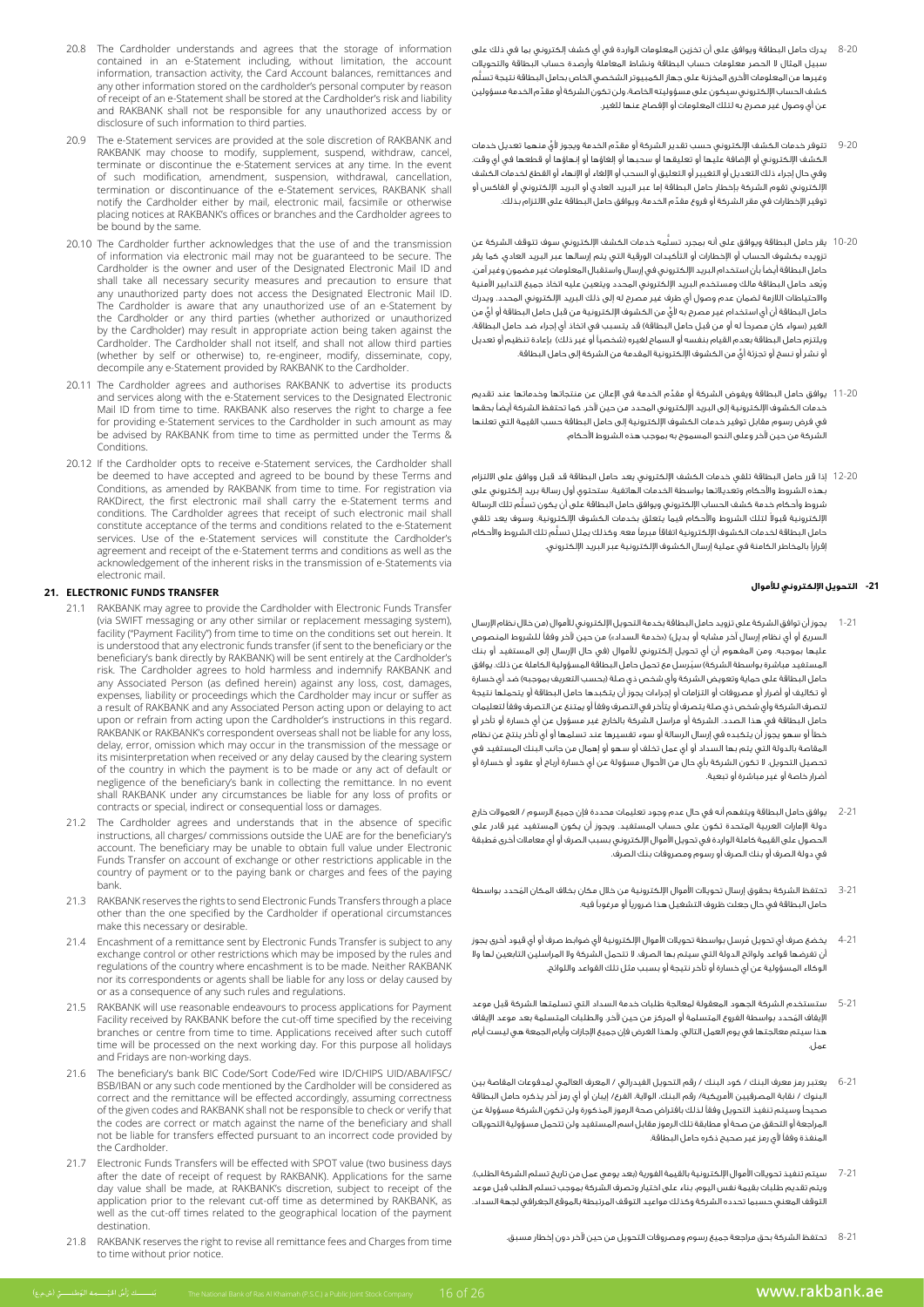- 20.8 The Cardholder understands and agrees that the storage of information contained in an e-Statement including, without limitation, the account information, transaction activity, the Card Account balances, remittances and any other information stored on the cardholder's personal computer by reason of receipt of an e-Statement shall be stored at the Cardholder's risk and liability and RAKBANK shall not be responsible for any unauthorized access by or disclosure of such information to third parties.
- 20.9 The e-Statement services are provided at the sole discretion of RAKBANK and RAKBANK may choose to modify, supplement, suspend, withdraw, cancel, terminate or discontinue the e-Statement services at any time. In the event of such modification, amendment, suspension, withdrawal, cancellation, termination or discontinuance of the e-Statement services, RAKBANK shall notify the Cardholder either by mail, electronic mail, facsimile or otherwise placing notices at RAKBANK's offices or branches and the Cardholder agrees to be bound by the same.
- 20.10 The Cardholder further acknowledges that the use of and the transmission of information via electronic mail may not be guaranteed to be secure. The Cardholder is the owner and user of the Designated Electronic Mail ID and shall take all necessary security measures and precaution to ensure that any unauthorized party does not access the Designated Electronic Mail ID. The Cardholder is aware that any unauthorized use of an e-Statement by the Cardholder or any third parties (whether authorized or unauthorized the cardholder) may result in appropriate action being taken against the Cardholder. The Cardholder shall not itself, and shall not allow third parties (whether by self or otherwise) to, re-engineer, modify, disseminate, copy, decompile any e-Statement provided by RAKBANK to the Cardholder.
- 20.11 The Cardholder agrees and authorises RAKBANK to advertise its products and services along with the e-Statement services to the Designated Electronic Mail ID from time to time. RAKBANK also reserves the right to charge a fee for providing e-Statement services to the Cardholder in such amount as may be advised by RAKBANK from time to time as permitted under the Terms & .Conditions
- 20.12 If the Cardholder opts to receive e-Statement services, the Cardholder shall be deemed to have accepted and agreed to be bound by these Terms and vertication for the ecopies and agreed to be bound by these remission via<br>Conditions, as amended by RAKBANK from time to time. For registration via and terms of the carry shall may be carry the e-Statement terms and RAKDirect, the first electronic mail shall carry the e-Statement terms and conditions. The Cardholder agrees that receipt of such electronic mail shall constitute acceptance of the terms and conditions related to the e-Statement services. Use of the e-Statement services will constitute the Cardholder's the assessment and receipt of the e-Statement-terms and conditions as well as the acknowledgement of the inherent risks in the transmission of e-Statements via electronic mail.

### **21. ELECTRONIC FUNDS TRANSFER**

- 21.1 RAKBANK may agree to provide the Cardholder with Electronic Funds Transfer (via SWIFT messaging or any other similar or replacement messaging system), facility ("Payment Facility") from time to time on the conditions set out herein. It is understood that any electronic funds transfer (if sent to the beneficiary or the beneficiary's bank directly by RAKBANK) will be sent entirely at the Cardholder's risk. The Cardholder agrees to hold harmless and indemnify RAKBANK and any Associated Person (as defined herein) against any loss, cost, damages, expenses, liability or proceedings which the Cardholder may incur or suffer as a result of RAKBANK and any Associated Person acting upon or delaying to act upon or refrain from acting upon the Cardholder's instructions in this regard. RAKBANK or RAKBANK's correspondent overseas shall not be liable for any loss, delay, error, omission which may occur in the transmission of the message or its misinterpretation when received or any delay caused by the clearing system of the country in which the payment is to be made or any act of default or negligence of the beneficiary's bank in collecting the remittance. In no event shall RAKBANK under any circumstances be liable for any loss of profits or contracts or special, indirect or consequential loss or damages.
- 21.2 The Cardholder agrees and understands that in the absence of specific instructions, all charges/ commissions outside the UAE are for the beneficiary's account. The beneficiary may be unable to obtain full value under Electronic Funds Transfer on account of exchange or other restrictions applicable in the country of payment or to the paying bank or charges and fees of the paying .bank
- 21.3 RAKBANK reserves the rights to send Electronic Funds Transfers through a place other than the one specified by the Cardholder if operational circumstances make this necessary or desirable.
- 21.4 Encashment of a remittance sent by Electronic Funds Transfer is subject to any exchange control or other restrictions which may be imposed by the rules and regulations of the country where encashment is to be made. Neither RAKBANK nor its correspondents or agents shall be liable for any loss or delay caused by or as a consequence of any such rules and regulations.
- 21.5 RAKBANK will use reasonable endeavours to process applications for Payment Facility received by RAKBANK before the cut-off time specified by the receiving branches or centre from time to time. Applications received after such cutoff time will be processed on the next working day. For this purpose all holidays and Fridays are non-working days.
- 21.6 The beneficiary's bank BIC Code/Sort Code/Fed wire ID/CHIPS UID/ABA/IFSC/ BSB/IBAN or any such code mentioned by the Cardholder will be considered as correct and the remittance will be effected accordingly, assuming correctness of the given codes and RAKBANK shall not be responsible to check or verify that the codes are correct or match against the name of the beneficiary and shall not be liable for transfers effected pursuant to an incorrect code provided by the Cardholder
- 21.7 Electronic Funds Transfers will be effected with SPOT value (two business days after the date of receipt of request by RAKBANK). Applications for the same day value shall be made, at RAKBANK's discretion, subject to receipt of the application prior to the relevant cut-off time as determined by RAKBANK, as well as the cut-off times related to the geographical location of the payment .destination
- 21.8 RAKBANK reserves the right to revise all remittance fees and Charges from time to time without prior notice
- 8-20 يدرك حامل البطاقة ويوافق على أن تخزين المعلومات الواردة في أي كشف إلكتروني بما في ذلك على سبيل المثال ال الحصر معلومات حساب البطاقة ونشاط المعاملة وأرصدة حساب البطاقة والتحويالت ُّ وغيرها من المعلومات األخرى المخزنة على جهاز الكمبيوتر الشخصي الخاص بحامل البطاقة نتيجة تسلم ِّ كشف الحساب اإللكتروني سيكون على مسؤوليته الخاصة، ولن تكون الشركة أو مقدم الخدمة مسؤولين عن أي وصول غير مصرح به لتلك المعلومات أو اإلفصاح عنها للغير.
- 9-20 ِّ تتوفر خدمات الكشف اإللكتروني حسب تقدير الشركة أو مقد ٍّ م الخدمة ويجوز ألي منهما تعديل خدمات الكشف اإللكتروني أو اإلضافة عليها أو تعليقها أو سحبها أو إلغاؤها أو إنهاؤها أو قطعها في أي وقت. وفي حال إجراء ذلك التعديل أو التغيير أو التعليق أو السحب أو اإللغاء أو اإلنهاء أو القطع لخدمات الكشف اإللكتروني تقوم الشركة بإخطار حامل البطاقة إما عبر البريد العادي أو البريد اإللكتروني أو الفاكس أو ِّ توفير اإلخطارات في مقر الشركة أو فروع مقدم الخدمة، ويوافق حامل البطاقة على االلتزام بذلك.
- 10-20 ُّ يقر حامل البطاقة ويوافق على أنه بمجرد تسلمه خدمات الكشف اإللكتروني سوف تتوقف الشركة عن تزويده بكشوف الحساب أو اإلخطارات أو التأكيدات الورقية التي يتم إرسالها عبر البريد العادي. كما يقر حامل البطاقة أيضًا بأن استخدام البريد اإللكتروني في إرسال واستقبال المعلومات غير مضمون وغير آمن. ُويعد حامل البطاقة مالك ومستخدم البريد اإللكتروني المحدد ويتعين عليه اتخاذ جميع التدابير األمنية واالحتياطات الالزمة لضمان عدم وصول أي طرف غير مصرح له إلى ذلك البريد اإللكتروني المحدد. ويدرك ٍّ حامل البطاقة أن أي استخدام غير مصرح به ألي ٍّ من الكشوف اإللكترونية من قبل حامل البطاقة أو أي من الغير (سواء كان مصرحاً له أو من قبل حامل البطاقة) قد يتسبب في اتخاذ أي إجراء ضد حامل البطاقة، ويلتزم حامل البطاقة بعدم القيام بنفسه أو السماح لغيره (شخصياً أو غير ذلك) بإعادة تنظيم أو تعديل ٍّ أو نشر أو نسخ أو تجزئة أي من الكشوف اإللكترونية المقدمة من الشركة إلى حامل البطاقة.
- 11-20 ِّ يوافق حامل البطاقة ويفوض الشركة أو مقدم الخدمة في اإلعالن عن منتجاتها وخدماتها عند تقديم خدمات الكشوف اإللكترونية إلى البريد اإللكتروني المحدد من حين آلخر. كما تحتفظ الشركة أيضًا بحقها في فرض رسوم مقابل توفير خدمات الكشوف اإللكترونية إلى حامل البطاقة حسب القيمة التي تعلنها .<br>الشركة من حين لآخر وعلى النحو المسموح به بموجب هذه الشروط الأحكام.
- 12-20 إذا قرر حامل البطاقة تلقي خدمات الكشف اإللكتروني يعد حامل البطاقة قد قبل ووافق على االلتزام بهذه الشروط واألحكام وتعديالتها بواسطة الخدمات الهاتفية. ستحتوي أول رسالة بريد إلكتروني على ُّ شروط وأحكام خدمة كشف الحساب اإللكتروني ويوافق حامل البطاقة على أن يكون تسلم تلك الرسالة لإلكترونية قبولاً لتلك الشروط والأحكام فيما يتعلق بخدمات الكشوف الإلكترونية. وسوف يعد تلقي ُّ حامل البطاقة لخدمات الكشوف اإللكترونية اتفاقًا مبرمًا معه. وكذلك يمثل تسلم تلك الشروط واألحكام إقرارًا بالمخاطر الكامنة في عملية إرسال الكشوف اإللكترونية عبر البريد اإللكتروني.

### **-21 التحويل اإللكتروني لألموال**

- 1-21 يجوز أن توافق الشركة على تزويد حامل البطاقة بخدمة التحويل اإللكتروني لألموال )من خالل نظام اإلرسال السريع أو أي نظام إرسال آخر مشابه أو بديل) («خدمة السداد») من حين لآخر وفقاً للشروط المنصوص عليها بموجبه. ومن المفهوم أن أي تحويل إلكتروني للأموال (في حال الإرسال إلى المستفيد أو بنك المستغيد مباشرة بواسطة الشركة) سيُرسل مع تحمل حامل البطاقة المسؤولية الكاملة عن ذلك. يوافق حامل البطاقة على حماية وتعويض الشركة وأي شخص ذي صلة (بحسب التعريف بموجبه) ضد أي خسارة أو تكاليف أو أضرار أو مصروفات أو التزامات أو إجراءات يجوز أن يتكبدها حامل البطاقة أو يتحملها نتيجة لتصرف الشركة وأي شخص ذي صلة يتصرف أو يتأخر في التصرف وفقًا أو يمتنع عن التصرف وفقًا لتعليمات حامل البطاقة في هذا الصدد. الشركة أو مراسل الشركة بالخارج غير مسؤول عن أي خسارة أو تأخر أو خطأ أو سهو يجوز أن يتكبده في إرسال الرسالة أو سوء تفسيرها عند تسلمها أو أي تأخر ينتج عن نظام المقاصة بالدولة التي يتم بها السداد أو أي عمل تخلف أو سهو أو إهمال من جانب البنك المستفيد في تحصيل التحويل. ال تكون الشركة بأي حال من األحوال مسؤولة عن أي خسارة أرباح أو عقود أو خسارة أو أضرار خاصة أو غير مباشرة أو تبعية.
- 2-21 يوافق حامل البطاقة ويتفهم أنه في حال عدم وجود تعليمات محددة فإن جميع الرسوم / العموالت خارج دولة اإلمارات العربية المتحدة تكون على حساب المستفيد. ويجوز أن يكون المستفيد غير قادر على ُ الحصول على القيمة كاملة الواردة في تحويل األموال اإللكتروني بسبب الصرف أو أي معامالت أخرى مطبقة في دولة الصرف أو بنك الصرف أو رسوم ومصروفات بنك الصرف.
- 3-21 ُ تحتفظ الشركة بحقوق إرسال تحويالت األموال اإللكترونية من خالل مكان بخالف المكان المحدد بواسطة حامل البطاقة في حال جعلت ظروف التشغيل هذا ضروريًا أو مرغوبًا فيه.
- 4-21 ُ يخضع صرف أي تحويل مرسل بواسطة تحويالت األموال اإللكترونية ألي ضوابط صرف أو أي قيود أخرى يجوز أن تفرضها قواعد ولوائح الدولة التي سيتم بها الصرف. ال تتحمل الشركة وال المراسلين التابعين لها وال الوكالء المسؤولية عن أي خسارة أو تأخر نتيجة أو بسبب مثل تلك القواعد واللوائح.
- 5-21 ستستخدم الشركة الجهود المعقولة لمعالجة طلبات خدمة السداد التي تسلمتها الشركة قبل موعد ُ اإليقاف المحدد بواسطة الفروع المتسلمة أو المركز من حين آلخر. والطلبات المتسلمة بعد موعد اإليقاف هذا سيتم معالجتها في يوم العمل التالي. ولهذا الغرض فإن جميع اإلجازات وأيام الجمعة هي ليست أيام عمل.
- 6-21 يعتبر رمز معرف البنك / كود البنك / رقم التحويل الفيدرالي / المعرف العالمي لمدفوعات المقاصة بين البنوك / نقابة المصرفيين األمريكية/ رقم البنك، الوالية، الفرع/ إيبان أو أي رمز آخر يذكره حامل البطاقة صحيحًا وسيتم تنفيذ التحويل وفقًا لذلك بافتراض صحة الرموز المذكورة ولن تكون الشركة مسؤولة عن المراجعة أو التحقق من صحة أو مطابقة تلك الرموز مقابل اسم المستفيد ولن تتحمل مسؤولية التحويالت المنفذة وفقًا ألي رمز غير صحيح ذكره حامل البطاقة.
- 7-21 سيتم تنفيذ تحويلات الأموال الإلكترونية بالقيمة الفورية (بعد يومي عمل من تاريخ تسلم الشركة الطلب). ويتم تقديم طلبات بقيمة نفس اليوم، بناء على اختيار وتصرف الشركة بموجب تسلم الطلب قبل موعد التوقف المعني حسبما تحدده الشركة وكذلك مواعيد التوقف المرتبطة بالموقع الجغرافي لجهة السداد.
	- 8-21 تحتفظ الشركة بحق مراجعة جميع رسوم ومصروفات التحويل من حين آلخر دون إخطار مسبق.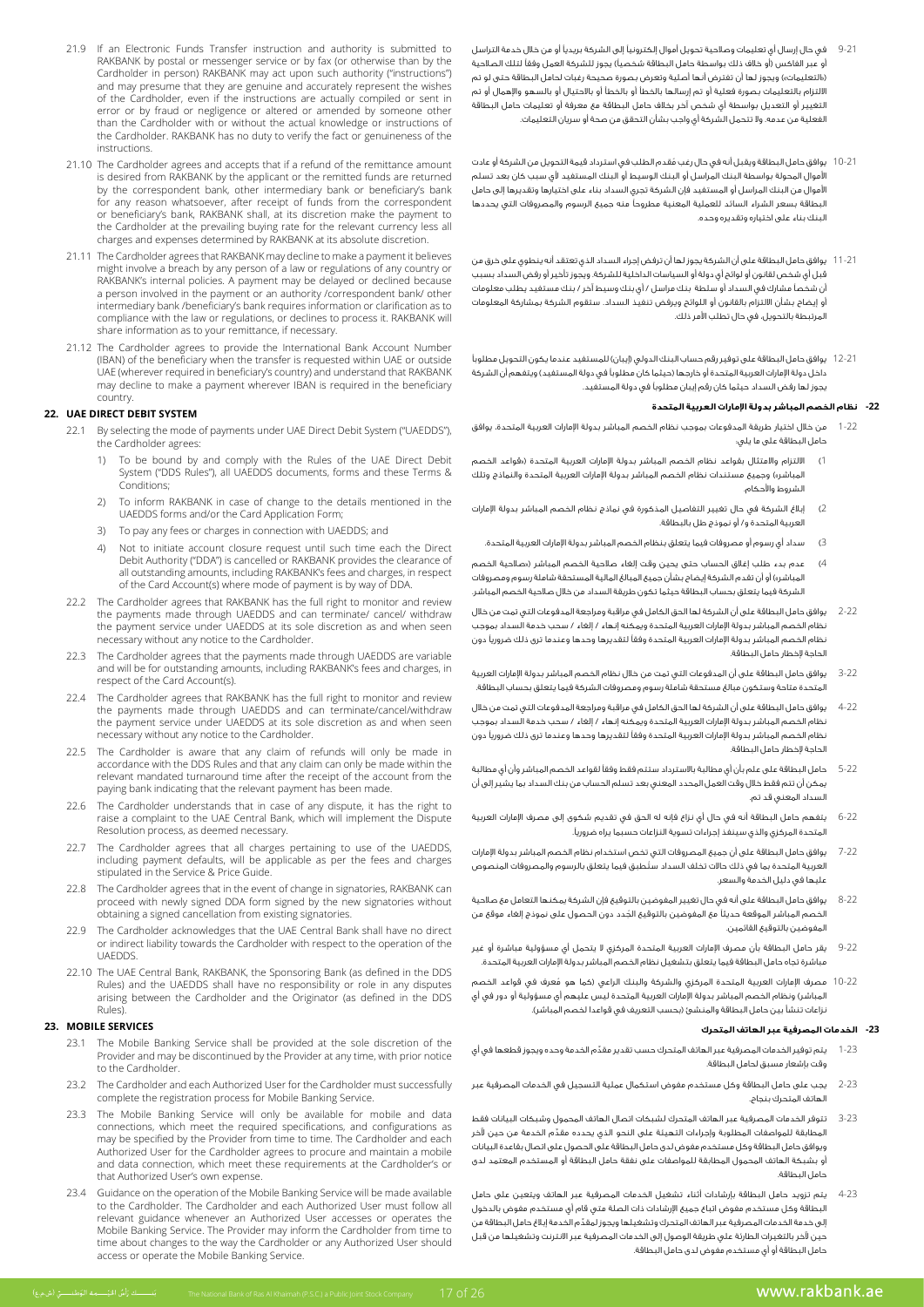- 9-21 في حال إرسال أي تعليمات وصالحية تحويل أموال إلكترونيًا إلى الشركة بريديًا أو من خالل خدمة التراسل أو عبر الفاكس (أو خلاف ذلك بواسطة حامل البطاقة شخصياً) يجوز للشركة العمل وفقاً لتلك الصلاحية )»التعليمات«( ويجوز لها أن تفترض أنها أصلية وتعرض بصورة صحيحة رغبات لحامل البطاقة حتى لو تم االلتزام بالتعليمات بصورة فعلية أو تم إرسالها بالخطأ أو بالخطأ أو باالحتيال أو بالسهو واإلهمال أو تم التغيير أو التعديل بواسطة أي شخص آخر بخالف حامل البطاقة مع معرفة أو تعليمات حامل البطاقة الفعلية من عدمه. وال تتحمل الشركة أي واجب بشأن التحقق من صحة أو سريان التعليمات.
- 10-21 ُ يوافق حامل البطاقة ويقبل أنه في حال رغب مقدم الطلب في استرداد قيمة التحويل من الشركة أو عادت األموال المحولة بواسطة البنك المراسل أو البنك الوسيط أو البنك المستفيد ألي سبب كان بعد تسلم األموال من البنك المراسل أو المستفيد فإن الشركة تجري السداد بناء على اختيارها وتقديرها إلى حامل البطاقة بسعر الشراء السائد للعملية المعنية مطروحًا منه جميع الرسوم والمصروفات التي يحددها البنك بناء على اختياره وتقديره وحده.
- 11-21 يوافق حامل البطاقة على أن الشركة يجوز لها أن ترفض إجراء السداد الذي تعتقد أنه ينطوي على خرق من قبل أي شخص لقانون أو لوائح أي دولة أو السياسات الداخلية للشركة. ويجوز تأخير أو رفض السداد بسبب أن شخصًا مشارك في السداد أو سلطة بنك مراسل / أي بنك وسيط آخر / بنك مستفيد يطلب معلومات أو إيضاح بشأن االلتزام بالقانون أو اللوائح ويرفض تنفيذ السداد. ستقوم الشركة بمشاركة المعلومات المرتبطة بالتحويل، في حال تطلب األمر ذلك.
- 12-21 يوافق حامل البطاقة على توفير رقم حساب البنك الدولي (إيبان) للمستفيد عندما يكون التحويل مطلوباً داخل دولة الإمارات العربية المتحدة أو خارجها (حيثما كان مطلوباً في دولة المستفيد) ويتفهم أن الشركة يجوز لها رفض السداد حيثما كان رقم إيبان مطلوبًا في دولة المستفيد.

# **-22 نظام الخصم المباشر بدولة اإلمارات العربية المتحدة**

- 1-22 من خالل اختيار طريقة المدفوعات بموجب نظام الخصم المباشر بدولة اإلمارات العربية المتحدة، يوافق حامل البطاقة على ما يلي:
- 1( االلتزام واالمتثال بقواعد نظام الخصم المباشر بدولة اإلمارات العربية المتحدة )»قواعد الخصم المباشر») وجميع مستندات نظام الخصم المباشر بدولة الإمارات العربية المتحدة والنماذج وتلك الشروط واألحكام.
- 2( إبالغ الشركة في حال تغيير التفاصيل المذكورة في نماذج نظام الخصم المباشر بدولة اإلمارات العربية المتحدة و/ أو نموذج طل بالبطاقة.
	- 3( سداد أي رسوم أو مصروفات فيما يتعلق بنظام الخصم المباشر بدولة اإلمارات العربية المتحدة.
- 4( عدم بدء طلب إغالق الحساب حتى يحين وقت إلغاء صالحية الخصم المباشر )»صالحية الخصم المباشر») أو أن تقدم الشركة إيضاح بشأن جميع المبالغ المالية المستحقة شاملة رسوم ومصروفات الشركة فيما يتعلق بحساب البطاقة حيثما تكون طريقة السداد من خالل صالحية الخصم المباشر.
- 2-22 يوافق حامل البطاقة على أن الشركة لها الحق الكامل في مراقبة ومراجعة المدفوعات التي تمت من خالل نظام الخصم المباشر بدولة اإلمارات العربية المتحدة ويمكنه إنهاء / إلغاء / سحب خدمة السداد بموجب نظام الخصم المباشر بدولة اإلمارات العربية المتحدة وفقًا لتقديرها وحدها وعندما ترى ذلك ضروريًا دون الحاجة إلخطار حامل البطاقة.
- 3-22 يوافق حامل البطاقة على أن المدفوعات التي تمت من خالل نظام الخصم المباشر بدولة اإلمارات العربية المتحدة متاحة وستكون مبالغ مستحقة شاملة رسوم ومصروفات الشركة فيما يتعلق بحساب البطاقة.
- 4-22 يوافق حامل البطاقة على أن الشركة لها الحق الكامل في مراقبة ومراجعة المدفوعات التي تمت من خالل نظام الخصم المباشر بدولة اإلمارات العربية المتحدة ويمكنه إنهاء / إلغاء / سحب خدمة السداد بموجب نظام الخصم المباشر بدولة اإلمارات العربية المتحدة وفقًا لتقديرها وحدها وعندما ترى ذلك ضروريًا دون الحاجة إلخطار حامل البطاقة.
- 5-22 حامل البطاقة على علم بأن أي مطالبة باالسترداد ستتم فقط وفقًا لقواعد الخصم المباشر وأن أي مطالبة يمكن أن تتم فقط خالل وقت العمل المحدد المعني بعد تسلم الحساب من بنك السداد بما يشير إلى أن السداد المعني قد تم.
- 6-22 يتفهم حامل البطاقة أنه في حال أي نزاع فإنه له الحق في تقديم شكوى إلى مصرف اإلمارات العربية المتحدة المركزي والذي سينفذ إجراءات تسوية النزاعات حسبما يراه ضروريًا.
- 7-22 يوافق حامل البطاقة على أن جميع المصروفات التي تخص استخدام نظام الخصم المباشر بدولة اإلمارات ُ العربية المتحدة بما في ذلك حاالت تخلف السداد ستطبق فيما يتعلق بالرسوم والمصروفات المنصوص عليها في دليل الخدمة والسعر.
- 8-22 يوافق حامل البطاقة على أنه في حال تغيير المفوضين بالتوقيع فإن الشركة يمكنها التعامل مع صالحية ُ الخصم المباشر الموقعة حديثًا مع المفوضين بالتوقيع الجدد دون الحصول على نموذج إلغاء موقع من المفوضين بالتوقيع القائمين.
- 9-22 يقر حامل البطاقة بأن مصرف اإلمارات العربية المتحدة المركزي ال يتحمل أي مسؤولية مباشرة أو غير مباشرة تجاه حامل البطاقة فيما يتعلق بتشغيل نظام الخصم المباشر بدولة اإلمارات العربية المتحدة.
- 10-22 ُ مصرف اإلمارات العربية المتحدة المركزي والشركة والبنك الراعي )كما هو معرف في قواعد الخصم المباشر( ونظام الخصم المباشر بدولة اإلمارات العربية المتحدة ليس عليهم أي مسؤولية أو دور في أي .<br>نزاعات تنشأ بين حامل البطاقة والمنشئ (بحسب التعريف في قواعدا لخصم المباشر).

# **-23 الخدمات المصرفية عبر الهاتف المتحرك**

- يتم توفير الخدمات المصرفية عبر الهاتف المتحرك حسب تقدير مقدّم الخدمة وحده ويجوز قطعها في أي وقت بإشعار مسبق لحامل البطاقة.
- 2-23 يجب على حامل البطاقة وكل مستخدم مفوض استكمال عملية التسجيل في الخدمات المصرفية عبر الهاتف المتحرك بنجاح.
- 3-23 تتوفر الخدمات المصرفية عبر الهاتف المتحرك لشبكات اتصال الهاتف المحمول وشبكات البيانات فقط ِّ المطابقة للمواصفات المطلوبة وإجراءات التهيئة على النحو الذي يحدده مقدم الخدمة من حين آلخر ويوافق حامل البطاقة وكل مستخدم مفوض لدى حامل البطاقة على الحصول على اتصال بقاعدة البيانات أو بشبكة الهاتف المحمول المطابقة للمواصفات على نفقة حامل البطاقة أو المستخدم المعتمد لدى حامل البطاقة.
- 4-23 يتم تزويد حامل البطاقة بإرشادات أثناء تشغيل الخدمات المصرفية عبر الهاتف ويتعين على حامل البطاقة وكل مستخدم مفوض اتباع جميع اإلرشادات ذات الصلة متي قام أي مستخدم مفوض بالدخول ِّ إلى خدمة الخدمات المصرفية عبر الهاتف المتحرك وتشغيلها ويجوز لمقدم الخدمة إبالغ حامل البطاقة من حين آلخر بالتغيرات الطارئة علي طريقة الوصول إلى الخدمات المصرفية عبر االنترنت وتشغيلها من قبل حامل البطاقة أو أي مستخدم مفوض لدى حامل البطاقة.
- 21.9 If an Electronic Funds Transfer instruction and authority is submitted to RAKBANK by postal or messenger service or by fax (or otherwise than by the Cardholder in person) RAKBANK may act upon such authority ("instructions") and may presume that they are genuine and accurately represent the wishes of the Cardholder, even if the instructions are actually compiled or sent in error or by fraud or negligence or altered or amended by someone other than the Cardholder with or without the actual knowledge or instructions of the Cardholder. RAKBANK has no duty to verify the fact or genuineness of the .instructions
- 21.10 The Cardholder agrees and accepts that if a refund of the remittance amount is desired from RAKBANK by the applicant or the remitted funds are returned by the correspondent bank, other intermediary bank or beneficiary's bank for any reason whatsoever, after receipt of funds from the correspondent or beneficiary's bank, RAKBANK shall, at its discretion make the payment to the Cardholder at the prevailing buying rate for the relevant currency less all charges and expenses determined by RAKBANK at its absolute discretion.
- 21.11 The Cardholder agrees that RAKBANK may decline to make a payment it believes might involve a breach by any person of a law or regulations of any country or RAKBANK's internal policies. A payment may be delayed or declined because a person involved in the payment or an authority /correspondent bank/ other intermediary bank /beneficiary's bank requires information or clarification as to compliance with the law or regulations, or declines to process it. RAKBANK will share information as to your remittance, if necessary.
- 21.12 The Cardholder agrees to provide the International Bank Account Number (IBAN) of the beneficiary when the transfer is requested within UAE or outside UAE (wherever required in beneficiary's country) and understand that RAKBANK may decline to make a payment wherever IBAN is required in the beneficiary .country

# **S2.** UAE DIRECT DEBIT SYSTEM

- 22.1 By selecting the mode of payments under UAE Direct Debit System ("UAEDDS"), the Cardholder agrees:
- 1) To be bound by and comply with the Rules of the UAE Direct Debit System ("DDS Rules"), all UAEDDS documents, forms and these Terms & ;Conditions
	- 2) To inform RAKBANK in case of change to the details mentioned in the UAEDDS forms and/or the Card Application Form;
	- 3) To pay any fees or charges in connection with UAEDDS; and
	- 4) Not to initiate account closure request until such time each the Direct Debit Authority ("DDA") is cancelled or RAKBANK provides the clearance of all outstanding amounts, including RAKBANK's fees and charges, in respect of the Card Account(s) where mode of payment is by way of DDA.
	- 22.2 The Cardholder agrees that RAKBANK has the full right to monitor and review the payments made through UAEDDS and can terminate/ cancel/ withdraw the payment service under UAEDDS at its sole discretion as and when seen necessary without any notice to the Cardholder.
	- 22.3 The Cardholder agrees that the payments made through UAEDDS are variable and will be for outstanding amounts, including RAKBANK's fees and charges, in  $r$ espect of the Card  $Accounf(s)$
	- 22.4 The Cardholder agrees that RAKBANK has the full right to monitor and review the payments made through UAEDDS and can terminate/cancel/withdraw the payment service under UAEDDS at its sole discretion as and when seen necessary without any notice to the Cardholder.
	- 22.5 The Cardholder is aware that any claim of refunds will only be made in accordance with the DDS Rules and that any claim can only be made within the relevant mandated turnaround time after the receipt of the account from the paying bank indicating that the relevant payment has been made.
	- 22.6 The Cardholder understands that in case of any dispute, it has the right to raise a complaint to the UAE Central Bank, which will implement the Dispute Resolution process, as deemed necessary.
	- 22.7 The Cardholder agrees that all charges pertaining to use of the UAEDDS, including payment defaults, will be applicable as per the fees and charges stipulated in the Service & Price Guide.
	- 22.8 The Cardholder agrees that in the event of change in signatories, RAKBANK can proceed with newly signed DDA form signed by the new signatories without obtaining a signed cancellation from existing signatories.
	- 22.9 The Cardholder acknowledges that the UAE Central Bank shall have no direct or indirect liability towards the Cardholder with respect to the operation of the .UAEDDS
	- 22.10 The UAE Central Bank, RAKBANK, the Sponsoring Bank (as defined in the DDS Rules) and the UAEDDS shall have no responsibility or role in any disputes arising between the Cardholder and the Originator (as defined in the DDS Rules)

# **SERVICES MOBILE 23.**

- 23.1 The Mobile Banking Service shall be provided at the sole discretion of the Provider and may be discontinued by the Provider at any time, with prior notice to the Cardholder
- 23.2 The Cardholder and each Authorized User for the Cardholder must successfully complete the registration process for Mobile Banking Service.
- 23.3 The Mobile Banking Service will only be available for mobile and data connections, which meet the required specifications, and configurations as may be specified by the Provider from time to time. The Cardholder and each Authorized User for the Cardholder agrees to procure and maintain a mobile and data connection, which meet these requirements at the Cardholder's or that Authorized User's own expense.
- 23.4 Guidance on the operation of the Mobile Banking Service will be made available to the Cardholder. The Cardholder and each Authorized User must follow all relevant guidance whenever an Authorized User accesses or operates the Mobile Banking Service. The Provider may inform the Cardholder from time to time about changes to the way the Cardholder or any Authorized User should access or operate the Mobile Banking Service.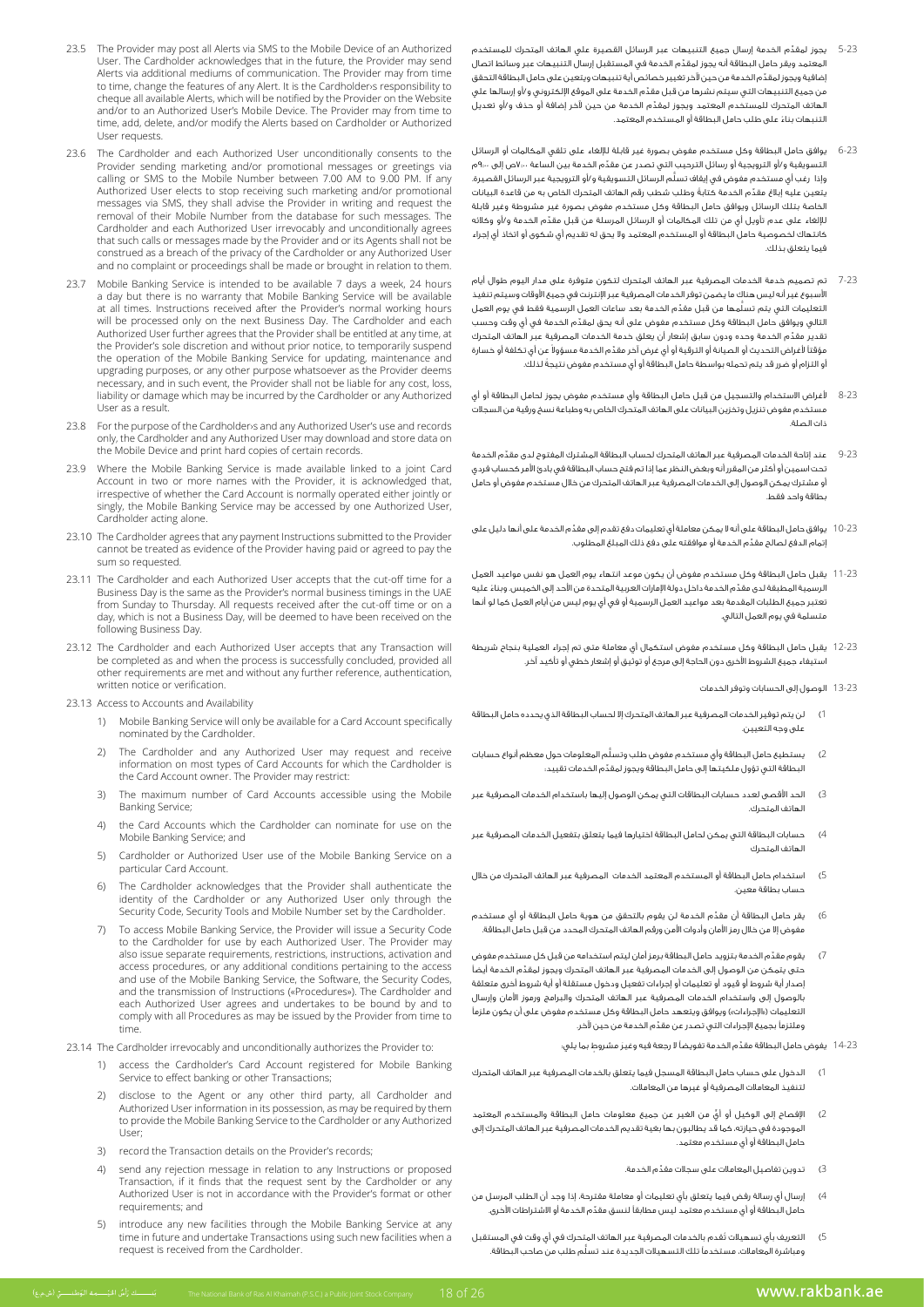- 5-23 ِّ يجوز لمقدم الخدمة إرسال جميع التنبيهات عبر الرسائل القصيرة علي الهاتف المتحرك للمستخدم ِّ المعتمد ويقر حامل البطاقة أنه يجوز لمقدم الخدمة في المستقبل إرسال التنبيهات عبر وسائط اتصال ِّ إضافية ويجوز لمقدم الخدمة من حين آلخر تغيير خصائص أية تنبيهات ويتعين على حامل البطاقة التحقق ِّ من جميع التنبيهات التي سيتم نشرها من قبل مقدم الخدمة على الموقع اإللكتروني و/أو إرسالها علي ِّ الهاتف المتحرك للمستخدم المعتمد ويجوز لمقدم الخدمة من حين آلخر إضافة أو حذف و/أو تعديل التنبهات بناء على طلب حامل البطاقة أو المستخدم المعتمد. **ا**
- 6-23 يوافق حامل البطاقة وكل مستخدم مفوض بصورة غير قابلة لإللغاء على تلقي المكالمات أو الرسائل ِّ التسويقية و/أو الترويجية أو رسائل الترحيب التي تصدر عن مقدم الخدمة بين الساعة 7:00ص إلى 9:00م ُّ وإذا رغب أي مستخدم مفوض في إيقاف تسلم الرسائل التسويقية و/أو الترويجية عبر الرسائل القصيرة. .<br>يتعين عليه إبلاغ مقدّم الخدمة كتابةً وطلب شطب رقم الهاتف المتحرك الخاص به من قاعدة البيانات الخاصة بتلك الرسائل ويوافق حامل البطاقة وكل مستخدم مفوض بصورة غير مشروطة وغير قابلة ِّ لإللغاء على عدم تأويل أي من تلك المكالمات أو الرسائل المرسلة من قبل مقدم الخدمة و/أو وكالئه كانتهاك لخصوصية حامل البطاقة أو المستخدم المعتمد وال يحق له تقديم أي شكوى أو اتخاذ أي إجراء فيما يتعلق بذلك.
- 7-23 تم تصميم خدمة الخدمات المصرفية عبر الهاتف المتحرك لتكون متوفرة على مدار اليوم طوال أيام األسبوع غير أنه ليس هناك ما يضمن توفر الخدمات المصرفية عبر اإلنترنت في جميع األوقات وسيتم تنفيذ التعليمات التي يتم تسلَّمها من قبل مقدِّم الخدمة بعد ساعات العمل الرسمية فقط في يوم العمل ِّ التالي ويوافق حامل البطاقة وكل مستخدم مفوض على أنه يحق لمقدم الخدمة في أي وقت وحسب ِّ .<br>تقدير مقدِّم الخدمة وحده ودون سابق إشعار أن يعلق خدمة الخدمات المصرفية عبر الهاتف المتحرك مؤقتاً لأغراض التحديث أو الصيانة أو الترقية أو أي غرض آخر مقدّم الخدمة مسؤولا عن أي تكلفة أو خسارة ً أو التزام أو ضرر قد يتم تحمله بواسطة حامل البطاقة أو أي مستخدم مفوض نتيجة لذلك.
- 8-23 ألغراض االستخدام والتسجيل من قبل حامل البطاقة وأي مستخدم مفوض يجوز لحامل البطاقة أو أي مستخدم مفوض تنزيل وتخزين البيانات على الهاتف المتحرك الخاص به وطباعة نسخ ورقية من السجالت ذات الصلة.
- 9-23 ِّ عند إتاحة الخدمات المصرفية عبر الهاتف المتحرك لحساب البطاقة المشترك المفتوح لدى مقدم الخدمة تحت اسمين أو أكثر من المقرر أنه وبغض النظر عما إذا تم فتح حساب البطاقة في بادئ األمر كحساب فردي أو مشترك يمكن الوصول إلى الخدمات المصرفية عبر الهاتف المتحرك من خالل مستخدم مفوض أو حامل بطاقة واحد فقط.
- 10-23 ِّ يوافق حامل البطاقة على أنه ال يمكن معاملة أي تعليمات دفع تقدم إلى مقدم الخدمة على أنها دليل على ِّ إتمام الدفع لصالح مقدم الخدمة أو موافقته على دفع ذلك المبلغ المطلوب.
- 11-23 يقبل حامل البطاقة وكل مستخدم مفوض أن يكون موعد انتهاء يوم العمل هو نفس مواعيد العمل ِّ الرسمية المطبقة لدى مقد ً م الخدمة داخل دولة اإلمارات العربية المتحدة من األحد إلى الخميس. وبناء عليه تعتبر جميع الطلبات المقدمة بعد مواعيد العمل الرسمية أو في أي يوم ليس من أيام العمل كما لو أنها متسلمة في يوم العمل التالي.
- 12-23 يقبل حامل البطاقة وكل مستخدم مفوض استكمال أي معاملة متى تم إجراء العملية بنجاح شريطة استيفاء جميع الشروط األخرى دون الحاجة إلى مرجع أو توثيق أو إشعار خطي أو تأكيد آخر.
	- 13-23 الوصول إلى الحسابات وتوفر الخدمات
- 1( لن يتم توفير الخدمات المصرفية عبر الهاتف المتحرك إال لحساب البطاقة الذي يحدده حامل البطاقة على وجه التعيين.
- 2( ُّ يستطيع حامل البطاقة وأي مستخدم مفوض طلب وتسلم المعلومات حول معظم أنواع حسابات ِّ البطاقة التي تؤول ملكيتها إلى حامل البطاقة ويجوز لمقدم الخدمات تقييد:
- 3( الحد األقصى لعدد حسابات البطاقات التي يمكن الوصول إليها باستخدام الخدمات المصرفية عبر الهاتف المتحرك.
- 4( حسابات البطاقة التي يمكن لحامل البطاقة اختيارها فيما يتعلق بتفعيل الخدمات المصرفية عبر الهاتف المتحرك
- 5( استخدام حامل البطاقة أو المستخدم المعتمد الخدمات المصرفية عبر الهاتف المتحرك من خالل حساب بطاقة معين.
- 6( ِّ يقر حامل البطاقة أن مقدم الخدمة لن يقوم بالتحقق من هوية حامل البطاقة أو أي مستخدم مفوض إال من خالل رمز األمان وأدوات األمن ورقم الهاتف المتحرك المحدد من قبل حامل البطاقة.
- 7( ِّ يقوم مقدم الخدمة بتزويد حامل البطاقة برمز أمان ليتم استخدامه من قبل كل مستخدم مفوض حتى يتمكن من الوصول إلى الخدمات المصرفية عبر الهاتف المتحرك ويجوز لمقدّم الخدمة أيضاً إصدار أية شروط أو قيود أو تعليمات أو إجراءات تفعيل ودخول مستقلة أو أية شروط أخرى متعلقة بالوصول إلى واستخدام الخدمات المصرفية عبر الهاتف المتحرك والبرامج ورموز األمان وإرسال التعليمات («الإجراءات») ويوافق ويتعهد حامل البطاقة وكل مستخدم مفوض على أن يكون ملزماً ِّ وملتزمًا بجميع اإلجراءات التي تصدر عن مقدم الخدمة من حين آلخر.

14-23 ِّ يفوض حامل البطاقة مقد َ م الخدمة تفويضًا ال رجعة فيه وغير ٍ مشروط بما يلي:

- 1( الدخول على حساب حامل البطاقة المسجل فيما يتعلق بالخدمات المصرفية عبر الهاتف المتحرك لتنفيذ المعامالت المصرفية أو غيرها من المعامالت.
- 2) الإفصاح إلى الوكيل أو أيٍّ من الغير عن جميع معلومات حامل البطاقة والمستخدم المعتم الموجودة في حيازته، كما قد يطالبون بها بغية تقديم الخدمات المصرفية عبر الهاتف المتحرك إلى حامل البطاقة أو أي مستخدم معتمد.
	- 3( ِّ تدوين تفاصيل المعامالت على سجالت مقدم الخدمة.
- 4( إرسال أي رسالة رفض فيما يتعلق بأي تعليمات أو معاملة مقترحة، إذا وجد أن الطلب المرسل من ِّ حامل البطاقة أو أي مستخدم معتمد ليس مطابقًا لنسق مقدم الخدمة أو االشتراطات األخرى.
- 5( ُ التعريف بأي تسهيالت تقدم بالخدمات المصرفية عبر الهاتف المتحرك في أي وقت في المستقبل ُّ ومباشرة المعامالت، مستخدمًا تلك التسهيالت الجديدة عند تسلم طلب من صاحب البطاقة.
- 23.5 The Provider may post all Alerts via SMS to the Mobile Device of an Authorized User. The Cardholder acknowledges that in the future, the Provider may send Alerts via additional mediums of communication. The Provider may from time to time, change the features of any Alert. It is the Cardholder is responsibility to cheque all available Alerts, which will be notified by the Provider on the Website and/or to an Authorized User's Mobile Device. The Provider may from time to time, add, delete, and/or modify the Alerts based on Cardholder or Authorized User requests.
- 23.6 The Cardholder and each Authorized User unconditionally consents to the Provider sending marketing and/or promotional messages or greetings via calling or SMS to the Mobile Number between 7.00 AM to 9.00 PM. If any Authorized User elects to stop receiving such marketing and/or promotional messages via SMS, they shall advise the Provider in writing and request the removal of their Mobile Number from the database for such messages. The Cardholder and each Authorized User irrevocably and unconditionally agrees that such calls or messages made by the Provider and or its Agents shall not be construed as a breach of the privacy of the Cardholder or any Authorized User and no complaint or proceedings shall be made or brought in relation to them.
- 23.7 Mobile Banking Service is intended to be available 7 days a week, 24 hours a day but there is no warranty that Mobile Banking Service will be available at all times. Instructions received after the Provider's normal working hours will be processed only on the next Business Day. The Cardholder and each Authorized User further agrees that the Provider shall be entitled at any time, at the Provider's sole discretion and without prior notice, to temporarily suspend the operation of the Mobile Banking Service for updating, maintenance and upgrading purposes, or any other purpose whatsoever as the Provider deems here is the notice of the provider that the shall not be not shall provider shall not be liable for any cost, loss liability or damage which may be incurred by the Cardholder or any Authorized User as a result
- 23.8 For the purpose of the Cardholder and any Authorized User's use and records only, the Cardholder and any Authorized User may download and store data on the Mobile Device and print hard copies of certain records.
- 23.9 Where the Mobile Banking Service is made available linked to a joint Card Account in two or more names with the Provider, it is acknowledged that, irrespective of whether the Card Account is normally operated either jointly or singly, the Mobile Banking Service may be accessed by one Authorized User, Cardholder acting alone.
- 23.10 The Cardholder agrees that any payment Instructions submitted to the Provider cannot be treated as evidence of the Provider having paid or agreed to pay the sum so requested.
- 23.11 The Cardholder and each Authorized User accepts that the cut-off time for a Business Day is the same as the Provider's normal business timings in the UAE from Sunday to Thursday. All requests received after the cut-off time or on a day, which is not a Business Day, will be deemed to have been received on the following Business Day.
- 23.12 The Cardholder and each Authorized User accepts that any Transaction will be completed as and when the process is successfully concluded, provided all of completed as and methods are present and methods are reference, authentication, written notice or verification.
- 23.13. Access to Accounts and Availability
	- 1) Mobile Banking Service will only be available for a Card Account specifically nominated by the Cardholder.
	- 2) The Cardholder and any Authorized User may request and receive information on most types of Card Accounts for which the Cardholder is the Card Account owner. The Provider may restrict:
	- 3) The maximum number of Card Accounts accessible using the Mobile Banking Service;
	- 4) the Card Accounts which the Cardholder can nominate for use on the Mobile Banking Service; and
	- 5) Cardholder or Authorized User use of the Mobile Banking Service on a narticular Card Account
	- 6) The Cardholder acknowledges that the Provider shall authenticate the identity of the Cardholder or any Authorized User only through the Security Code, Security Tools and Mobile Number set by the Cardholder.
	- 7) To access Mobile Banking Service, the Provider will issue a Security Code to the Cardholder for use by each Authorized User. The Provider may also issue separate requirements, restrictions, instructions, activation and access procedures, or any additional conditions pertaining to the access and use of the Mobile Banking Service, the Software, the Security Codes, and the transmission of Instructions («Procedures»). The Cardholder and each Authorized User agrees and undertakes to be bound by and to comply with all Procedures as may be issued by the Provider from time to .time
- 23.14 The Cardholder irrevocably and unconditionally authorizes the Provider to:
	- 1) access the Cardholder's Card Account registered for Mobile Banking Service to effect banking or other Transactions;
- 2) disclose to the Agent or any other third party, all Cardholder and Authorized User information in its possession, as may be required by them to provide the Mobile Banking Service to the Cardholder or any Authorized ;User
	- 3) record the Transaction details on the Provider's records:
	- 4) send any rejection message in relation to any Instructions or proposed Transaction, if it finds that the request sent by the Cardholder or any Authorized User is not in accordance with the Provider's format or other requirements; and
	- 5) introduce any new facilities through the Mobile Banking Service at any time in future and undertake Transactions using such new facilities when a request is received from the Cardholder.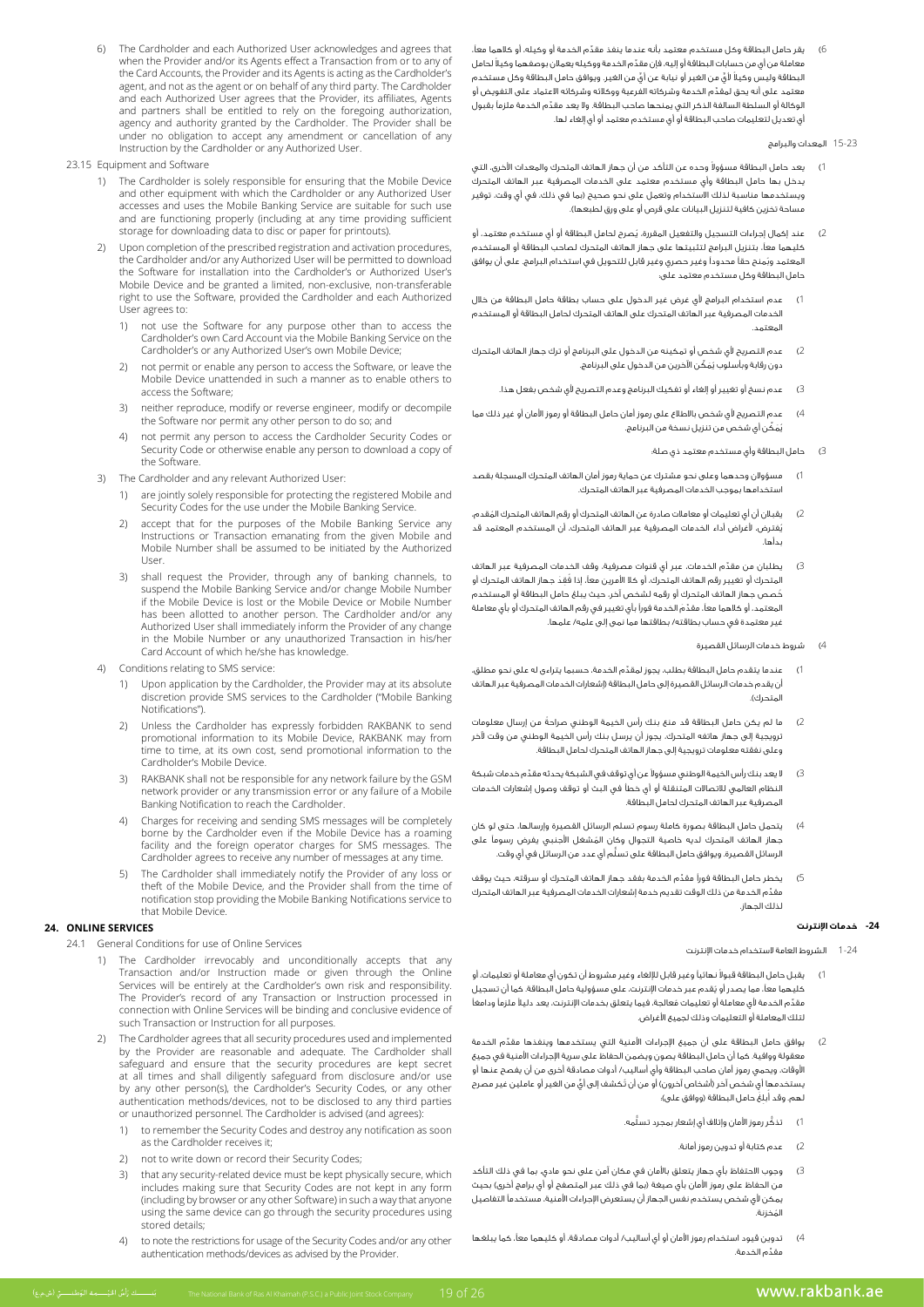- 6( ِّ يقر حامل البطاقة وكل مستخدم معتمد بأنه عندما ينفذ مقدم الخدمة أو وكيله، أو كالهما معًا، ِّ معاملة من أي من حسابات البطاقة أو إليه، فإن مقد ً م الخدمة ووكيله يعمالن بوصفهما وكيال لحامل ً البطاقة وليس وكيال ٍّ ألي ٍّ من الغير أو نيابة عن أي من الغير. ويوافق حامل البطاقة وكل مستخدم ِّ معتمد على أنه يحق لمقدم الخدمة وشركاته الفرعية ووكالئه وشركائه االعتماد على التفويض أو ِّ الوكالة أو السلطة السالفة الذكر التي يمنحها صاحب البطاقة. وال يعد مقدم الخدمة ملزمًا بقبول أي تعديل لتعليمات صاحب البطاقة أو أي مستخدم معتمد أو أي إلغاء لها.
	- 15-23 المعدات والبرامج
- 1) يعد حامل البطاقة مسؤولاً وحده عن التأكد من أن جهاز الهاتف المتحرك والمعدات الأخرى، التي يدخل بها حامل البطاقة وأي مستخدم معتمد على الخدمات المصرفية عبر الهاتف المتحرك ويستخدمها مناسبة لذلك االستخدام وتعمل على نحو صحيح )بما في ذلك، في أي وقت، توفير مساحة تخزين كافية لتنزيل البيانات على قرص أو على ورق لطبعها(.
- 2( ُ عند إكمال إجراءات التسجيل والتفعيل المقررة، يصرح لحامل البطاقة أو أي مستخدم معتمد، أو كليهما معًا، بتنزيل البرامج لتثبيتها على جهاز الهاتف المتحرك لصاحب البطاقة أو المستخدم ُ المعتمد وبمنح حقًا محدودًا وغير حصري وغير قابل للتحويل في استخدام البرامج. على أن يوافق حامل البطاقة وكل مستخدم معتمد على:
- 1( عدم استخدام البرامج ألي غرض غير الدخول على حساب بطاقة حامل البطاقة من خالل الخدمات المصرفية عبر الهاتف المتحرك على الهاتف المتحرك لحامل البطاقة أو المستخدم المعتمد.
- 2( عدم التصريح ألي شخص أو تمكينه من الدخول على البرنامج أو ترك جهاز الهاتف المتحرك دون رقابة وبأسلوب يُمَكِّن الآخرين من الدخول على البرنامج.
	- 3( عدم نسخ أو تغيير أو إلغاء أو تفكيك البرنامج وعدم التصريح ألي شخص بفعل هذا.
- 4( عدم التصريح ألي شخص باالطالع على رموز أمان حامل البطاقة أو رموز األمان أو غير ذلك مما ُي َم ِّكن أي شخص من تنزيل نسخة من البرنامج.
	- 3( حامل البطاقة وأي مستخدم معتمد ذي صلة:
- 1( مسؤوالن وحدهما وعلى نحو مشترك عن حماية رموز أمان الهاتف المتحرك المسجلة بقصد استخدامها بموجب الخدمات المصرفية عبر الهاتف المتحرك.
- 2( ُ يقبالن أن أي تعليمات أو معامالت صادرة عن الهاتف المتحرك أو رقم الهاتف المتحرك المقدم، ُيفترض، ألغراض أداء الخدمات المصرفية عبر الهاتف المتحرك، أن المستخدم المعتمد قد بدأها.
- 3) يطلبان من مقدّم الخدمات، عبر أي قنوات مصرفية، وقف الخدمات المصرفية عبر الهاتف المتحرك أو تغيير رقم الهاتف المتحرك، أو كلا الأمرين معاً، إذا فُقدَ جهاز الهاتف المتحرك أو ُخصص جهاز الهاتف المتحرك أو رقمه لشخص آخر، حيث يبلغ حامل البطاقة أو المستخدم ِّ المعتمد، أو كالهما معًا، مقد َم الخدمة فورًا بأي تغيير في رقم الهاتف المتحرك أو بأي معاملة غير معتمدة في حساب بطاقته/ بطاقتها مما نمى إلى علمه/ علمها.
	- 4) شروط خدمات الرسائل القصيرة
- 1( ِّ عندما يتقدم حامل البطاقة بطلب، يجوز لمقدم الخدمة، حسبما يتراءى له على نحو مطلق، أن يقدم خدمات الرسائل القصيرة إلى حامل البطاقة )إشعارات الخدمات المصرفية عبر الهاتف المتحرك(.
- 2( ً ما لم يكن حامل البطاقة قد منع بنك رأس الخيمة الوطني صراحة من إرسال معلومات ترويجية إلى جهاز هاتفه المتحرك، يجوز أن يرسل بنك رأس الخيمة الوطني من وقت آلخر وعلى نفقته معلومات ترويجية إلى جهاز الهاتف المتحرك لحامل البطاقة.
- 3) لا يعد بنك رأس الخيمة الوطني مسؤولاً عن أي توقف في الشبكة يحدثه مقدِّم خدمات شبكة النظام العالمي لالتصاالت المتنقلة أو أي خطأ في البث أو توقف وصول إشعارات الخدمات المصرفية عبر الهاتف المتحرك لحامل البطاقة.
- 4( يتحمل حامل البطاقة بصورة كاملة رسوم تسلم الرسائل القصيرة وإرسالها، حتى لو كان ُ جهاز الهاتف المتحرك لديه خاصية التجوال وكان المشغل األجنبي يفرض رسومًا على ُّ الرسائل القصيرة. ويوافق حامل البطاقة على تسلم أي عدد من الرسائل في أي وقت.
- 5( ِّ يخطر حامل البطاقة فورًا مقدم الخدمة بفقد جهاز الهاتف المتحرك أو سرقته، حيث يوقف ِّ مقدم الخدمة من ذلك الوقت تقديم خدمة إشعارات الخدمات المصرفية عبر الهاتف المتحرك لذلك الجهاز.

# **-24 خدمات اإلنترنت**

- 1-24 الشروط العامة الستخدام خدمات اإلنترنت
- 1) يقبل حامل البطاقة قبولاً نـهائياً وغير قابل للإلغاء وغير مشروط أن تكون أي معاملة أو تعليمات، أو ُ كليهما معًا، مما يصدر أو يقدم عبر خدمات اإلنترنت، على مسؤولية حامل البطاقة. كما أن تسجيل مقدّم الخدمة لأي معاملة أو تعليمات مُعالجة، فيما يتعلق بخدمات الإنترنت، يعد دليلاً ملزماً ودامغاً لتلك المعاملة أو التعليمات وذلك لجميع األغراض.
- .<br>2) يوافق حامل البطاقة على أن جميع الإجراءات الأمنية التي يستخدمها وينفذها مقدِّم الخدمة معقولة ووافية. كما أن حامل البطاقة يصون ويضمن الحفاظ على سرية اإلجراءات األمنية في جميع األوقات، ويحمي رموز أمان صاحب البطاقة وأي أساليب/ أدوات مصادقة أخرى من أن يفصح عنها أو .<br>يستخدمها أي شخص آخر (أشخاص آخرون) أو من أن تُكشف إلى أيّ من الغير أو عاملين غير مصرح ُـهم. وقد آبلغ حامل البطاقة (ووافق على)؛
	- 1( ُّ تذك ُّ ر رموز األمان وإتالف أي إشعار بمجرد تسلمه.
		- 2( عدم كتابة أو تدوين رموز أمانة.
- 3( وجوب االحتفاظ بأي جهاز يتعلق باألمان في مكان آمن على نحو مادي، بما في ذلك التأكد من الحفاظ على رموز الأمان بأي صيغة (بما في ذلك عبر المتصفح أو أي برامج أخرى) بحيث يمكن ألي شخص يستخدم نفس الجهاز أن يستعرض اإلجراءات األمنية، مستخدمًا التفاصيل المخزنة. ُ
- 4( تدوين قيود استخدام رموز األمان أو أي أساليب/ أدوات مصادقة، أو كليهما معًا، كما يبلغها ِّ مقدم الخدمة.
- 6) The Cardholder and each Authorized User acknowledges and agrees that when the Provider and/or its Agents effect a Transaction from or to any of the Card Accounts, the Provider and its Agents is acting as the Cardholder's agent, and not as the agent or on behalf of any third party. The Cardholder and each Authorized User agrees that the Provider, its affiliates, Agents and partners shall be entitled to rely on the foregoing authorization. agency and authority granted by the Cardholder. The Provider shall be under no obligation to accept any amendment or cancellation of any Instruction by the Cardholder or any Authorized User
- 23.15 Equipment and Software
	- 1) The Cardholder is solely responsible for ensuring that the Mobile Device and other equipment with which the Cardholder or any Authorized User accesses and uses the Mobile Banking Service are suitable for such use and are functioning properly (including at any time providing sufficient storage for downloading data to disc or paper for printouts).
	- 2) Upon completion of the prescribed registration and activation procedures the Cardholder and/or any Authorized User will be permitted to download the Software for installation into the Cardholder's or Authorized User's Mobile-Device and be granted a limited, non-exclusive, non-transferable The card and Cardholder and each Authorized right to use the Software, provided the Cardholder and each Authorized User agrees to:
		- not use the Software for any purpose other than to access the Cardholder's own Card Account via the Mobile Banking Service on the Cardholder's or any Authorized User's own Mobile Device;
		- 2) not permit or enable any person to access the Software, or leave the Mobile Device unattended in such a manner as to enable others to access the Software;
		- 3) neither reproduce, modify or reverse engineer, modify or decompile the Software nor permit any other person to do so; and
		- 4) not permit any person to access the Cardholder Security Codes or of community person to person and the continuous person general to determine the Security Code or otherwise enable any person to download a copy of the Software.
	- The Cardholder and any relevant Authorized User:
		- 1) are jointly solely responsible for protecting the registered Mobile and Security Codes for the use under the Mobile Banking Service.
		- 2) accept that for the purposes of the Mobile Banking Service any Instructions or Transaction emanating from the given Mobile and Mobile Number shall be assumed to be initiated by the Authorized .User
		- 3) shall request the Provider, through any of banking channels, to suspend the Mobile Banking Service and/or change Mobile Number If the Mobile Device is lost or the Mobile Device or Mobile Number has been allotted to another person. The Cardholder and/or any Authorized User shall immediately inform the Provider of any change in the Mobile Number or any unauthorized Transaction in his/her Card Account of which he/she has knowledge.
	- 4) Conditions relating to SMS service:
		- 1) Upon application by the Cardholder, the Provider may at its absolute discretion provide SMS services to the Cardholder ("Mobile Banking Notifications").
- 2) Unless the Cardholder has expressly forbidden RAKBANK to send promotional information to its Mobile Device, RAKBANK may from time to time, at its own cost, send promotional information to the Cardholder's Mobile Device.
	- RAKBANK shall not be responsible for any network failure by the GSM network provider or any transmission error or any failure of a Mobile Banking Notification to reach the Cardholder.
	- 4) Charges for receiving and sending SMS messages will be completely borne by the Cardholder even if the Mobile Device has a roaming facility and the foreign operator charges for SMS messages. The Cardholder agrees to receive any number of messages at any time.
	- 5) The Cardholder shall immediately notify the Provider of any loss or theft of the Mobile Device, and the Provider shall from the time of notification stop providing the Mobile Banking Notifications service to that Mobile Device.

# **24. ONLINE SERVICES**

- 24.1 General Conditions for use of Online Services
- 1) The Cardholder irrevocably and unconditionally accepts that any Transaction and/or Instruction made or given through the Online Services will be entirely at the Cardholder's own risk and responsibility. Instruction in the transaction or Instruction processed in<br>The Provider's record of any Transaction or Instruction processed in connection with Online Services will be binding and conclusive evidence of such Transaction or Instruction for all purposes.
	- The Cardholder agrees that all security procedures used and implemented by the Provider are reasonable and adequate. The Cardholder shall safeguard and ensure that the security procedures are kept secret and disclosure from the security procedures are nept secret at all times and shall diligently safeguard from disclosure and/or use by any other person(s), the Cardholder's Security Codes, or any other authentication methods/devices, not to be disclosed to any third parties or unauthorized personnel. The Cardholder is advised (and agrees)
		- 1) to remember the Security Codes and destroy any notification as soon as the Cardholder receives it:
		- 2) not to write down or record their Security Codes;
		- 3) that any security-related device must be kept physically secure, which includes making sure that Security Codes are not kept in any form (including by browser or any other Software) in such a way that anyone using the same device can go through the security procedures using stored details;
		- 4) to note the restrictions for usage of the Security Codes and/or any other authentication methods/devices as advised by the Provider.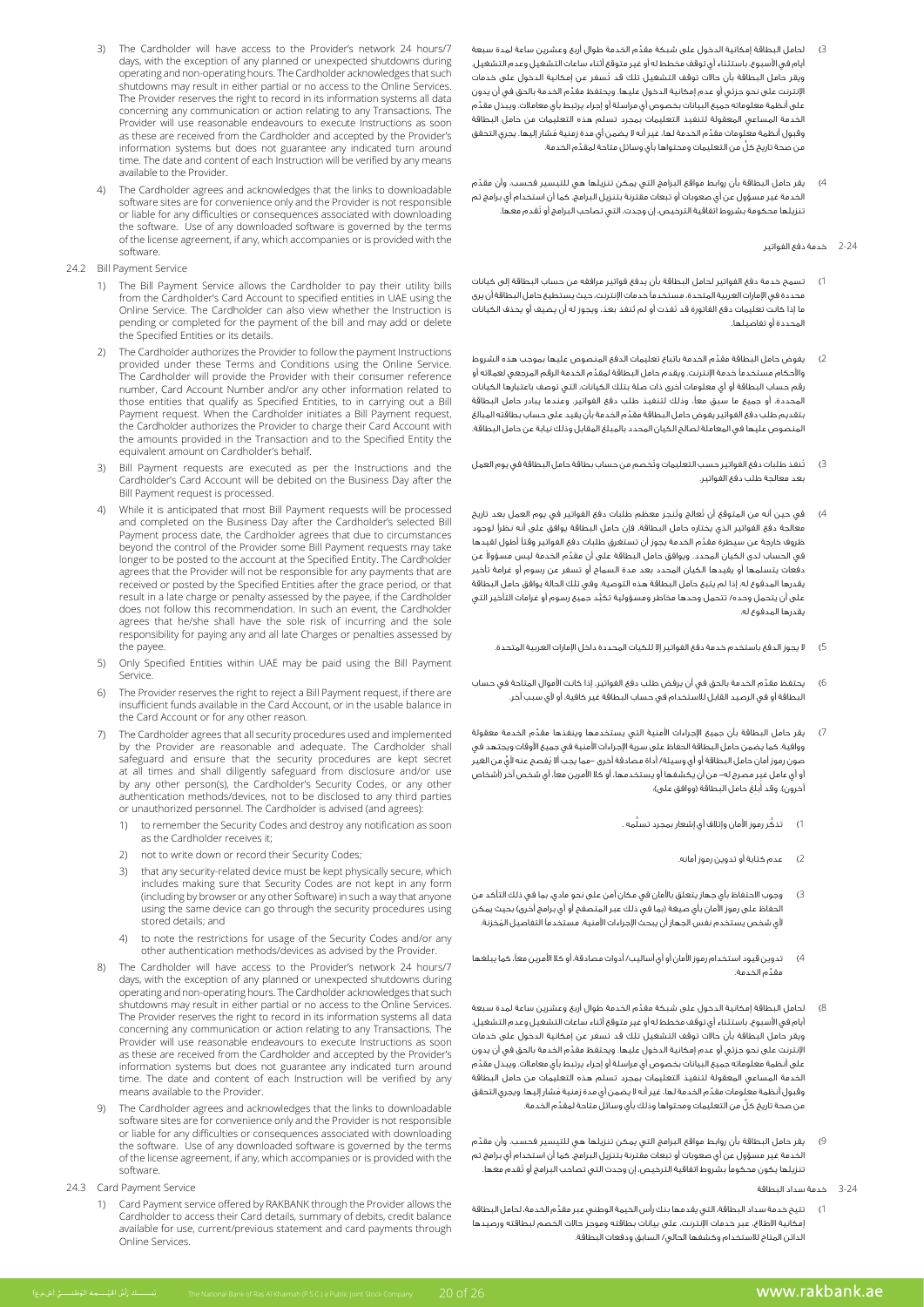- 3( ِّ لحامل البطاقة إمكانية الدخول على شبكة مقدم الخدمة طوال أربع وعشرين ساعة لمدة سبعة أيام في األسبوع، باستثناء أي توقف مخطط له أو غير متوقع أثناء ساعات التشغيل وعدم التشغيل. ُ ويقر حامل البطاقة بأن حاالت توقف التشغيل تلك قد تسفر عن إمكانية الدخول على خدمات ِّ اإلنترنت على نحو جزئي أو عدم إمكانية الدخول عليها. ويحتفظ مقدم الخدمة بالحق في أن يدون ِّ على أنظمة معلوماته جميع البيانات بخصوص أي مراسلة أو إجراء يرتبط بأي معامالت. ويبذل مقدم الخدمة المساعي المعقولة لتنفيذ التعليمات بمجرد تسلم هذه التعليمات من حامل البطاقة ِّ وقبول أنظمة معلومات مقد ُ م الخدمة لها، غير أنه ال يضمن أي مدة زمنية مشار إليها. يجري التحقق ٍّ من صحة تاريخ كل ِّ من التعليمات ومحتواها بأي وسائل متاحة لمقدم الخدمة.
- 4( ِّ يقر حامل البطاقة بأن روابط مواقع البرامج التي يمكن تنزيلها هي للتيسير فحسب، وأن مقدم الخدمة غير مسؤول عن أي صعوبات أو تبعات مقترنة بتنزيل البرامج. كما أن استخدام أي برامج تم ُ تنزيلها محكومة بشروط اتفاقية الترخيص، إن وجدت، التي تصاحب البرامج أو تقدم معها.

# 2-24 خدمة دفع الفواتير

- 1( تسمح خدمة دفع الفواتير لحامل البطاقة بأن يدفع فواتير مرافقه من حساب البطاقة إلى كيانات محددة في اإلمارات العربية المتحدة، مستخدمًا خدمات اإلنترنت، حيث يستطيع حامل البطاقة أن يرى ما إذا كانت تعليمات دفع الفاتورة قد نُفذت أو لم تُنفذ بعدٌ، ويجوز له أن يضيف أو يحذف الكيانات المحددة أو تفاصيلها.
- 2( ِّ يفوض حامل البطاقة مقدم الخدمة باتباع تعليمات الدفع المنصوص عليها بموجب هذه الشروط ِّ واألحكام مستخدمًا خدمة اإلنترنت. ويقدم حامل البطاقة لمقدم الخدمة الرقم المرجعي لعمالئه أو رقم حساب البطاقة أو أي معلومات أخرى ذات صلة بتلك الكيانات، التي توصف باعتبارها الكيانات المحددة، أو جميع ما سبق معًا، وذلك لتنفيذ طلب دفع الفواتير. وعندما يبادر حامل البطاقة ِّ بتقديم طلب دفع الفواتير يفوض حامل البطاقة مقدم الخدمة بأن يقيد على حساب بطاقته المبالغ المنصوص عليها في المعاملة لصالح الكيان المحدد بالمبلغ المقابل وذلك نيابة عن حامل البطاقة.
- 3) لُت فذ طلبات دفع الفواتير حسب التعليمات وتُخصم من حساب بطاقة حامل البطاقة في يوم العمل بعد معالجة طلب دفع الفواتير.
- في حين أنه من المتوقع أن تُعالج وتُنجز معظم طلبات دفع الفواتير في يوم العمل بعد تاريخ .<br>معالجة دفع الفواتير الذي يختاره حامل البطاقة، فإن حامل البطاقة يوافق على أنه نظراً لوجود ِّ<br>ظروف خارجة عن سيطرة مقدِّم الخدمة يجوز أن تستغرق طلبات دفع الفواتير وقتاً أطول لقيدها في الحساب لدى الكيان المحدد. ويوافق حامل البطاقة على أن مقدِّم الخدمة ليس مسؤولا عن .<br>دفعات يتسلمها أو يقيدها الكيان المحدد بعد مدة السماح أو تسفر عن رسوم أو غرامة تأخير يقدرها المدفوع له، إذا لم يتبع حامل البطاقة هذه التوصية. وفي تلك الحالة يوافق حامل البطاقة ُّ على أن يتحمل وحده/ تتحمل وحدها مخاطر ومسؤولية تكبد جميع رسوم أو غرامات التأخير التي يقدرها المدفوع له.
	- 5) لا يجوز الدفع باستخدم خدمة دفع الفواتير إلا للكيات المحددة داخل الإمارات العربية المتحدة.
- 6( ِّ يحتفظ مقدم الخدمة بالحق في أن يرفض طلب دفع الفواتير، إذا كانت األموال المتاحة في حساب البطاقة أو في الرصيد القابل لالستخدام في حساب البطاقة غير كافية، أو ألي سبب آخر.
- .<br>7) يقر حامل البطاقة بأن جميع الإجراءات الأمنية التي يستخدمها وينفذها مقدِّم الخدمة معقولة ووافية. كما يضمن حامل البطاقة الحفاظ على سرية اإلجراءات األمنية في جميع األوقات ويجتهد في صون رموز أمان حامل البطاقة أو أي وسيلة/ أداة مصادقة أخرى –مما يجب ألا يُفصح عنه لأيٍّ من الغير أو أي عامل غير مصرح له- من أن يكشفها أو يستخدمها، أو كال األمرين معًا، أي شخص آخر )أشخاص َُ خرون). وقد آبلِغَ حامل البطاقة (ووافق على)؛
	- 1( ُّ تذك ُّ ر رموز األمان وإتالف أي إشعار بمجرد تسلمه .
		- 2( عدم كتابة أو تدوين رموز أمانه.
- 3) وجوب الاحتفاظ بأي جهاز يتعلق بالأمان في مكان آمن على نحو مادي، بما في ذلك التأكد من الحفاظ على رموز الأمان بأي صيغة (بما في ذلك عبر المتصفح أو أي برامج أخرى) بحيث يمكن ُ ألي شخص يستخدم نفس الجهاز أن يبحث اإلجراءات األمنية، مستخدمًا التفاصيل المخزنة.
- 4) تدوين قيود استخدام رموز الأمان أو أي أساليب/ أدوات مصادقة، أو كلا الأمرين معاً، كما يبلغها ِّ مقدم الخدمة.
- 8( ِّ لحامل البطاقة إمكانية الدخول على شبكة مقدم الخدمة طوال أربع وعشرين ساعة لمدة سبعة أيام في األسبوع، باستثناء أي توقف مخطط له أو غير متوقع أثناء ساعات التشغيل وعدم التشغيل. ويقر حامل البطاقة بأن حاالت توقف التشغيل تلك قد تسفر عن إمكانية الدخول على خدمات ِّ اإلنترنت على نحو جزئي أو عدم إمكانية الدخول عليها. ويحتفظ مقدم الخدمة بالحق في أن يدون ِّ على أنظمة معلوماته جميع البيانات بخصوص أي مراسلة أو إجراء يرتبط بأي معامالت. ويبذل مقدم الخدمة المساعي المعقولة لتنفيذ التعليمات بمجرد تسلم هذه التعليمات من حامل البطاقة وقبول أنظمة معلومات مقدّم الخدمة لها، غير أنه لا يضمن أي مدة زمنية مُشار إليها. ويجري التحقق ٍّ من صحة تاريخ كل ِّ من التعليمات ومحتواها وذلك بأي وسائل متاحة لمقدم الخدمة.
- يقر حامل البطاقة بأن روابط مواقع البرامج التي يمكن تنزيلها هي للتيسير فحسب، وأن مقدّم الخدمة غير مسؤول عن أي صعوبات أو تبعات مقترنة بتنزيل البرامج. كما أن استخدام أي برامج تم ُ تنزيلها يكون محكومًا بشروط اتفاقية الترخيص، إن وجدت التي تصاحب البرامج أو تقدم معها.
	- 3-24 خدمة سداد البطاقة
- تتيح خدمة سداد البطاقة، التي يقدمها بنك رأس الخيمة الوطني عبر مقدّم الخدمة، لحامل البطاقة إمكانية االطالع، عبر خدمات اإلنترنت، على بيانات بطاقته وموجز حاالت الخصم لبطاقته ورصيدها الدائن المتاح لالستخدام وكشفها الحالي/ السابق ودفعات البطاقة.
- 3) The Cardholder will have access to the Provider's network 24 hours/7 days, with the exception of any planned or unexpected shutdowns during operating and non-operating hours. The Cardholder acknowledges that such shutdowns may result in either partial or no access to the Online Services. The Provider reserves the right to record in its information systems all data concerning any communication or action relating to any Transactions. The Provider will use reasonable endeavours to execute Instructions as soon as these are received from the Cardholder and accepted by the Provider's information systems but does not guarantee any indicated turn around time. The date and content of each Instruction will be verified by any means available to the Provider
- The Cardholder agrees and acknowledges that the links to downloadable software sites are for convenience only and the Provider is not responsible or liable for any difficulties or consequences associated with downloading the software. Use of any downloaded software is governed by the terms of the license agreement, if any, which accompanies or is provided with the software.
- 24.2 Bill Payment Service
	- 1) The Bill Payment Service allows the Cardholder to pay their utility bills from the Cardholder's Card Account to specified entities in UAE using the Online Service. The Cardholder can also view whether the Instruction is pending or completed for the payment of the bill and may add or delete the Specified Entities or its details
	- 2) The Cardholder authorizes the Provider to follow the payment Instructions provided under these Terms and Conditions using the Online Service. The Cardholder will provide the Provider with their consumer reference number, Card Account Number and/or any other information related to those entities that qualify as Specified Entities, to in carrying out a Bill Payment request. When the Cardholder initiates a Bill Payment request, the Cardholder authorizes the Provider to charge their Card Account with the amounts provided in the Transaction and to the Specified Entity the equivalent amount on Cardholder's behalf.
- 3) Bill Payment requests are executed as per the Instructions and the Cardholder's Card Account will be debited on the Business Day after the Bill Payment request is processed.
	- 4) While it is anticipated that most Bill Payment requests will be processed and completed on the Business Day after the Cardholder's selected Bill Payment process date, the Cardholder agrees that due to circumstances beyond the control of the Provider some Bill Payment requests may take longer to be posted to the account at the Specified Entity. The Cardholder arrees that the Provider will not be responsible for any payments that are that or posted by the Specified Entities after the grace period, or that result in a late charge or penalty assessed by the payee, if the Cardholder does not follow this recommendation. In such an event, the Cardholder agrees that he/she shall have the sole risk of incurring and the sole responsibility for paying any and all late Charges or penalties assessed by the payee.
	- 5) Only Specified Entities within UAE may be paid using the Bill Payment .Service
	- The Provider reserves the right to reject a Bill Payment request, if there are insufficient funds available in the Card Account, or in the usable balance in the Card Account or for any other reason.
	- 7) The Cardholder agrees that all security procedures used and implemented by the Provider are reasonable and adequate. The Cardholder shall safeguard and ensure that the security procedures are kept secret and disclosure from the security procedures are nept secret at all times and shall diligently safeguard from disclosure and/or use by any other person(s), the Cardholder's Security Codes, or any other authentication methods/devices, not to be disclosed to any third parties or unauthorized personnel. The Cardholder is advised (and agrees)
		- 1) to remember the Security Codes and destroy any notification as soon as the Cardholder receives it:
		- 2) not to write down or record their Security Codes;
		- 3) that any security-related device must be kept physically secure, which includes making sure that Security Codes are not kept in any form (including by browser or any other Software) in such a way that anyone using the same device can go through the security procedures using stored details; and
		- 4) to note the restrictions for usage of the Security Codes and/or any other authentication methods/devices as advised by the Provider.
	- 8) The Cardholder will have access to the Provider's network 24 hours/7 days, with the exception of any planned or unexpected shutdowns during operating and non-operating hours. The Cardholder acknowledges that such shutdowns may result in either partial or no access to the Online Services. The Provider reserves the right to record in its information systems all data concerning any communication or action relating to any Transactions. The Provider will use reasonable endeavours to execute Instructions as soon as these are received from the Cardholder and accepted by the Provider's information systems but does not guarantee any indicated turn around time. The date and content of each Instruction will be verified by any means available to the Provider.
- 9) The Cardholder agrees and acknowledges that the links to downloadable software sites are for convenience only and the Provider is not responsible or liable for any difficulties or consequences associated with downloading the software. Use of any downloaded software is governed by the terms of the license agreement, if any, which accompanies or is provided with the .software
	- 24.3 Card Payment Service
		- 1) Card Payment service offered by RAKBANK through the Provider allows the Cardholder to access their Card details, summary of debits, credit balance available for use, current/previous statement and card payments through Online Services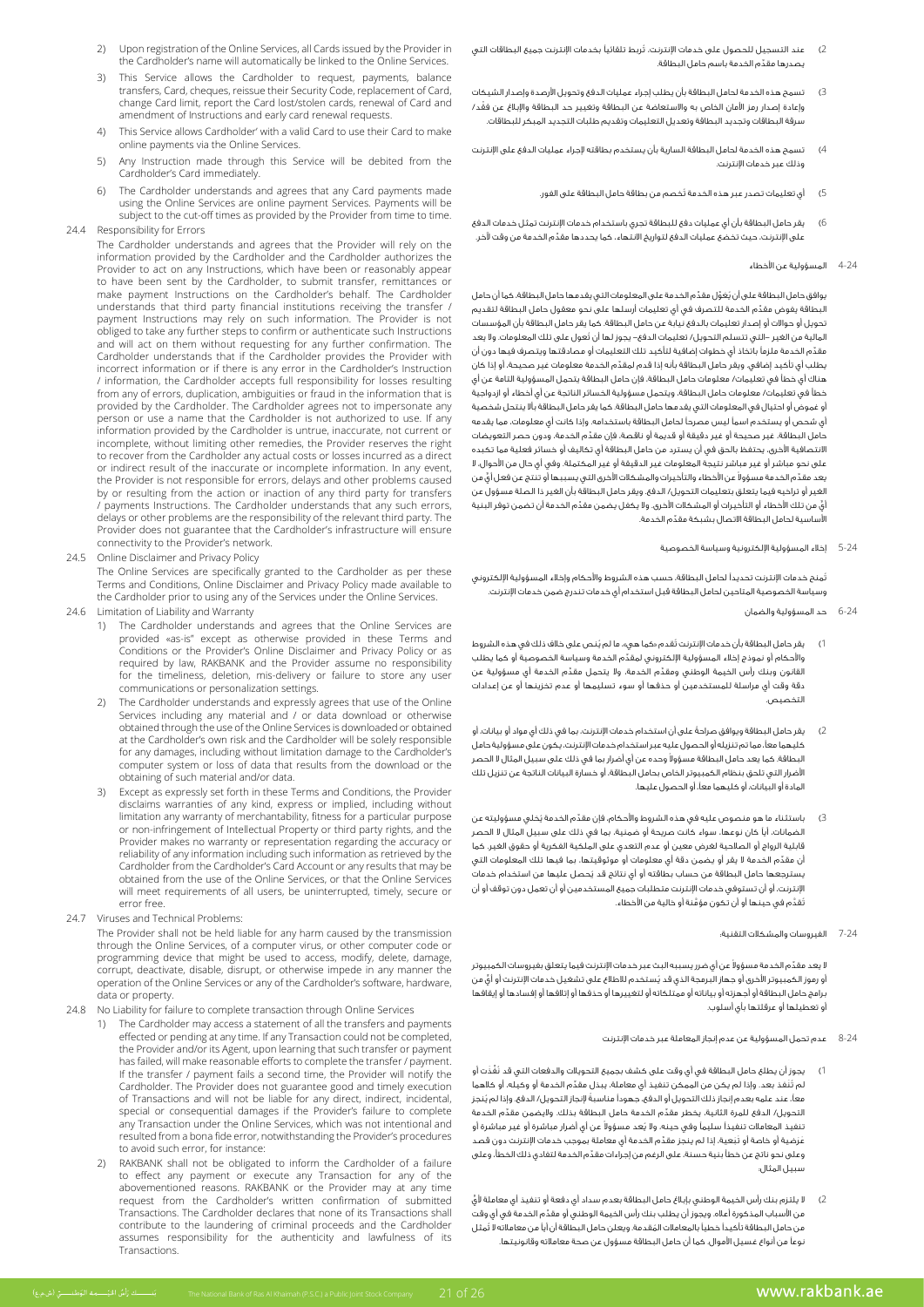- 2) Upon registration of the Online Services, all Cards issued by the Provider in the Cardholder's name will automatically be linked to the Online Services.
- This Service allows the Cardholder to request, payments, balance transfers, Card, cheques, reissue their Security Code, replacement of Card, change Card limit, report the Card lost/stolen cards, renewal of Card and amendment of Instructions and early card renewal requests.
- 4) This Service allows Cardholder' with a valid Card to use their Card to make online payments via the Online Services.
- 5) Any Instruction made through this Service will be debited from the Cardholder's Card immediately
- The Cardholder understands and agrees that any Card payments made using the Online Services are online payment Services. Payments will be subject to the cut-off times as provided by the Provider from time to time. 24.4 Responsibility for Errors
	- The Cardholder understands and agrees that the Provider will rely on the information provided by the Cardholder and the Cardholder authorizes the Provider to act on any Instructions, which have been or reasonably appear to have been sent by the Cardholder, to submit transfer, remittances or make payment Instructions on the Cardholder's behalf. The Cardholder understands that third party financial institutions receiving the transfer / payment Instructions may rely on such information. The Provider is not obliged to take any further steps to confirm or authenticate such Instructions and will act on them without requesting for any further confirmation. The Cardholder understands that if the Cardholder provides the Provider with incorrect information or if there is any error in the Cardholder's Instruction / information, the Cardholder accepts full responsibility for losses resulting from any of errors, duplication, ambiguities or fraud in the information that is provided by the Cardholder. The Cardholder agrees not to impersonate any person or use a name that the Cardholder is not authorized to use. If any information provided by the Cardholder is untrue, inaccurate, not current or incomplete, without limiting other remedies, the Provider reserves the right to recover from the Cardholder any actual costs or losses incurred as a direct or indirect result of the inaccurate or incomplete information. In any event, the Provider is not responsible for errors, delays and other problems caused the contact is not responsible for circle, early third party for transfers by or resulting from the action or inaction of any third party for transfers / payments Instructions. The Cardholder understands that any such errors, delays or other problems are the responsibility of the relevant third party. The Provider does not guarantee that the Cardholder's infrastructure will ensure connectivity to the Provider's network.
- 24.5 Online Disclaimer and Privacy Policy

The Online Services are specifically granted to the Cardholder as per these Terms and Conditions, Online Disclaimer and Privacy Policy made available to the Cardholder prior to using any of the Services under the Online Services.

- 24.6 Limitation of Liability and Warranty
	- 1) The Cardholder understands and agrees that the Online Services are provided «as-is" except as otherwise provided in these Terms and Conditions or the Provider's Online Disclaimer and Privacy Policy or as required by law, RAKBANK and the Provider assume no responsibility to failure to failure to failure to failure to store any user communications or personalization settings.
	- 2) The Cardholder understands and expressly agrees that use of the Online Services including any material and / or data download or otherwise obtained through the use of the Online Services is downloaded or obtained at the Cardholder's own risk and the Cardholder will be solely responsible for any damages, including without limitation damage to the Cardholder's computer system or loss of data that results from the download or the obtaining of such material and/or data.
	- Except as expressly set forth in these Terms and Conditions, the Provider disclaims warranties of any kind, express or implied, including without limitation any warranty of merchantability, fitness for a particular purpose or non-infringement of Intellectual Property or third party rights, and the Provider makes no warranty or representation regarding the accuracy or reliability of any information including such information as retrieved by the Cardholder from the Cardholder's Card Account or any results that may be obtained from the use of the Online Services, or that the Online Services will meet requirements of all users, be uninterrupted, timely, secure or error free.
- 24.7 Viruses and Technical Problems:

The Provider shall not be held liable for any harm caused by the transmission through the Online Services, of a computer virus, or other computer code or programming device that might be used to access, modify, delete, damage, corrupt, deactivate, disable, disrupt, or otherwise impede in any manner the operation of the Online Services or any of the Cardholder's software, hardware, data or property.

- 24.8 No Liability for failure to complete transaction through Online Services
	- 1) The Cardholder may access a statement of all the transfers and payments effected or pending at any time. If any Transaction could not be completed, the Provider and/or its Agent, upon learning that such transfer or payment has failed, will make reasonable efforts to complete the transfer / payment. If the transfer / payment fails a second time, the Provider will notify the Cardholder. The Provider does not guarantee good and timely execution of Transactions and will not be liable for any direct, indirect, incidental, complete the international consequential damages if the Provider's failure to complete any Transaction under the Online Services, which was not intentional and resulted from a bona fide error, notwithstanding the Provider's procedures to avoid such error, for instance:
	- 2) RAKBANK shall not be obligated to inform the Cardholder of a failure to effect any payment or execute any Transaction for any of the abovementioned reasons. RAKBANK or the Provider may at any time request from the Cardholder's written confirmation of submitted Transactions. The Cardholder declares that none of its Transactions shall contribute to the laundering of criminal proceeds and the Cardholder assumes responsibility for the authenticity and lawfulness of its .Transactions
- 2( ُ عند التسجيل للحصول على خدمات اإلنترنت، تربط تلقائيًا بخدمات اإلنترنت جميع البطاقات التي ِّ يصدرها مقدم الخدمة باسم حامل البطاقة.
- 3( تسمح هذه الخدمة لحامل البطاقة بأن يطلب إجراء عمليات الدفع وتحويل األرصدة وإصدار الشيكات ْ وإعادة إصدار رمز األمان الخاص به واالستعاضة عن البطاقة وتغيير حد البطاقة واإلبالغ عن فقد/ سرقة البطاقات وتجديد البطاقة وتعديل التعليمات وتقديم طلبات التجديد المبكر للبطاقات.
- 4( تسمح هذه الخدمة لحامل البطاقة السارية بأن يستخدم بطاقته إلجراء عمليات الدفع على اإلنترنت وذلك عبر خدمات اإلنترنت.
	- 5( ُ أي تعليمات تصدر عبر هذه الخدمة تخصم من بطاقة حامل البطاقة على الفور.
- 6( يقر حامل البطاقة بأن أي عمليات دفع للبطاقة تجري باستخدام خدمات اإلنترنت تمثل خدمات الدفع ِّ على اإلنترنت، حيث تخضع عمليات الدفع لتواريخ االنتهاء، كما يحددها مقدم الخدمة من وقت آلخر.
	- 4-24 المسؤولية عن األخطاء

يوافق حامل البطاقة على أن يُعَوِّل مقدِّم الخدمة على المعلومات التي يقدمها حامل البطاقة، كما أن حامل ِّ البطاقة يفوض مقدم الخدمة للتصرف في أي تعليمات أرسلها على نحو معقول حامل البطاقة لتقديم تحويل أو حواالت أو إصدار تعليمات بالدفع نيابة عن حامل البطاقة. كما يقر حامل البطاقة بأن المؤسسات ُ المالية من الغير -التي تتسلم التحويل/ تعليمات الدفع- يجوز لها أن تعول على تلك المعلومات. وال يعد ِّ مقدم الخدمة ملزمًا باتخاذ أي خطوات إضافية لتأكيد تلك التعليمات أو مصادقتها ويتصرف فيها دون أن ِّ يطلب أي تأكيد إضافي. ويقر حامل البطاقة بأنه إذا قدم لمقدم الخدمة معلومات غير صحيحة، أو إذا كان هناك أي خطأ في تعليمات/ معلومات حامل البطاقة، فإن حامل البطاقة يتحمل المسؤولية التامة عن أي خطأ في تعليمات/ معلومات حامل البطاقة، ويتحمل مسؤولية الخسائر الناتجة عن أي أخطاء أو ازدواجية أو غموض أو احتيال في المعلومات التي يقدمها حامل البطاقة. كما يقر حامل البطاقة بأال ينتحل شخصية أي شحص أو يستخدم اسمًا ليس مصرحًا لحامل البطاقة باستخدامه. وإذا كانت أي معلومات، مما يقدمه ِّ حامل البطاقة، غير صحيحة أو غير دقيقة أو قديمة أو ناقصة، فإن مقدم الخدمة، ودون حصر التعويضات االنتصافية األخرى، يحتفظ بالحق في أن يسترد من حامل البطاقة أي تكاليف أو خسائر فعلية مما تكبده على نحو مباشر أو غير مباشر نتيجة المعلومات غير الدقيقة أو غير المكتملة. وفي أي حال من األحوال، ال يعد مقدِّم الخدمة مسؤولا عن الأخطاء والتآخيرات والمشكلات الآخرى التي يسببها أو تنتج عن فعل أيٍّ من الغير أو تراخيه فيما يتعلق بتعليمات التحويل/ الدفع. ويقر حامل البطاقة بأن الغير ذا الصلة مسؤول عن ٍّ أي ِّ من تلك األخطاء أو التأخيرات أو المشكالت األخرى. وال يكفل يضمن مقدم الخدمة أن تضمن توفر البنية ِّ األساسية لحامل البطاقة االتصال بشبكة مقدم الخدمة.

5-24 إخالء المسؤولية اإللكترونية وسياسة الخصوصية

 ُتمنح خدمات اإلنترنت تحديدًا لحامل البطاقة، حسب هذه الشروط واألحكام وإخالء المسؤولية اإللكتروني وسياسة الخصوصية المتاحين لحامل البطاقة قبل استخدام أي خدمات تندرج ضمن خدمات اإلنترنت.

- 6-24 حد المسؤولية والضمان
- يقر حامل البطاقة بأن خدمات الإنترنت تُقدم «كما هي»، ما لم يُنص على خلاف ذلك في هذه الشروط ِّ واألحكام أو نموذج إخالء المسؤولية اإللكتروني لمقدم الخدمة وسياسة الخصوصية أو كما يطلب القانون وبنك رأس الخيمة الوطني ومقدِّم الخدمة، ولا يتحمل مقدِّم الخدمة أي مسؤولية عن دقة وقت أي مراسلة للمستخدمين أو حذفها أو سوء تسليمها أو عدم تخزينها أو عن إعدادات التخصيص.
- يقر حامل البطاقة ويوافق صراحةً على أن استخدام خدمات الإنترنت، بما في ذلك أي مواد أو بيانات، أو كليهما معًا، مما تم تنزيله أو الحصول عليه عبر استخدام خدمات اإلنترنت، يكون على مسؤولية حامل لبطاقة. كما يعد حامل البطاقة مسؤولا وحده عن آي آضرار بما في ذلك على سبيل المثال لا الحصر األضرار التي تلحق بنظام الكمبيوتر الخاص بحامل البطاقة، أو خسارة البيانات الناتجة عن تنزيل تلك المادة أو البيانات، أو كليهما معًا، أو الحصول عليها.
- باستثناء ما هو منصوص عليه في هذه الشروط والأحكام، فإن مقدَّم الخدمة يُخلي مسؤوليته عن الضمانات، أيًا كان نوعها، سواء كانت صريحة أو ضمنية، بما في ذلك على سبيل المثال ال الحصر قابلية الرواج أو الصالحية لغرض معين أو عدم التعدي على الملكية الفكرية أو حقوق الغير. كما ِّ أن مقدم الخدمة ال يقر أو يضمن دقة أي معلومات أو موثوقيتها، بما فيها تلك المعلومات التي ُ يسترجعها حامل البطاقة من حساب بطاقته أو أي نتائج قد يحصل عليها من استخدام خدمات اإلنترنت، أو أن تستوفي خدمات اإلنترنت متطلبات جميع المستخدمين أو أن تعمل دون توقف أو أن ُت َّقد َّ م في حينها أو أن تكون مؤمنة أو خالية من األخطاء.
	- 7-24 الفيروسات والمشكالت التقنية:

لا يعد مقدِّم الخدمة مسؤولاً عن أي ضرر يسببه البث عبر خدمات الإنترنت فيما يتعلق بفيروسات الكمبيوتر أو رموز الكمبيوتر الأخرى أو جهاز البرمجة الذي قد يُستخدم للاطلاع على تشغيل خدمات الإنترنت أو أيٍّ من برامج حامل البطاقة أو أجهزته أو بياناته أو ممتلكاته أو لتغييرها أو حذفها أو إتالفها أو إفسادها أو إيقافها أو تعطيلها أو عرقلتها بأي أسلوب.

- 8-24 عدم تحمل المسؤولية عن عدم إنجاز المعاملة عبر خدمات اإلنترنت
- يجوز أن يطلع حامل البطاقة في أي وقت على كشف بجميع التحويلات والدفعات التي قد نَفَّذَت أو ر<br>لم تَنفذ بعد. وإذا لم يكن من الممكن تنفيذ أي معاملة، يبذل مقدّم الخدمة أو وكيله، أو كالهما ً معًا، عند علمه بعدم إنجاز ذلك التحويل أو الدفع، جهودًا مناسبة ُ إلنجاز التحويل/ الدفع. وإذا لم ينجز التحويل/ الدفع للمرة الثانية، يخطر مقدِّم الخدمة حامل البطاقة بذلك. ولايضمن مقدِّم الخدمة ننفيذ المعاملات تنفيذاً سليماً وفي حينه، ولا يَعد مسؤولاً عن أي أضرار مباشرة أو غير مباشرة أو عَرَضية أو خاصة أو تَبَعية، إذا لم ينجز مقدَّم الخدمة أي معاملة بموجب خدمات الإنترنت دون قصد ِّ وعلى نحو ناتج عن خطأ بنية حسنة، على الرغم من إجراءات مقدم الخدمة لتفادي ذلك الخطأ، وعلى سبيل المثال:
- لا يلتزم بنك رأس الخيمة الوطني بإبلاغ حامل البطاقة بعدم سداد أي دفعة أو تنفيذ أي معاملة لأيّ ِّ من األسباب المذكورة أعاله. ويجوز أن يطلب بنك رأس الخيمة الوطني أو مقدم الخدمة في أي وقت من حامل البطاقة تأكيداً خطياً بالمعاملات المُقدمة. ويعلن حامل البطاقة أن أياً من معاملاته لا تُمثل نوعًا من أنواع غسيل األموال. كما أن حامل البطاقة مسؤول عن صحة معامالته وقانونيتها.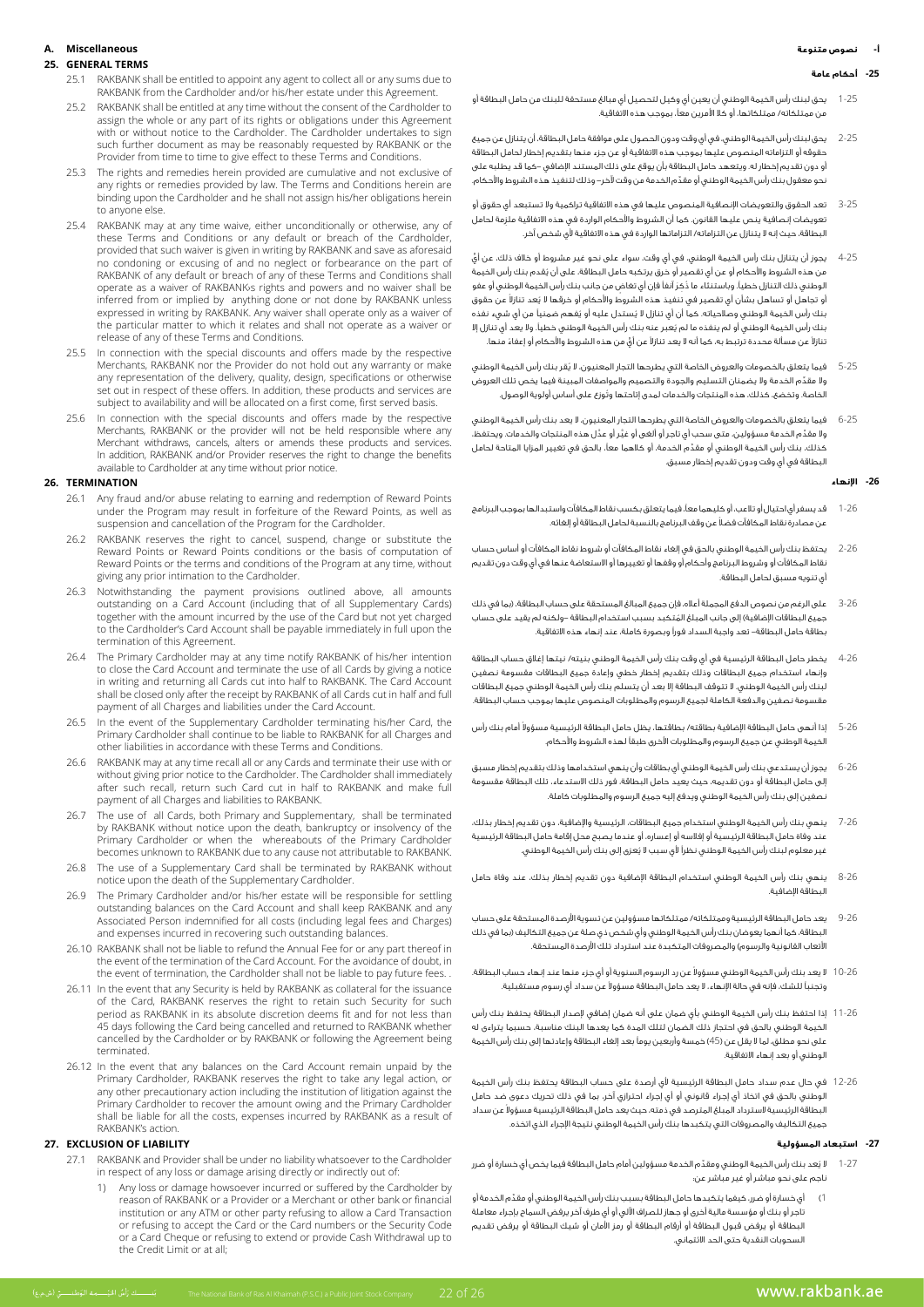### **أ- نصوص متنوعة**

### **-25 أحكام عامة**

- 1-25 يحق لبنك رأس الخيمة الوطني أن يعين أي وكيل لتحصيل أي مبالغ مستحقة للبنك من حامل البطاقة أو من ممتلكاته/ ممتلكاتها، أو كال األمرين معًا، بموجب هذه االتفاقية.
- 2-25 يحق لبنك رأس الخيمة الوطني، في أي وقت ودون الحصول على موافقة حامل البطاقة، أن يتنازل عن جميع حقوقه أو التزاماته المنصوص عليها بموجب هذه االتفاقية أو عن جزء منها بتقديم إخطار لحامل البطاقة أو دون تقديم إخطار له. ويتعهد حامل البطاقة بأن يوقع على ذلك المستند اإلضافي -كما قد يطلبه على ِّ نحو معقول بنك رأس الخيمة الوطني أو مقدم الخدمة من وقت آلخر- وذلك لتنفيذ هذه الشروط واألحكام.
- 3-25 تعد الحقوق والتعويضات اإلنصافية المنصوص عليها في هذه االتفاقية تراكمية وال تستبعد أي حقوق أو ِ تعويضات إنصافية ينص عليها القانون. كما أن الشروط واألحكام الواردة في هذه االتفاقية ملزمة لحامل البطاقة، حيث إنه ال يتنازل عن التزاماته/ التزاماتها الواردة في هذه االتفاقية ألي شخص آخر.
- 4-25 ٍّ يجوز أن يتنازل بنك رأس الخيمة الوطني، في أي وقت، سواء على نحو غير مشروط أو خالف ذلك، عن أي ُ من هذه الشروط واألحكام أو عن أي تقصير أو خرق يرتكبه حامل البطاقة، على أن يقدم بنك رأس الخيمة الوطني ذلك التنازل خطياً. وباستنثاء ما ذُكرَ آنفاً فإن أي تغاض من جانب بنك رأس الخيمة الوطني أو عفو ُو تجاهل أو تساهل بشأن أي تقصير في تنفيذ هذه الشروط والأحكام أو خرقها لا يُعد تنازلا عن حقوق بنك رأس الخيمة الوطني وصالحياته. كما أن أي تنازل لا يُستدل عليه أو يُفهم ضمنياً من أي شيء نفذه ُ بنك رأس الخيمة الوطني أو لم ينفذه ما لم يعبر عنه بنك رأس الخيمة الوطني خطيًا. وال يعد أي تنازل إال غنازلا عن مسألة محددة ترتبط به، كما أنه لا يعد تنازلا عن أيٍّ من هذه الشروط والأحكام أو إعفاءً منها.
- 5-25 ُ فيما يتعلق بالخصومات والعروض الخاصة التي يطرحها التجار المعنيون، ال يقر بنك رأس الخيمة الوطني ِّ وال مقدم الخدمة وال يضمنان التسليم والجودة والتصميم والمواصفات المبينة فيما يخص تلك العروض ُ الخاصة. وتخضع، كذلك، هذه المنتجات والخدمات لمدى إتاحتها وتوزع على أساس أولوية الوصول.
- 6-25 فيما يتعلق بالخصومات والعروض الخاصة التي يطرحها التجار المعنيون، ال يعد بنك رأس الخيمة الوطني ِّ وال مقد َّ م الخدمة مسؤولين، متى سحب أي تاجر أو ألغى أو غي َّ ر أو عدل هذه المنتجات والخدمات. ويحتفظ، ِّ كذلك، بنك رأس الخيمة الوطني أو مقدم الخدمة، أو كالهما معًا، بالحق في تغيير المزايا المتاحة لحامل البطاقة في أي وقت ودون تقديم إخطار مسبق.

#### **-26 اإلنهاء**

- 1-26 قد يسفر أي احتيال أو تالعب، أو كليهما معًا، فيما يتعلق بكسب نقاط المكافآت واستبدالها بموجب البرنامج ً عن مصادرة نقاط المكافآت فضال عن وقف البرنامج بالنسبة لحامل البطاقة أو إلغائه.
- 2-26 يحتفظ بنك رأس الخيمة الوطني بالحق في إلغاء نقاط المكافآت أو شروط نقاط المكافآت أو أساس حساب نقاط المكافآت أو وشروط البرنامج وأحكام أو وقفها أو تغييرها أو االستعاضة عنها في أي وقت دون تقديم أي تنويه مسبق لحامل البطاقة.
- 3-26 على الرغم من نصوص الدفع المجملة أعاله، فإن جميع المبالغ المستحقة على حساب البطاقة، )بما في ذلك جميع البطاقات الإضافية) إلى جانب المبلغ المُتكبد بسبب استخدام البطاقة –ولكنه لم يقيد على حساب بطاقة حامل البطاقة- تعد واجبة السداد فورًا وبصورة كاملة، عند إنهاء هذه االتفاقية.
- 4-26 يخطر حامل البطاقة الرئيسية في أي وقت بنك رأس الخيمة الوطني بنيته/ نيتها إغالق حساب البطاقة وإنهاء استخدام جميع البطاقات وذلك بتقديم إخطار خطي وإعادة جميع البطاقات مقسومة نصفين لبنك رأس الخيمة الوطني. ال تتوقف البطاقة إال بعد أن يتسلم بنك رأس الخيمة الوطني جميع البطاقات مقسومة نصفين والدفعة الكاملة لجميع الرسوم والمطلوبات المنصوص عليها بموجب حساب البطاقة.
- 5-26 ٪ إذا أنهى حامل البطاقة الإضافية بطاقته/ بطاقتها، يظل حامل البطاقة الرئيسية مسؤولاً أمام بنك رأس الخيمة الوطني عن جميع الرسوم والمطلوبات األخرى طبقًا لهذه الشروط واألحكام.
- 6-26 يجوز أن يستدعي بنك رأس الخيمة الوطني أي بطاقات وأن ينهي استخدامها وذلك بتقديم إخطار مسبق إلى حامل البطاقة أو دون تقديمه، حيث يعيد حامل البطاقة، فور ذلك االستدعاء، تلك البطاقة مقسومة نصفين إلى بنك رأس الخيمة الوطني ويدفع إليه جميع الرسوم والمطلوبات كاملة.
- 7-26 ينهي بنك رأس الخيمة الوطني استخدام جميع البطاقات، الرئيسية واإلضافية، دون تقديم إخطار بذلك، عند وفاة حامل البطاقة الرئيسية أو إفالسه أو إعساره، أو عندما يصبح محل إقامة حامل البطاقة الرئيسية ُ غير معلوم لبنك رأس الخيمة الوطني نظرًا ألي سبب ال يعزى إلى بنك رأس الخيمة الوطني.
- 8-26 ينهي بنك رأس الخيمة الوطني استخدام البطاقة اإلضافية دون تقديم إخطار بذلك، عند وفاة حامل البطاقة اإلضافية.
- 9-26 يعد حامل البطاقة الرئيسية وممتلكاته/ ممتلكاتها مسؤولين عن تسوية األرصدة المستحقة على حساب البطاقة، كما أنهما يعوضان بنك رأس الخيمة الوطني وأي شخص ذي صلة عن جميع التكاليف )بما في ذلك .<br>الأتعاب القانونية والرسوم) والمصروفات المتكبدة عند استرداد تلك الأرصدة المستحقة.
- 10-26 لا يعد بنك رأس الخيمة الوطني مسؤولا عن رد الرسوم السنوية أو أي جزء منها عند إنهاء حساب البطاقة. وتجنباً للشك، فإنه في حالة الإنهاء، لا يعد حامل البطاقة مسؤولا عن سداد أي رسوم مستقبلية.
- 11-26 إذا احتفظ بنك رأس الخيمة الوطني بأي ضمان على أنه ضمان إضافي إلصدار البطاقة يحتفظ بنك رأس الخيمة الوطني بالحق في احتجاز ذلك الضمان لتلك المدة كما يعدها البنك مناسبة، حسبما يتراءى له ء<br>على نحو مطلق، لما لا يقل عن (45) خمسة وأربعين يوماً بعد إلغاء البطاقة وإعادتها إلى بنك رأس الخيمة الوطني أو بعد إنهاء االتفاقية.
- 12-26 في حال عدم سداد حامل البطاقة الرئيسية ألي أرصدة على حساب البطاقة يحتفظ بنك رأس الخيمة .<br>الوطني بالحق في اتخاذ أي إجراء قانوني أو أي إجراء احترازي آخر، بما في ذلك تحريك دعوى ضد حامل لبطاقة الرئيسية لاسترداد المبلغ المترصد فى ذمته، حيث يعد حامل البطاقة الرئيسية مسؤولا عن سداد جميع التكاليف والمصروفات التي يتكبدها بنك رأس الخيمة الوطني نتيجة اإلجراء الذي اتخذه.

#### **-27 استبعاد المسؤولية**

- 1-27 لا يُعد بنك رأس الخيمة الوطني ومقدِّم الخدمة مسؤولين أمام حامل البطاقة فيما يخص أي خسارة أو ضرر ناجم على نحو مباشر أو غير مباشر عن:
- 1( ِّ أي خسارة أو ضرر، كيفما يتكبدها حامل البطاقة بسبب بنك رأس الخيمة الوطني أو مقدم الخدمة أو تاجر أو بنك أو مؤسسة مالية أخرى أو جهاز للصراف اآللي أو أي طرف آخر يرفض السماح بإجراء معاملة البطاقة أو يرفض قبول البطاقة أو أرقام البطاقة أو رمز األمان أو شيك البطاقة أو يرفض تقديم السحوبات النقدية حتى الحد االئتماني.

# **Miscellaneous .A**

### **TERMS GENERAL 25.**

- 25.1 RAKBANK shall be entitled to appoint any agent to collect all or any sums due to RAKBANK from the Cardholder and/or his/her estate under this Agreement.
- 25.2 RAKBANK shall be entitled at any time without the consent of the Cardholder to assign the whole or any part of its rights or obligations under this Agreement assign the whole of any part of its nghts of obligations ander this rightenient with or without notice to the Cardholder. The Cardholder undertakes to sign the or window honce to the earanoider. The earanoider andertance to significant further document as may be reasonably requested by RAKBANK or the Provider from time to time to give effect to these Terms and Conditions.
- 25.3 The rights and remedies herein provided are cumulative and not exclusive of any rights or remedies provided by law. The Terms and Conditions herein are binding upon the Cardholder and he shall not assign his/her obligations herein to anyone else.
- 25.4 RAKBANK may at any time waive, either unconditionally or otherwise, any of these Terms and Conditions or any default or breach of the Cardholder, provided that such waiver is given in writing by RAKBANK and save as aforesaid no condoning or excusing of and no neglect or forbearance on the part of shall Conditions and Conditions and Terms the Conditions shall be shall waiver and powers and no waiver shall be operate as a waiver of RAKBANK s rights and powers and no waiver shall be inferred from or implied by anything done or not done by RAKBANK unless expressed in writing by RAKBANK. Any waiver shall operate only as a waiver of the particular matter to which it relates and shall not operate as a waiver or release of any of these Terms and Conditions.
- 25.5 In connection with the special discounts and offers made by the respective Merchants, RAKBANK nor the Provider do not hold out any warranty or make any representation of the delivery, quality, design, specifications or otherwise set out in respect of these offers. In addition, these products and services are subject to availability and will be allocated on a first come, first served basis.
- In connection with the special discounts and offers made by the respective Merchants, RAKBANK or the provider will not be held responsible where any Merchant withdraws, cancels, alters or amends these products and services. In addition, RAKBANK and/or Provider reserves the right to change the benefits available to Cardholder at any time without prior notice.

#### **TERMINATION 26.**

- 26.1 Any fraud and/or abuse relating to earning and redemption of Reward Points under the Program may result in forfeiture of the Reward Points, as well as suspension and cancellation of the Program for the Cardholder.
- RAKBANK reserves the right to cancel, suspend, change or substitute the Reward Points or Reward Points conditions or the basis of computation of Reward Points or the terms and conditions of the Program at any time, without giving any prior intimation to the Cardholder.
- 26.3 Notwithstanding the payment provisions outlined above, all amounts outstanding on a Card Account (including that of all Supplementary Cards) together with the amount incurred by the use of the Card but not yet charged to the Cardholder's Card Account shall be payable immediately in full upon the termination of this Agreement
- 26.4 The Primary Cardholder may at any time notify RAKBANK of his/her intention to close the Card Account and terminate the use of all Cards by giving a notice in writing and returning all Cards cut into half to RAKBANK. The Card Account shall be closed only after the receipt by RAKBANK of all Cards cut in half and full payment of all Charges and liabilities under the Card Account.
- In the event of the Supplementary Cardholder terminating his/her Card, the Primary Cardholder shall continue to be liable to RAKBANK for all Charges and other liabilities in accordance with these Terms and Conditions
- RAKBANK may at any time recall all or any Cards and terminate their use with or without giving prior notice to the Cardholder. The Cardholder shall immediately after such recall, return such Card cut in half to RAKBANK and make full payment of all Charges and liabilities to RAKBANK.
- 26.7 The use of all Cards, both Primary and Supplementary, shall be terminated by RAKBANK without notice upon the death, bankruptcy or insolvency of the Primary Cardholder or when the whereabouts of the Primary Cardholder becomes unknown to RAKBANK due to any cause not attributable to RAKBANK.
- 26.8 The use of a Supplementary Card shall be terminated by RAKBANK without notice upon the death of the Supplementary Cardholder.
- 26.9 The Primary Cardholder and/or his/her estate will be responsible for settling outstanding balances on the Card Account and shall keep RAKBANK and any Associated Person indemnified for all costs (including legal fees and Charges) and expenses incurred in recovering such outstanding balances.
- 26.10 RAKBANK shall not be liable to refund the Annual Fee for or any part thereof in the event of the termination of the Card Account. For the avoidance of doubt, in the event of termination, the Cardholder shall not be liable to pay future fees. .
- 26.11 In the event that any Security is held by RAKBANK as collateral for the issuance of the Card, RAKBANK reserves the right to retain such Security for such period as RAKBANK in its absolute discretion deems fit and for not less than 45 days following the Card being cancelled and returned to RAKBANK whether cancelled by the Cardholder or by RAKBANK or following the Agreement being .terminated
- 26.12 In the event that any balances on the Card Account remain unpaid by the Primary Cardholder, RAKBANK reserves the right to take any legal action, or any other precautionary action including the institution of litigation against the Primary Cardholder to recover the amount owing and the Primary Cardholder shall be liable for all the costs, expenses incurred by RAKBANK as a result of RAKBANK's action.

### **27. EXCLUSION OF LIABILITY**

- 27.1 RAKBANK and Provider shall be under no liability whatsoever to the Cardholder in respect of any loss or damage arising directly or indirectly out of:
	- 1) Any loss or damage howsoever incurred or suffered by the Cardholder by reason of RAKBANK or a Provider or a Merchant or other bank or financial institution or any ATM or other party refusing to allow a Card Transaction or refusing to accept the Card or the Card numbers or the Security Code or a Card Cheque or refusing to extend or provide Cash Withdrawal up to the Credit Limit or at all;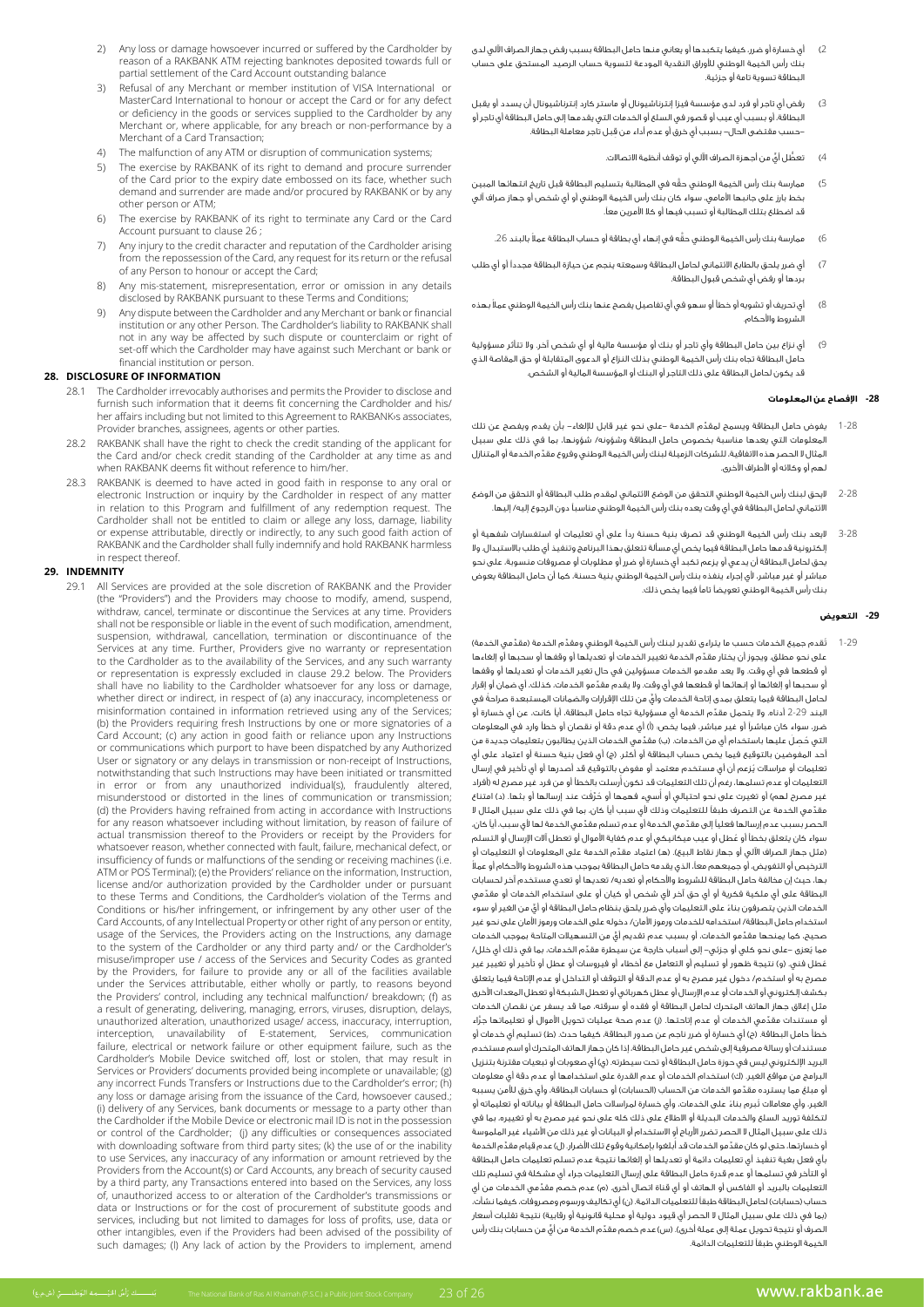- 2) Any loss or damage howsoever incurred or suffered by the Cardholder by reason of a RAKBANK ATM rejecting banknotes deposited towards full or partial settlement of the Card Account outstanding balance
- 3) Refusal of any Merchant or member institution of VISA International or MasterCard International to honour or accept the Card or for any defect or deficiency in the goods or services supplied to the Cardholder by any Merchant or, where applicable, for any breach or non-performance by a Merchant of a Card Transaction;
- The malfunction of any ATM or disruption of communication systems;
- 5) The exercise by RAKBANK of its right to demand and procure surrender of the Card prior to the expiry date embossed on its face, whether such demand and surrender are made and/or procured by RAKBANK or by any other person or ATM:
- 6) The exercise by RAKBANK of its right to terminate any Card or the Card Account pursuant to clause 26 ;
- 7) Any injury to the credit character and reputation of the Cardholder arising from the repossession of the Card, any request for its return or the refusal of any Person to honour or accept the Card;
- Any mis-statement, misrepresentation, error or omission in any details disclosed by RAKBANK pursuant to these Terms and Conditions
- Any dispute between the Cardholder and any Merchant or bank or financial institution or any other Person. The Cardholder's liability to RAKBANK shall not in any way be affected by such dispute or counterclaim or right of set-off which the Cardholder may have against such Merchant or bank or financial institution or person.

### **28. DISCLOSURE OF INFORMATION**

- The Cardholder irrevocably authorises and permits the Provider to disclose and furnish such information that it deems fit concerning the Cardholder and his/ her affairs including but not limited to this Agreement to RAKBANK s associates, Provider branches, assignees, agents or other parties.
- RAKBANK shall have the right to check the credit standing of the applicant for the Card and/or check credit standing of the Cardholder at any time as and when RAKBANK deems fit without reference to him/her.
- 28.3 RAKBANK is deemed to have acted in good faith in response to any oral or electronic Instruction or inquiry by the Cardholder in respect of any matter in relation to this Program and fulfillment of any redemption request. The Cardholder shall not be entitled to claim or allege any loss, damage, liability or expense attributable, directly or indirectly, to any such good faith action of RAKBANK and the Cardholder shall fully indemnify and hold RAKBANK harmless in respect thereof.

#### **INDEMNITY 29.**

29.1 All Services are provided at the sole discretion of RAKBANK and the Provider (the "Providers") and the Providers may choose to modify, amend, suspend, withdraw, cancel, terminate or discontinue the Services at any time. Providers shall not be responsible or liable in the event of such modification, amendment, suspension, withdrawal, cancellation, termination or discontinuance of the Services at any time. Further, Providers give no warranty or representation to the Cardholder as to the availability of the Services, and any such warranty or representation is expressly excluded in clause 29.2 below. The Providers shall have no liability to the Cardholder whatsoever for any loss or damage, whether direct or indirect, in respect of (a) any inaccuracy, incompleteness or misinformation contained in information retrieved using any of the Services; (b) the Providers requiring fresh Instructions by one or more signatories of a Card Account; (c) any action in good faith or reliance upon any Instructions or communications which purport to have been dispatched by any Authorized User or signatory or any delays in transmission or non-receipt of Instructions, notwithstanding that such Instructions may have been initiated or transmitted in error or from any unauthorized individual(s), fraudulently altered, misunderstood or distorted in the lines of communication or transmission; (d) the Providers having refrained from acting in accordance with Instructions for any reason whatsoever including without limitation, by reason of failure of actual transmission thereof to the Providers or receipt by the Providers for whatsoever reason, whether connected with fault, failure, mechanical defect, or insufficiency of funds or malfunctions of the sending or receiving machines (i.e. ATM or POS Terminal): (e) the Providers' reliance on the information, Instruction. pursuant or under cardholder the burst or under the backet of the backet cardholder the bursuant to these Terms and Conditions, the Cardholder's violation of the Terms and Conditions or his/her infringement, or infringement by any other user of the Card Accounts, of any Intellectual Property or other right of any person or entity, usage of the Services, the Providers acting on the Instructions, any damage to the system of the Cardholder or any third party and/ or the Cardholder's misuse/improper use / access of the Services and Security Codes as granted by the Providers, for failure to provide any or all of the facilities available under the Services attributable, either wholly or partly, to reasons beyond the Providers' control, including any technical malfunction/ breakdown; (f) as a result of generating, delivering, managing, errors, viruses, disruption, delays, unauthorized alteration, unauthorized usage/ access, inaccuracy, interruption, interception, unavailability of E-statement, Services, communication failure, electrical or network failure or other equipment failure, such as the Cardholder's Mobile Device switched off, lost or stolen, that may result in Services or Providers' documents provided being incomplete or unavailable; (g) any incorrect Funds Transfers or Instructions due to the Cardholder's error; (h) any loss or damage arising from the issuance of the Card, howsoever caused.; (i) delivery of any Services, bank documents or message to a party other than the Cardholder if the Mobile Device or electronic mail ID is not in the possession or control of the Cardholder; (i) any difficulties or consequences associated with downloading software from third party sites; (k) the use of or the inability to use Services, any inaccuracy of any information or amount retrieved by the Providers from the Account(s) or Card Accounts, any breach of security caused by a third party, any Transactions entered into based on the Services, any loss of transmissions access to or alteration of the Cardholder's transmissions or data or Instructions or for the cost of procurement of substitute goods and services, including but not limited to damages for loss of profits, use, data or other intangibles, even if the Providers had been advised of the possibility of such damages; (I) Any lack of action by the Providers to implement, amend

- 2( أي خسارة أو ضرر، كيفما يتكبدها أو يعاني منها حامل البطاقة بسبب رفض جهاز الصراف اآللي لدى بنك رأس الخيمة الوطني لألوراق النقدية المودعة لتسوية حساب الرصيد المستحق على حساب البطاقة تسوية تامة أو جزئية.
- 3( رفض أي تاجر أو فرد لدى مؤسسة فيزا إنترناشيونال أو ماستر كارد إنترناشيونال أن يسدد أو يقبل البطاقة، أو بسبب أي عيب أو قصور في السلع أو الخدمات التي يقدمها إلى حامل البطاقة أي تاجر أو ِ -حسب مقتضى الحال- بسبب أي خرق أو عدم أداء من قبل تاجر معاملة البطاقة.
	- 4) تعطُّل أيٍّ من أجهزة الصراف الآلي أو توقف أنظمة الاتصالات.
- 5( َّ ممارسة بنك رأس الخيمة الوطني حقه في المطالبة بتسليم البطاقة قبل تاريخ انتهائها المبين بخط بارز على جانبها األمامي، سواء كان بنك رأس الخيمة الوطني أو أي شخص أو جهاز صراف آلي قد اضطلع بتلك المطالبة أو تسبب فيها أو كال األمرين معًا.
	- 6) ممارسة بنك رأس الخيمة الوطني حقَّه في إنهاء أي بطاقة أو حساب البطاقة عملاً بالبند 26.
- 7( أي ضرر يلحق بالطابع االئتماني لحامل البطاقة وسمعته ينجم عن حيازة البطاقة مجددًا أو أي طلب بردها أو رفض أي شخص قبول البطاقة.
- 8( ً أي تحريف أو تشويه أو خطأ أو سهو في أي تفاصيل يفصح عنها بنك رأس الخيمة الوطني عمال بهذه الشروط واألحكام.
- 9( أي نزاع بين حامل البطاقة وأي تاجر أو بنك أو مؤسسة مالية أو أي شخص آخر. وال تتأثر مسؤولية حامل البطاقة تجاه بنك رأس الخيمة الوطني بذلك النزاع أو الدعوى المتقابلة أو حق المقاصة الذي قد يكون لحامل البطاقة على ذلك التاجر أو البنك أو المؤسسة المالية أو الشخص.

#### **-28 اإلفصاح عن المعلومات**

- 1-28 ِّ يفوض حامل البطاقة ويسمح لمقدم الخدمة -على نحو غير قابل لإللغاء- بأن يقدم ويفصح عن تلك المعلومات التي يعدها مناسبة بخصوص حامل البطاقة وشؤونه/ شؤونها، بما في ذلك على سبيل ِّ.<br>المثال لا الحصر هذه الاتفاقية، للشركات الزميلة لبنك رأس الخيمة الوطني وفروع مقدِّم الخدمة أو المتنازل لهم أو وكالئه أو األطراف األخرى.
- 2-28 اليحق لبنك رأس الخيمة الوطني التحقق من الوضع االئتماني لمقدم طلب البطاقة أو التحقق من الوضع االئتماني لحامل البطاقة في أي وقت يعده بنك رأس الخيمة الوطني مناسبًا دون الرجوع إليه/ إليها.
- 3-28 اليعد بنك رأس الخيمة الوطني قد تصرف بنية حسنة ردًا على أي تعليمات أو استفسارات شفهية أو إلكترونية قدمها حامل البطاقة فيما يخص أي مسألة تتعلق بهذا البرنامج وتنفيذ أي طلب باالستبدال. وال يحق لحامل البطاقة أن يدعي أو يزعم تكبد أي خسارة أو ضرر أو مطلوبات أو مصروفات منسوبة، على نحو مباشر أو غير مباشر، ألي إجراء ينفذه بنك رأس الخيمة الوطني بنية حسنة، كما أن حامل البطاقة يعوض بنك رأس الخيمة الوطني تعويضًا تامًا فيما يخص ذلك.

#### **-29 التعويض**

1-29 ٪ تُقدم جميع الخدمات حسب ما يتراءى تقدير لبنك رأس الخيمة الوطني ومقدّم الخدمة (مقدّمي الخدمة) ِّ على نحو مطلق. ويجوز أن يختار مقدم الخدمة تغيير الخدمات أو تعديلها أو وقفها أو سحبها أو إلغاءها أو قطعها في أي وقت. وال يعد مقدمو الخدمات مسؤولين في حال تغير الخدمات أو تعديلها أو وقفها ِّ أو سحبها أو إلغائها أو إنهائها أو قطعها في أي وقت. وال يقدم مقدمو الخدمات، كذلك، أي ضمان أو إقرار ٍّ لحامل البطاقة فيما يتعلق بمدى إتاحة الخدمات وأي ً من تلك اإلقرارات والضمانات المستبعدة صراحة في البند 2-29 ِّ أدناه. وال يتحمل مقدم الخدمة أي مسؤولية تجاه حامل البطاقة، أيًا كانت، عن أي خسارة أو ضرر، سواء كان مباشرًا أو غير مباشر، فيما يخص: )أ( أي عدم دقة أو نقصان أو خطأ وارد في المعلومات التي حُصلَ عليها باستخدام أي من الخدمات. (ب) مقدّمي الخدمات الذين يطالبون بتعليمات جديدة من .<br>أحد المفوضين بالتوقيع فيما يخص حساب البطاقة أو أكثر. (ج) أي فعل بنية حسنة أو اعتماد على أي ُ تعليمات أو مراسالت يزعم أن أي مستخدم معتمد أو مفوض بالتوقيع قد أصدرها أو أي تأخير في إرسال لتعليمات أو عدم تسلمها، رغم أن تلك التعليمات قد تكون أُرسلت بالخطأ أو من فرد غير مصرح له (أفراد ُغير مصرح لهم) أو تغيرت على نحو احتيالي أو أسيء فهمها أو حُرَّفَت عند إرسالها أو بثها. (د) امتناع ِّ مقدمي الخدمة عن التصرف طبقًا للتعليمات وذلك ألي سبب أيًا كان، بما في ذلك على سبيل المثال ال ِّ الحصر بسبب عدم إرسالها فعليًا إلى مقد ِّ مي الخدمة أو عدم تسلم مقدمي الخدمة لها ألي سبب، أيًا كان، ُ سواء كان يتعلق بخطأ أو عطل أو عيب ميكانيكي أو عدم كفاية األموال أو تعطل آالت اإلرسال أو التسلم (مثل جهاز الصراف الآلي أو جهاز نقاط البيع). (هـ) اعتماد مقدّم الخدمة على المعلومات أو التعليمات أو ً الترخيص أو التفويض، أو جميعهم معًا، الذي يقدمه حامل البطاقة بموجب هذه الشروط واألحكام أو عمال بها، حيث إن مخالفة حامل البطاقة للشروط واألحكام أو تعديه/ تعديها أو تعدي مستخدم آخر لحسابات ِّ البطاقة على أي ملكية فكرية أو أي حق آخر ألي شخص أو كيان أو على استخدام الخدمات أو مقدمي ً الخدمات الذين يتصرفون بناء ٍّ على التعليمات وأي ضرر يلحق بنظام حامل البطاقة أو أي من الغير أو سوء استخدام حامل البطاقة/ استخدامه للخدمات ورموز األمان/ دخوله على الخدمات ورموز األمان على نحو غير ِّ صحيح، كما يمنحها مقد ٍّ مو الخدمات، أو بسبب عدم تقديم أي من التسهيالت المتاحة بموجب الخدمات عما يُعزى –على نحو كلي أو جزئي– إلى أسباب خارجة عن سيطرة مقدّم الخدمات، بما في ذلك أي خلل/ .<br>غطل فني. (و) نتيجة ظهور أو تسليم أو التعامل مع أخطاء أو فيروسات أو عطل أو تأخير أو تغيير غير مصرح به أو استخدم/ دخول غير مصرح به أو عدم الدقة أو التوقف أو التداخل أو عدم اإلتاحة فيما يتعلق بكشف إلكتروني أو الخدمات أو عدم اإلرسال أو عطل كهربائي أو تعطل الشبكة أو تعطل المعدات األخرى مثل إغالق جهاز الهاتف المتحرك لحامل البطاقة أو فقده أو سرقته، مما قد يسفر عن نقصان الخدمات ِّ أو مستندات مقد َّ مي الخدمات أو عدم إتاحتها. )ز( عدم صحة عمليات تحويل األموال أو تعليماتها جراء خطأ حامل البطاقة. (ح) أي خسارة أو ضرر ناجم عن صدور البطاقة، كيفما حدث. (ط) تسليم أي خدمات أو مستندات أو رسالة مصرفية إلى شخص غير حامل البطاقة، إذا كان جهاز الهاتف المتحرك أو اسم مستخدم البريد الإلكتروني ليس في حوزة حامل البطاقة أو تحت سيطرته. (ي) أي صعوبات أو تبعيات مقترنة بتنزيل لبرامج من مواقع الغير. (ك) استخدام الخدمات أو عدم القدرة على استخدامها أو عدم دقة أي معلومات ِّ أو مبلغ مما يسترده مقدمو الخدمات من الحساب )الحسابات( أو حسابات البطاقة، وأي خرق لألمن يسببه الغير، وأي معاملات تُبرم بناءً على الخدمات، وأي خسارة لمراسلات حامل البطاقة أو بياناته أو تعليماته أو لتكلفة توريد السلع والخدمات البديلة أو االطالع على ذلك كله على نحو غير مصرح به أو تغييره، بما في ذلك على سبيل المثال ال الحصر تضرر األرباح أو االستخدام أو البيانات أو غير ذلك من األشياء غير الملموسة ُو خسارتها، حتى لو كان مقدِّمو الخدمات قد ابلغوا بإمكانية وقوع تلك الاضرار. (ل) عدم قيام مقدِّم الخدمة بأي فعل بغية تنفيذ أي تعليمات دائمة أو تعديلها أو إلغائها نتيجة عدم تسلم تعليمات حامل البطاقة أو التأخر في تسلمها أو عدم قدرة حامل البطاقة على إرسال التعليمات جراء أي مشكلة في تسليم تلك التعليمات بالبريد أو الفاكس أو الهاتف أو أي قناة اتصال أخرى. (م) عدم خصم مقدّمي الخدمات من أي حساب )حسابات( لحامل البطاقة طبقًا للتعلميات الدائمة. )ن( أي تكاليف ورسوم ومصروفات، كيفما نشأت، (بما في ذلك على سبيل المثال لا الحصر أي قيود دولية أو محلية قانونية أو رقابية) نتيجة تقلبات أسعار الصرف أو نتيجة تحويل عملة إلى عملة أخرى). (س) عدم خصم مقدّم الخدمة من أيٍّ من حسابات بنك رأس الخيمة الوطني طبقًا للتعليمات الدائمة.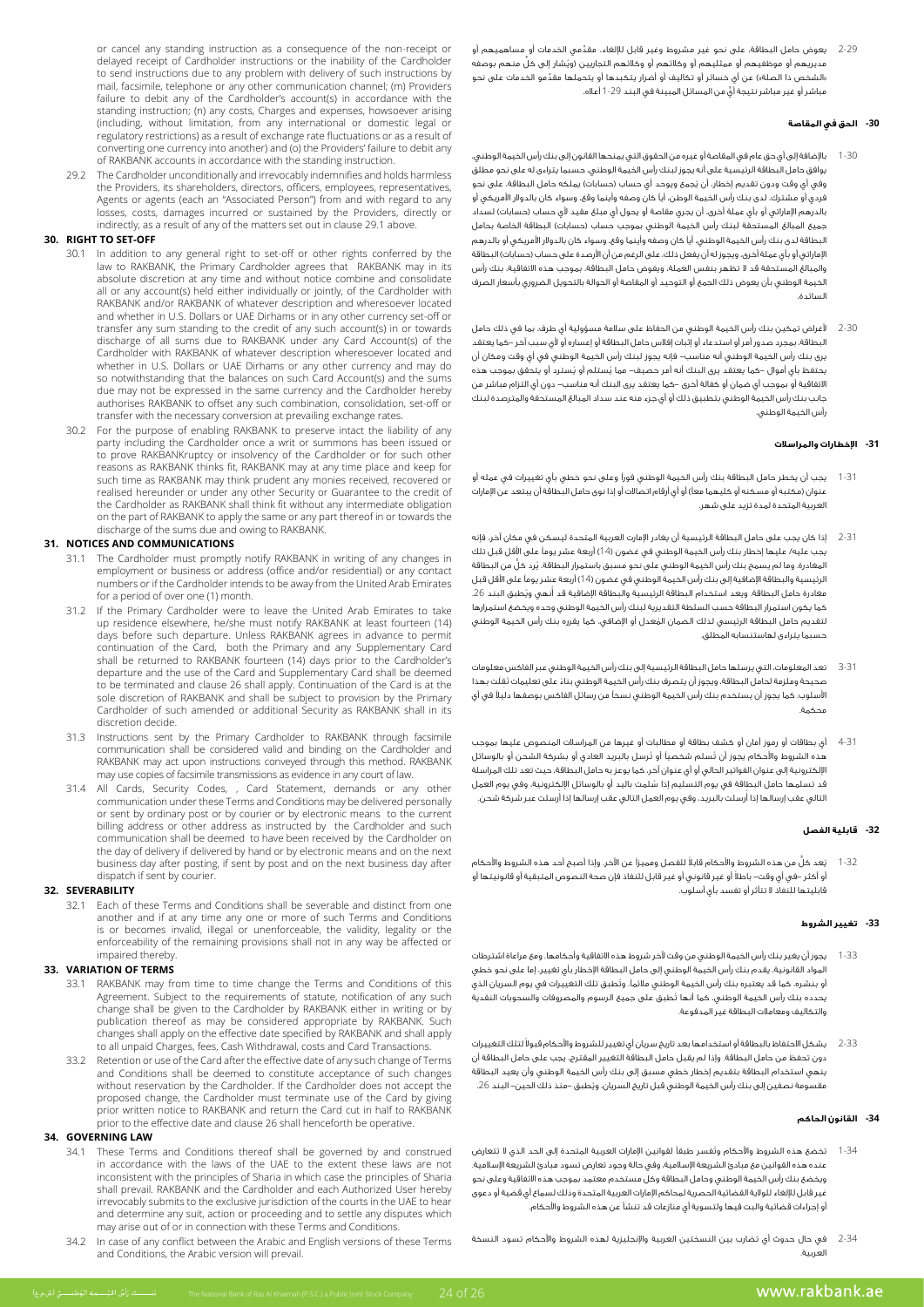2-29 ِّ يعوض حامل البطاقة، على نحو غير مشروط وغير قابل لإللغاء، مقدمي الخدمات أو مساهميهم أو ُ مديريهم أو موظفيهم أو ممثليهم أو وكالئهم أو وكالئهم التجاريين )وي ٍّ شار إلى كل منهم بوصفه «الشخص ذا الصلة») عن أي خسائر أو تكاليف أو أضرار يتكبدها أو يتحملها مقدِّمو الخدمات على نحو ٍّ مباشر أو غير مباشر نتيجة أي من المسائل المبينة في البند 1-29 أعاله.

# **-30 الحق في المقاصة**

- بالإضافة إلى أي حق عام في المقاصة أو غيره من الحقوق التي يمنحها القانون إلى بنك رأس الخيمة الوطني، يوافق حامل البطاقة الرئيسية على أنه يجوز لبنك رأس الخيمة الوطني، حسبما يتراءى له على نحو مطلق .<br>وفي أي وقت ودون تقديم إخطار، أن يُجمع ويوحد أي حساب (حسابات) يملكه حامل البطاقة، على نحو فردي أو مشترك، لدى بنك رأس الخيمة الوطن، أيًا كان وصفه وأينما وقع، وسواء كان بالدوالر األمريكي أو بالدرهم الإماراتي أو بأي عملة أخرى، أن يجري مقاصة أو يحول أي مبلغ مقيد لأي حساب (حسابات) لسداد .<br>جميع المبالغ المستحقة لبنك رأس الخيمة الوطني بموجب حساب (حسابات) البطاقة الخاصة بحامل البطاقة لدى بنك رأس الخيمة الوطني، أيًا كان وصفه وأينما وقع، وسواء كان بالدوالر األمريكي أو بالدرهم الإماراتي أو بأي عملة أخرى، ويجوز له أن يفعل ذلك، على الرغم من أن الأرصدة على حساب (حسابات) البطاقة والمبالغ المستحقة قد ال تظهر بنفس العملة، ويفوض حامل البطاقة، بموجب هذه االتفاقية، بنك رأس الخيمة الوطني بأن يعوض ذلك الجمع أو التوحيد أو المقاصة أو الحوالة بالتحويل الضروري بأسعار الصرف السائدة.
- 2-30 ألغراض تمكين بنك رأس الخيمة الوطني من الحفاظ على سالمة مسؤولية أي طرف، بما في ذلك حامل البطاقة، بمجرد صدور أمر أو استدعاء أو إثبات إفالس حامل البطاقة أو إعساره أو ألي سبب آخر -كما يعتقد يرى بنك رأس الخيمة الوطني أنه مناسب- فإنه يجوز لبنك رأس الخيمة الوطني في أي وقت ومكان أن يحتفظ بأي أموال –كما يعتقد يرى البنك أنه أمر حصيف– مما يُستلم أو يُسترد أو يتحقق بموجب هذه االتفاقية أو بموجب أي ضمان أو كفالة أخرى -كما يعتقد يرى البنك أنه مناسب- دون أي التزام مباشر من جانب بنك رأس الخيمة الوطني بتطبيق ذلك أو أي جزء منه عند سداد المبالغ المستحقة والمترصدة لبنك رأس الخيمة الوطني.

# **-31 اإلخطارات والمراسالت**

- 1-31 يجب أن يخطر حامل البطاقة بنك رأس الخيمة الوطني فورًا وعلى نحو خطي بأي تغييرات في عمله أو منوان (مكتبه أو مسكنه أو كليهما معاً) أو أي أرقام اتصالات أو إذا نوى حامل البطاقة أن يبتعد عن الإمارات العربية المتحدة لمدة تزيد على شهر.
- 2-31 إذا كان يجب على حامل البطاقة الرئيسية أن يغادر اإلمارت العربية المتحدة ليسكن في مكان آخر، فإنه يجب عليه/ عليها إخطار بنك رأس الخيمة الوطني في غضون )14( أربعة عشر يومًا على األقل قبل تلك المغادرة. وما لم يسمح بنك رأس الخيمة الوطني على نحو مسبق باستمرار البطاقة، يُرد كلٌّ من البطاقة الرئيسية والبطاقة اإلضافية إلى بنك رأس الخيمة الوطني في غضون )14( أربعة عشر يومًا على األقل قبل مغادرة حامل البطاقة. ويعد استخدام البطاقة الرئيسية والبطاقة الإضافية قد أنهي ويُطبق البند 26. كما يكون استمرار البطاقة حسب السلطة التقديرية لبنك رأس الخيمة الوطني وحده ويخضع استمرارها ُ لتقديم حامل البطاقة الرئيسي لذلك الضمان المعدل أو اإلضافي، كما يقرره بنك رأس الخيمة الوطني حسبما يتراءى لهاستنسابه المطلق.
- 3-31 تعد المعلومات، التي يرسلها حامل البطاقة الرئيسية إلى بنك رأس الخيمة الوطني عبر الفاكس معلومات صحيحة وملزمة لحامل البطاقة، ويجوز أن يتصرف بنك رأس الخيمة الوطني بناءً على تعليمات نُقِلَت بهذا ً األسلوب. كما يجوز أن يستخدم بنك رأس الخيمة الوطني نسخًا من رسائل الفاكس بوصفها دليال في أي محكمة.
- 4-31 أي بطاقات أو رموز أمان أو كشف بطاقة أو مطالبات أو غيرها من المراسالت المنصوص عليها بموجب ي .<br>هذه الشروط والأحكام يجوز أن تُسلم شخصياً أو تُرسل بالبريد العادي أو بشركة الشحن أو بالوسائل اإللكترونية إلى عنوان الفواتير الحالي أو أي عنوان آخر، كما يوعز به حامل البطاقة، حيث تعد تلك المراسلة ُ قد تسلمها حامل البطاقة في يوم التسليم إذا سلمت باليد أو بالوسائل اإللكترونية، وفي يوم العمل لتالي عقب إرسالها إذا أرسلت بالبريد، وفي يوم العمل التالي عقب إرسالها إذا أرسلت عبر شركة شحن.

# **-32 قابلية الفصل**

1-32 ُي ٌّ عد كل ً من هذه الشروط واألحكام قابال للفصل ومميزًا عن اآلخر. وإذا أصبح أحد هذه الشروط واألحكام ً أو أكثر -في أي وقت- باطال أو غير قانوني أو غير قابل للنفاذ فإن صحة النصوص المتبقية أو قانونيتها أو قابليتها للنفاذ ال تتأثر أو تفسد بأي أسلوب.

# **-33 تغيير الشروط**

- 1-33 يجوز أن يغير بنك رأس الخيمة الوطني من وقت آلخر شروط هذه االتفاقية وأحكامها. ومع مراعاة اشترطات المواد القانونية، يقدم بنك رأس الخيمة الوطني إلى حامل البطاقة اإلخطار بأي تغيير، إما على نحو خطي ُ أو بنشره، كما قد يعتبره بنك رأس الخيمة الوطني مالئمًا. وتطبق تلك التغييرات في يوم السريان الذي ُ يحدده بنك رأس الخيمة الوطني، كما أنها تطبق على جميع الرسوم والمصروفات والسحوبات النقدية والتكاليف ومعامالت البطاقة غير المدفوعة.
- 2-33 ٪ يشكل الاحتفاظ بالبطاقة أو استخدامها بعد تاريخ سريان أى تغيير للشروط والأحكام قبولاً لتلك التغييرات دون تحفظ من حامل البطاقة. وإذا لم يقبل حامل البطاقة التغيير المقترح، يجب على حامل البطاقة أن ينهي استخدام البطاقة بتقديم إخطار خطي مسبق إلى بنك رأس الخيمة الوطني وأن يعيد البطاقة ُ مقسومة نصفين إلى بنك رأس الخيمة الوطني قبل تاريخ السريان، ويطبق -منذ ذلك الحين- البند .26

# **-34 القانون الحاكم**

- 1-34 ُ تخضع هذه الشروط واألحكام وتفسر طبقًا لقوانين اإلمارات العربية المتحدة إلى الحد الذي ال تتعارض عنده هذه القوانين مع مبادئ الشريعة الإسلامية، وفي حالة وجود تعارض تسود مبادئ الشريعة الإسلامية. ويخضع بنك رأس الخيمة الوطني وحامل البطاقة وكل مستخدم معتمد بموجب هذه االتفاقية وعلى نحو غير قابل لإللغاء للوالية القضائية الحصرية لمحاكم اإلمارات العربية المتحدة وذلك لسماع أي قضية أو دعوى أو إجراءات قضائية والبت فيها ولتسوية أي منازعات قد تنشأ عن هذه الشروط واألحكام.
- 2-34 في حال حدوث أي تضارب بين النسختين العربية واإلنجليزية لهذه الشروط واألحكام تسود النسخة العربية.

or cancel any standing instruction as a consequence of the non-receipt or cardinate any stationing instructions of increased the orientation delayed receipt of Cardholder instructions or the inability of the Cardholder to send instructions due to any problem with delivery of such instructions by mail, facsimile, telephone or any other communication channel; (m) Providers failure to debit any of the Cardholder's account(s) in accordance with the standing instruction; (n) any costs, Charges and expenses, howsoever arising (including, without limitation, from any international or domestic legal or regulatory restrictions) as a result of exchange rate fluctuations or as a result of converting one currency into another) and (o) the Providers' failure to debit any of RAKBANK accounts in accordance with the standing instruction.

29.2 The Cardholder unconditionally and irrevocably indemnifies and holds harmless the Providers, its shareholders, directors, officers, employees, representatives, Agents or agents (each an "Associated Person") from and with regard to any losses, costs, damages incurred or sustained by the Providers, directly or indirectly, as a result of any of the matters set out in clause 29.1 above.

# **30. RIGHT TO SET-OFF**

- 30.1 In addition to any general right to set-off or other rights conferred by the law to RAKBANK, the Primary Cardholder agrees that RAKBANK may in its absolute discretion at any time and without notice combine and consolidate all or any account(s) held either individually or jointly, of the Cardholder with RAKBANK and/or RAKBANK of whatever description and wheresoever located and whether in U.S. Dollars or UAE Dirhams or in any other currency set-off or transfer any sum standing to the credit of any such account(s) in or towards discharge of all sums due to RAKBANK under any Card Account(s) of the and located with RAKBANK of whatever description wheresoever located and whether in U.S. Dollars or UAE Dirhams or any other currency and may do so notwithstanding that the balances on such Card Account(s) and the sums due may not be expressed in the same currency and the Cardholder hereby authorises RAKBANK to offset any such combination, consolidation, set-off or transfer with the necessary conversion at prevailing exchange rates.
- 30.2 For the purpose of enabling RAKBANK to preserve intact the liability of any party including the Cardholder once a writ or summons has been issued or to prove RAKBANKruptcy or insolvency of the Cardholder or for such other reasons as RAKBANK thinks fit, RAKBANK may at any time place and keep for such time as RAKBANK may think prudent any monies received, recovered or realised hereunder or under any other Security or Guarantee to the credit of the Cardholder as RAKBANK shall think fit without any intermediate obligation on the part of RAKBANK to apply the same or any part thereof in or towards the discharge of the sums due and owing to RAKBANK.

# **31. NOTICES AND COMMUNICATIONS**

- 31.1 The Cardholder must promptly notify RAKBANK in writing of any changes in employment or business or address (office and/or residential) or any contact numbers or if the Cardholder intends to be away from the United Arab Emirates for a period of over one (1) month.
- 31.2 If the Primary Cardholder were to leave the United Arab Emirates to take up residence elsewhere, he/she must notify RAKBANK at least fourteen (14) days before such departure. Unless RAKBANK agrees in advance to permit continuation of the Card, both the Primary and any Supplementary Card shall be returned to RAKBANK fourteen (14) days prior to the Cardholder's departure and the use of the Card and Supplementary Card shall be deemed to be terminated and clause 26 shall apply. Continuation of the Card is at the sole discretion of RAKBANK and shall be subject to provision by the Primary Cardholder of such amended or additional Security as RAKBANK shall in its discretion decide
- 31.3 Instructions sent by the Primary Cardholder to RAKBANK through facsimile communication shall be considered valid and binding on the Cardholder and RAKBANK may act upon instructions conveyed through this method. RAKBANK may use copies of facsimile transmissions as evidence in any court of law.
- 31.4 All Cards, Security Codes, , Card Statement, demands or any other communication under these Terms and Conditions may be delivered personally or sent by ordinary post or by courier or by electronic means to the current billing address or other address as instructed by the Cardholder and such communication shall be deemed to have been received by the Cardholder on the day of delivery if delivered by hand or by electronic means and on the next business day after posting, if sent by post and on the next business day after dispatch if sent by courier.

# **SEVERABILITY 32.**

32.1 Each of these Terms and Conditions shall be severable and distinct from one another and if at any time any one or more of such Terms and Conditions is or becomes invalid, illegal or unenforceable, the validity, legality or the or becomes mean, megan or differenced be yet remaining provisions result in any way be affected or impaired thereby.

# **TERMS OF VARIATION 33.**

- 33.1 RAKBANK may from time to time change the Terms and Conditions of this Agreement. Subject to the requirements of statute, notification of any such change shall be given to the Cardholder by RAKBANK either in writing or by publication thereof as may be considered appropriate by RAKBANK. Such changes shall apply on the effective date specified by RAKBANK and shall apply transactions Charges Shan apply on the checare date specified by it wish then shan costs and Card Transactions.
- 33.2 Retention or use of the Card after the effective date of any such change of Terms and Conditions shall be deemed to constitute acceptance of such changes the acceptance of states considered the Cardholder the Cardholder does not accept the proposed change, the Cardholder must terminate use of the Card by giving prior written notice to RAKBANK and return the Card cut in half to RAKBANK prior to the effective date and clause 26 shall henceforth be operative

# **34. GOVERNING LAW**

- 34.1 These Terms and Conditions thereof shall be governed by and construed in accordance with the laws of the UAE to the extent these laws are not inconsistent with the principles of Sharia in which case the principles of Sharia shall prevail. RAKBANK and the Cardholder and each Authorized User hereby irrevocably submits to the exclusive jurisdiction of the courts in the UAE to hear and determine any suit, action or proceeding and to settle any disputes which may arise out of or in connection with these Terms and Conditions.
- 34.2 In case of any conflict between the Arabic and English versions of these Terms and Conditions, the Arabic version will prevail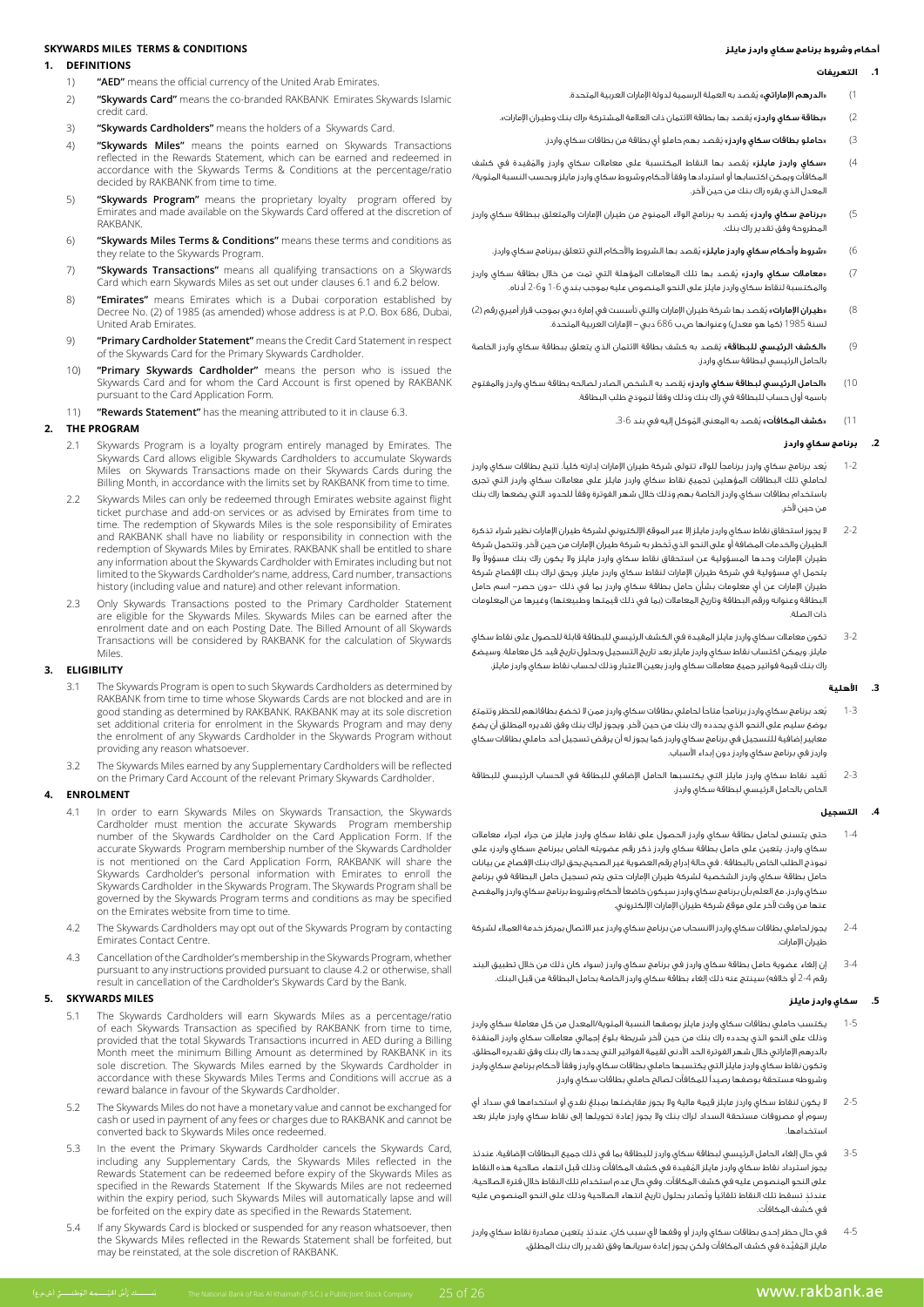#### **أحكام وشروط برنامج سكاي واردز مايلز**

# **.1 التعريفات**

**CONDITIONS MILES TERMS & CONDITIONS** 

# **DEFINITIONS 1.**

- 1) **"AED"** means the official currency of the United Arab Emirates
- 2) **"Skywards Card"** means the co-branded RAKBANK Emirates Skywards Islamic credit card.
- 3) **"Skywards Cardholders"** means the holders of a Skywards Card.
- 4) "Skywards Miles" means the points earned on Skywards Transactions reflected in the Rewards Statement, which can be earned and redeemed in accordance with the Skywards Terms & Conditions at the percentage/ratio decided by RAKBANK from time to time
- 5) **"Skywards Program"** means the proprietary loyalty program offered by Emirates and made available on the Skywards Card offered at the discretion of .RAKBANK
- 6) **"Skywards Miles Terms & Conditions"** means these terms and conditions as they relate to the Skywards Program.
- 7) **"Skywards Transactions"** means all qualifying transactions on a Skywards Card which earn Skywards Miles as set out under clauses 6.1 and 6.2 below.
- 8) **"Emirates"** means Emirates which is a Dubai corporation established by Decree No. (2) of 1985 (as amended) whose address is at P.O. Box 686, Dubai. United Arab Emirates.
- 9) **Primary Cardholder Statement"** means the Credit Card Statement in respect of the Skywards Card for the Primary Skywards Cardholder
- 10) **"Primary Skywards Cardholder"** means the person who is issued the Skywards Card and for whom the Card Account is first opened by RAKBANK pursuant to the Card Application Form.
- 11) **"Rewards Statement"** has the meaning attributed to it in clause 6.3.

### **PROGRAM THE 2.**

- 2.1 Skywards Program is a loyalty program entirely managed by Emirates. The Skywards Card allows eligible Skywards Cardholders to accumulate Skywards Miles on Skywards Transactions made on their Skywards Cards during the Billing Month, in accordance with the limits set by RAKBANK from time to time.
- Skywards Miles can only be redeemed through Emirates website against flight ticket purchase and add-on services or as advised by Emirates from time to time. The redemption of Skywards Miles is the sole responsibility of Emirates and RAKBANK shall have no liability or responsibility in connection with the redemption of Skywards Miles by Emirates. RAKBANK shall be entitled to share any information about the Skywards Cardholder with Emirates including but not limited to the Skywards Cardholder's name, address, Card number, transactions history (including value and nature) and other relevant information.
- 2.3 Only Skywards Transactions posted to the Primary Cardholder Statement are eligible for the Skywards Miles. Skywards Miles can be earned after the enrolment date and on each Posting Date. The Billed Amount of all Skywards Transactions will be considered by RAKBANK for the calculation of Skywards .Miles

### **ELIGIBILITY 3.**

- 3.1 The Skywards Program is open to such Skywards Cardholders as determined by RAKBANK from time to time whose Skywards Cards are not blocked and are in good standing as determined by RAKBANK. RAKBANK may at its sole discretion deny may all the internal program and may deny set additional criteria for enrolment in the Skywards Program and may deny the enrolment of any Skywards Cardholder in the Skywards Program without providing any reason whatsoever.
- 3.2 The Skywards Miles earned by any Supplementary Cardholders will be reflected on the Primary Card Account of the relevant Primary Skywards Cardholder.

### **ENROLMENT 4.**

- 4.1 In order to earn Skywards Miles on Skywards Transaction, the Skywards Cardholder must mention the accurate Skywards Program membership number of the Skywards Cardholder on the Card Application Form. If the accurate Skywards Program membership number of the Skywards Cardholder is not mentioned on the Card Application Form, RAKBANK will share the Skywards Cardholder's personal information with Emirates to enroll the Skywards Cardholder in the Skywards Program. The Skywards Program shall be governed by the Skywards Program terms and conditions as may be specified on the Emirates website from time to time.
- 4.2 The Skywards Cardholders may opt out of the Skywards Program by contacting Emirates Contact Centre
- 4.3 Cancellation of the Cardholder's membership in the Skywards Program, whether pursuant to any instructions provided pursuant to clause 4.2 or otherwise, shall result in cancellation of the Cardholder's Skywards Card by the Bank

### **5. SKYWARDS MILES**

- 5.1 The Skywards Cardholders will earn Skywards Miles as a percentage/ratio of each Skywards Transaction as specified by RAKBANK from time to time, provided that the total Skywards Transactions incurred in AED during a Billing Month meet the minimum Billing Amount as determined by RAKBANK in its sole discretion. The Skywards Miles earned by the Skywards Cardholder in accordance with these Skywards Miles Terms and Conditions will accrue as a reward balance in favour of the Skywards Cardholder.
- 5.2 The Skywards Miles do not have a monetary value and cannot be exchanged for cash or used in payment of any fees or charges due to RAKBANK and cannot be converted back to Skywards Miles once redeemed.
- 5.3 In the event the Primary Skywards Cardholder cancels the Skywards Card, including any Supplementary Cards, the Skywards Miles reflected in the Rewards Statement can be redeemed before expiry of the Skywards Miles as specified in the Rewards Statement If the Skywards Miles are not redeemed within the expiry period, such Skywards Miles will automatically lapse and will be forfeited on the expiry date as specified in the Rewards Statement.
- 5.4 If any Skywards Card is blocked or suspended for any reason whatsoever, then the Skywards Miles reflected in the Rewards Statement shall be forfeited, but may be reinstated, at the sole discretion of RAKBANK.
- 1( »الدرهم اإلماراتي« ُيقصد به العملة الرسمية لدولة اإلمارات العربية المتحدة.
- 2( »بطاقة سكاي واردز« ُيقصد بها بطاقة االئتمان ذات العالمة المشتركة »راك بنك وطيران اإلمارات«.
	- 3( »حاملو بطاقات سكاي واردز« ُ يقصد بهم حاملو أي بطاقة من بطاقات سكاي واردز.
- 4( »سكاي واردز مايلز« ُ ي ُ قصد بها النقاط المكتسبة على معامالت سكاي واردز والمقيدة في كشف المكافآت ويمكن اكتسابها أو استردادها وفقًا ألحكام وشروط سكاي واردز مايلز وبحسب النسبة المئوية/ المعدل الذي يقره راك بنك من حين آلخر.
- 5( »برنامج سكاي واردز« ُ يقصد به برنامج الوالء الممنوح من طيران اإلمارات والمتعلق ببطاقة سكاي واردز المطروحة وفق تقدير راك بنك.
	- 6( »شروط وأحكام سكاي واردز مايلز« ُ يقصد بها الشروط واألحكام التي تتعلق ببرنامج سكاي واردز.
- 7) «**معاملات سكاي واردز**» يُقصد بها تلك المعاملات المؤهلة التي تمت من خلال بطاقة سكاي واردز والمكتسبة لنقاط سكاي واردز مايلز على النحو المنصوص عليه بموجب بندي 1-6 و2-6 أدناه.
- 8( »طيران اإلمارات« ُ يقصد بها شركة طيران اإلمارات والتي تأسست في إمارة دبي بموجب قرار أميري رقم )2( لسنة 1985 (كما هو معدل) وعنوانها ص.ب 686 دبي – الإمارات العربية المتحدة.
- 9( »الكشف الرئيسي للبطاقة« ُ يقصد به كشف بطاقة االئتمان الذي يتعلق ببطاقة سكاي واردز الخاصة بالحامل الرئيسي لبطاقة سكاي واردز.
- 10( »الحامل الرئيسي لبطاقة سكاي واردز« ُ يقصد به الشخص الصادر لصالحه بطاقة سكاي واردز والمفتوح باسمه أول حساب للبطاقة في راك بنك وذلك وفقًا لنموذج طلب البطاقة.
	- 11) **«كشف المكافآت»** يُقصد به المعنى المُوكل إليه في بند 6-3.

### **.2 برنامج سكاي واردز**

- 1-2 ُيعد برنامج سكاي واردز برنامجًا للوالء تتولى شركة طيران اإلمارات إدارته كليًا. تتيح بطاقات سكاي واردز لحاملي تلك البطاقات المؤهلين تجميع نقاط سكاي واردز مايلز على معامالت سكاي واردز التي تجرى باستخدام بطاقات سكاي واردز الخاصة بهم وذلك خالل شهر الفوترة وفقًا للحدود التي يضعها راك بنك من حين آلخر.
- 2-2 ال يجوز استحقاق نقاط سكاي واردز مايلز إال عبر الموقع اإللكتروني لشركة طيران اإلمارات نظير شراء تذكرة ُ الطيران والخدمات المضافة أو على النحو الذي تخطر به شركة طيران اإلمارات من حين آلخر. وتتحمل شركة طيران الإمارات وحدها المسؤولية عن استحقاق نقاط سكاي واردز مايلز ولا يكون راك بنك مسؤولا ولا يتحمل اي مسؤولية في شركة طيران اإلمارات لنقاط سكاي واردز مايلز. ويحق لراك بنك اإلفصاح شركة طيران اإلمارات عن أي معلومات بشأن حامل بطاقة سكاي واردز بما في ذلك -دون حصر- اسم حامل البطاقة وعنوانه ورقم البطاقة وتاريخ المعاملات (بما في ذلك قيمتها وطبيعتها) وغيرها من المعلومات ذات الصلة.
- 3-2 تكون معامالت سكاي واردز مايلز المقيدة في الكشف الرئيسي للبطاقة قابلة للحصول على نقاط سكاي مايلز. ويمكن اكتساب نقاط سكاي واردز مايلز بعد تاريخ التسجيل وبحلول تاريخ قيد كل معاملة. وسيضع راك بنك قيمة فواتير جميع معامالت سكاي واردز بعين االعتبار وذلك لحساب نقاط سكاي واردز مايلز.

### **.3 األهلية**

- 1-3 ُيعد برنامج سكاي واردز برنامجًا متاحًا لحاملي بطاقات سكاي واردز ممن ال تخضع بطاقاتهم للحظر وتتمتع بوضع سليم على النحو الذي يحدده راك بنك من حين آلخر. ويجوز لراك بنك وفق تقديره المطلق أن يضع معايير إضافية للتسجيل في برنامج سكاي واردز كما يجوز له أن يرفض تسجيل أحد حاملي بطاقات سكاي واردز في برنامج سكاي واردز دون إبداء األسباب.
- 2-3 ُتقيد نقاط سكاي واردز مايلز التي يكتسبها الحامل اإلضافي للبطاقة في الحساب الرئيسي للبطاقة الخاص بالحامل الرئيسي لبطاقة سكاي واردز.

### **.4 التسجيل**

- 1-4 حتى يتسنى لحامل بطاقة سكاي واردز الحصول على نقاط سكاي واردز مايلز من جراء اجراء معامالت سكاي واردز، يتعين على حامل بطاقة سكاي واردز ذكر رقم عضويته الخاص ببرنامج »سكاي واردز« على نموذج الطلب الخاص بالبطاقة . في حالة إدراج رقم العضوية غير الصحيح،يحق لراك بنك اإلفصاح عن بيانات حامل بطاقة سكاي واردز الشخصية لشركة طيران اإلمارات حتى يتم تسجيل حامل البطاقة في برنامج سكاي واردز، مع العلم بأن برنامج سكاي واردز سيكون خاضعًا ألحكام وشروط برنامج سكاي واردز والمفصح عنها من وقت آلخر على موقع شركة طيران اإلمارات اإللكتروني.
- 2-4 يجوز لحاملي بطاقات سكاي واردز االنسحاب من برنامج سكاي واردز عبر االتصال بمركز خدمة العمالء لشركة طيران اإلمارات.
- 3-4 إن إلغاء عضوية حامل بطاقة سكاي واردز في برنامج سكاي واردز (سواء كان ذلك من خلال تطبيق البند رقم 4-2 أو خلافه) سينتج عنه ذلك إلغاء بطاقة سكاي واردز الخاصة بحامل البطاقة من قبل البنك.

### **.5 سكاي واردز مايلز**

- 1-5 يكتسب حاملي بطاقات سكاي واردز مايلز بوصفها النسبة المئوية/المعدل من كل معاملة سكاي واردز وذلك على النحو الذي يحدده راك بنك من حين آلخر شريطة بلوغ إجمالي معامالت سكاي واردز المنفذة بالدرهم اإلماراتي خالل شهر الفوترة الحد األدنى لقيمة الفواتير التي يحددها راك بنك وفق تقديره المطلق. وتكون نقاط سكاي واردز مايلز التي يكتسبها حاملي بطاقات سكاي واردز وفقًا ألحكام برنامج سكاي واردز وشروطه مستحقة بوصفها رصيدًا للمكافآت لصالح حاملي بطاقات سكاي واردز.
- 2-5 ٍ ال يكون لنقاط سكاي واردز مايلز قيمة مالية وال يجوز مقايضتها بمبلغ نقدي أو استخدامها في سداد أي رسوم أو مصروفات مستحقة السداد لراك بنك وال يجوز إعادة تحويلها إلى نقاط سكاي واردز مايلز بعد استخدامها.
- 3-5 في حال إلغاء الحامل الرئيسي لبطاقة سكاي واردز للبطاقة بما في ذلك جميع البطاقات اإلضافية، عندئذ ُ يجوز استرداد نقاط سكاي واردز مايلز المقيدة في كشف المكافآت وذلك قبل انتهاء صالحية هذه النقاط على النحو المنصوص عليه في كشف المكافآت. وفي حال عدم استخدام تلك النقاط خالل فترة الصالحية، ٍ عندئذ ُ تسقط تلك النقاط تلقائيًا وتصادر بحلول تاريخ انتهاء الصالحية وذلك على النحو المنصوص عليه في كشف المكافآت.
- 4-5 ٍ في حال حظر إحدى بطاقات سكاي واردز أو وقفها ألي سبب كان، عندئذ يتعين مصادرة نقاط سكاي واردز مايلز المُقيَّدة في كشف المكافآت ولكن يجوز إعادة سريانها وفق تقدير راك بنك المطلق.